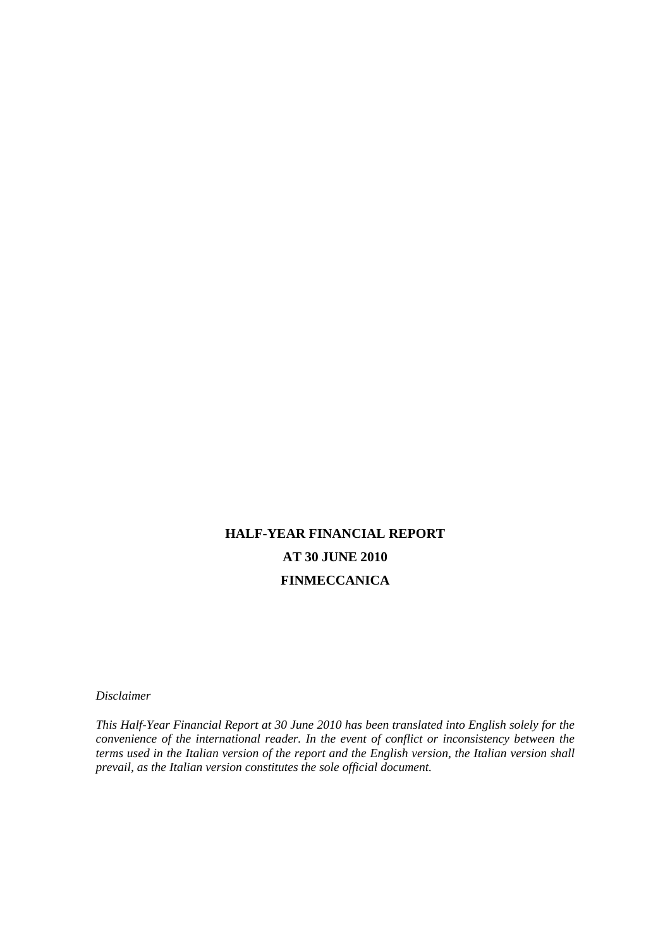# **HALF-YEAR FINANCIAL REPORT AT 30 JUNE 2010 FINMECCANICA**

*Disclaimer* 

*This Half-Year Financial Report at 30 June 2010 has been translated into English solely for the convenience of the international reader. In the event of conflict or inconsistency between the terms used in the Italian version of the report and the English version, the Italian version shall prevail, as the Italian version constitutes the sole official document.*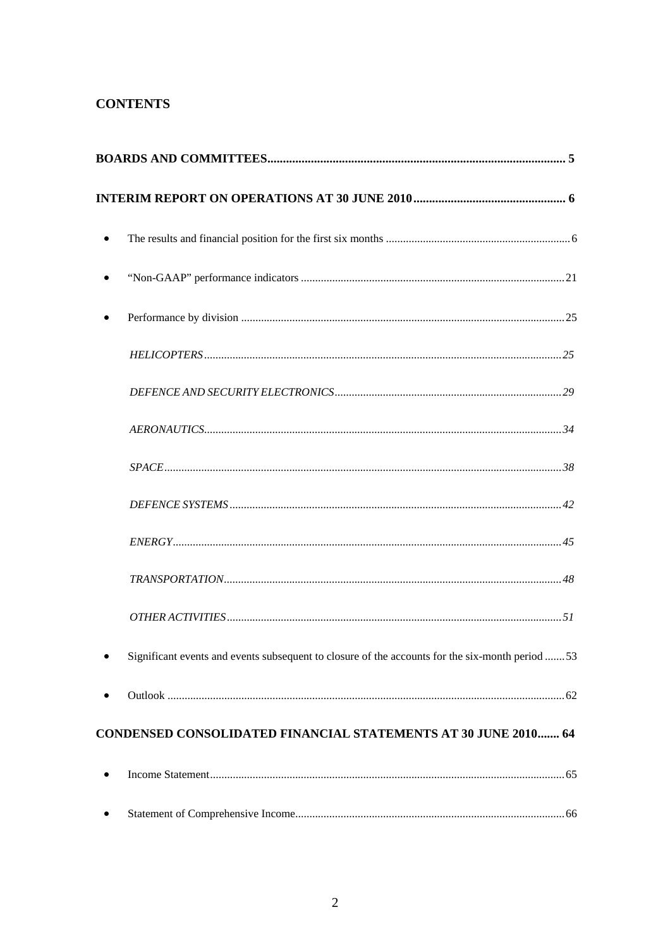## **CONTENTS**

| Significant events and events subsequent to closure of the accounts for the six-month period 53 |
|-------------------------------------------------------------------------------------------------|
|                                                                                                 |
| <b>CONDENSED CONSOLIDATED FINANCIAL STATEMENTS AT 30 JUNE 2010 64</b>                           |
|                                                                                                 |

|--|--|--|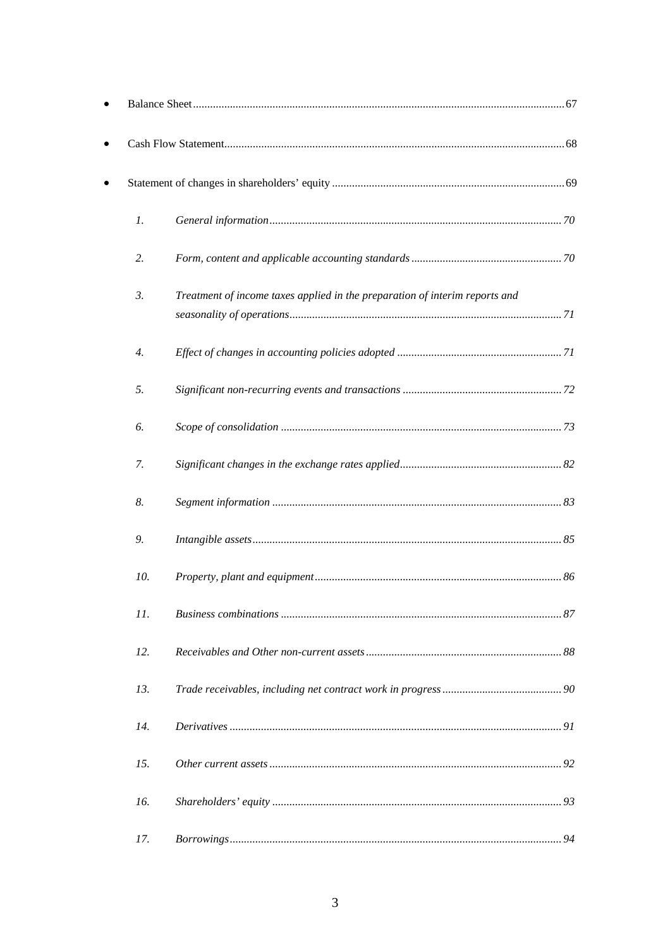| 1.               |                                                                             |  |
|------------------|-----------------------------------------------------------------------------|--|
| 2.               |                                                                             |  |
| 3.               | Treatment of income taxes applied in the preparation of interim reports and |  |
| $\overline{4}$ . |                                                                             |  |
| 5.               |                                                                             |  |
| 6.               |                                                                             |  |
| 7.               |                                                                             |  |
| 8.               |                                                                             |  |
| 9.               |                                                                             |  |
| 10.              |                                                                             |  |
| 11.              |                                                                             |  |
| 12.              |                                                                             |  |
| 13.              |                                                                             |  |
| 14.              |                                                                             |  |
| 15.              |                                                                             |  |
| 16.              |                                                                             |  |
| 17.              |                                                                             |  |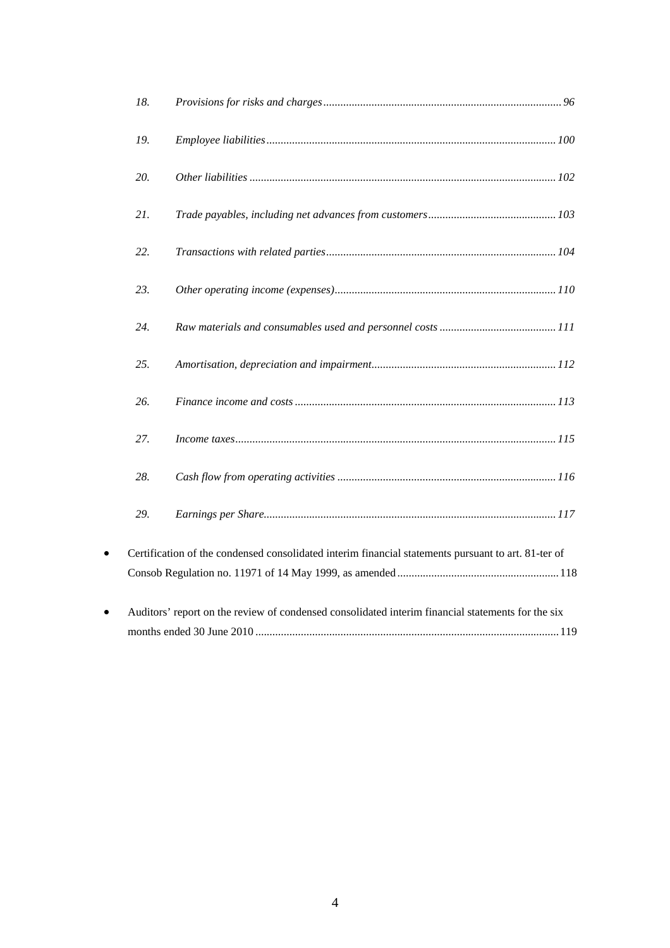|           | 18. |                                                                                                     |
|-----------|-----|-----------------------------------------------------------------------------------------------------|
|           | 19. |                                                                                                     |
|           | 20. |                                                                                                     |
|           | 21. |                                                                                                     |
|           | 22. |                                                                                                     |
|           | 23. |                                                                                                     |
|           | 24. |                                                                                                     |
|           | 25. |                                                                                                     |
|           | 26. |                                                                                                     |
|           | 27. |                                                                                                     |
|           | 28. |                                                                                                     |
|           | 29. |                                                                                                     |
| $\bullet$ |     | Certification of the condensed consolidated interim financial statements pursuant to art. 81-ter of |
|           |     |                                                                                                     |
| $\bullet$ |     | Auditors' report on the review of condensed consolidated interim financial statements for the six   |
|           |     |                                                                                                     |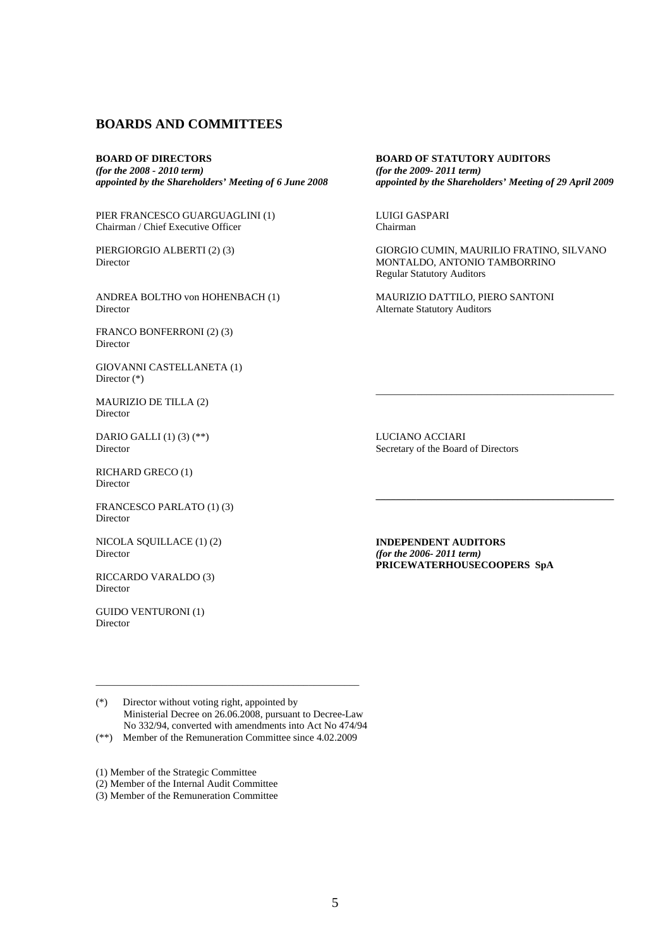### **BOARDS AND COMMITTEES**

**BOARD OF DIRECTORS**  *(for the 2008 - 2010 term) appointed by the Shareholders' Meeting of 6 June 2008*

PIER FRANCESCO GUARGUAGLINI (1) Chairman / Chief Executive Officer

PIERGIORGIO ALBERTI (2) (3) Director

ANDREA BOLTHO von HOHENBACH (1) Director

FRANCO BONFERRONI (2) (3) Director

GIOVANNI CASTELLANETA (1) Director (\*)

MAURIZIO DE TILLA (2) Director

DARIO GALLI (1) (3) (\*\*) Director

RICHARD GRECO (1) Director

FRANCESCO PARLATO (1) (3) Director

NICOLA SQUILLACE (1) (2) Director

RICCARDO VARALDO (3) Director

GUIDO VENTURONI (1) Director

**BOARD OF STATUTORY AUDITORS**  *(for the 2009- 2011 term) appointed by the Shareholders' Meeting of 29 April 2009*

LUIGI GASPARI Chairman

 $\overline{\phantom{a}}$  , and the contract of the contract of the contract of the contract of the contract of the contract of the contract of the contract of the contract of the contract of the contract of the contract of the contrac

GIORGIO CUMIN, MAURILIO FRATINO, SILVANO MONTALDO, ANTONIO TAMBORRINO Regular Statutory Auditors

MAURIZIO DATTILO, PIERO SANTONI Alternate Statutory Auditors

LUCIANO ACCIARI Secretary of the Board of Directors

**INDEPENDENT AUDITORS**  *(for the 2006- 2011 term)* **PRICEWATERHOUSECOOPERS SpA** 

**\_\_\_\_\_\_\_\_\_\_\_\_\_\_\_\_\_\_\_\_\_\_\_\_\_\_\_\_\_\_\_\_\_\_\_\_\_\_\_\_\_\_\_\_\_\_\_** 

(\*) Director without voting right, appointed by Ministerial Decree on 26.06.2008, pursuant to Decree-Law No 332/94, converted with amendments into Act No 474/94

\_\_\_\_\_\_\_\_\_\_\_\_\_\_\_\_\_\_\_\_\_\_\_\_\_\_\_\_\_\_\_\_\_\_\_\_\_\_\_\_\_\_\_\_\_\_\_\_\_\_\_\_

(\*\*) Member of the Remuneration Committee since 4.02.2009

(1) Member of the Strategic Committee

(2) Member of the Internal Audit Committee

(3) Member of the Remuneration Committee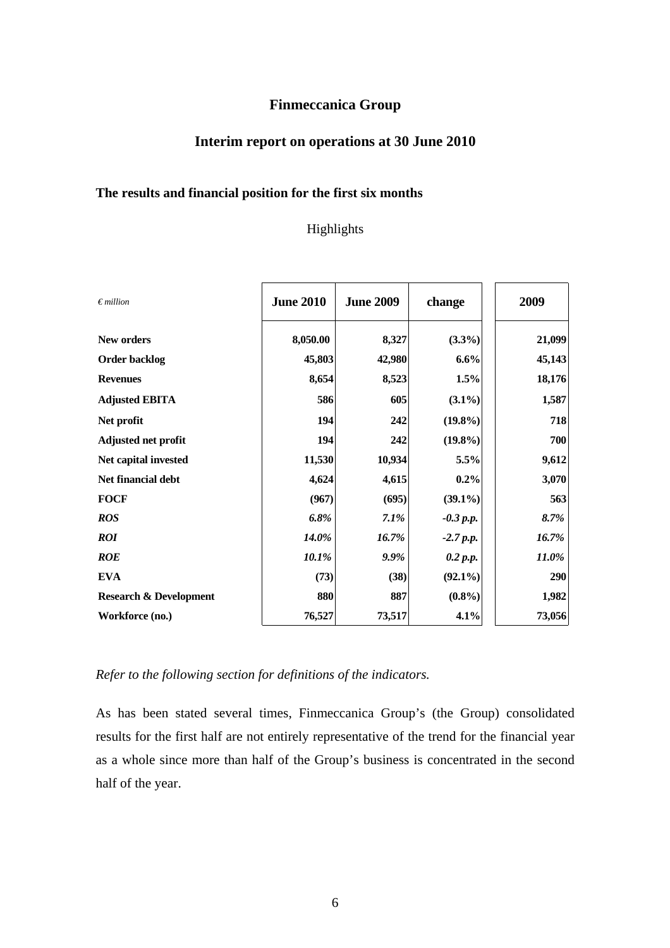## **Finmeccanica Group**

## **Interim report on operations at 30 June 2010**

## **The results and financial position for the first six months**

## Highlights

| $\epsilon$ <i>million</i>         | <b>June 2010</b> | <b>June 2009</b> | change      | 2009     |
|-----------------------------------|------------------|------------------|-------------|----------|
| New orders                        | 8,050.00         | 8,327            | $(3.3\%)$   | 21,099   |
| <b>Order backlog</b>              | 45,803           | 42,980           | 6.6%        | 45,143   |
| <b>Revenues</b>                   | 8,654            | 8,523            | 1.5%        | 18,176   |
| <b>Adjusted EBITA</b>             | 586              | 605              | $(3.1\%)$   | 1,587    |
| Net profit                        | 194              | 242              | $(19.8\%)$  | 718      |
| Adjusted net profit               | 194              | 242              | $(19.8\%)$  | 700      |
| Net capital invested              | 11,530           | 10,934           | 5.5%        | 9,612    |
| Net financial debt                | 4,624            | 4,615            | 0.2%        | 3,070    |
| <b>FOCF</b>                       | (967)            | (695)            | $(39.1\%)$  | 563      |
| <b>ROS</b>                        | 6.8%             | $7.1\%$          | $-0.3$ p.p. | 8.7%     |
| <b>ROI</b>                        | 14.0%            | 16.7%            | $-2.7 p.p.$ | 16.7%    |
| <b>ROE</b>                        | 10.1%            | 9.9%             | 0.2 p.p.    | $11.0\%$ |
| <b>EVA</b>                        | (73)             | (38)             | $(92.1\%)$  | 290      |
| <b>Research &amp; Development</b> | 880              | 887              | $(0.8\%)$   | 1,982    |
| Workforce (no.)                   | 76,527           | 73,517           | 4.1%        | 73,056   |

*Refer to the following section for definitions of the indicators.* 

As has been stated several times, Finmeccanica Group's (the Group) consolidated results for the first half are not entirely representative of the trend for the financial year as a whole since more than half of the Group's business is concentrated in the second half of the year.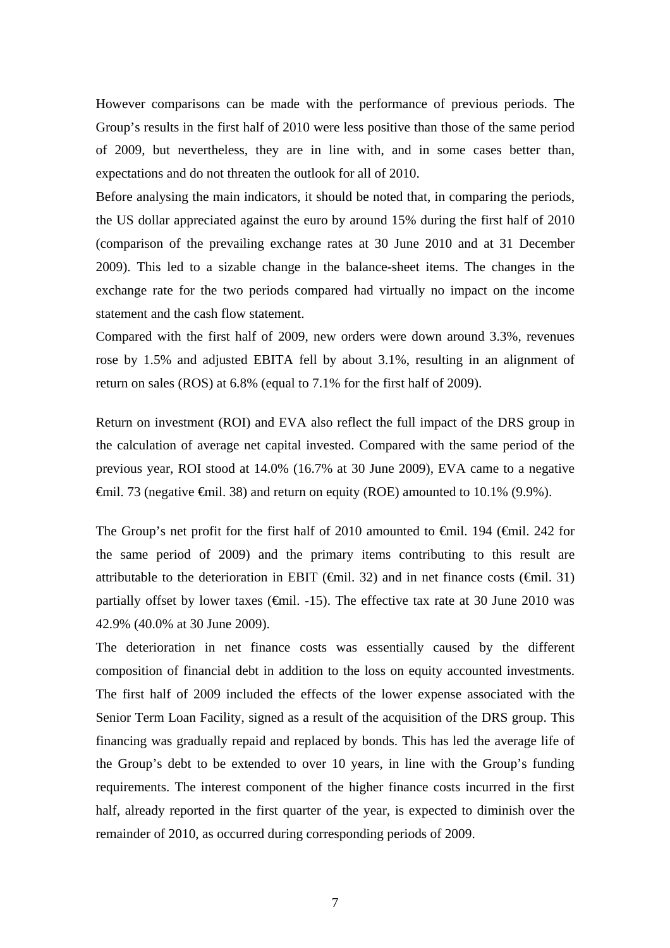However comparisons can be made with the performance of previous periods. The Group's results in the first half of 2010 were less positive than those of the same period of 2009, but nevertheless, they are in line with, and in some cases better than, expectations and do not threaten the outlook for all of 2010.

Before analysing the main indicators, it should be noted that, in comparing the periods, the US dollar appreciated against the euro by around 15% during the first half of 2010 (comparison of the prevailing exchange rates at 30 June 2010 and at 31 December 2009). This led to a sizable change in the balance-sheet items. The changes in the exchange rate for the two periods compared had virtually no impact on the income statement and the cash flow statement.

Compared with the first half of 2009, new orders were down around 3.3%, revenues rose by 1.5% and adjusted EBITA fell by about 3.1%, resulting in an alignment of return on sales (ROS) at 6.8% (equal to 7.1% for the first half of 2009).

Return on investment (ROI) and EVA also reflect the full impact of the DRS group in the calculation of average net capital invested. Compared with the same period of the previous year, ROI stood at 14.0% (16.7% at 30 June 2009), EVA came to a negative  $\theta$ mil. 73 (negative  $\theta$ mil. 38) and return on equity (ROE) amounted to 10.1% (9.9%).

The Group's net profit for the first half of 2010 amounted to €mil. 194 (€mil. 242 for the same period of 2009) and the primary items contributing to this result are attributable to the deterioration in EBIT ( $\bigoplus$ mil. 32) and in net finance costs ( $\bigoplus$ mil. 31) partially offset by lower taxes ( $\epsilon$ mil. -15). The effective tax rate at 30 June 2010 was 42.9% (40.0% at 30 June 2009).

The deterioration in net finance costs was essentially caused by the different composition of financial debt in addition to the loss on equity accounted investments. The first half of 2009 included the effects of the lower expense associated with the Senior Term Loan Facility, signed as a result of the acquisition of the DRS group. This financing was gradually repaid and replaced by bonds. This has led the average life of the Group's debt to be extended to over 10 years, in line with the Group's funding requirements. The interest component of the higher finance costs incurred in the first half, already reported in the first quarter of the year, is expected to diminish over the remainder of 2010, as occurred during corresponding periods of 2009.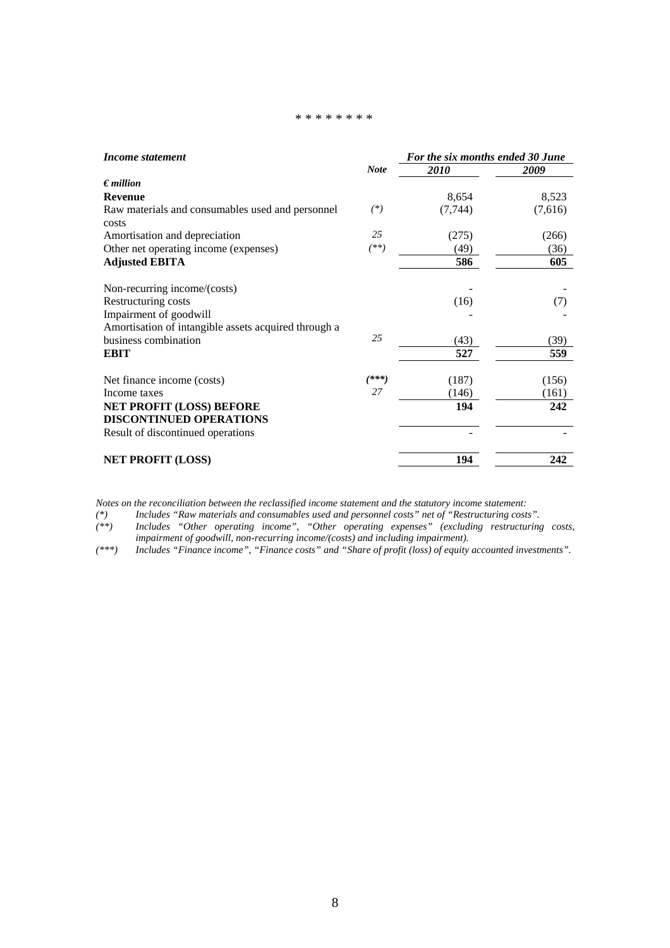#### \* \* \* \* \* \* \* \*

| Income statement                                                  |             | For the six months ended 30 June |         |  |
|-------------------------------------------------------------------|-------------|----------------------------------|---------|--|
|                                                                   | <b>Note</b> | 2010                             | 2009    |  |
| $\epsilon$ <i>million</i>                                         |             |                                  |         |  |
| <b>Revenue</b>                                                    |             | 8,654                            | 8,523   |  |
| Raw materials and consumables used and personnel                  | $(*)$       | (7, 744)                         | (7,616) |  |
| costs                                                             |             |                                  |         |  |
| Amortisation and depreciation                                     | 25          | (275)                            | (266)   |  |
| Other net operating income (expenses)                             | $^{(**)}$   | (49)                             | (36)    |  |
| <b>Adjusted EBITA</b>                                             |             | 586                              | 605     |  |
| Non-recurring income/(costs)                                      |             |                                  |         |  |
| Restructuring costs                                               |             | (16)                             | (7)     |  |
| Impairment of goodwill                                            |             |                                  |         |  |
| Amortisation of intangible assets acquired through a              |             |                                  |         |  |
| business combination                                              | 25          | (43)                             | (39)    |  |
| <b>EBIT</b>                                                       |             | 527                              | 559     |  |
| Net finance income (costs)                                        | $(***)$     | (187)                            | (156)   |  |
| Income taxes                                                      | 27          | (146)                            | (161)   |  |
| <b>NET PROFIT (LOSS) BEFORE</b><br><b>DISCONTINUED OPERATIONS</b> |             | 194                              | 242     |  |
| Result of discontinued operations                                 |             |                                  |         |  |
| <b>NET PROFIT (LOSS)</b>                                          |             | 194                              | 242     |  |

*Notes on the reconciliation between the reclassified income statement and the statutory income statement:* 

*(\*) Includes "Raw materials and consumables used and personnel costs" net of "Restructuring costs".* 

*(\*\*) Includes "Other operating income", "Other operating expenses" (excluding restructuring costs, impairment of goodwill, non-recurring income/(costs) and including impairment).* 

*(\*\*\*) Includes "Finance income", "Finance costs" and "Share of profit (loss) of equity accounted investments".*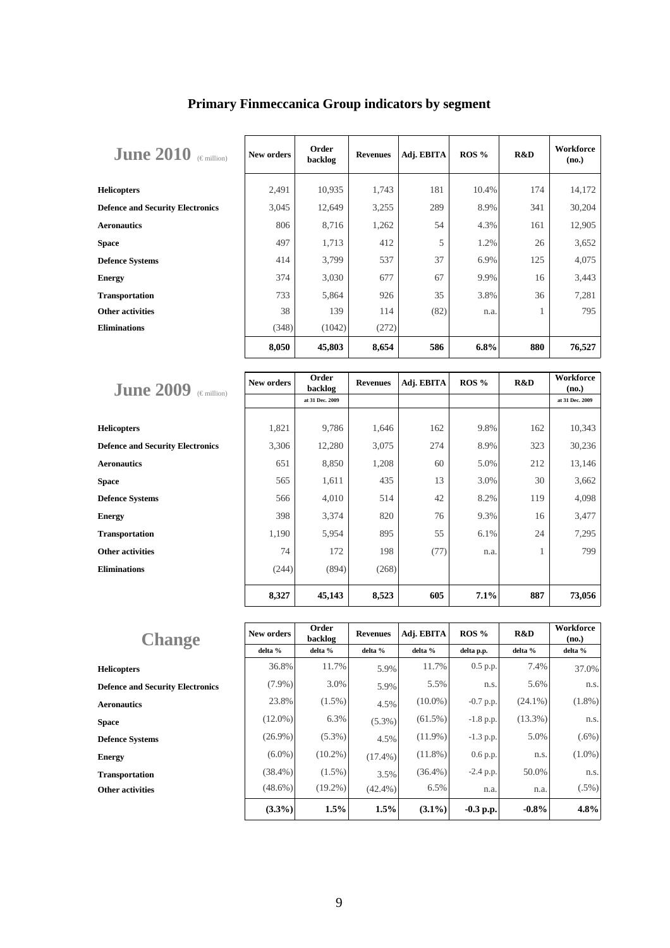| <b>June 2010</b><br>$(\in$ million)     | New orders | Order<br>backlog | <b>Revenues</b> | Adj. EBITA | ROS % | R&D | Workforce<br>(no.) |
|-----------------------------------------|------------|------------------|-----------------|------------|-------|-----|--------------------|
| <b>Helicopters</b>                      | 2,491      | 10,935           | 1,743           | 181        | 10.4% | 174 | 14,172             |
| <b>Defence and Security Electronics</b> | 3,045      | 12,649           | 3,255           | 289        | 8.9%  | 341 | 30,204             |
| <b>Aeronautics</b>                      | 806        | 8,716            | 1,262           | 54         | 4.3%  | 161 | 12,905             |
| <b>Space</b>                            | 497        | 1,713            | 412             | 5          | 1.2%  | 26  | 3,652              |
| <b>Defence Systems</b>                  | 414        | 3,799            | 537             | 37         | 6.9%  | 125 | 4,075              |
| <b>Energy</b>                           | 374        | 3,030            | 677             | 67         | 9.9%  | 16  | 3,443              |
| <b>Transportation</b>                   | 733        | 5,864            | 926             | 35         | 3.8%  | 36  | 7,281              |
| <b>Other activities</b>                 | 38         | 139              | 114             | (82)       | n.a.  | ı.  | 795                |
| <b>Eliminations</b>                     | (348)      | (1042)           | (272)           |            |       |     |                    |
|                                         | 8,050      | 45,803           | 8,654           | 586        | 6.8%  | 880 | 76,527             |

# **Primary Finmeccanica Group indicators by segment**

| <b>June 2009</b><br>$(\in$ million)     | New orders | Order<br>backlog | <b>Revenues</b> | Adj. EBITA | $ROS\%$ | R&D | <b>Workforce</b><br>(no.) |
|-----------------------------------------|------------|------------------|-----------------|------------|---------|-----|---------------------------|
|                                         |            | at 31 Dec. 2009  |                 |            |         |     | at 31 Dec. 2009           |
|                                         |            |                  |                 |            |         |     |                           |
| <b>Helicopters</b>                      | 1,821      | 9,786            | 1,646           | 162        | 9.8%    | 162 | 10,343                    |
| <b>Defence and Security Electronics</b> | 3,306      | 12,280           | 3,075           | 274        | 8.9%    | 323 | 30,236                    |
| <b>Aeronautics</b>                      | 651        | 8,850            | 1,208           | 60         | 5.0%    | 212 | 13,146                    |
| <b>Space</b>                            | 565        | 1,611            | 435             | 13         | 3.0%    | 30  | 3,662                     |
| <b>Defence Systems</b>                  | 566        | 4,010            | 514             | 42         | 8.2%    | 119 | 4,098                     |
| <b>Energy</b>                           | 398        | 3,374            | 820             | 76         | 9.3%    | 16  | 3,477                     |
| <b>Transportation</b>                   | 1,190      | 5,954            | 895             | 55         | 6.1%    | 24  | 7,295                     |
| <b>Other activities</b>                 | 74         | 172              | 198             | (77)       | n.a.    | 1   | 799                       |
| <b>Eliminations</b>                     | (244)      | (894)            | (268)           |            |         |     |                           |
|                                         | 8,327      | 45,143           | 8,523           | 605        | 7.1%    | 887 | 73,056                    |

| <b>Change</b>                           | New orders | Order<br>backlog | <b>Revenues</b> | Adj. EBITA | $ROS\%$     | R&D        | Workforce<br>(no.) |
|-----------------------------------------|------------|------------------|-----------------|------------|-------------|------------|--------------------|
|                                         | delta %    | delta %          | delta %         | delta %    | delta p.p.  | delta %    | delta %            |
| <b>Helicopters</b>                      | 36.8%      | 11.7%            | 5.9%            | 11.7%      | $0.5$ p.p.  | 7.4%       | 37.0%              |
| <b>Defence and Security Electronics</b> | $(7.9\%)$  | 3.0%             | 5.9%            | 5.5%       | n.s.        | 5.6%       | n.s.               |
| <b>Aeronautics</b>                      | 23.8%      | $(1.5\%)$        | 4.5%            | $(10.0\%)$ | -0.7 p.p.   | $(24.1\%)$ | $(1.8\%)$          |
| <b>Space</b>                            | $(12.0\%)$ | 6.3%             | $(5.3\%)$       | $(61.5\%)$ | $-1.8$ p.p. | $(13.3\%)$ | n.s.               |
| <b>Defence Systems</b>                  | $(26.9\%)$ | $(5.3\%)$        | 4.5%            | $(11.9\%)$ | $-1.3$ p.p. | 5.0%       | $(.6\%)$           |
| <b>Energy</b>                           | $(6.0\%)$  | $(10.2\%)$       | $(17.4\%)$      | $(11.8\%)$ | $0.6$ p.p.  | n.s.       | $(1.0\%)$          |
| <b>Transportation</b>                   | $(38.4\%)$ | $(1.5\%)$        | 3.5%            | $(36.4\%)$ | -2.4 p.p.   | 50.0%      | n.s.               |
| <b>Other activities</b>                 | $(48.6\%)$ | $(19.2\%)$       | $(42.4\%)$      | 6.5%       | n.a.        | n.a.       | $(.5\%)$           |
|                                         | $(3.3\%)$  | 1.5%             | 1.5%            | $(3.1\%)$  | $-0.3$ p.p. | $-0.8\%$   | 4.8%               |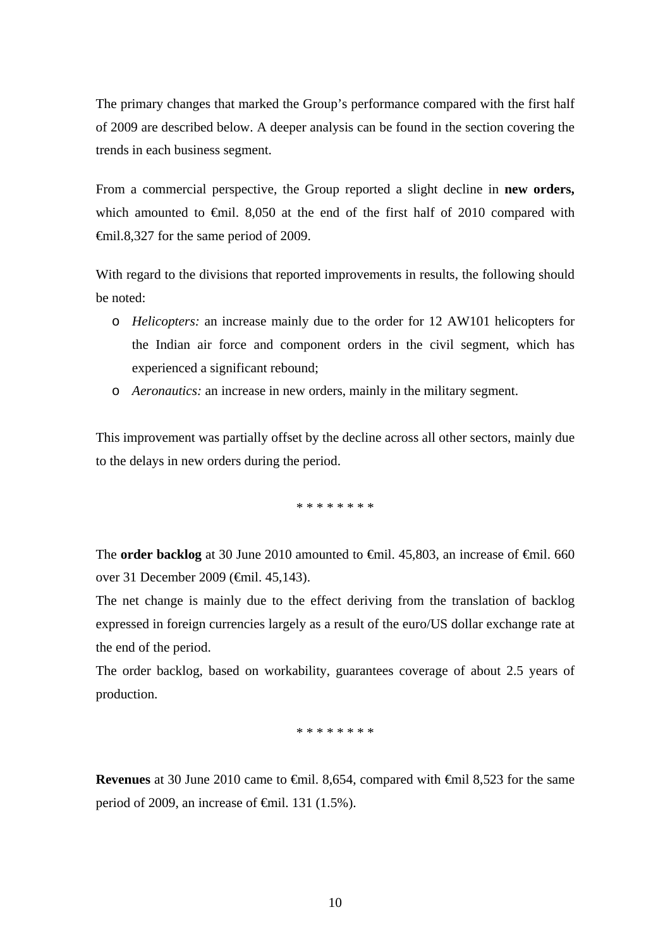The primary changes that marked the Group's performance compared with the first half of 2009 are described below. A deeper analysis can be found in the section covering the trends in each business segment.

From a commercial perspective, the Group reported a slight decline in **new orders,** which amounted to  $\epsilon$ mil. 8,050 at the end of the first half of 2010 compared with €mil.8,327 for the same period of 2009.

With regard to the divisions that reported improvements in results, the following should be noted:

- o *Helicopters:* an increase mainly due to the order for 12 AW101 helicopters for the Indian air force and component orders in the civil segment, which has experienced a significant rebound;
- o *Aeronautics:* an increase in new orders, mainly in the military segment.

This improvement was partially offset by the decline across all other sectors, mainly due to the delays in new orders during the period.

\* \* \* \* \* \* \* \*

The **order backlog** at 30 June 2010 amounted to  $\theta$ mil. 45,803, an increase of  $\theta$ mil. 660 over 31 December 2009 (€mil. 45,143).

The net change is mainly due to the effect deriving from the translation of backlog expressed in foreign currencies largely as a result of the euro/US dollar exchange rate at the end of the period.

The order backlog, based on workability, guarantees coverage of about 2.5 years of production.

\* \* \* \* \* \* \* \*

**Revenues** at 30 June 2010 came to <del>€</del>mil. 8,654, compared with €mil 8,523 for the same period of 2009, an increase of  $\epsilon$ mil. 131 (1.5%).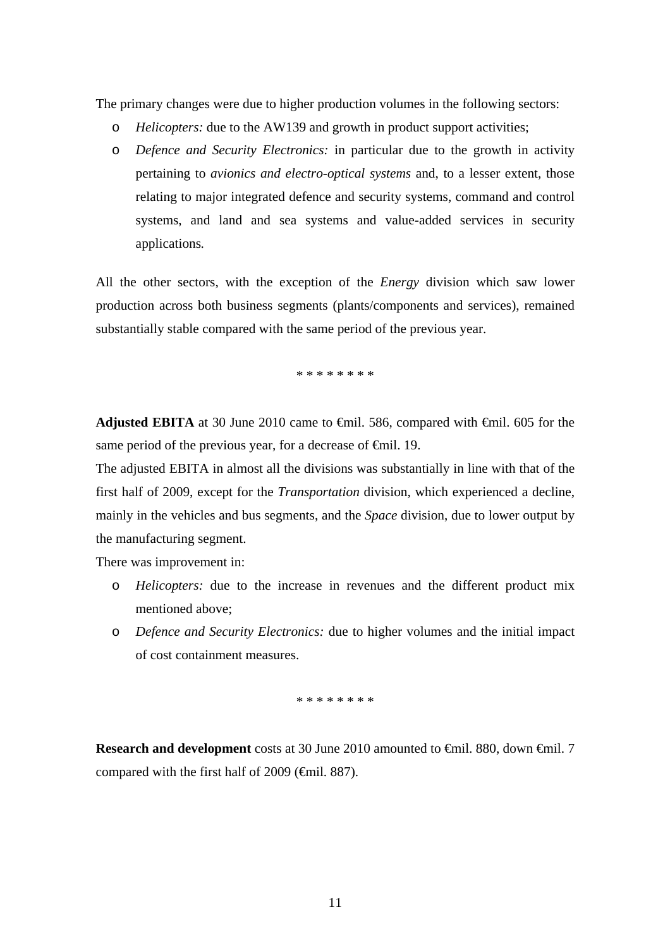The primary changes were due to higher production volumes in the following sectors:

- o *Helicopters:* due to the AW139 and growth in product support activities;
- o *Defence and Security Electronics:* in particular due to the growth in activity pertaining to *avionics and electro-optical systems* and, to a lesser extent, those relating to major integrated defence and security systems, command and control systems, and land and sea systems and value-added services in security applications*.*

All the other sectors, with the exception of the *Energy* division which saw lower production across both business segments (plants/components and services), remained substantially stable compared with the same period of the previous year.

\* \* \* \* \* \* \* \*

**Adjusted EBITA** at 30 June 2010 came to €mil. 586, compared with €mil. 605 for the same period of the previous year, for a decrease of  $\theta$ mil. 19.

The adjusted EBITA in almost all the divisions was substantially in line with that of the first half of 2009, except for the *Transportation* division, which experienced a decline, mainly in the vehicles and bus segments, and the *Space* division, due to lower output by the manufacturing segment.

There was improvement in:

- o *Helicopters:* due to the increase in revenues and the different product mix mentioned above;
- o *Defence and Security Electronics:* due to higher volumes and the initial impact of cost containment measures.

\* \* \* \* \* \* \* \*

**Research and development** costs at 30 June 2010 amounted to <del>€</del>mil. 880, down <del>€</del>mil. 7 compared with the first half of 2009 ( $\epsilon$ mil. 887).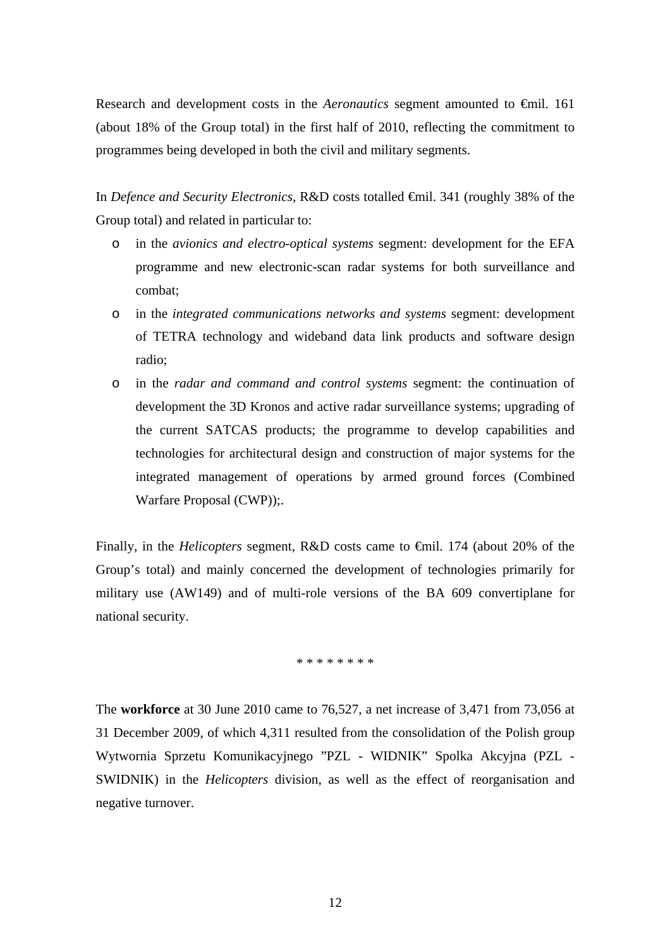Research and development costs in the *Aeronautics* segment amounted to €mil. 161 (about 18% of the Group total) in the first half of 2010, reflecting the commitment to programmes being developed in both the civil and military segments.

In *Defence and Security Electronics,* R&D costs totalled €mil. 341 (roughly 38% of the Group total) and related in particular to:

- o in the *avionics and electro-optical systems* segment: development for the EFA programme and new electronic-scan radar systems for both surveillance and combat;
- o in the *integrated communications networks and systems* segment: development of TETRA technology and wideband data link products and software design radio;
- o in the *radar and command and control systems* segment: the continuation of development the 3D Kronos and active radar surveillance systems; upgrading of the current SATCAS products; the programme to develop capabilities and technologies for architectural design and construction of major systems for the integrated management of operations by armed ground forces (Combined Warfare Proposal (CWP));.

Finally, in the *Helicopters* segment*,* R&D costs came to €mil. 174 (about 20% of the Group's total) and mainly concerned the development of technologies primarily for military use (AW149) and of multi-role versions of the BA 609 convertiplane for national security.

\* \* \* \* \* \* \* \*

The **workforce** at 30 June 2010 came to 76,527, a net increase of 3,471 from 73,056 at 31 December 2009, of which 4,311 resulted from the consolidation of the Polish group Wytwornia Sprzetu Komunikacyjnego "PZL - WIDNIK" Spolka Akcyjna (PZL - SWIDNIK) in the *Helicopters* division, as well as the effect of reorganisation and negative turnover.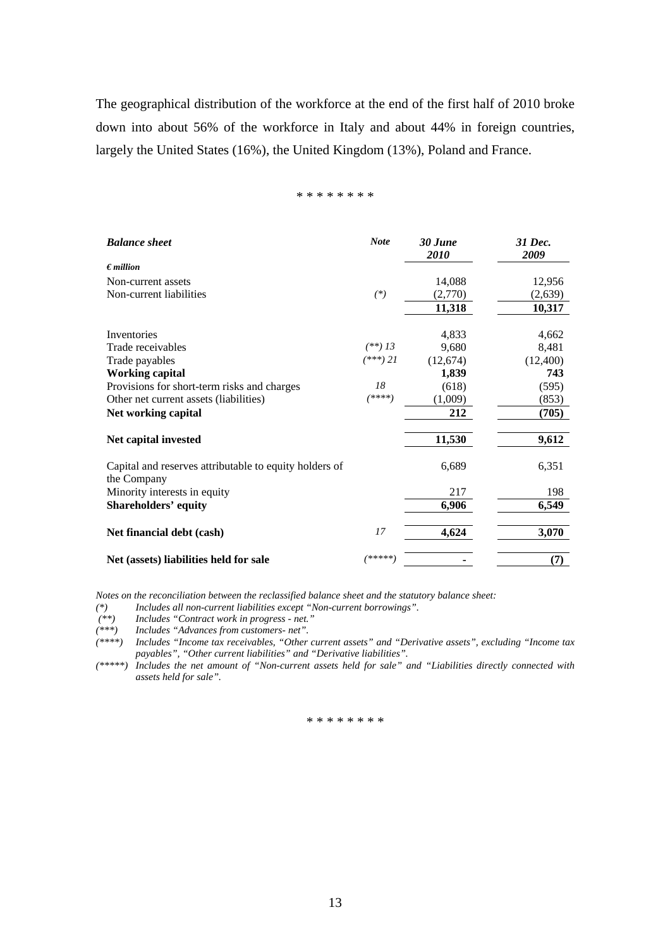The geographical distribution of the workforce at the end of the first half of 2010 broke down into about 56% of the workforce in Italy and about 44% in foreign countries, largely the United States (16%), the United Kingdom (13%), Poland and France.

### \* \* \* \* \* \* \* \*

| <b>Balance</b> sheet                                                  | <b>Note</b> | 30 June<br>2010 | 31 Dec.<br>2009 |
|-----------------------------------------------------------------------|-------------|-----------------|-----------------|
| $\epsilon$ <i>million</i>                                             |             |                 |                 |
| Non-current assets                                                    |             | 14,088          | 12,956          |
| Non-current liabilities                                               | $(*)$       | (2,770)         | (2,639)         |
|                                                                       |             | 11,318          | 10,317          |
| Inventories                                                           |             | 4,833           | 4,662           |
| Trade receivables                                                     | $(**)$ 13   | 9,680           | 8,481           |
| Trade payables                                                        | $(***)$ 21  | (12,674)        | (12,400)        |
| <b>Working capital</b>                                                |             | 1,839           | 743             |
| Provisions for short-term risks and charges                           | 18          | (618)           | (595)           |
| Other net current assets (liabilities)                                | (****)      | (1,009)         | (853)           |
| Net working capital                                                   |             | 212             | (705)           |
| Net capital invested                                                  |             | 11,530          | 9,612           |
| Capital and reserves attributable to equity holders of<br>the Company |             | 6,689           | 6,351           |
| Minority interests in equity                                          |             | 217             | 198             |
| <b>Shareholders' equity</b>                                           |             | 6,906           | 6,549           |
| Net financial debt (cash)                                             | 17          | 4,624           | 3,070           |
| Net (assets) liabilities held for sale                                | *****)      |                 | (7)             |

*Notes on the reconciliation between the reclassified balance sheet and the statutory balance sheet:* 

*(\*) Includes all non-current liabilities except "Non-current borrowings".* 

 *(\*\*) Includes "Contract work in progress - net."* 

*(\*\*\*) Includes "Advances from customers- net".* 

*(\*\*\*\*) Includes "Income tax receivables, "Other current assets" and "Derivative assets", excluding "Income tax payables", "Other current liabilities" and "Derivative liabilities".* 

*(\*\*\*\*\*) Includes the net amount of "Non-current assets held for sale" and "Liabilities directly connected with assets held for sale".* 

#### \* \* \* \* \* \* \* \*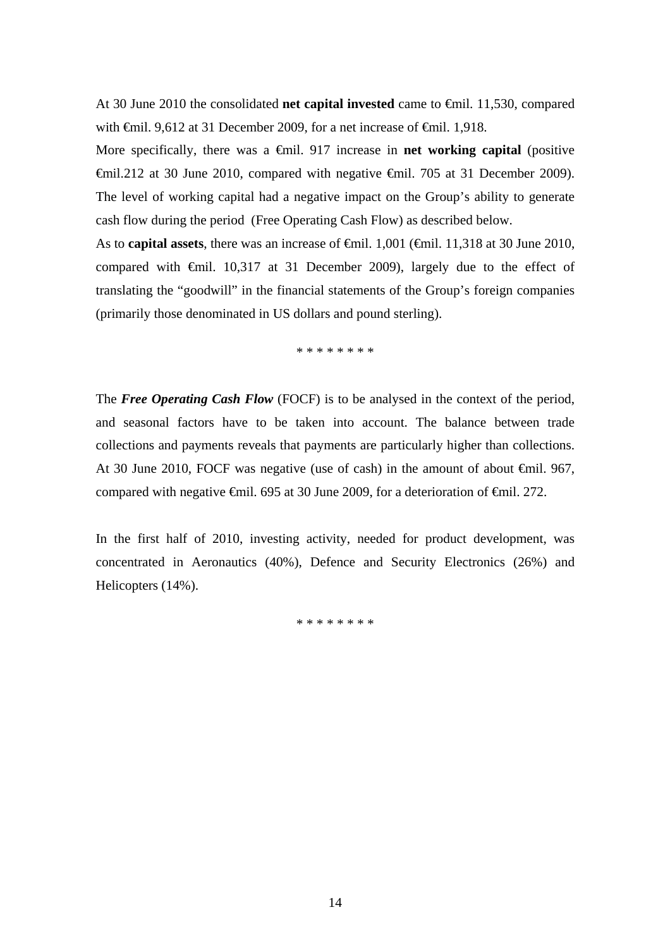At 30 June 2010 the consolidated **net capital invested** came to €mil. 11,530, compared with <del>€</del>mil. 9,612 at 31 December 2009, for a net increase of <del>€</del>mil. 1,918.

More specifically, there was a  $\oplus$ mil. 917 increase in **net working capital** (positive €mil.212 at 30 June 2010, compared with negative €mil. 705 at 31 December 2009). The level of working capital had a negative impact on the Group's ability to generate cash flow during the period (Free Operating Cash Flow) as described below.

As to **capital assets**, there was an increase of <del>€mil.</del> 1,001 (€mil. 11,318 at 30 June 2010, compared with  $\oplus$ mil. 10,317 at 31 December 2009), largely due to the effect of translating the "goodwill" in the financial statements of the Group's foreign companies (primarily those denominated in US dollars and pound sterling).

\* \* \* \* \* \* \* \*

The *Free Operating Cash Flow* (FOCF) is to be analysed in the context of the period, and seasonal factors have to be taken into account. The balance between trade collections and payments reveals that payments are particularly higher than collections. At 30 June 2010, FOCF was negative (use of cash) in the amount of about €mil. 967, compared with negative €mil. 695 at 30 June 2009, for a deterioration of €mil. 272.

In the first half of 2010, investing activity, needed for product development, was concentrated in Aeronautics (40%), Defence and Security Electronics (26%) and Helicopters (14%).

\* \* \* \* \* \* \* \*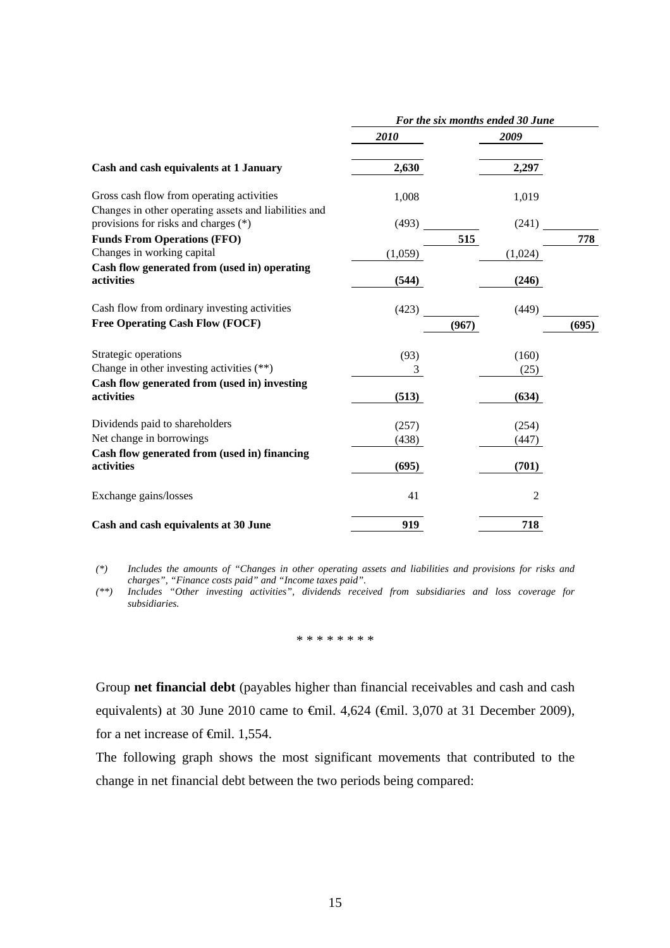|                                                                                                    | For the six months ended 30 June |         |       |  |
|----------------------------------------------------------------------------------------------------|----------------------------------|---------|-------|--|
|                                                                                                    | 2010                             | 2009    |       |  |
| Cash and cash equivalents at 1 January                                                             | 2,630                            | 2,297   |       |  |
| Gross cash flow from operating activities<br>Changes in other operating assets and liabilities and | 1,008                            | 1,019   |       |  |
| provisions for risks and charges (*)                                                               | (493)                            | (241)   |       |  |
| <b>Funds From Operations (FFO)</b>                                                                 |                                  | 515     | 778   |  |
| Changes in working capital                                                                         | (1,059)                          | (1,024) |       |  |
| Cash flow generated from (used in) operating                                                       |                                  |         |       |  |
| activities                                                                                         | (544)                            | (246)   |       |  |
| Cash flow from ordinary investing activities                                                       | (423)                            | (449)   |       |  |
| <b>Free Operating Cash Flow (FOCF)</b>                                                             |                                  | (967)   | (695) |  |
| Strategic operations                                                                               | (93)                             | (160)   |       |  |
| Change in other investing activities (**)                                                          | 3                                | (25)    |       |  |
| Cash flow generated from (used in) investing                                                       |                                  |         |       |  |
| activities                                                                                         | (513)                            | (634)   |       |  |
| Dividends paid to shareholders                                                                     | (257)                            | (254)   |       |  |
| Net change in borrowings                                                                           | (438)                            | (447)   |       |  |
| Cash flow generated from (used in) financing                                                       |                                  |         |       |  |
| activities                                                                                         | (695)                            | (701)   |       |  |
| Exchange gains/losses                                                                              | 41                               | 2       |       |  |
| Cash and cash equivalents at 30 June                                                               | 919                              | 718     |       |  |

*(\*) Includes the amounts of "Changes in other operating assets and liabilities and provisions for risks and charges", "Finance costs paid" and "Income taxes paid".* 

*(\*\*) Includes "Other investing activities", dividends received from subsidiaries and loss coverage for subsidiaries.* 

\* \* \* \* \* \* \* \*

Group **net financial debt** (payables higher than financial receivables and cash and cash equivalents) at 30 June 2010 came to  $\epsilon$ mil. 4,624 ( $\epsilon$ mil. 3,070 at 31 December 2009), for a net increase of €mil. 1,554.

The following graph shows the most significant movements that contributed to the change in net financial debt between the two periods being compared: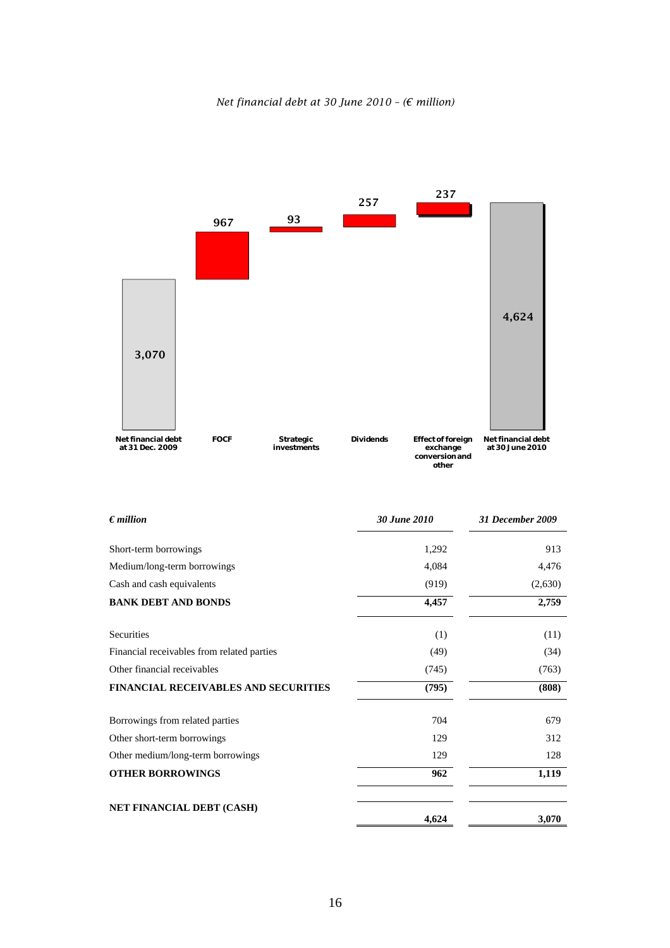



| $\epsilon$ <i>million</i>                   | 30 June 2010 | <b>31 December 2009</b> |
|---------------------------------------------|--------------|-------------------------|
| Short-term borrowings                       | 1,292        | 913                     |
| Medium/long-term borrowings                 | 4,084        | 4,476                   |
| Cash and cash equivalents                   | (919)        | (2,630)                 |
| <b>BANK DEBT AND BONDS</b>                  | 4,457        | 2,759                   |
| Securities                                  | (1)          | (11)                    |
| Financial receivables from related parties  | (49)         | (34)                    |
| Other financial receivables                 | (745)        | (763)                   |
| <b>FINANCIAL RECEIVABLES AND SECURITIES</b> | (795)        | (808)                   |
| Borrowings from related parties             | 704          | 679                     |
| Other short-term borrowings                 | 129          | 312                     |
| Other medium/long-term borrowings           | 129          | 128                     |
| <b>OTHER BORROWINGS</b>                     | 962          | 1,119                   |
| <b>NET FINANCIAL DEBT (CASH)</b>            | 4,624        | 3,070                   |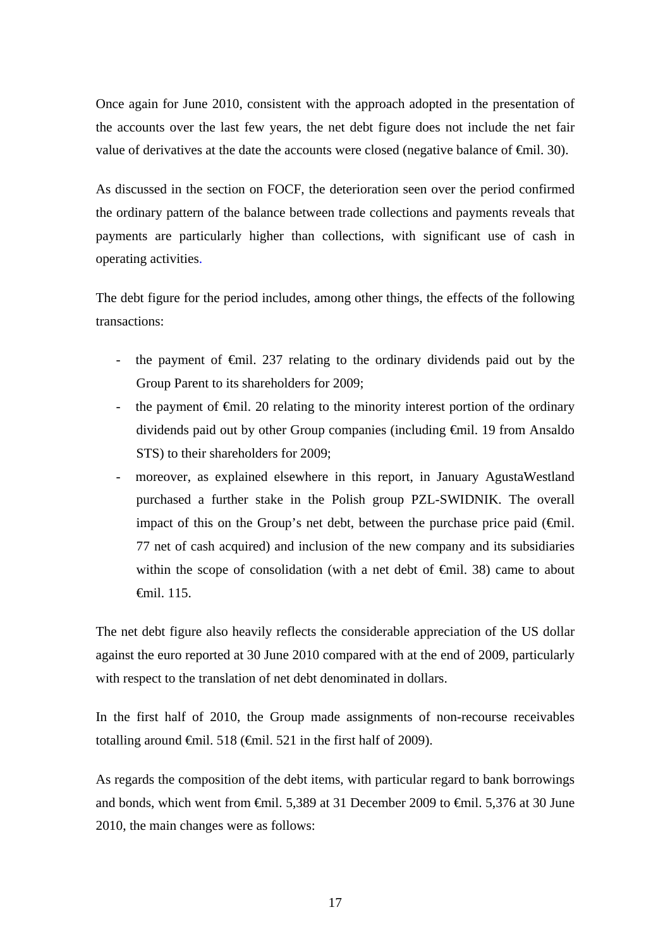Once again for June 2010, consistent with the approach adopted in the presentation of the accounts over the last few years, the net debt figure does not include the net fair value of derivatives at the date the accounts were closed (negative balance of  $\epsilon$ mil. 30).

As discussed in the section on FOCF, the deterioration seen over the period confirmed the ordinary pattern of the balance between trade collections and payments reveals that payments are particularly higher than collections, with significant use of cash in operating activities.

The debt figure for the period includes, among other things, the effects of the following transactions:

- the payment of €mil. 237 relating to the ordinary dividends paid out by the Group Parent to its shareholders for 2009;
- the payment of  $\epsilon$ mil. 20 relating to the minority interest portion of the ordinary dividends paid out by other Group companies (including €mil. 19 from Ansaldo STS) to their shareholders for 2009;
- moreover, as explained elsewhere in this report, in January AgustaWestland purchased a further stake in the Polish group PZL-SWIDNIK. The overall impact of this on the Group's net debt, between the purchase price paid  $(\oplus$ mil. 77 net of cash acquired) and inclusion of the new company and its subsidiaries within the scope of consolidation (with a net debt of  $\theta$ mil. 38) came to about €mil. 115.

The net debt figure also heavily reflects the considerable appreciation of the US dollar against the euro reported at 30 June 2010 compared with at the end of 2009, particularly with respect to the translation of net debt denominated in dollars.

In the first half of 2010, the Group made assignments of non-recourse receivables totalling around  $\epsilon$ mil. 518 ( $\epsilon$ mil. 521 in the first half of 2009).

As regards the composition of the debt items, with particular regard to bank borrowings and bonds, which went from €mil. 5,389 at 31 December 2009 to €mil. 5,376 at 30 June 2010, the main changes were as follows: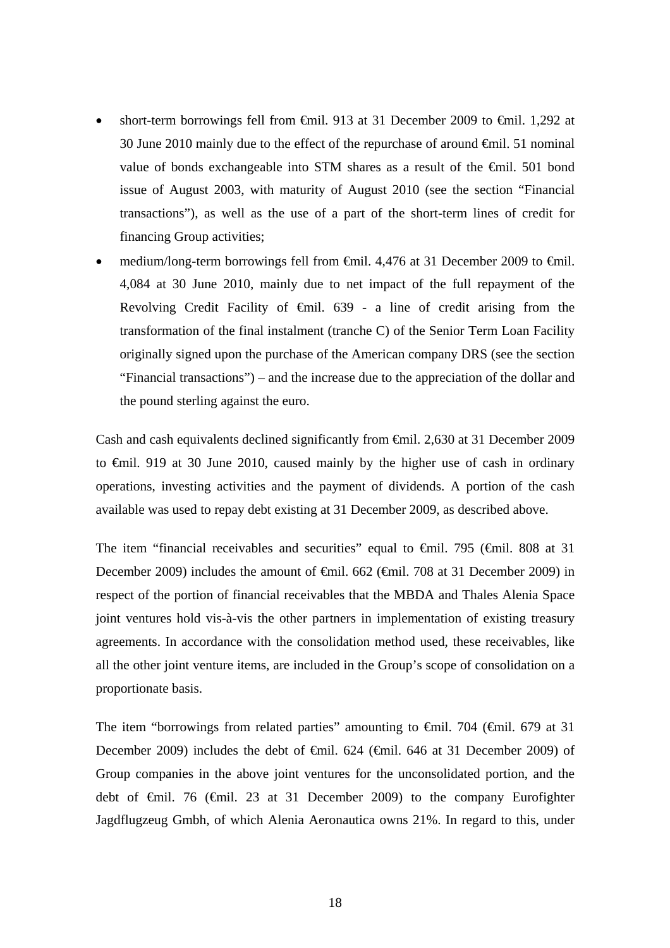- short-term borrowings fell from  $\epsilon$ mil. 913 at 31 December 2009 to  $\epsilon$ mil. 1,292 at 30 June 2010 mainly due to the effect of the repurchase of around €mil. 51 nominal value of bonds exchangeable into STM shares as a result of the  $\epsilon$ mil. 501 bond issue of August 2003, with maturity of August 2010 (see the section "Financial transactions"), as well as the use of a part of the short-term lines of credit for financing Group activities;
- medium/long-term borrowings fell from €mil. 4,476 at 31 December 2009 to €mil. 4,084 at 30 June 2010, mainly due to net impact of the full repayment of the Revolving Credit Facility of  $\theta$ mil. 639 - a line of credit arising from the transformation of the final instalment (tranche C) of the Senior Term Loan Facility originally signed upon the purchase of the American company DRS (see the section "Financial transactions") – and the increase due to the appreciation of the dollar and the pound sterling against the euro.

Cash and cash equivalents declined significantly from €mil. 2,630 at 31 December 2009 to €mil. 919 at 30 June 2010, caused mainly by the higher use of cash in ordinary operations, investing activities and the payment of dividends. A portion of the cash available was used to repay debt existing at 31 December 2009, as described above.

The item "financial receivables and securities" equal to  $\theta$ mil. 795 ( $\theta$ mil. 808 at 31 December 2009) includes the amount of <del>€m</del>il. 662 (€mil. 708 at 31 December 2009) in respect of the portion of financial receivables that the MBDA and Thales Alenia Space joint ventures hold vis-à-vis the other partners in implementation of existing treasury agreements. In accordance with the consolidation method used, these receivables, like all the other joint venture items, are included in the Group's scope of consolidation on a proportionate basis.

The item "borrowings from related parties" amounting to  $\epsilon$ mil. 704 ( $\epsilon$ mil. 679 at 31 December 2009) includes the debt of <del>€</del>mil. 624 (€mil. 646 at 31 December 2009) of Group companies in the above joint ventures for the unconsolidated portion, and the debt of €mil. 76 (€mil. 23 at 31 December 2009) to the company Eurofighter Jagdflugzeug Gmbh, of which Alenia Aeronautica owns 21%. In regard to this, under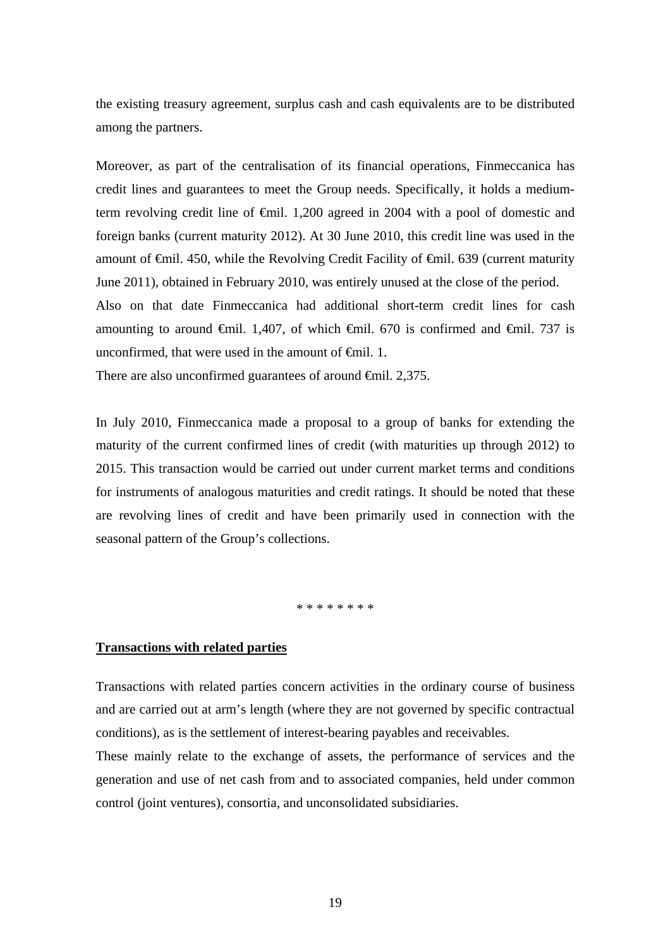the existing treasury agreement, surplus cash and cash equivalents are to be distributed among the partners.

Moreover, as part of the centralisation of its financial operations, Finmeccanica has credit lines and guarantees to meet the Group needs. Specifically, it holds a mediumterm revolving credit line of €mil. 1,200 agreed in 2004 with a pool of domestic and foreign banks (current maturity 2012). At 30 June 2010, this credit line was used in the amount of €mil. 450, while the Revolving Credit Facility of €mil. 639 (current maturity June 2011), obtained in February 2010, was entirely unused at the close of the period. Also on that date Finmeccanica had additional short-term credit lines for cash amounting to around  $\epsilon$ mil. 1,407, of which  $\epsilon$ mil. 670 is confirmed and  $\epsilon$ mil. 737 is unconfirmed, that were used in the amount of  $\Theta$ mil. 1.

There are also unconfirmed guarantees of around <del>€</del>mil. 2,375.

In July 2010, Finmeccanica made a proposal to a group of banks for extending the maturity of the current confirmed lines of credit (with maturities up through 2012) to 2015. This transaction would be carried out under current market terms and conditions for instruments of analogous maturities and credit ratings. It should be noted that these are revolving lines of credit and have been primarily used in connection with the seasonal pattern of the Group's collections.

\* \* \* \* \* \* \* \*

### **Transactions with related parties**

Transactions with related parties concern activities in the ordinary course of business and are carried out at arm's length (where they are not governed by specific contractual conditions), as is the settlement of interest-bearing payables and receivables.

These mainly relate to the exchange of assets, the performance of services and the generation and use of net cash from and to associated companies, held under common control (joint ventures), consortia, and unconsolidated subsidiaries.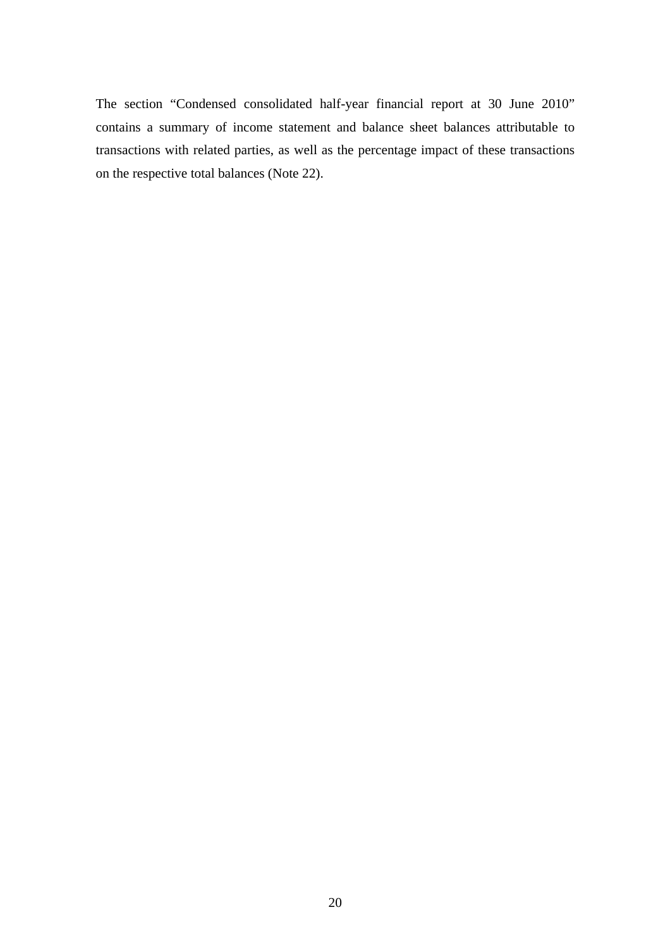The section "Condensed consolidated half-year financial report at 30 June 2010" contains a summary of income statement and balance sheet balances attributable to transactions with related parties, as well as the percentage impact of these transactions on the respective total balances (Note 22).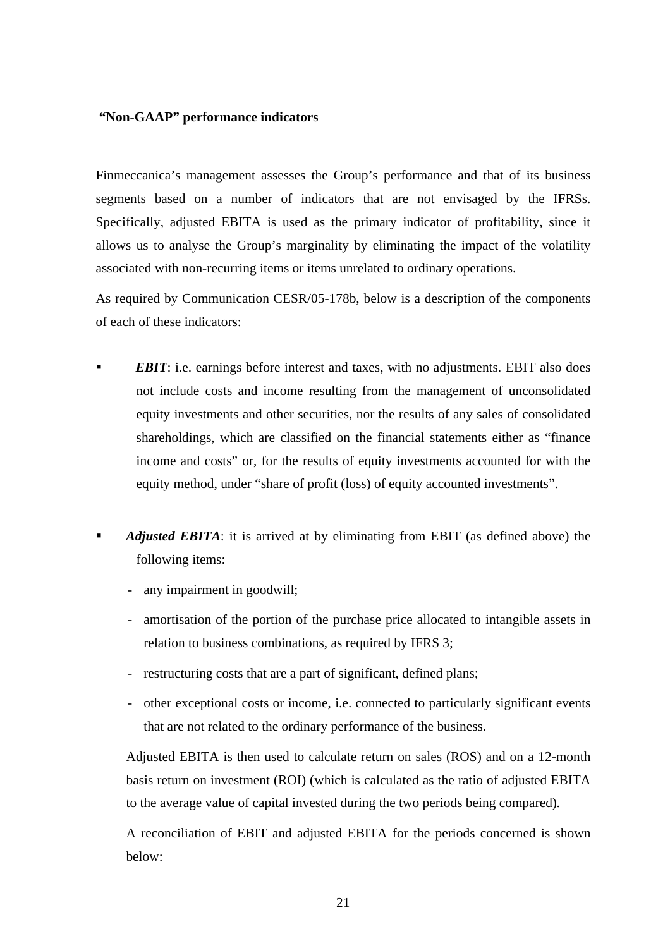## **"Non-GAAP" performance indicators**

Finmeccanica's management assesses the Group's performance and that of its business segments based on a number of indicators that are not envisaged by the IFRSs. Specifically, adjusted EBITA is used as the primary indicator of profitability, since it allows us to analyse the Group's marginality by eliminating the impact of the volatility associated with non-recurring items or items unrelated to ordinary operations.

As required by Communication CESR/05-178b, below is a description of the components of each of these indicators:

- *EBIT*: i.e. earnings before interest and taxes, with no adjustments. EBIT also does not include costs and income resulting from the management of unconsolidated equity investments and other securities, nor the results of any sales of consolidated shareholdings, which are classified on the financial statements either as "finance income and costs" or, for the results of equity investments accounted for with the equity method, under "share of profit (loss) of equity accounted investments".
- *Adjusted EBITA*: it is arrived at by eliminating from EBIT (as defined above) the following items:
	- any impairment in goodwill;
	- amortisation of the portion of the purchase price allocated to intangible assets in relation to business combinations, as required by IFRS 3;
	- restructuring costs that are a part of significant, defined plans;
	- other exceptional costs or income, i.e. connected to particularly significant events that are not related to the ordinary performance of the business.

Adjusted EBITA is then used to calculate return on sales (ROS) and on a 12-month basis return on investment (ROI) (which is calculated as the ratio of adjusted EBITA to the average value of capital invested during the two periods being compared)*.*

A reconciliation of EBIT and adjusted EBITA for the periods concerned is shown below: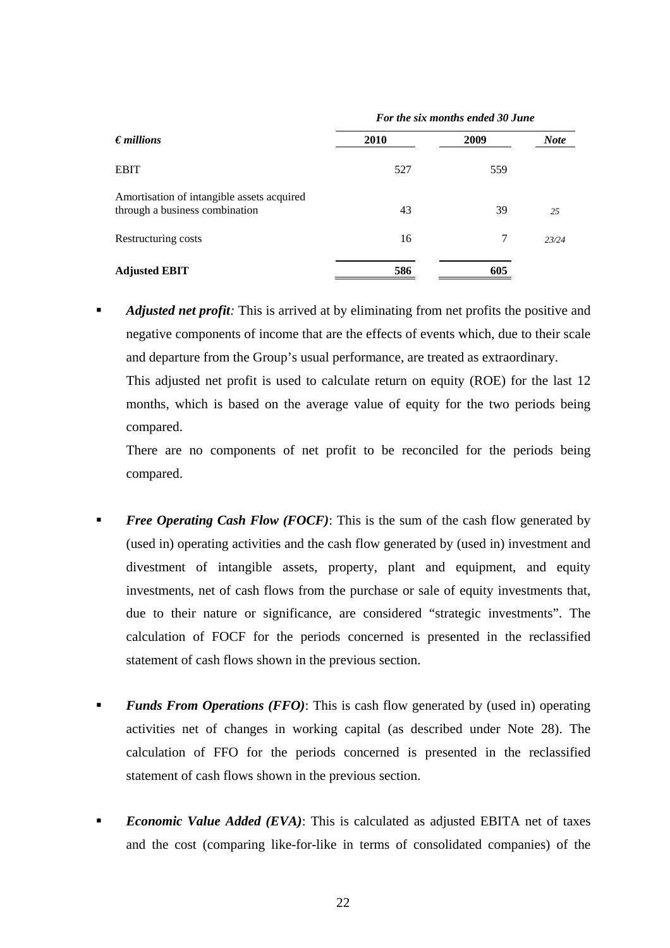| $\epsilon$ <i>millions</i>                                                   | For the six months ended 30 June |      |             |
|------------------------------------------------------------------------------|----------------------------------|------|-------------|
|                                                                              | 2010                             | 2009 | <b>Note</b> |
| <b>EBIT</b>                                                                  | 527                              | 559  |             |
| Amortisation of intangible assets acquired<br>through a business combination | 43                               | 39   | 2.5         |
| Restructuring costs                                                          | 16                               | 7    | 23/24       |
| <b>Adjusted EBIT</b>                                                         | 586                              | 605  |             |

 *Adjusted net profit:* This is arrived at by eliminating from net profits the positive and negative components of income that are the effects of events which, due to their scale and departure from the Group's usual performance, are treated as extraordinary.

This adjusted net profit is used to calculate return on equity (ROE) for the last 12 months, which is based on the average value of equity for the two periods being compared.

There are no components of net profit to be reconciled for the periods being compared.

- **Free Operating Cash Flow (FOCF):** This is the sum of the cash flow generated by (used in) operating activities and the cash flow generated by (used in) investment and divestment of intangible assets, property, plant and equipment, and equity investments, net of cash flows from the purchase or sale of equity investments that, due to their nature or significance, are considered "strategic investments". The calculation of FOCF for the periods concerned is presented in the reclassified statement of cash flows shown in the previous section.
- **Funds From Operations (FFO):** This is cash flow generated by (used in) operating activities net of changes in working capital (as described under Note 28). The calculation of FFO for the periods concerned is presented in the reclassified statement of cash flows shown in the previous section.
- **Economic Value Added (EVA):** This is calculated as adjusted EBITA net of taxes and the cost (comparing like-for-like in terms of consolidated companies) of the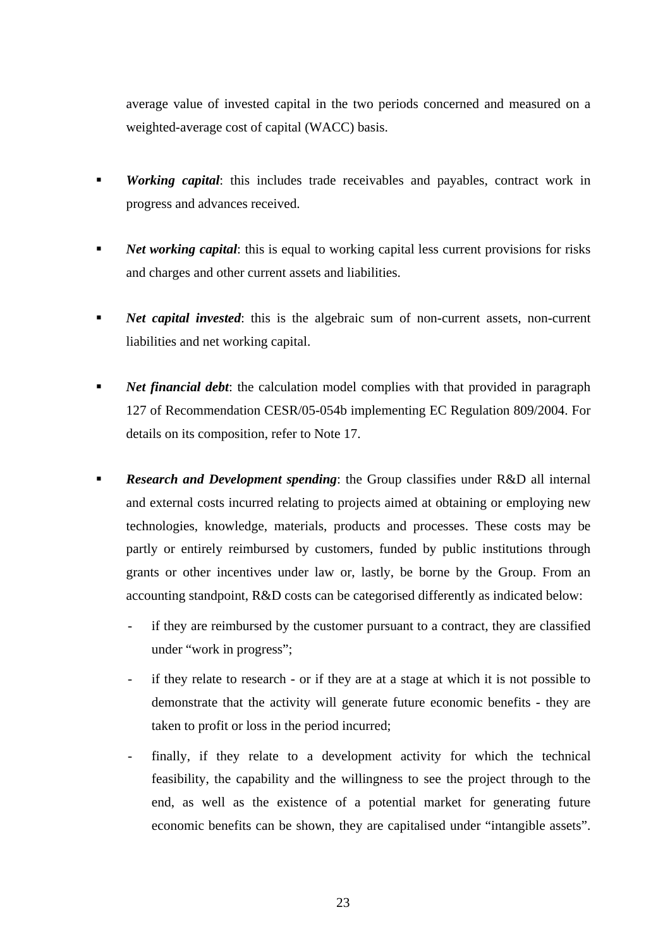average value of invested capital in the two periods concerned and measured on a weighted-average cost of capital (WACC) basis.

- *Working capital*: this includes trade receivables and payables, contract work in progress and advances received.
- **Net working capital:** this is equal to working capital less current provisions for risks and charges and other current assets and liabilities.
- **Net capital invested:** this is the algebraic sum of non-current assets, non-current liabilities and net working capital.
- *Net financial debt*: the calculation model complies with that provided in paragraph 127 of Recommendation CESR/05-054b implementing EC Regulation 809/2004. For details on its composition, refer to Note 17.
- **Research and Development spending:** the Group classifies under R&D all internal and external costs incurred relating to projects aimed at obtaining or employing new technologies, knowledge, materials, products and processes. These costs may be partly or entirely reimbursed by customers, funded by public institutions through grants or other incentives under law or, lastly, be borne by the Group. From an accounting standpoint, R&D costs can be categorised differently as indicated below:
	- if they are reimbursed by the customer pursuant to a contract, they are classified under "work in progress";
	- if they relate to research or if they are at a stage at which it is not possible to demonstrate that the activity will generate future economic benefits - they are taken to profit or loss in the period incurred;
	- finally, if they relate to a development activity for which the technical feasibility, the capability and the willingness to see the project through to the end, as well as the existence of a potential market for generating future economic benefits can be shown, they are capitalised under "intangible assets".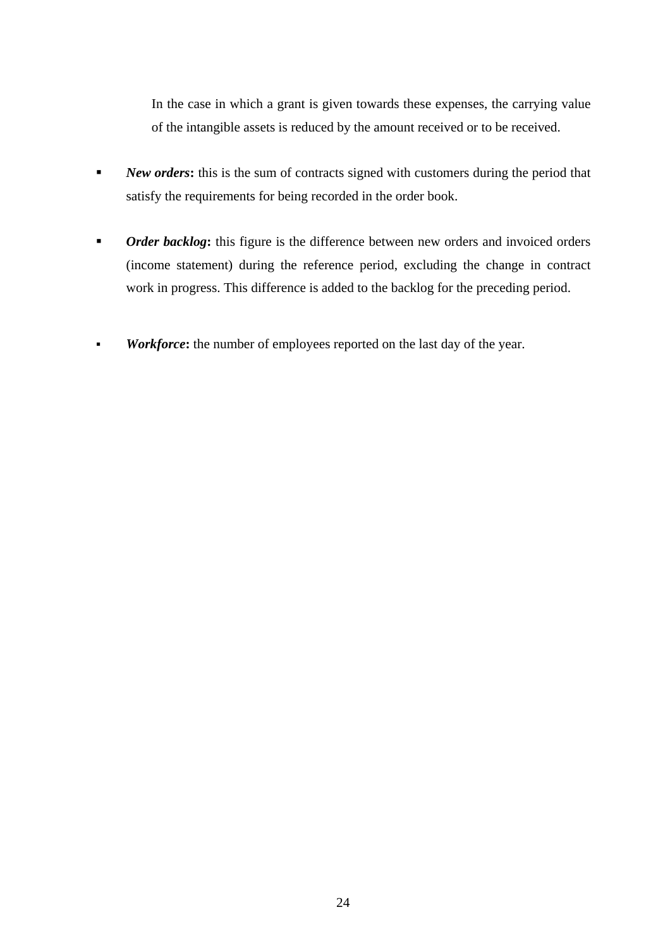In the case in which a grant is given towards these expenses, the carrying value of the intangible assets is reduced by the amount received or to be received.

- **New orders:** this is the sum of contracts signed with customers during the period that satisfy the requirements for being recorded in the order book.
- *Order backlog*: this figure is the difference between new orders and invoiced orders (income statement) during the reference period, excluding the change in contract work in progress. This difference is added to the backlog for the preceding period.
- **Workforce:** the number of employees reported on the last day of the year.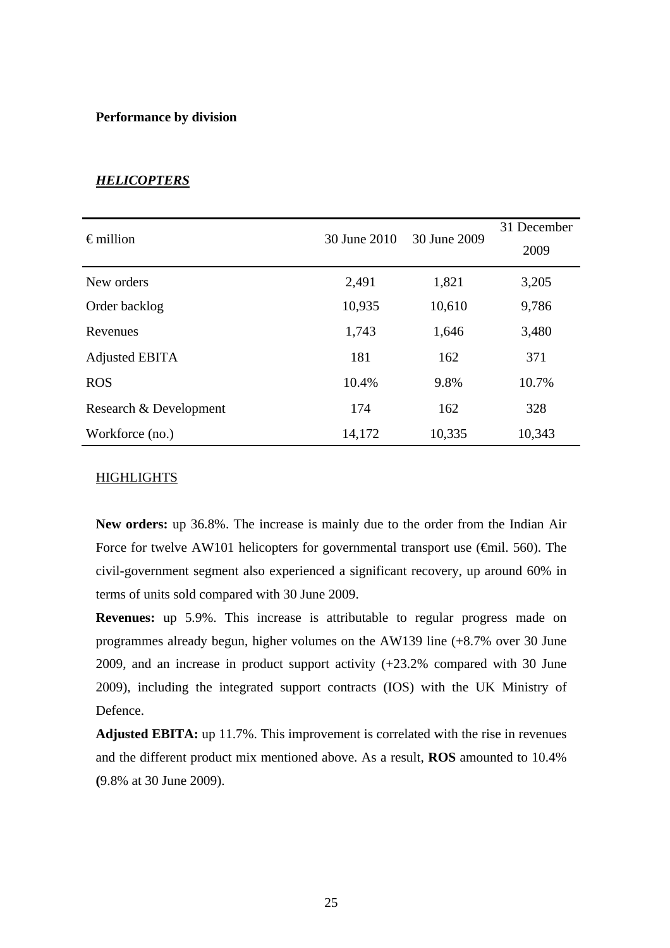### **Performance by division**

| $\epsilon$ million     | 30 June 2010 | 30 June 2009 | 31 December<br>2009 |
|------------------------|--------------|--------------|---------------------|
| New orders             | 2,491        | 1,821        | 3,205               |
| Order backlog          | 10,935       | 10,610       | 9,786               |
| Revenues               | 1,743        | 1,646        | 3,480               |
| Adjusted EBITA         | 181          | 162          | 371                 |
| <b>ROS</b>             | 10.4%        | 9.8%         | 10.7%               |
| Research & Development | 174          | 162          | 328                 |
| Workforce (no.)        | 14,172       | 10,335       | 10,343              |

## *HELICOPTERS*

## HIGHLIGHTS

**New orders:** up 36.8%. The increase is mainly due to the order from the Indian Air Force for twelve AW101 helicopters for governmental transport use ( $\epsilon$ mil. 560). The civil-government segment also experienced a significant recovery, up around 60% in terms of units sold compared with 30 June 2009.

**Revenues:** up 5.9%. This increase is attributable to regular progress made on programmes already begun, higher volumes on the AW139 line (+8.7% over 30 June 2009, and an increase in product support activity (+23.2% compared with 30 June 2009), including the integrated support contracts (IOS) with the UK Ministry of Defence.

**Adjusted EBITA:** up 11.7%. This improvement is correlated with the rise in revenues and the different product mix mentioned above. As a result, **ROS** amounted to 10.4% **(**9.8% at 30 June 2009).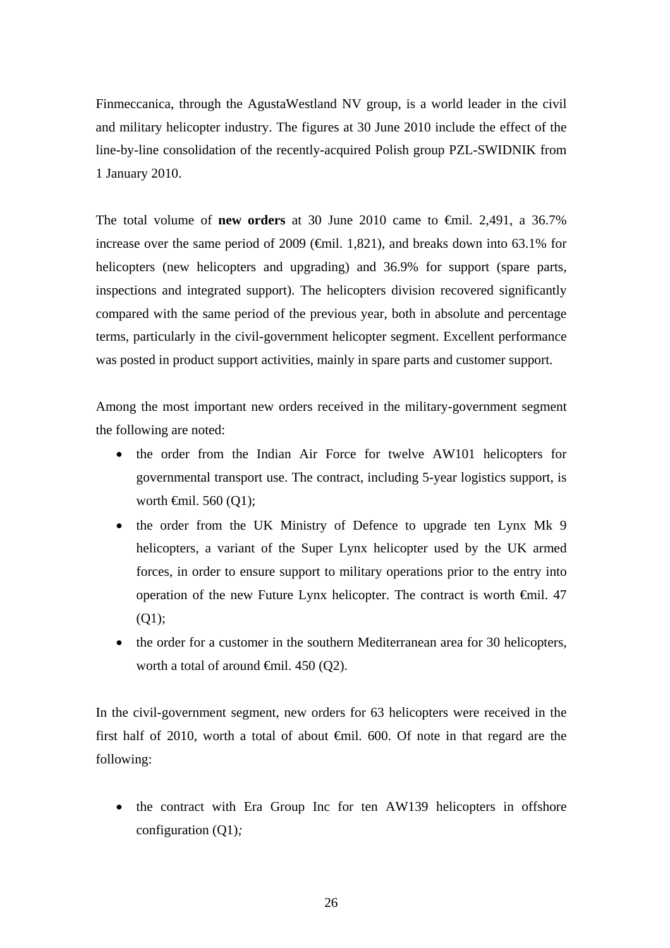Finmeccanica, through the AgustaWestland NV group, is a world leader in the civil and military helicopter industry. The figures at 30 June 2010 include the effect of the line-by-line consolidation of the recently-acquired Polish group PZL-SWIDNIK from 1 January 2010.

The total volume of **new orders** at 30 June 2010 came to €mil. 2,491, a 36.7% increase over the same period of 2009 ( $\epsilon$ mil. 1,821), and breaks down into 63.1% for helicopters (new helicopters and upgrading) and 36.9% for support (spare parts, inspections and integrated support). The helicopters division recovered significantly compared with the same period of the previous year, both in absolute and percentage terms, particularly in the civil-government helicopter segment. Excellent performance was posted in product support activities, mainly in spare parts and customer support.

Among the most important new orders received in the military-government segment the following are noted:

- the order from the Indian Air Force for twelve AW101 helicopters for governmental transport use. The contract, including 5-year logistics support, is worth  $\widehat{\mathsf{f}}$ mil. 560 (Q1);
- the order from the UK Ministry of Defence to upgrade ten Lynx Mk 9 helicopters, a variant of the Super Lynx helicopter used by the UK armed forces, in order to ensure support to military operations prior to the entry into operation of the new Future Lynx helicopter. The contract is worth €mil. 47  $(01)$ :
- the order for a customer in the southern Mediterranean area for 30 helicopters, worth a total of around  $\oplus$ mil. 450 (Q2).

In the civil-government segment, new orders for 63 helicopters were received in the first half of 2010, worth a total of about  $\oplus$  finil. 600. Of note in that regard are the following:

• the contract with Era Group Inc for ten AW139 helicopters in offshore configuration (Q1)*;*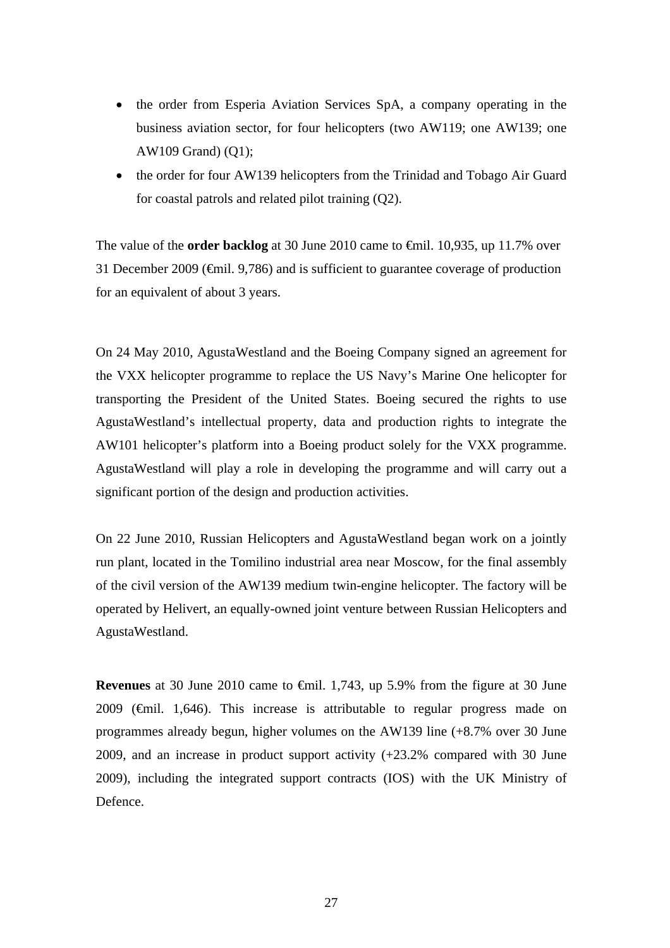- the order from Esperia Aviation Services SpA, a company operating in the business aviation sector, for four helicopters (two AW119; one AW139; one AW109 Grand) (Q1);
- the order for four AW139 helicopters from the Trinidad and Tobago Air Guard for coastal patrols and related pilot training (Q2).

The value of the **order backlog** at 30 June 2010 came to €mil. 10,935, up 11.7% over 31 December 2009 (€mil. 9,786) and is sufficient to guarantee coverage of production for an equivalent of about 3 years.

On 24 May 2010, AgustaWestland and the Boeing Company signed an agreement for the VXX helicopter programme to replace the US Navy's Marine One helicopter for transporting the President of the United States. Boeing secured the rights to use AgustaWestland's intellectual property, data and production rights to integrate the AW101 helicopter's platform into a Boeing product solely for the VXX programme. AgustaWestland will play a role in developing the programme and will carry out a significant portion of the design and production activities.

On 22 June 2010, Russian Helicopters and AgustaWestland began work on a jointly run plant, located in the Tomilino industrial area near Moscow, for the final assembly of the civil version of the AW139 medium twin-engine helicopter. The factory will be operated by Helivert, an equally-owned joint venture between Russian Helicopters and AgustaWestland.

**Revenues** at 30 June 2010 came to €mil. 1,743, up 5.9% from the figure at 30 June 2009 ( $\oplus$ mil. 1,646). This increase is attributable to regular progress made on programmes already begun, higher volumes on the AW139 line (+8.7% over 30 June 2009, and an increase in product support activity (+23.2% compared with 30 June 2009), including the integrated support contracts (IOS) with the UK Ministry of Defence.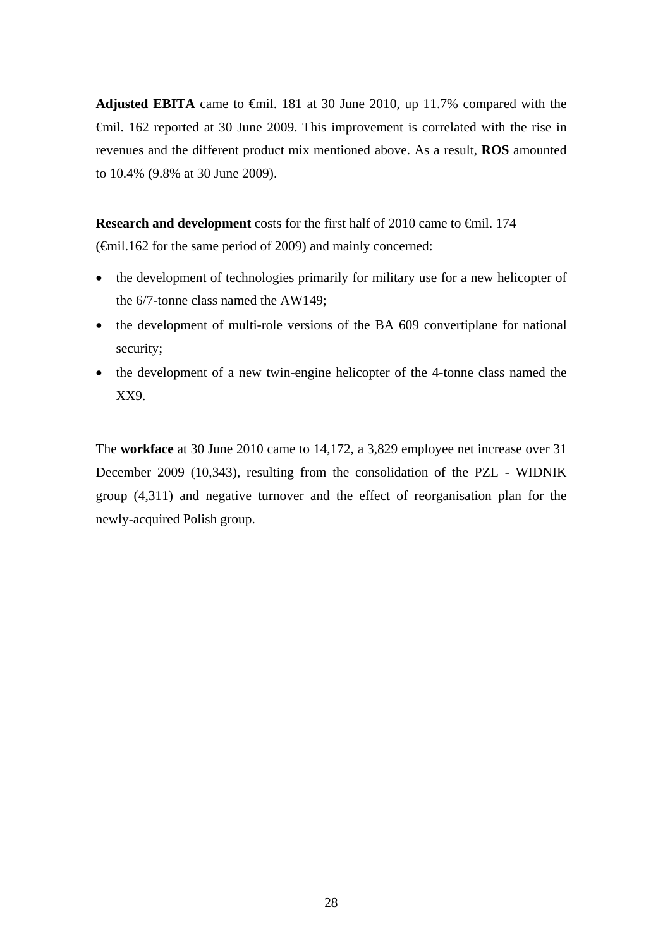**Adjusted EBITA** came to €mil. 181 at 30 June 2010, up 11.7% compared with the €mil. 162 reported at 30 June 2009. This improvement is correlated with the rise in revenues and the different product mix mentioned above. As a result, **ROS** amounted to 10.4% **(**9.8% at 30 June 2009).

**Research and development** costs for the first half of 2010 came to €mil. 174 (€mil.162 for the same period of 2009) and mainly concerned:

- the development of technologies primarily for military use for a new helicopter of the 6/7-tonne class named the AW149;
- the development of multi-role versions of the BA 609 convertiplane for national security;
- the development of a new twin-engine helicopter of the 4-tonne class named the XX9.

The **workface** at 30 June 2010 came to 14,172, a 3,829 employee net increase over 31 December 2009 (10,343), resulting from the consolidation of the PZL - WIDNIK group (4,311) and negative turnover and the effect of reorganisation plan for the newly-acquired Polish group.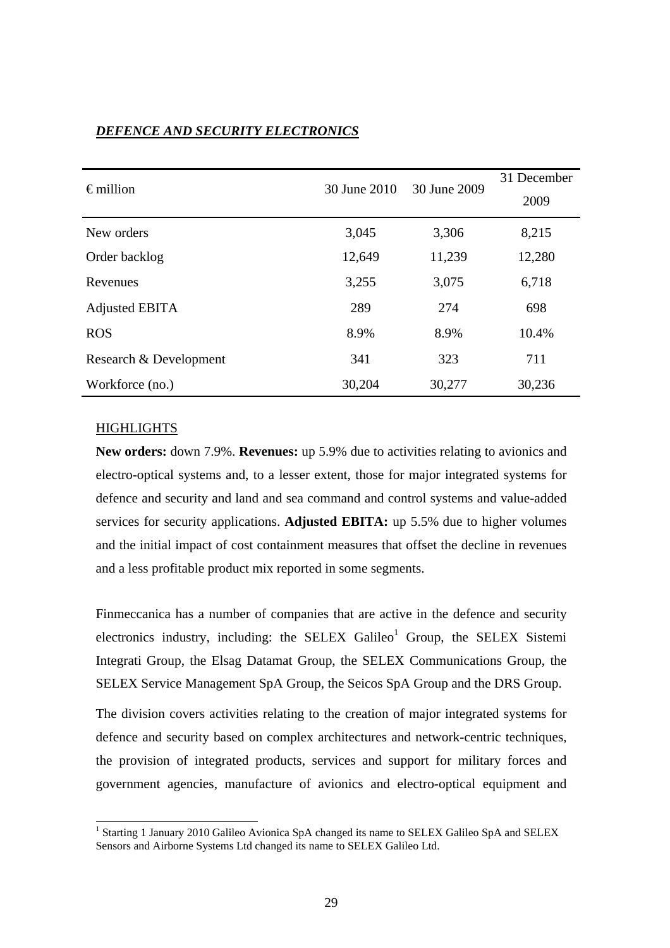| $\epsilon$ million     | 30 June 2010 | 30 June 2009 | 31 December<br>2009 |
|------------------------|--------------|--------------|---------------------|
| New orders             | 3,045        | 3,306        | 8,215               |
| Order backlog          | 12,649       | 11,239       | 12,280              |
| Revenues               | 3,255        | 3,075        | 6,718               |
| <b>Adjusted EBITA</b>  | 289          | 274          | 698                 |
| <b>ROS</b>             | 8.9%         | 8.9%         | 10.4%               |
| Research & Development | 341          | 323          | 711                 |
| Workforce (no.)        | 30,204       | 30,277       | 30,236              |

## *DEFENCE AND SECURITY ELECTRONICS*

## **HIGHLIGHTS**

l

**New orders:** down 7.9%. **Revenues:** up 5.9% due to activities relating to avionics and electro-optical systems and, to a lesser extent, those for major integrated systems for defence and security and land and sea command and control systems and value-added services for security applications. **Adjusted EBITA:** up 5.5% due to higher volumes and the initial impact of cost containment measures that offset the decline in revenues and a less profitable product mix reported in some segments.

Finmeccanica has a number of companies that are active in the defence and security electronics industry, including: the SELEX Galileo<sup>1</sup> Group, the SELEX Sistemi Integrati Group, the Elsag Datamat Group, the SELEX Communications Group, the SELEX Service Management SpA Group, the Seicos SpA Group and the DRS Group.

The division covers activities relating to the creation of major integrated systems for defence and security based on complex architectures and network-centric techniques, the provision of integrated products, services and support for military forces and government agencies, manufacture of avionics and electro-optical equipment and

<sup>&</sup>lt;sup>1</sup> Starting 1 January 2010 Galileo Avionica SpA changed its name to SELEX Galileo SpA and SELEX Sensors and Airborne Systems Ltd changed its name to SELEX Galileo Ltd.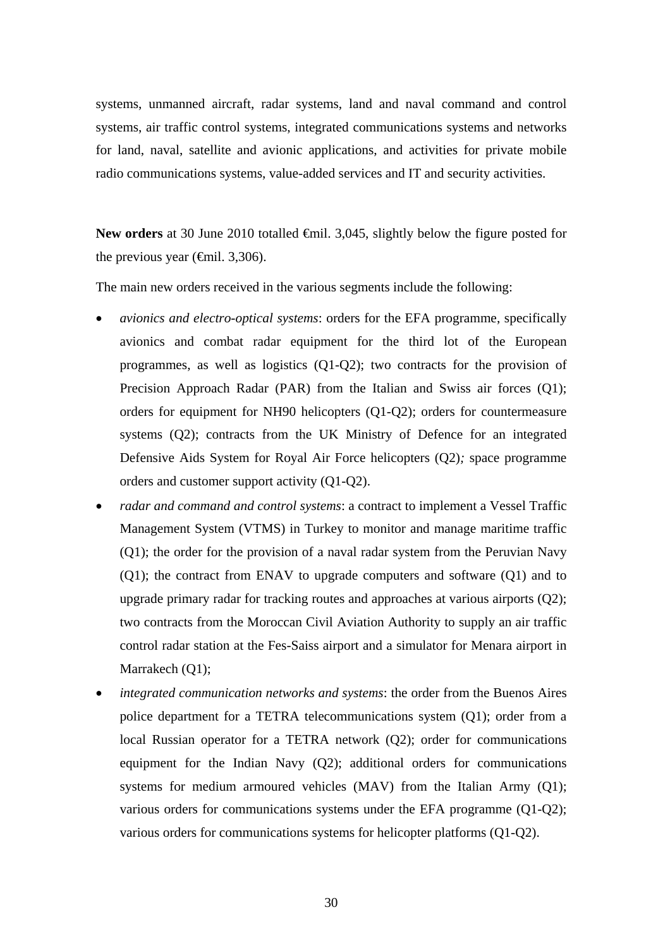systems, unmanned aircraft, radar systems, land and naval command and control systems, air traffic control systems, integrated communications systems and networks for land, naval, satellite and avionic applications, and activities for private mobile radio communications systems, value-added services and IT and security activities.

New orders at 30 June 2010 totalled <del>€</del>mil. 3,045, slightly below the figure posted for the previous year ( $\epsilon$ mil. 3,306).

The main new orders received in the various segments include the following:

- *avionics and electro-optical systems*: orders for the EFA programme, specifically avionics and combat radar equipment for the third lot of the European programmes, as well as logistics (Q1-Q2); two contracts for the provision of Precision Approach Radar (PAR) from the Italian and Swiss air forces (Q1); orders for equipment for NH90 helicopters (Q1-Q2); orders for countermeasure systems (Q2); contracts from the UK Ministry of Defence for an integrated Defensive Aids System for Royal Air Force helicopters (Q2)*;* space programme orders and customer support activity (Q1-Q2).
- *radar and command and control systems*: a contract to implement a Vessel Traffic Management System (VTMS) in Turkey to monitor and manage maritime traffic (Q1); the order for the provision of a naval radar system from the Peruvian Navy (Q1); the contract from ENAV to upgrade computers and software (Q1) and to upgrade primary radar for tracking routes and approaches at various airports (Q2); two contracts from the Moroccan Civil Aviation Authority to supply an air traffic control radar station at the Fes-Saiss airport and a simulator for Menara airport in Marrakech (Q1);
- *integrated communication networks and systems*: the order from the Buenos Aires police department for a TETRA telecommunications system (Q1); order from a local Russian operator for a TETRA network (Q2); order for communications equipment for the Indian Navy (Q2); additional orders for communications systems for medium armoured vehicles (MAV) from the Italian Army (Q1); various orders for communications systems under the EFA programme (Q1-Q2); various orders for communications systems for helicopter platforms (Q1-Q2).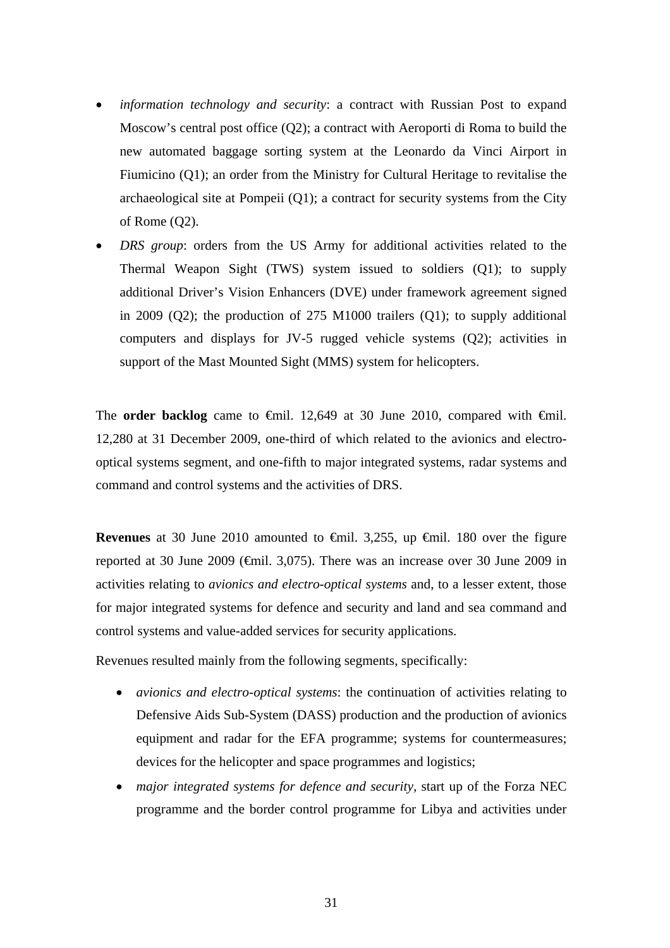- *information technology and security*: a contract with Russian Post to expand Moscow's central post office (Q2); a contract with Aeroporti di Roma to build the new automated baggage sorting system at the Leonardo da Vinci Airport in Fiumicino (Q1); an order from the Ministry for Cultural Heritage to revitalise the archaeological site at Pompeii  $(Q1)$ ; a contract for security systems from the City of Rome (Q2).
- *DRS group*: orders from the US Army for additional activities related to the Thermal Weapon Sight (TWS) system issued to soldiers (Q1); to supply additional Driver's Vision Enhancers (DVE) under framework agreement signed in 2009 (Q2); the production of 275 M1000 trailers (Q1); to supply additional computers and displays for JV-5 rugged vehicle systems (Q2); activities in support of the Mast Mounted Sight (MMS) system for helicopters.

The **order backlog** came to  $\theta$ mil. 12,649 at 30 June 2010, compared with  $\theta$ mil. 12,280 at 31 December 2009, one-third of which related to the avionics and electrooptical systems segment, and one-fifth to major integrated systems, radar systems and command and control systems and the activities of DRS.

**Revenues** at 30 June 2010 amounted to <del>€mil.</del> 3,255, up €mil. 180 over the figure reported at 30 June 2009 ( $\oplus$ mil. 3,075). There was an increase over 30 June 2009 in activities relating to *avionics and electro-optical systems* and, to a lesser extent, those for major integrated systems for defence and security and land and sea command and control systems and value-added services for security applications.

Revenues resulted mainly from the following segments, specifically:

- *avionics and electro-optical systems*: the continuation of activities relating to Defensive Aids Sub-System (DASS) production and the production of avionics equipment and radar for the EFA programme; systems for countermeasures; devices for the helicopter and space programmes and logistics;
- *major integrated systems for defence and security,* start up of the Forza NEC programme and the border control programme for Libya and activities under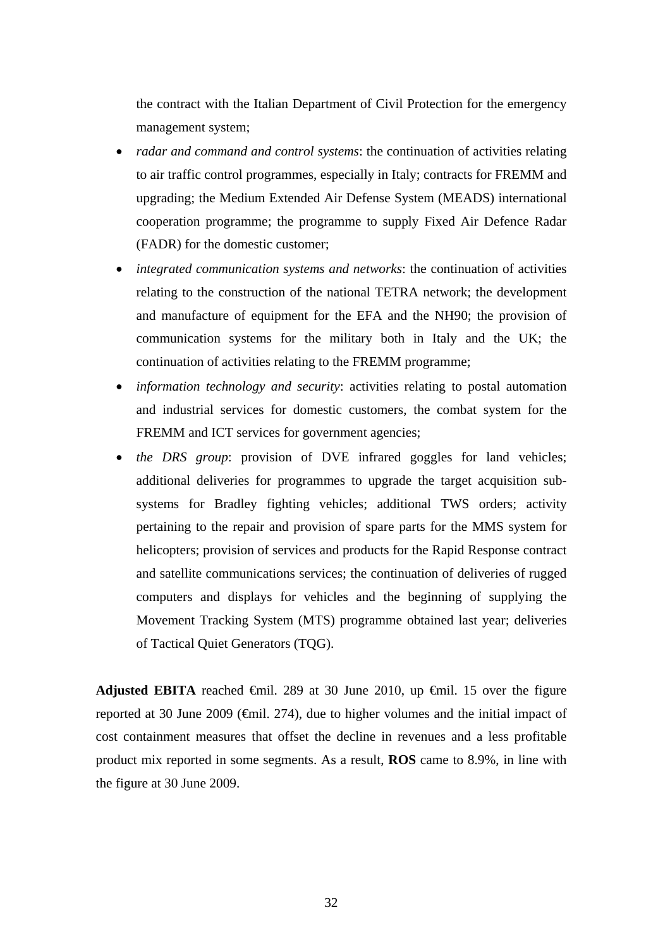the contract with the Italian Department of Civil Protection for the emergency management system;

- *radar and command and control systems*: the continuation of activities relating to air traffic control programmes, especially in Italy; contracts for FREMM and upgrading; the Medium Extended Air Defense System (MEADS) international cooperation programme; the programme to supply Fixed Air Defence Radar (FADR) for the domestic customer;
- *integrated communication systems and networks*: the continuation of activities relating to the construction of the national TETRA network; the development and manufacture of equipment for the EFA and the NH90; the provision of communication systems for the military both in Italy and the UK; the continuation of activities relating to the FREMM programme;
- *information technology and security*: activities relating to postal automation and industrial services for domestic customers, the combat system for the FREMM and ICT services for government agencies;
- *the DRS group*: provision of DVE infrared goggles for land vehicles; additional deliveries for programmes to upgrade the target acquisition subsystems for Bradley fighting vehicles; additional TWS orders; activity pertaining to the repair and provision of spare parts for the MMS system for helicopters; provision of services and products for the Rapid Response contract and satellite communications services; the continuation of deliveries of rugged computers and displays for vehicles and the beginning of supplying the Movement Tracking System (MTS) programme obtained last year; deliveries of Tactical Quiet Generators (TQG).

Adjusted EBITA reached  $\epsilon$ mil. 289 at 30 June 2010, up  $\epsilon$ mil. 15 over the figure reported at 30 June 2009 (€mil. 274), due to higher volumes and the initial impact of cost containment measures that offset the decline in revenues and a less profitable product mix reported in some segments. As a result, **ROS** came to 8.9%, in line with the figure at 30 June 2009.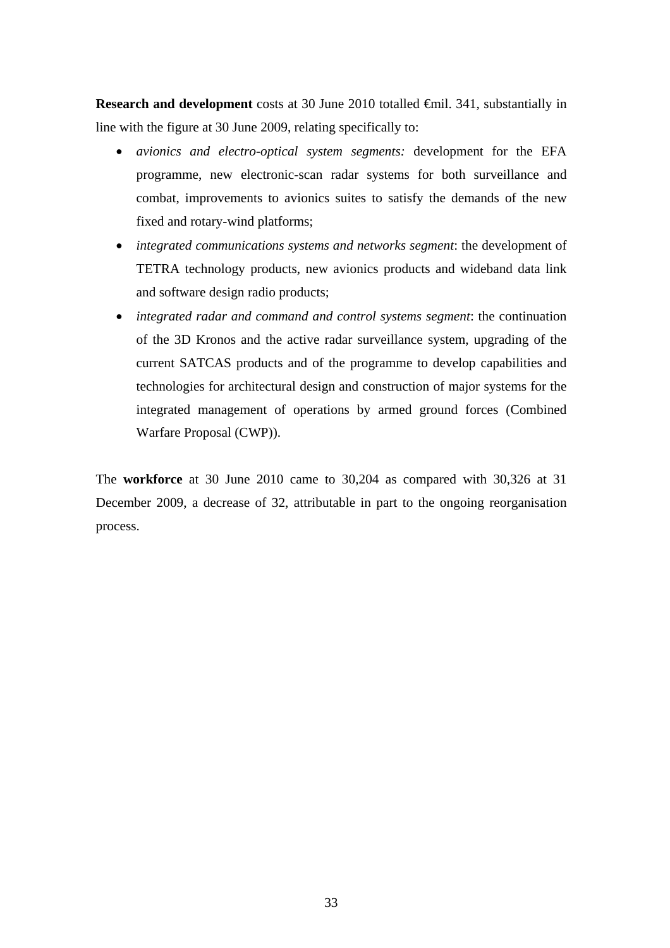**Research and development** costs at 30 June 2010 totalled €mil. 341, substantially in line with the figure at 30 June 2009, relating specifically to:

- *avionics and electro-optical system segments:* development for the EFA programme, new electronic-scan radar systems for both surveillance and combat, improvements to avionics suites to satisfy the demands of the new fixed and rotary-wind platforms;
- *integrated communications systems and networks segment*: the development of TETRA technology products, new avionics products and wideband data link and software design radio products;
- *integrated radar and command and control systems segment*: the continuation of the 3D Kronos and the active radar surveillance system, upgrading of the current SATCAS products and of the programme to develop capabilities and technologies for architectural design and construction of major systems for the integrated management of operations by armed ground forces (Combined Warfare Proposal (CWP)).

The **workforce** at 30 June 2010 came to 30,204 as compared with 30,326 at 31 December 2009, a decrease of 32, attributable in part to the ongoing reorganisation process.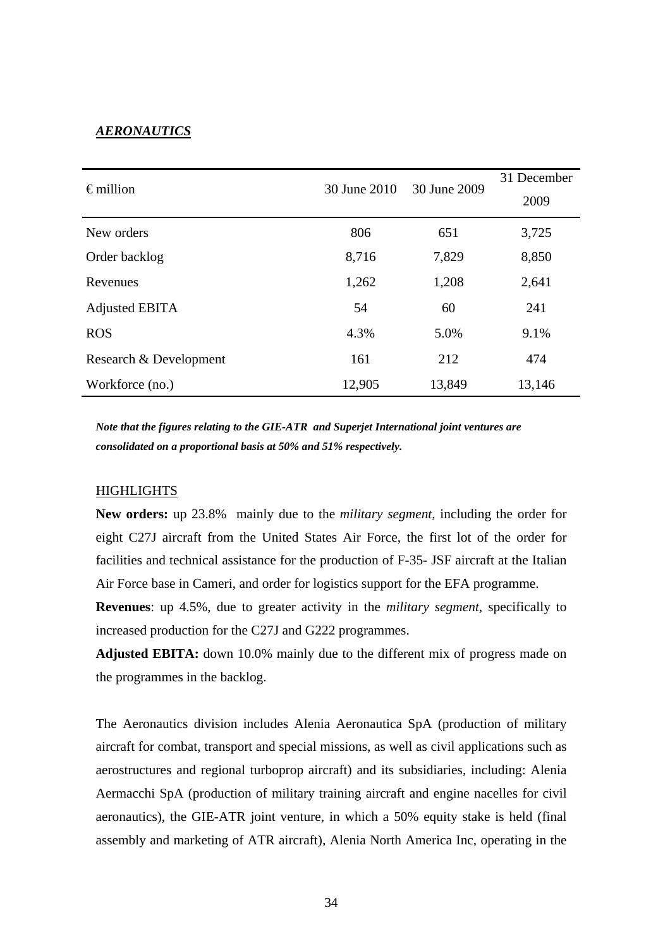### *AERONAUTICS*

| $\epsilon$ million     | 30 June 2010 | 30 June 2009 | 31 December |
|------------------------|--------------|--------------|-------------|
|                        |              |              | 2009        |
| New orders             | 806          | 651          | 3,725       |
| Order backlog          | 8,716        | 7,829        | 8,850       |
| Revenues               | 1,262        | 1,208        | 2,641       |
| Adjusted EBITA         | 54           | 60           | 241         |
| <b>ROS</b>             | 4.3%         | 5.0%         | 9.1%        |
| Research & Development | 161          | 212          | 474         |
| Workforce (no.)        | 12,905       | 13,849       | 13,146      |

*Note that the figures relating to the GIE-ATR and Superjet International joint ventures are consolidated on a proportional basis at 50% and 51% respectively.*

### **HIGHLIGHTS**

**New orders:** up 23.8% mainly due to the *military segment,* including the order for eight C27J aircraft from the United States Air Force, the first lot of the order for facilities and technical assistance for the production of F-35- JSF aircraft at the Italian Air Force base in Cameri, and order for logistics support for the EFA programme.

**Revenues**: up 4.5%, due to greater activity in the *military segment,* specifically to increased production for the C27J and G222 programmes.

**Adjusted EBITA:** down 10.0% mainly due to the different mix of progress made on the programmes in the backlog.

The Aeronautics division includes Alenia Aeronautica SpA (production of military aircraft for combat, transport and special missions, as well as civil applications such as aerostructures and regional turboprop aircraft) and its subsidiaries, including: Alenia Aermacchi SpA (production of military training aircraft and engine nacelles for civil aeronautics), the GIE-ATR joint venture, in which a 50% equity stake is held (final assembly and marketing of ATR aircraft), Alenia North America Inc, operating in the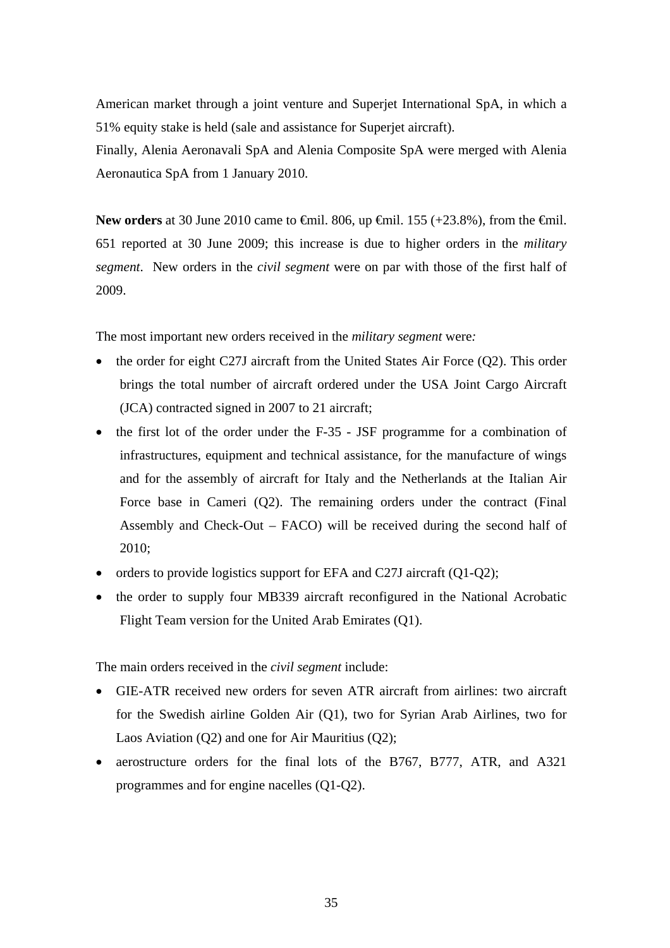American market through a joint venture and Superjet International SpA, in which a 51% equity stake is held (sale and assistance for Superjet aircraft).

Finally, Alenia Aeronavali SpA and Alenia Composite SpA were merged with Alenia Aeronautica SpA from 1 January 2010.

**New orders** at 30 June 2010 came to <del>€</del>mil. 806, up <del>€</del>mil. 155 (+23.8%), from the <del>€</del>mil. 651 reported at 30 June 2009; this increase is due to higher orders in the *military segment*. New orders in the *civil segment* were on par with those of the first half of 2009.

The most important new orders received in the *military segment* were*:* 

- the order for eight C27J aircraft from the United States Air Force (Q2). This order brings the total number of aircraft ordered under the USA Joint Cargo Aircraft (JCA) contracted signed in 2007 to 21 aircraft;
- the first lot of the order under the F-35 JSF programme for a combination of infrastructures, equipment and technical assistance, for the manufacture of wings and for the assembly of aircraft for Italy and the Netherlands at the Italian Air Force base in Cameri (Q2). The remaining orders under the contract (Final Assembly and Check-Out – FACO) will be received during the second half of 2010;
- orders to provide logistics support for EFA and C27J aircraft (Q1-Q2);
- the order to supply four MB339 aircraft reconfigured in the National Acrobatic Flight Team version for the United Arab Emirates (Q1).

The main orders received in the *civil segment* include:

- GIE-ATR received new orders for seven ATR aircraft from airlines: two aircraft for the Swedish airline Golden Air (Q1), two for Syrian Arab Airlines, two for Laos Aviation (Q2) and one for Air Mauritius (Q2);
- aerostructure orders for the final lots of the B767, B777, ATR, and A321 programmes and for engine nacelles (Q1-Q2).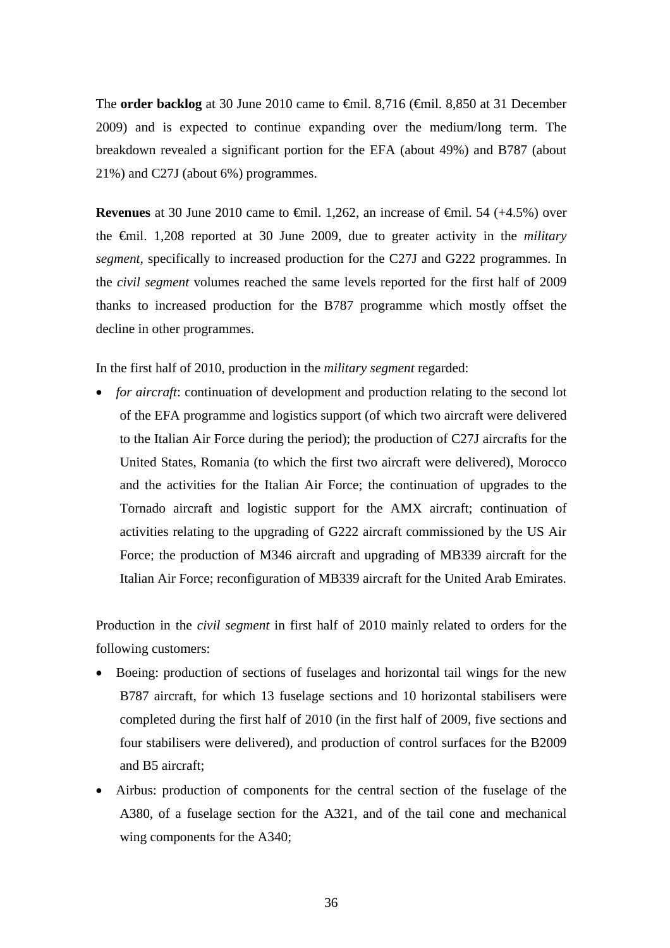The **order backlog** at 30 June 2010 came to €mil. 8,716 (€mil. 8,850 at 31 December 2009) and is expected to continue expanding over the medium/long term. The breakdown revealed a significant portion for the EFA (about 49%) and B787 (about 21%) and C27J (about 6%) programmes.

**Revenues** at 30 June 2010 came to  $\theta$ mil. 1,262, an increase of  $\theta$ mil. 54 (+4.5%) over the €mil. 1,208 reported at 30 June 2009, due to greater activity in the *military segment,* specifically to increased production for the C27J and G222 programmes. In the *civil segment* volumes reached the same levels reported for the first half of 2009 thanks to increased production for the B787 programme which mostly offset the decline in other programmes.

In the first half of 2010, production in the *military segment* regarded:

• *for aircraft*: continuation of development and production relating to the second lot of the EFA programme and logistics support (of which two aircraft were delivered to the Italian Air Force during the period); the production of C27J aircrafts for the United States, Romania (to which the first two aircraft were delivered), Morocco and the activities for the Italian Air Force; the continuation of upgrades to the Tornado aircraft and logistic support for the AMX aircraft; continuation of activities relating to the upgrading of G222 aircraft commissioned by the US Air Force; the production of M346 aircraft and upgrading of MB339 aircraft for the Italian Air Force; reconfiguration of MB339 aircraft for the United Arab Emirates.

Production in the *civil segment* in first half of 2010 mainly related to orders for the following customers:

- Boeing: production of sections of fuselages and horizontal tail wings for the new B787 aircraft, for which 13 fuselage sections and 10 horizontal stabilisers were completed during the first half of 2010 (in the first half of 2009, five sections and four stabilisers were delivered), and production of control surfaces for the B2009 and B5 aircraft;
- Airbus: production of components for the central section of the fuselage of the A380, of a fuselage section for the A321, and of the tail cone and mechanical wing components for the A340;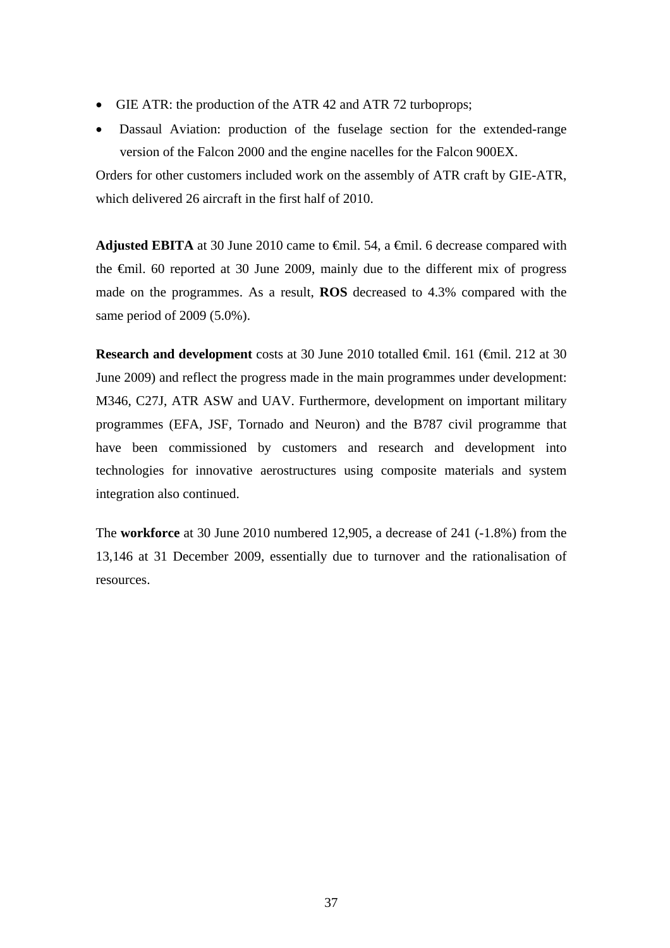- GIE ATR: the production of the ATR 42 and ATR 72 turboprops;
- Dassaul Aviation: production of the fuselage section for the extended-range version of the Falcon 2000 and the engine nacelles for the Falcon 900EX.

Orders for other customers included work on the assembly of ATR craft by GIE-ATR, which delivered 26 aircraft in the first half of 2010.

Adjusted EBITA at 30 June 2010 came to <del>€</del>mil. 54, a <del>€</del>mil. 6 decrease compared with the €mil. 60 reported at 30 June 2009, mainly due to the different mix of progress made on the programmes. As a result, **ROS** decreased to 4.3% compared with the same period of 2009 (5.0%).

**Research and development** costs at 30 June 2010 totalled €mil. 161 (€mil. 212 at 30 June 2009) and reflect the progress made in the main programmes under development: M346, C27J, ATR ASW and UAV. Furthermore, development on important military programmes (EFA, JSF, Tornado and Neuron) and the B787 civil programme that have been commissioned by customers and research and development into technologies for innovative aerostructures using composite materials and system integration also continued.

The **workforce** at 30 June 2010 numbered 12,905, a decrease of 241 (-1.8%) from the 13,146 at 31 December 2009, essentially due to turnover and the rationalisation of resources.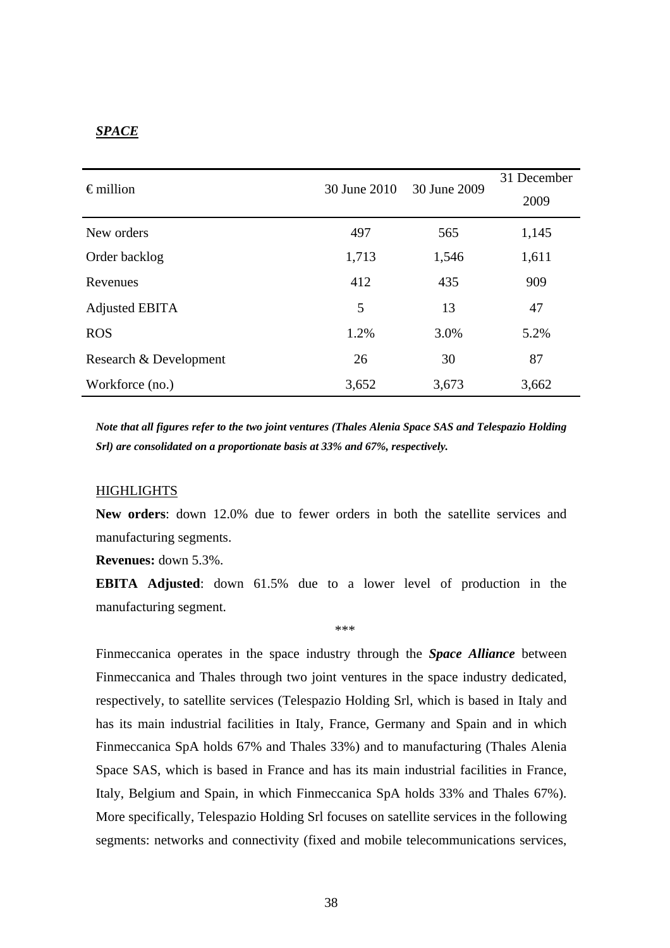## *SPACE*

| $\epsilon$ million     | 30 June 2010 | 30 June 2009 | 31 December<br>2009 |
|------------------------|--------------|--------------|---------------------|
| New orders             | 497          | 565          | 1,145               |
| Order backlog          | 1,713        | 1,546        | 1,611               |
| Revenues               | 412          | 435          | 909                 |
| Adjusted EBITA         | 5            | 13           | 47                  |
| <b>ROS</b>             | 1.2%         | 3.0%         | 5.2%                |
| Research & Development | 26           | 30           | 87                  |
| Workforce (no.)        | 3,652        | 3,673        | 3,662               |

*Note that all figures refer to the two joint ventures (Thales Alenia Space SAS and Telespazio Holding Srl) are consolidated on a proportionate basis at 33% and 67%, respectively.* 

## **HIGHLIGHTS**

**New orders**: down 12.0% due to fewer orders in both the satellite services and manufacturing segments.

**Revenues:** down 5.3%.

**EBITA Adjusted**: down 61.5% due to a lower level of production in the manufacturing segment.

\*\*\*

Finmeccanica operates in the space industry through the *Space Alliance* between Finmeccanica and Thales through two joint ventures in the space industry dedicated, respectively, to satellite services (Telespazio Holding Srl, which is based in Italy and has its main industrial facilities in Italy, France, Germany and Spain and in which Finmeccanica SpA holds 67% and Thales 33%) and to manufacturing (Thales Alenia Space SAS, which is based in France and has its main industrial facilities in France, Italy, Belgium and Spain, in which Finmeccanica SpA holds 33% and Thales 67%). More specifically, Telespazio Holding Srl focuses on satellite services in the following segments: networks and connectivity (fixed and mobile telecommunications services,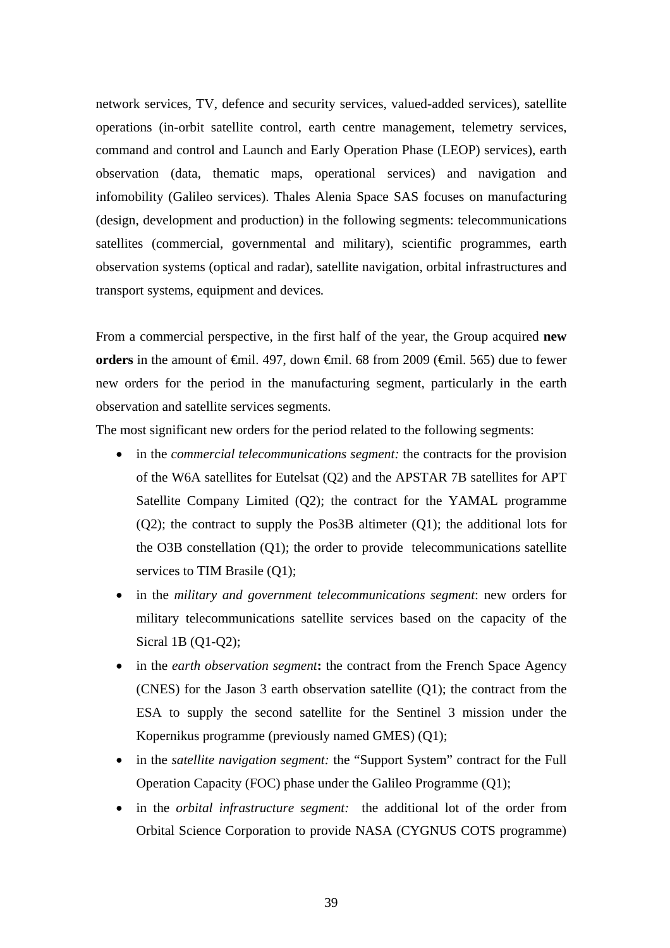network services, TV, defence and security services, valued-added services), satellite operations (in-orbit satellite control, earth centre management, telemetry services, command and control and Launch and Early Operation Phase (LEOP) services), earth observation (data, thematic maps, operational services) and navigation and infomobility (Galileo services). Thales Alenia Space SAS focuses on manufacturing (design, development and production) in the following segments: telecommunications satellites (commercial, governmental and military), scientific programmes, earth observation systems (optical and radar), satellite navigation, orbital infrastructures and transport systems, equipment and devices*.* 

From a commercial perspective, in the first half of the year, the Group acquired **new orders** in the amount of <del>€</del>mil. 497, down <del>€</del>mil. 68 from 2009 (€mil. 565) due to fewer new orders for the period in the manufacturing segment, particularly in the earth observation and satellite services segments.

The most significant new orders for the period related to the following segments:

- in the *commercial telecommunications segment*: the contracts for the provision of the W6A satellites for Eutelsat (Q2) and the APSTAR 7B satellites for APT Satellite Company Limited (Q2); the contract for the YAMAL programme (Q2); the contract to supply the Pos3B altimeter (Q1); the additional lots for the O3B constellation (Q1); the order to provide telecommunications satellite services to TIM Brasile (Q1);
- in the *military and government telecommunications segment*: new orders for military telecommunications satellite services based on the capacity of the Sicral 1B (Q1-Q2);
- in the *earth observation segment*: the contract from the French Space Agency (CNES) for the Jason 3 earth observation satellite (Q1); the contract from the ESA to supply the second satellite for the Sentinel 3 mission under the Kopernikus programme (previously named GMES) (Q1);
- in the *satellite navigation segment:* the "Support System" contract for the Full Operation Capacity (FOC) phase under the Galileo Programme (Q1);
- in the *orbital infrastructure segment:* the additional lot of the order from Orbital Science Corporation to provide NASA (CYGNUS COTS programme)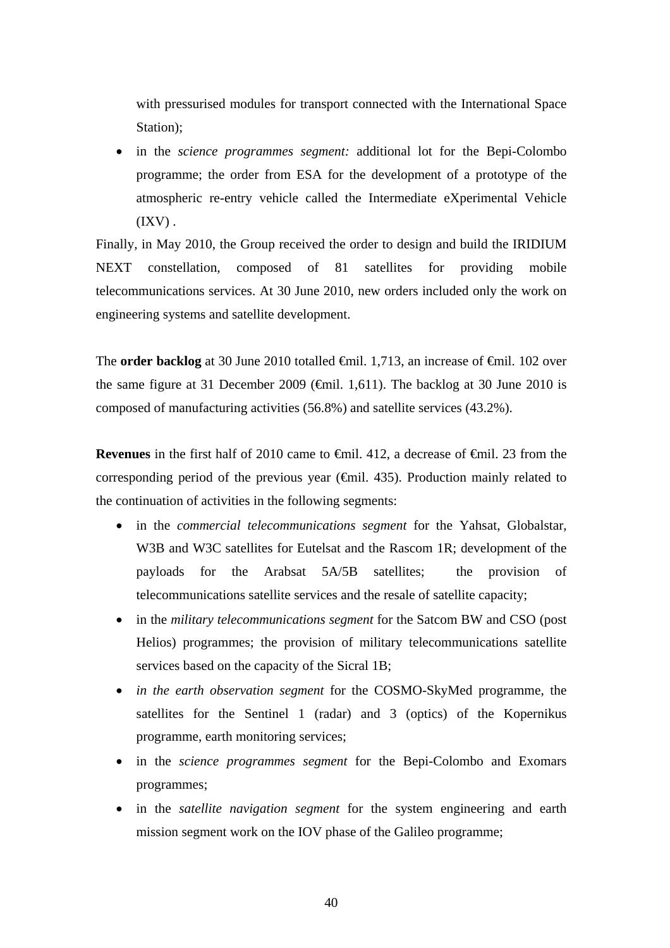with pressurised modules for transport connected with the International Space Station);

 in the *science programmes segment:* additional lot for the Bepi-Colombo programme; the order from ESA for the development of a prototype of the atmospheric re-entry vehicle called the Intermediate eXperimental Vehicle  $(IXV)$ .

Finally, in May 2010, the Group received the order to design and build the IRIDIUM NEXT constellation, composed of 81 satellites for providing mobile telecommunications services. At 30 June 2010, new orders included only the work on engineering systems and satellite development.

The **order backlog** at 30 June 2010 totalled <del>€mil.</del> 1,713, an increase of €mil. 102 over the same figure at 31 December 2009 ( $\epsilon$ mil. 1,611). The backlog at 30 June 2010 is composed of manufacturing activities (56.8%) and satellite services (43.2%).

**Revenues** in the first half of 2010 came to €mil. 412, a decrease of €mil. 23 from the corresponding period of the previous year  $(\text{Gmil. 435})$ . Production mainly related to the continuation of activities in the following segments:

- in the *commercial telecommunications segment* for the Yahsat, Globalstar, W3B and W3C satellites for Eutelsat and the Rascom 1R; development of the payloads for the Arabsat 5A/5B satellites; the provision of telecommunications satellite services and the resale of satellite capacity;
- in the *military telecommunications segment* for the Satcom BW and CSO (post Helios) programmes; the provision of military telecommunications satellite services based on the capacity of the Sicral 1B;
- *in the earth observation segment* for the COSMO-SkyMed programme, the satellites for the Sentinel 1 (radar) and 3 (optics) of the Kopernikus programme, earth monitoring services;
- in the *science programmes segment* for the Bepi-Colombo and Exomars programmes;
- in the *satellite navigation segment* for the system engineering and earth mission segment work on the IOV phase of the Galileo programme;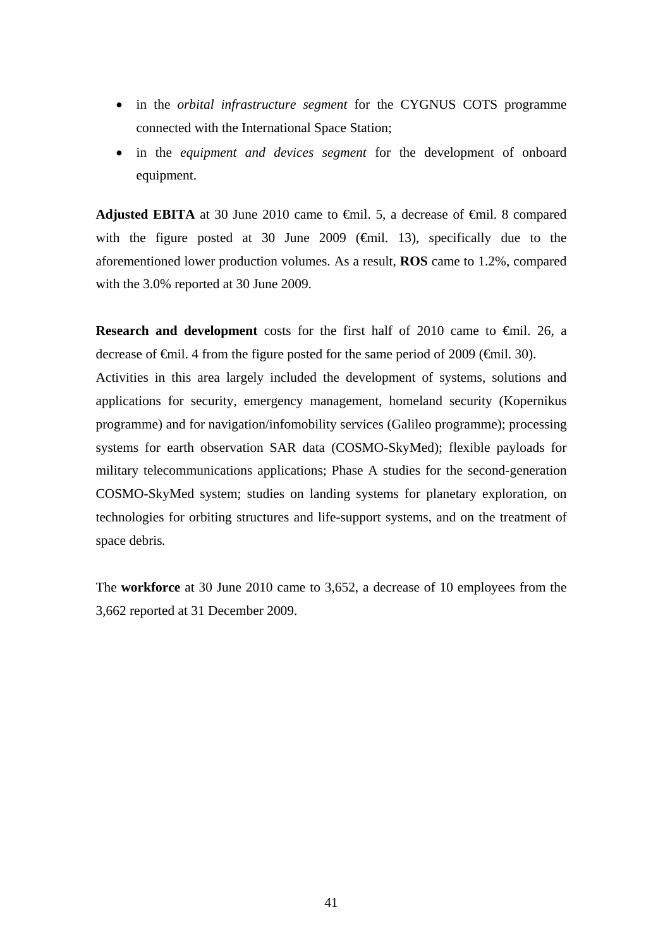- in the *orbital infrastructure segment* for the CYGNUS COTS programme connected with the International Space Station;
- in the *equipment and devices segment* for the development of onboard equipment.

**Adjusted EBITA** at 30 June 2010 came to  $\theta$ mil. 5, a decrease of  $\theta$ mil. 8 compared with the figure posted at 30 June 2009 ( $\oplus$ mil. 13), specifically due to the aforementioned lower production volumes. As a result, **ROS** came to 1.2%, compared with the 3.0% reported at 30 June 2009.

**Research and development** costs for the first half of 2010 came to  $\theta$ mil. 26, a decrease of €mil. 4 from the figure posted for the same period of 2009 (€mil. 30). Activities in this area largely included the development of systems, solutions and applications for security, emergency management, homeland security (Kopernikus programme) and for navigation/infomobility services (Galileo programme); processing systems for earth observation SAR data (COSMO-SkyMed); flexible payloads for military telecommunications applications; Phase A studies for the second-generation COSMO-SkyMed system; studies on landing systems for planetary exploration, on technologies for orbiting structures and life-support systems, and on the treatment of space debris*.*

The **workforce** at 30 June 2010 came to 3,652, a decrease of 10 employees from the 3,662 reported at 31 December 2009.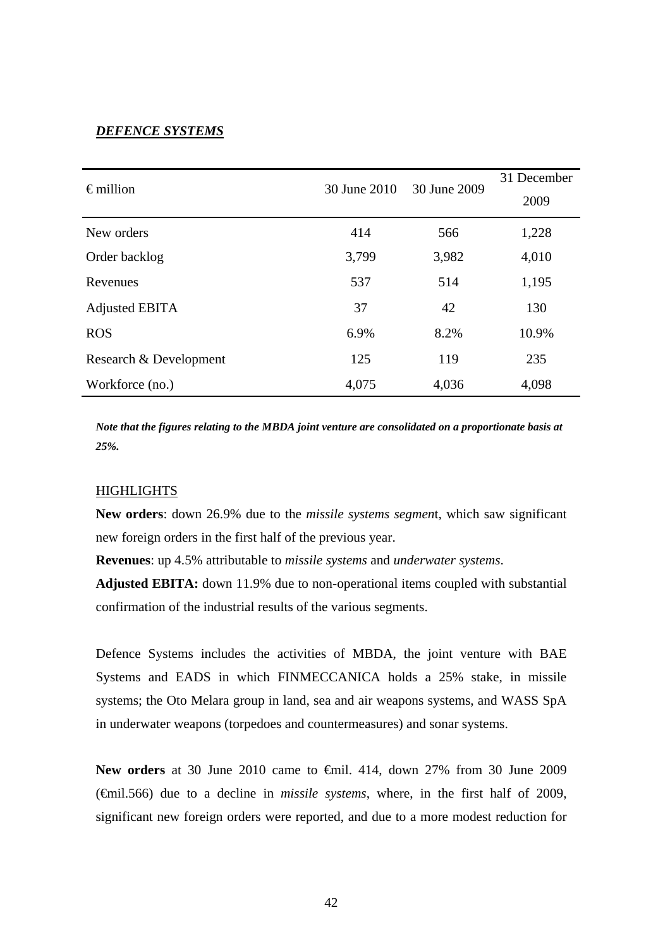## *DEFENCE SYSTEMS*

| $\epsilon$ million     | 30 June 2010 | 30 June 2009 | 31 December<br>2009 |
|------------------------|--------------|--------------|---------------------|
| New orders             | 414          | 566          | 1,228               |
| Order backlog          | 3,799        | 3,982        | 4,010               |
| Revenues               | 537          | 514          | 1,195               |
| Adjusted EBITA         | 37           | 42           | 130                 |
| <b>ROS</b>             | 6.9%         | 8.2%         | 10.9%               |
| Research & Development | 125          | 119          | 235                 |
| Workforce (no.)        | 4,075        | 4,036        | 4,098               |

*Note that the figures relating to the MBDA joint venture are consolidated on a proportionate basis at 25%.*

## **HIGHLIGHTS**

**New orders**: down 26.9% due to the *missile systems segmen*t, which saw significant new foreign orders in the first half of the previous year.

**Revenues**: up 4.5% attributable to *missile systems* and *underwater systems*.

**Adjusted EBITA:** down 11.9% due to non-operational items coupled with substantial confirmation of the industrial results of the various segments.

Defence Systems includes the activities of MBDA, the joint venture with BAE Systems and EADS in which FINMECCANICA holds a 25% stake, in missile systems; the Oto Melara group in land, sea and air weapons systems, and WASS SpA in underwater weapons (torpedoes and countermeasures) and sonar systems.

New orders at 30 June 2010 came to <del>€</del>mil. 414, down 27% from 30 June 2009 (€mil.566) due to a decline in *missile systems*, where, in the first half of 2009, significant new foreign orders were reported, and due to a more modest reduction for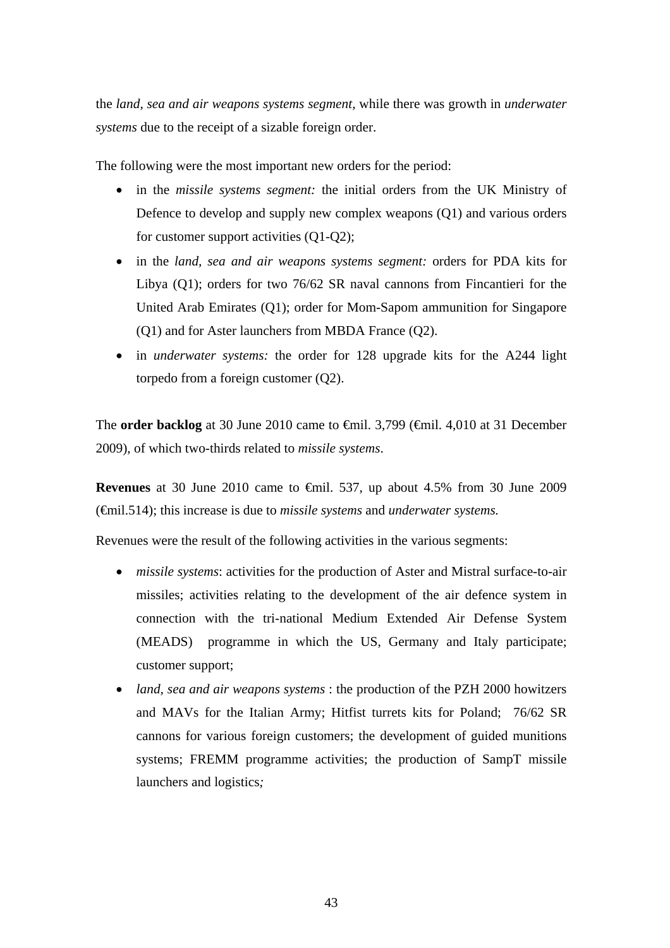the *land, sea and air weapons systems segment,* while there was growth in *underwater systems* due to the receipt of a sizable foreign order.

The following were the most important new orders for the period:

- in the *missile systems segment:* the initial orders from the UK Ministry of Defence to develop and supply new complex weapons (Q1) and various orders for customer support activities (Q1-Q2);
- in the *land, sea and air weapons systems segment:* orders for PDA kits for Libya (Q1); orders for two 76/62 SR naval cannons from Fincantieri for the United Arab Emirates (Q1); order for Mom-Sapom ammunition for Singapore (Q1) and for Aster launchers from MBDA France (Q2).
- in *underwater systems:* the order for 128 upgrade kits for the A244 light torpedo from a foreign customer (Q2).

The **order backlog** at 30 June 2010 came to €mil. 3,799 (€mil. 4,010 at 31 December 2009), of which two-thirds related to *missile systems*.

**Revenues** at 30 June 2010 came to  $\theta$ mil. 537, up about 4.5% from 30 June 2009 (€mil.514); this increase is due to *missile systems* and *underwater systems.*

Revenues were the result of the following activities in the various segments:

- *missile systems*: activities for the production of Aster and Mistral surface-to-air missiles; activities relating to the development of the air defence system in connection with the tri-national Medium Extended Air Defense System (MEADS)programme in which the US, Germany and Italy participate; customer support;
- *land, sea and air weapons systems* : the production of the PZH 2000 howitzers and MAVs for the Italian Army; Hitfist turrets kits for Poland; 76/62 SR cannons for various foreign customers; the development of guided munitions systems; FREMM programme activities; the production of SampT missile launchers and logistics*;*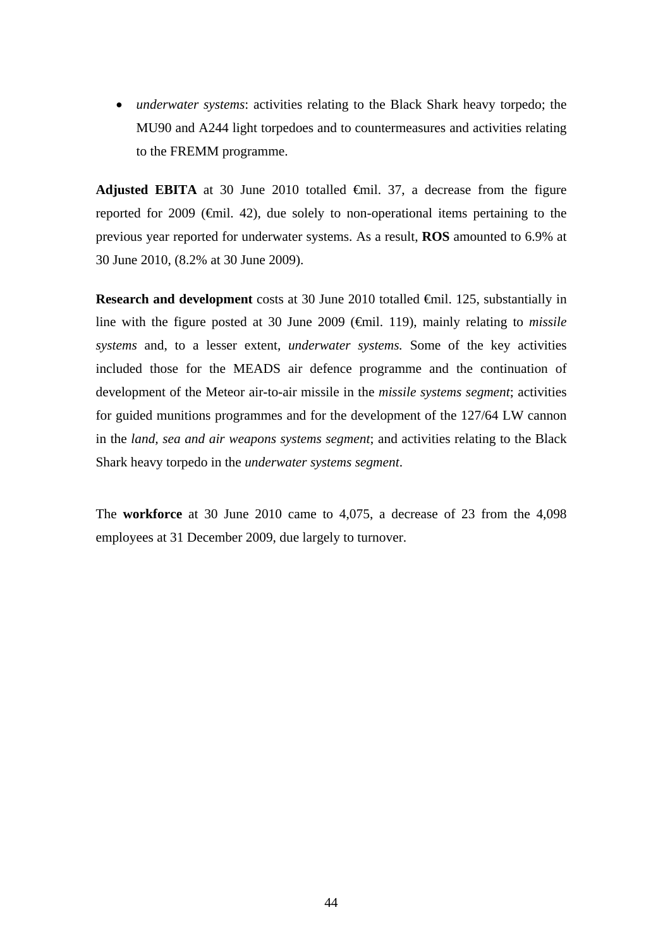*underwater systems*: activities relating to the Black Shark heavy torpedo; the MU90 and A244 light torpedoes and to countermeasures and activities relating to the FREMM programme.

Adjusted EBITA at 30 June 2010 totalled  $\epsilon$ mil. 37, a decrease from the figure reported for 2009 (€mil. 42), due solely to non-operational items pertaining to the previous year reported for underwater systems. As a result, **ROS** amounted to 6.9% at 30 June 2010, (8.2% at 30 June 2009).

**Research and development** costs at 30 June 2010 totalled €mil. 125, substantially in line with the figure posted at 30 June 2009 (€mil. 119), mainly relating to *missile systems* and, to a lesser extent, *underwater systems.* Some of the key activities included those for the MEADS air defence programme and the continuation of development of the Meteor air-to-air missile in the *missile systems segment*; activities for guided munitions programmes and for the development of the 127/64 LW cannon in the *land, sea and air weapons systems segment*; and activities relating to the Black Shark heavy torpedo in the *underwater systems segment*.

The **workforce** at 30 June 2010 came to 4,075, a decrease of 23 from the 4,098 employees at 31 December 2009, due largely to turnover.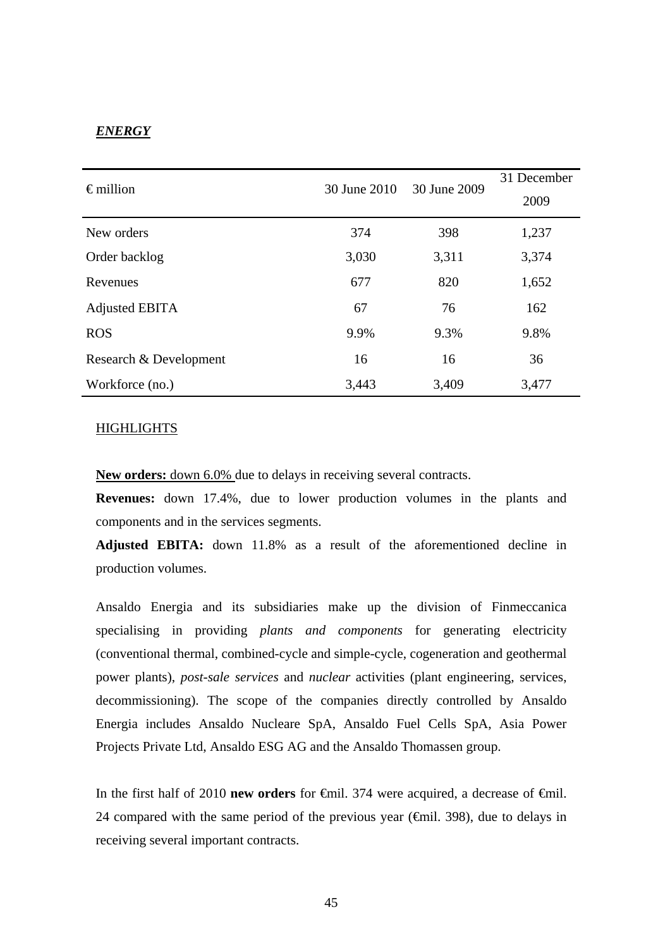## *ENERGY*

| $\epsilon$ million     | 30 June 2010 | 30 June 2009 | 31 December<br>2009 |
|------------------------|--------------|--------------|---------------------|
| New orders             | 374          | 398          | 1,237               |
| Order backlog          | 3,030        | 3,311        | 3,374               |
| Revenues               | 677          | 820          | 1,652               |
| Adjusted EBITA         | 67           | 76           | 162                 |
| <b>ROS</b>             | 9.9%         | 9.3%         | 9.8%                |
| Research & Development | 16           | 16           | 36                  |
| Workforce (no.)        | 3,443        | 3,409        | 3,477               |

#### HIGHLIGHTS

**New orders:** down 6.0% due to delays in receiving several contracts.

**Revenues:** down 17.4%, due to lower production volumes in the plants and components and in the services segments.

**Adjusted EBITA:** down 11.8% as a result of the aforementioned decline in production volumes.

Ansaldo Energia and its subsidiaries make up the division of Finmeccanica specialising in providing *plants and components* for generating electricity (conventional thermal, combined-cycle and simple-cycle, cogeneration and geothermal power plants), *post-sale services* and *nuclear* activities (plant engineering, services, decommissioning). The scope of the companies directly controlled by Ansaldo Energia includes Ansaldo Nucleare SpA, Ansaldo Fuel Cells SpA, Asia Power Projects Private Ltd, Ansaldo ESG AG and the Ansaldo Thomassen group.

In the first half of 2010 **new orders** for €mil. 374 were acquired, a decrease of €mil. 24 compared with the same period of the previous year ( $\epsilon$ mil. 398), due to delays in receiving several important contracts.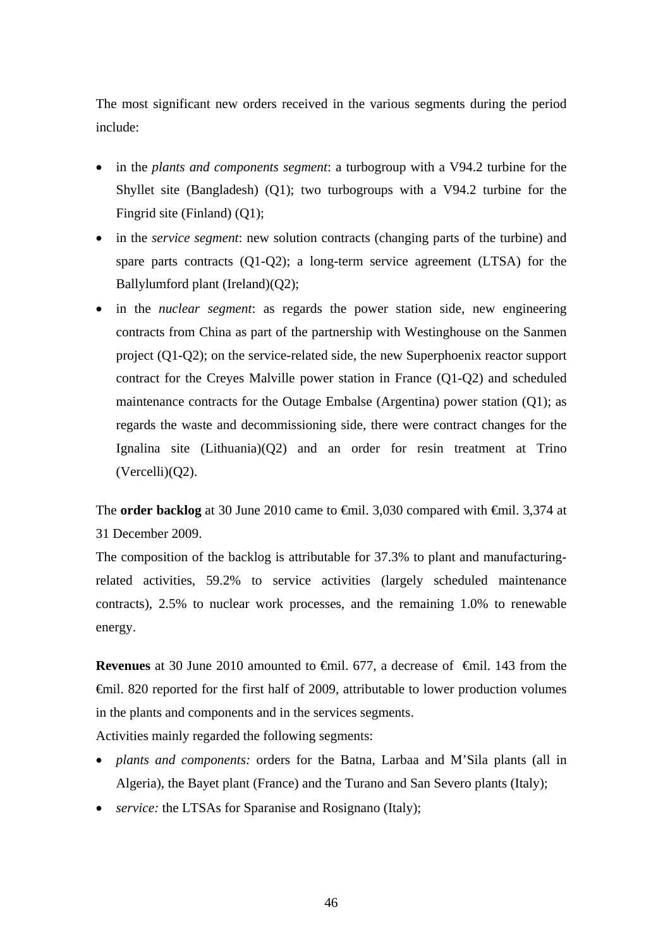The most significant new orders received in the various segments during the period include:

- in the *plants and components segment*: a turbogroup with a V94.2 turbine for the Shyllet site (Bangladesh) (Q1); two turbogroups with a V94.2 turbine for the Fingrid site (Finland) (Q1);
- in the *service segment*: new solution contracts (changing parts of the turbine) and spare parts contracts (Q1-Q2); a long-term service agreement (LTSA) for the Ballylumford plant (Ireland)(Q2);
- in the *nuclear segment*: as regards the power station side, new engineering contracts from China as part of the partnership with Westinghouse on the Sanmen project (Q1-Q2); on the service-related side, the new Superphoenix reactor support contract for the Creyes Malville power station in France (Q1-Q2) and scheduled maintenance contracts for the Outage Embalse (Argentina) power station (Q1); as regards the waste and decommissioning side, there were contract changes for the Ignalina site (Lithuania)(Q2) and an order for resin treatment at Trino (Vercelli)(Q2).

The **order backlog** at 30 June 2010 came to <del>€mil.</del> 3,030 compared with <del>€mil.</del> 3,374 at 31 December 2009.

The composition of the backlog is attributable for 37.3% to plant and manufacturingrelated activities, 59.2% to service activities (largely scheduled maintenance contracts), 2.5% to nuclear work processes, and the remaining 1.0% to renewable energy.

**Revenues** at 30 June 2010 amounted to <del>€</del>mil. 677, a decrease of €mil. 143 from the €mil. 820 reported for the first half of 2009, attributable to lower production volumes in the plants and components and in the services segments.

Activities mainly regarded the following segments:

- *plants and components:* orders for the Batna, Larbaa and M'Sila plants (all in Algeria), the Bayet plant (France) and the Turano and San Severo plants (Italy);
- *service:* the LTSAs for Sparanise and Rosignano (Italy);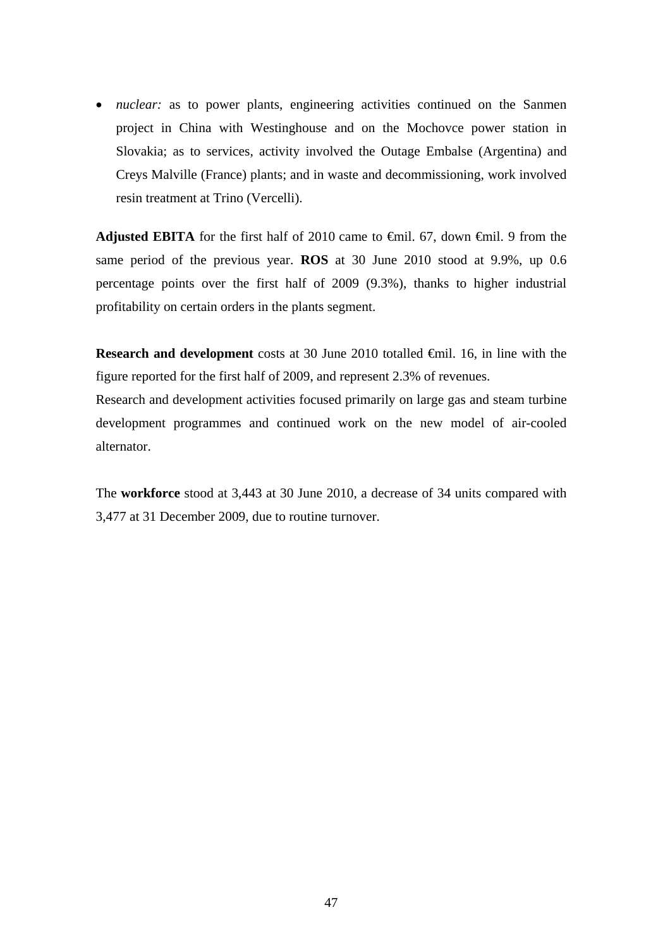• *nuclear:* as to power plants, engineering activities continued on the Sanmen project in China with Westinghouse and on the Mochovce power station in Slovakia; as to services, activity involved the Outage Embalse (Argentina) and Creys Malville (France) plants; and in waste and decommissioning, work involved resin treatment at Trino (Vercelli).

**Adjusted EBITA** for the first half of 2010 came to  $\theta$ mil. 67, down  $\theta$ mil. 9 from the same period of the previous year. **ROS** at 30 June 2010 stood at 9.9%, up 0.6 percentage points over the first half of 2009 (9.3%), thanks to higher industrial profitability on certain orders in the plants segment.

**Research and development** costs at 30 June 2010 totalled €mil. 16, in line with the figure reported for the first half of 2009, and represent 2.3% of revenues.

Research and development activities focused primarily on large gas and steam turbine development programmes and continued work on the new model of air-cooled alternator.

The **workforce** stood at 3,443 at 30 June 2010, a decrease of 34 units compared with 3,477 at 31 December 2009, due to routine turnover.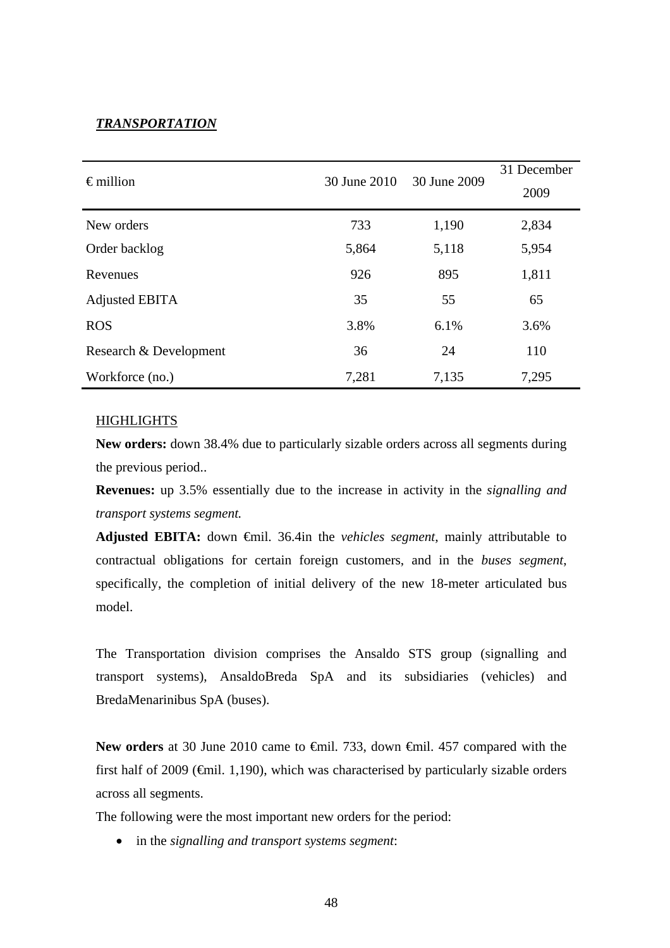## *TRANSPORTATION*

| $\epsilon$ million     | 30 June 2010 | 30 June 2009 | 31 December<br>2009 |
|------------------------|--------------|--------------|---------------------|
| New orders             | 733          | 1,190        | 2,834               |
| Order backlog          | 5,864        | 5,118        | 5,954               |
| Revenues               | 926          | 895          | 1,811               |
| Adjusted EBITA         | 35           | 55           | 65                  |
| <b>ROS</b>             | 3.8%         | 6.1%         | 3.6%                |
| Research & Development | 36           | 24           | 110                 |
| Workforce (no.)        | 7,281        | 7,135        | 7,295               |

#### **HIGHLIGHTS**

**New orders:** down 38.4% due to particularly sizable orders across all segments during the previous period..

**Revenues:** up 3.5% essentially due to the increase in activity in the *signalling and transport systems segment.* 

**Adjusted EBITA:** down €mil. 36.4in the *vehicles segment*, mainly attributable to contractual obligations for certain foreign customers, and in the *buses segment*, specifically, the completion of initial delivery of the new 18-meter articulated bus model.

The Transportation division comprises the Ansaldo STS group (signalling and transport systems), AnsaldoBreda SpA and its subsidiaries (vehicles) and BredaMenarinibus SpA (buses).

New orders at 30 June 2010 came to <del>€mil.</del> 733, down <del>€mil.</del> 457 compared with the first half of 2009 ( $\oplus$ mil. 1,190), which was characterised by particularly sizable orders across all segments.

The following were the most important new orders for the period:

in the *signalling and transport systems segment*: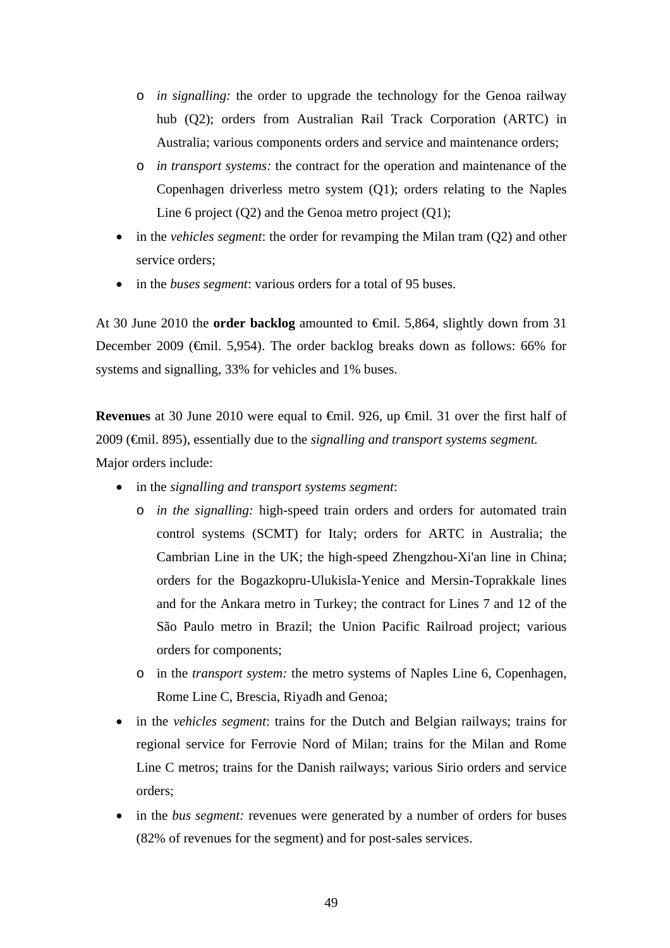- o *in signalling:* the order to upgrade the technology for the Genoa railway hub (Q2); orders from Australian Rail Track Corporation (ARTC) in Australia; various components orders and service and maintenance orders;
- o *in transport systems:* the contract for the operation and maintenance of the Copenhagen driverless metro system (Q1); orders relating to the Naples Line 6 project (Q2) and the Genoa metro project (Q1);
- in the *vehicles segment*: the order for revamping the Milan tram (Q2) and other service orders;
- in the *buses segment*: various orders for a total of 95 buses.

At 30 June 2010 the **order backlog** amounted to €mil. 5,864, slightly down from 31 December 2009 (€mil. 5,954). The order backlog breaks down as follows: 66% for systems and signalling, 33% for vehicles and 1% buses.

**Revenues** at 30 June 2010 were equal to <del>€</del>mil. 926, up <del>€</del>mil. 31 over the first half of 2009 (€mil. 895), essentially due to the *signalling and transport systems segment.*  Major orders include:

- in the *signalling and transport systems segment*:
	- o *in the signalling:* high-speed train orders and orders for automated train control systems (SCMT) for Italy; orders for ARTC in Australia; the Cambrian Line in the UK; the high-speed Zhengzhou-Xi'an line in China; orders for the Bogazkopru-Ulukisla-Yenice and Mersin-Toprakkale lines and for the Ankara metro in Turkey; the contract for Lines 7 and 12 of the São Paulo metro in Brazil; the Union Pacific Railroad project; various orders for components;
	- o in the *transport system:* the metro systems of Naples Line 6, Copenhagen, Rome Line C, Brescia, Riyadh and Genoa;
- in the *vehicles segment*: trains for the Dutch and Belgian railways; trains for regional service for Ferrovie Nord of Milan; trains for the Milan and Rome Line C metros; trains for the Danish railways; various Sirio orders and service orders;
- in the *bus segment:* revenues were generated by a number of orders for buses (82% of revenues for the segment) and for post-sales services.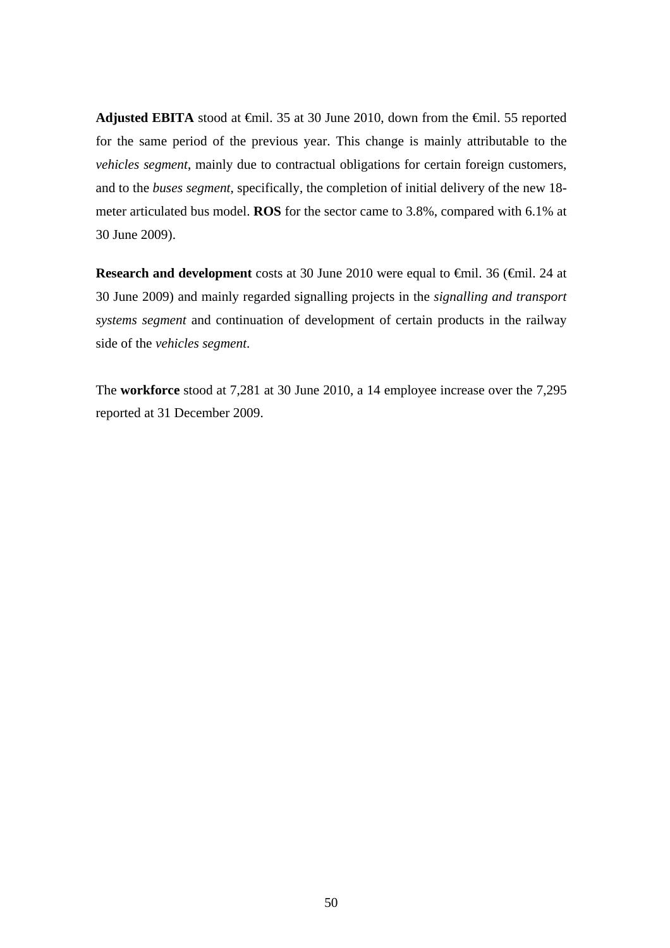**Adjusted EBITA** stood at €mil. 35 at 30 June 2010, down from the €mil. 55 reported for the same period of the previous year. This change is mainly attributable to the *vehicles segment*, mainly due to contractual obligations for certain foreign customers, and to the *buses segment*, specifically, the completion of initial delivery of the new 18 meter articulated bus model. **ROS** for the sector came to 3.8%, compared with 6.1% at 30 June 2009).

**Research and development** costs at 30 June 2010 were equal to €mil. 36 (€mil. 24 at 30 June 2009) and mainly regarded signalling projects in the *signalling and transport systems segment* and continuation of development of certain products in the railway side of the *vehicles segment*.

The **workforce** stood at 7,281 at 30 June 2010, a 14 employee increase over the 7,295 reported at 31 December 2009.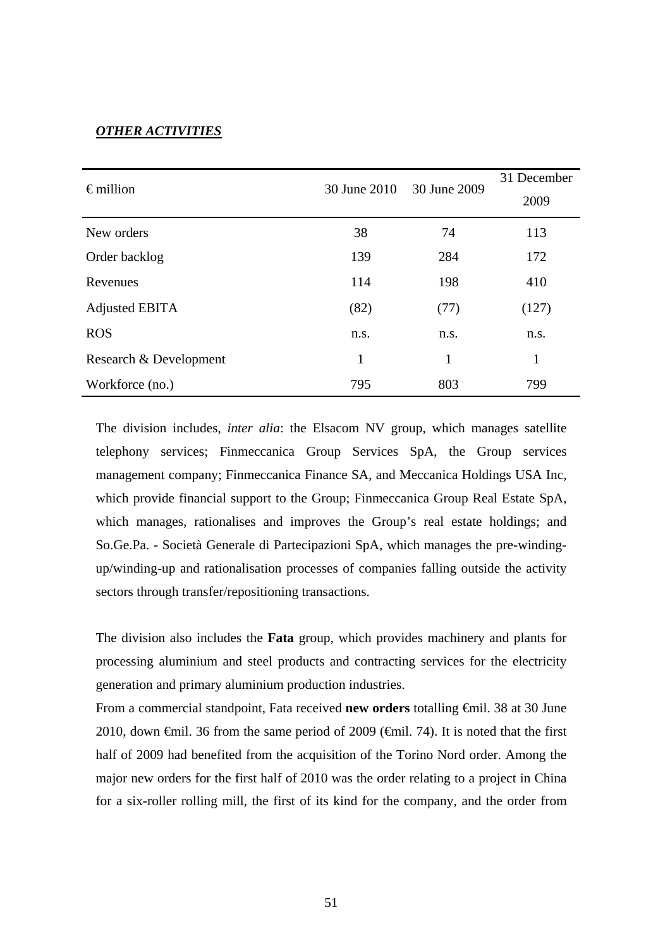## *OTHER ACTIVITIES*

| $\epsilon$ million     | 30 June 2010 | 30 June 2009 | 31 December<br>2009 |
|------------------------|--------------|--------------|---------------------|
| New orders             | 38           | 74           | 113                 |
| Order backlog          | 139          | 284          | 172                 |
| Revenues               | 114          | 198          | 410                 |
| Adjusted EBITA         | (82)         | (77)         | (127)               |
| <b>ROS</b>             | n.s.         | n.s.         | n.s.                |
| Research & Development | 1            | 1            | 1                   |
| Workforce (no.)        | 795          | 803          | 799                 |

The division includes, *inter alia*: the Elsacom NV group, which manages satellite telephony services; Finmeccanica Group Services SpA, the Group services management company; Finmeccanica Finance SA, and Meccanica Holdings USA Inc, which provide financial support to the Group; Finmeccanica Group Real Estate SpA, which manages, rationalises and improves the Group's real estate holdings; and So.Ge.Pa. - Società Generale di Partecipazioni SpA, which manages the pre-windingup/winding-up and rationalisation processes of companies falling outside the activity sectors through transfer/repositioning transactions.

The division also includes the **Fata** group, which provides machinery and plants for processing aluminium and steel products and contracting services for the electricity generation and primary aluminium production industries.

From a commercial standpoint, Fata received **new orders** totalling €mil. 38 at 30 June 2010, down  $\epsilon$ mil. 36 from the same period of 2009 ( $\epsilon$ mil. 74). It is noted that the first half of 2009 had benefited from the acquisition of the Torino Nord order. Among the major new orders for the first half of 2010 was the order relating to a project in China for a six-roller rolling mill, the first of its kind for the company, and the order from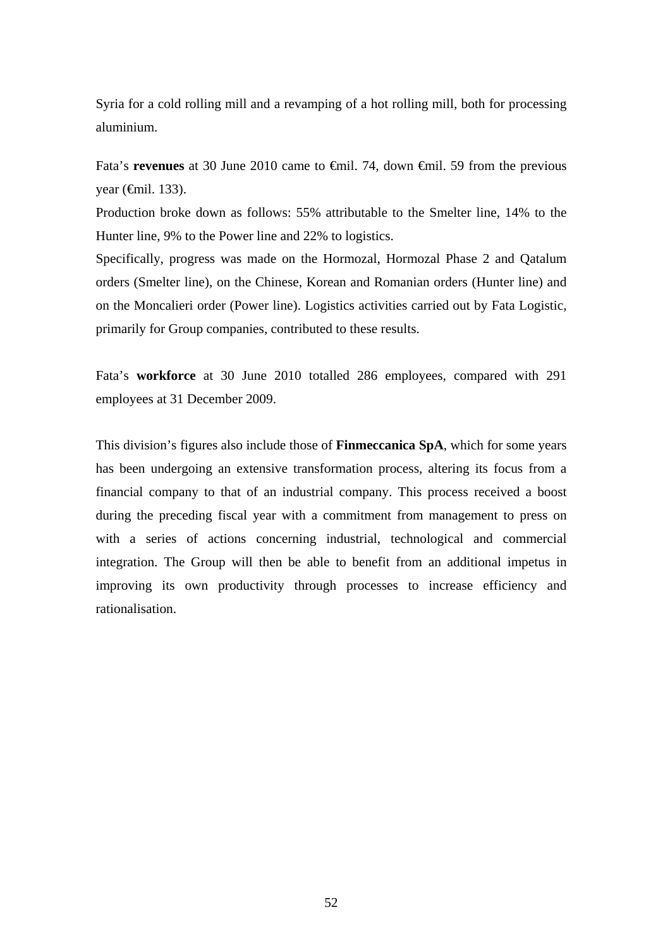Syria for a cold rolling mill and a revamping of a hot rolling mill, both for processing aluminium.

Fata's **revenues** at 30 June 2010 came to €mil. 74, down €mil. 59 from the previous year  $(\text{6cm}1.133)$ .

Production broke down as follows: 55% attributable to the Smelter line, 14% to the Hunter line, 9% to the Power line and 22% to logistics.

Specifically, progress was made on the Hormozal, Hormozal Phase 2 and Qatalum orders (Smelter line), on the Chinese, Korean and Romanian orders (Hunter line) and on the Moncalieri order (Power line). Logistics activities carried out by Fata Logistic, primarily for Group companies, contributed to these results.

Fata's **workforce** at 30 June 2010 totalled 286 employees, compared with 291 employees at 31 December 2009.

This division's figures also include those of **Finmeccanica SpA**, which for some years has been undergoing an extensive transformation process, altering its focus from a financial company to that of an industrial company. This process received a boost during the preceding fiscal year with a commitment from management to press on with a series of actions concerning industrial, technological and commercial integration. The Group will then be able to benefit from an additional impetus in improving its own productivity through processes to increase efficiency and rationalisation.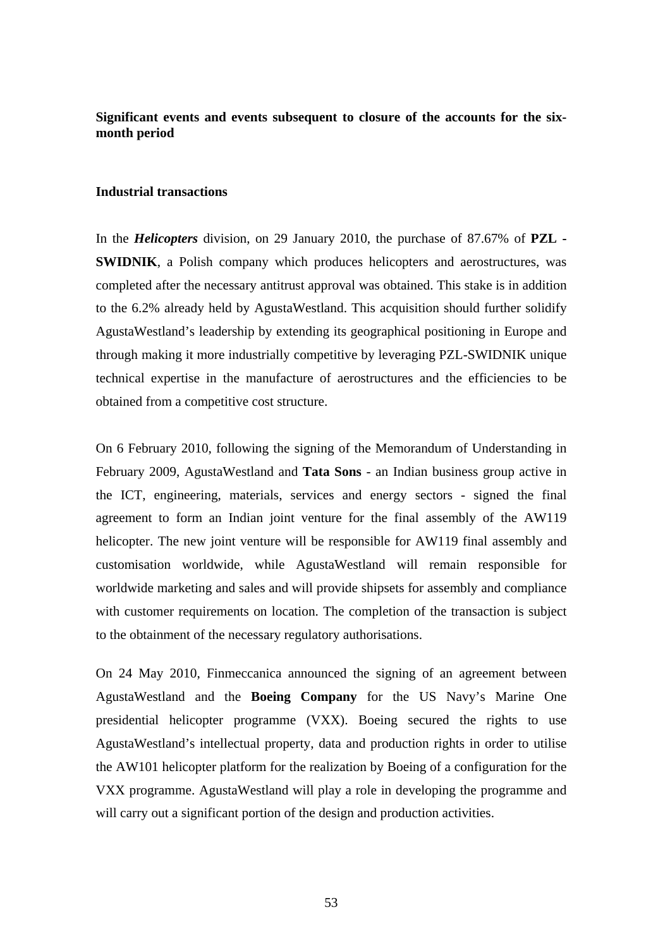## **Significant events and events subsequent to closure of the accounts for the sixmonth period**

## **Industrial transactions**

In the *Helicopters* division, on 29 January 2010, the purchase of 87.67% of **PZL - SWIDNIK**, a Polish company which produces helicopters and aerostructures, was completed after the necessary antitrust approval was obtained. This stake is in addition to the 6.2% already held by AgustaWestland. This acquisition should further solidify AgustaWestland's leadership by extending its geographical positioning in Europe and through making it more industrially competitive by leveraging PZL-SWIDNIK unique technical expertise in the manufacture of aerostructures and the efficiencies to be obtained from a competitive cost structure.

On 6 February 2010, following the signing of the Memorandum of Understanding in February 2009, AgustaWestland and **Tata Sons** - an Indian business group active in the ICT, engineering, materials, services and energy sectors - signed the final agreement to form an Indian joint venture for the final assembly of the AW119 helicopter. The new joint venture will be responsible for AW119 final assembly and customisation worldwide, while AgustaWestland will remain responsible for worldwide marketing and sales and will provide shipsets for assembly and compliance with customer requirements on location. The completion of the transaction is subject to the obtainment of the necessary regulatory authorisations.

On 24 May 2010, Finmeccanica announced the signing of an agreement between AgustaWestland and the **Boeing Company** for the US Navy's Marine One presidential helicopter programme (VXX). Boeing secured the rights to use AgustaWestland's intellectual property, data and production rights in order to utilise the AW101 helicopter platform for the realization by Boeing of a configuration for the VXX programme. AgustaWestland will play a role in developing the programme and will carry out a significant portion of the design and production activities.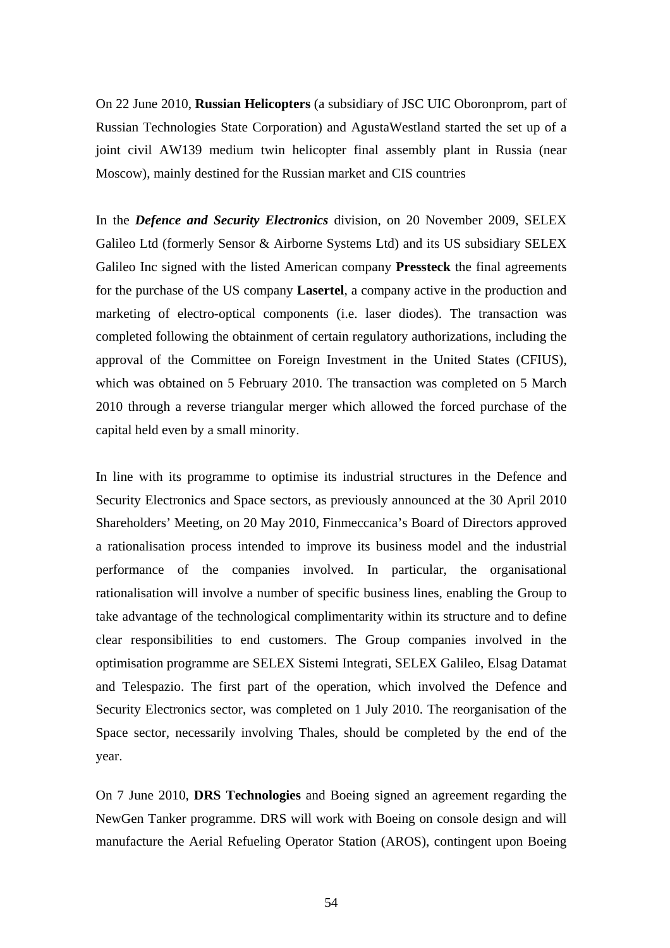On 22 June 2010, **Russian Helicopters** (a subsidiary of JSC UIC Oboronprom, part of Russian Technologies State Corporation) and AgustaWestland started the set up of a joint civil AW139 medium twin helicopter final assembly plant in Russia (near Moscow), mainly destined for the Russian market and CIS countries

In the *Defence and Security Electronics* division, on 20 November 2009, SELEX Galileo Ltd (formerly Sensor & Airborne Systems Ltd) and its US subsidiary SELEX Galileo Inc signed with the listed American company **Pressteck** the final agreements for the purchase of the US company **Lasertel**, a company active in the production and marketing of electro-optical components (i.e. laser diodes). The transaction was completed following the obtainment of certain regulatory authorizations, including the approval of the Committee on Foreign Investment in the United States (CFIUS), which was obtained on 5 February 2010. The transaction was completed on 5 March 2010 through a reverse triangular merger which allowed the forced purchase of the capital held even by a small minority.

In line with its programme to optimise its industrial structures in the Defence and Security Electronics and Space sectors, as previously announced at the 30 April 2010 Shareholders' Meeting, on 20 May 2010, Finmeccanica's Board of Directors approved a rationalisation process intended to improve its business model and the industrial performance of the companies involved. In particular, the organisational rationalisation will involve a number of specific business lines, enabling the Group to take advantage of the technological complimentarity within its structure and to define clear responsibilities to end customers. The Group companies involved in the optimisation programme are SELEX Sistemi Integrati, SELEX Galileo, Elsag Datamat and Telespazio. The first part of the operation, which involved the Defence and Security Electronics sector, was completed on 1 July 2010. The reorganisation of the Space sector, necessarily involving Thales, should be completed by the end of the year.

On 7 June 2010, **DRS Technologies** and Boeing signed an agreement regarding the NewGen Tanker programme. DRS will work with Boeing on console design and will manufacture the Aerial Refueling Operator Station (AROS), contingent upon Boeing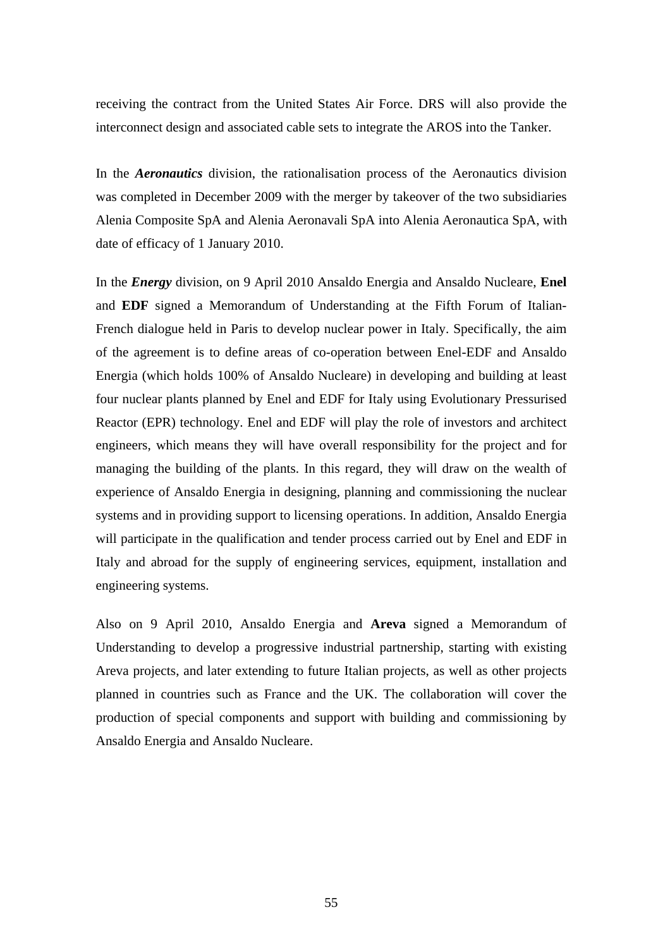receiving the contract from the United States Air Force. DRS will also provide the interconnect design and associated cable sets to integrate the AROS into the Tanker.

In the *Aeronautics* division, the rationalisation process of the Aeronautics division was completed in December 2009 with the merger by takeover of the two subsidiaries Alenia Composite SpA and Alenia Aeronavali SpA into Alenia Aeronautica SpA, with date of efficacy of 1 January 2010.

In the *Energy* division, on 9 April 2010 Ansaldo Energia and Ansaldo Nucleare, **Enel** and **EDF** signed a Memorandum of Understanding at the Fifth Forum of Italian-French dialogue held in Paris to develop nuclear power in Italy. Specifically, the aim of the agreement is to define areas of co-operation between Enel-EDF and Ansaldo Energia (which holds 100% of Ansaldo Nucleare) in developing and building at least four nuclear plants planned by Enel and EDF for Italy using Evolutionary Pressurised Reactor (EPR) technology. Enel and EDF will play the role of investors and architect engineers, which means they will have overall responsibility for the project and for managing the building of the plants. In this regard, they will draw on the wealth of experience of Ansaldo Energia in designing, planning and commissioning the nuclear systems and in providing support to licensing operations. In addition, Ansaldo Energia will participate in the qualification and tender process carried out by Enel and EDF in Italy and abroad for the supply of engineering services, equipment, installation and engineering systems.

Also on 9 April 2010, Ansaldo Energia and **Areva** signed a Memorandum of Understanding to develop a progressive industrial partnership, starting with existing Areva projects, and later extending to future Italian projects, as well as other projects planned in countries such as France and the UK. The collaboration will cover the production of special components and support with building and commissioning by Ansaldo Energia and Ansaldo Nucleare.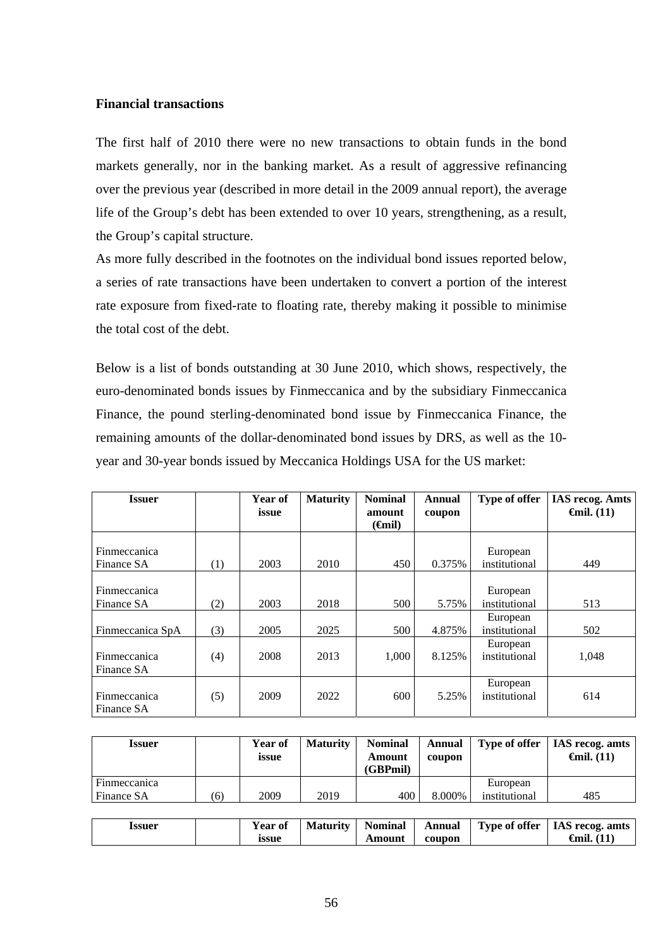## **Financial transactions**

The first half of 2010 there were no new transactions to obtain funds in the bond markets generally, nor in the banking market. As a result of aggressive refinancing over the previous year (described in more detail in the 2009 annual report), the average life of the Group's debt has been extended to over 10 years, strengthening, as a result, the Group's capital structure.

As more fully described in the footnotes on the individual bond issues reported below, a series of rate transactions have been undertaken to convert a portion of the interest rate exposure from fixed-rate to floating rate, thereby making it possible to minimise the total cost of the debt.

Below is a list of bonds outstanding at 30 June 2010, which shows, respectively, the euro-denominated bonds issues by Finmeccanica and by the subsidiary Finmeccanica Finance, the pound sterling-denominated bond issue by Finmeccanica Finance, the remaining amounts of the dollar-denominated bond issues by DRS, as well as the 10 year and 30-year bonds issued by Meccanica Holdings USA for the US market:

| <b>Issuer</b>                     |     | Year of<br>issue | <b>Maturity</b> | <b>Nominal</b><br>amount<br>( <del>C</del> inil) | <b>Annual</b><br>coupon | Type of offer             | <b>IAS recog. Amts</b><br>$\epsilon$ mil. (11) |
|-----------------------------------|-----|------------------|-----------------|--------------------------------------------------|-------------------------|---------------------------|------------------------------------------------|
| <b>Finmeccanica</b><br>Finance SA | (1) | 2003             | 2010            | 450                                              | 0.375%                  | European<br>institutional | 449                                            |
| Finmeccanica<br>Finance SA        | (2) | 2003             | 2018            | 500                                              | 5.75%                   | European<br>institutional | 513                                            |
| Finmeccanica SpA                  | (3) | 2005             | 2025            | 500                                              | 4.875%                  | European<br>institutional | 502                                            |
| Finmeccanica<br>Finance SA        | (4) | 2008             | 2013            | 1,000                                            | 8.125%                  | European<br>institutional | 1,048                                          |
| Finmeccanica<br>Finance SA        | (5) | 2009             | 2022            | 600                                              | 5.25%                   | European<br>institutional | 614                                            |

| <b>Issuer</b>                     |     | Year of<br>issue | <b>Maturity</b> | <b>Nominal</b><br>Amount<br>(GBPmil) | Annual<br>coupon | Type of offer             | <b>IAS</b> recog. amts<br>$\epsilon$ mil. (11) |
|-----------------------------------|-----|------------------|-----------------|--------------------------------------|------------------|---------------------------|------------------------------------------------|
| Finmeccanica<br><b>Finance SA</b> | (6) | 2009             | 2019            | 400                                  | 8.000%           | European<br>institutional | 485                                            |
|                                   |     |                  |                 |                                      |                  |                           |                                                |

| issuer | Year of | <b>Maturity</b> | <b>Nominal</b> | Annual | Type of offer   IAS recog. amts |
|--------|---------|-----------------|----------------|--------|---------------------------------|
|        | issue   |                 | Amount         | coupon | <b>€</b> mil. (11               |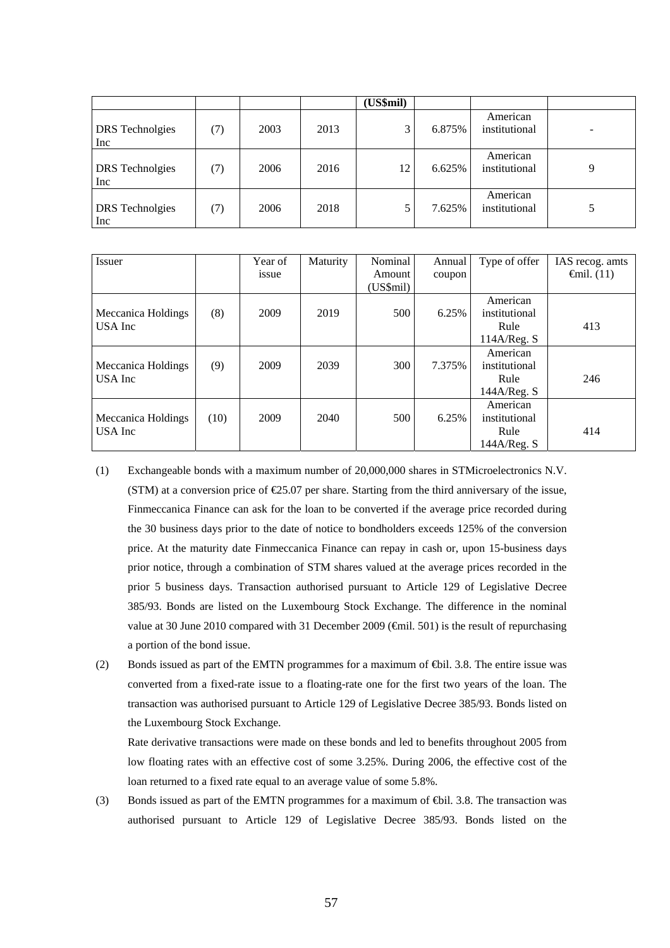|                                      |     |      |      | (US\$mil) |        |                           |   |
|--------------------------------------|-----|------|------|-----------|--------|---------------------------|---|
| <b>DRS</b> Technolgies<br>Inc        | (7) | 2003 | 2013 | 3         | 6.875% | American<br>institutional |   |
| <b>DRS</b> Technolgies<br><b>Inc</b> | (7) | 2006 | 2016 | 12        | 6.625% | American<br>institutional | 9 |
| <b>DRS</b> Technolgies<br>Inc        | (7) | 2006 | 2018 |           | 7.625% | American<br>institutional | 5 |

| <b>Issuer</b>      |      | Year of | Maturity | Nominal   | Annual | Type of offer | IAS recog. amts      |
|--------------------|------|---------|----------|-----------|--------|---------------|----------------------|
|                    |      | issue   |          | Amount    | coupon |               | $\epsilon$ mil. (11) |
|                    |      |         |          | (US\$mil) |        |               |                      |
|                    |      |         |          |           |        | American      |                      |
| Meccanica Holdings | (8)  | 2009    | 2019     | 500       | 6.25%  | institutional |                      |
| USA Inc            |      |         |          |           |        | Rule          | 413                  |
|                    |      |         |          |           |        | 114A/Reg. S   |                      |
|                    |      |         |          |           |        | American      |                      |
| Meccanica Holdings | (9)  | 2009    | 2039     | 300       | 7.375% | institutional |                      |
| USA Inc            |      |         |          |           |        | Rule          | 246                  |
|                    |      |         |          |           |        | 144A/Reg. S   |                      |
|                    |      |         |          |           |        | American      |                      |
| Meccanica Holdings | (10) | 2009    | 2040     | 500       | 6.25%  | institutional |                      |
| USA Inc            |      |         |          |           |        | Rule          | 414                  |
|                    |      |         |          |           |        | 144A/Reg. S   |                      |

- (1) Exchangeable bonds with a maximum number of 20,000,000 shares in STMicroelectronics N.V. (STM) at a conversion price of  $\epsilon$ 25.07 per share. Starting from the third anniversary of the issue, Finmeccanica Finance can ask for the loan to be converted if the average price recorded during the 30 business days prior to the date of notice to bondholders exceeds 125% of the conversion price. At the maturity date Finmeccanica Finance can repay in cash or, upon 15-business days prior notice, through a combination of STM shares valued at the average prices recorded in the prior 5 business days. Transaction authorised pursuant to Article 129 of Legislative Decree 385/93. Bonds are listed on the Luxembourg Stock Exchange. The difference in the nominal value at 30 June 2010 compared with 31 December 2009 ( $\widehat{\text{f}}$ mil. 501) is the result of repurchasing a portion of the bond issue.
- (2) Bonds issued as part of the EMTN programmes for a maximum of €bil. 3.8. The entire issue was converted from a fixed-rate issue to a floating-rate one for the first two years of the loan. The transaction was authorised pursuant to Article 129 of Legislative Decree 385/93. Bonds listed on the Luxembourg Stock Exchange.

Rate derivative transactions were made on these bonds and led to benefits throughout 2005 from low floating rates with an effective cost of some 3.25%. During 2006, the effective cost of the loan returned to a fixed rate equal to an average value of some 5.8%.

(3) Bonds issued as part of the EMTN programmes for a maximum of €bil. 3.8. The transaction was authorised pursuant to Article 129 of Legislative Decree 385/93. Bonds listed on the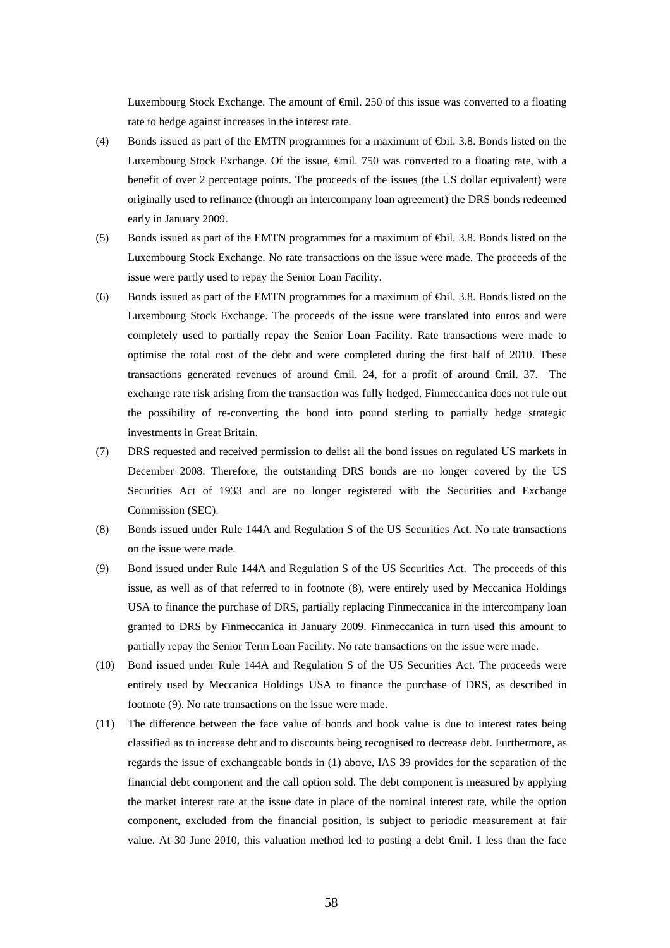Luxembourg Stock Exchange. The amount of €mil. 250 of this issue was converted to a floating rate to hedge against increases in the interest rate.

- (4) Bonds issued as part of the EMTN programmes for a maximum of €bil. 3.8. Bonds listed on the Luxembourg Stock Exchange. Of the issue, €mil. 750 was converted to a floating rate, with a benefit of over 2 percentage points. The proceeds of the issues (the US dollar equivalent) were originally used to refinance (through an intercompany loan agreement) the DRS bonds redeemed early in January 2009.
- (5) Bonds issued as part of the EMTN programmes for a maximum of €bil. 3.8. Bonds listed on the Luxembourg Stock Exchange. No rate transactions on the issue were made. The proceeds of the issue were partly used to repay the Senior Loan Facility.
- (6) Bonds issued as part of the EMTN programmes for a maximum of €bil. 3.8. Bonds listed on the Luxembourg Stock Exchange. The proceeds of the issue were translated into euros and were completely used to partially repay the Senior Loan Facility. Rate transactions were made to optimise the total cost of the debt and were completed during the first half of 2010. These transactions generated revenues of around €mil. 24, for a profit of around €mil. 37. The exchange rate risk arising from the transaction was fully hedged. Finmeccanica does not rule out the possibility of re-converting the bond into pound sterling to partially hedge strategic investments in Great Britain.
- (7) DRS requested and received permission to delist all the bond issues on regulated US markets in December 2008. Therefore, the outstanding DRS bonds are no longer covered by the US Securities Act of 1933 and are no longer registered with the Securities and Exchange Commission (SEC).
- (8) Bonds issued under Rule 144A and Regulation S of the US Securities Act. No rate transactions on the issue were made.
- (9) Bond issued under Rule 144A and Regulation S of the US Securities Act. The proceeds of this issue, as well as of that referred to in footnote (8), were entirely used by Meccanica Holdings USA to finance the purchase of DRS, partially replacing Finmeccanica in the intercompany loan granted to DRS by Finmeccanica in January 2009. Finmeccanica in turn used this amount to partially repay the Senior Term Loan Facility. No rate transactions on the issue were made.
- (10) Bond issued under Rule 144A and Regulation S of the US Securities Act. The proceeds were entirely used by Meccanica Holdings USA to finance the purchase of DRS, as described in footnote (9). No rate transactions on the issue were made.
- (11) The difference between the face value of bonds and book value is due to interest rates being classified as to increase debt and to discounts being recognised to decrease debt. Furthermore, as regards the issue of exchangeable bonds in (1) above, IAS 39 provides for the separation of the financial debt component and the call option sold. The debt component is measured by applying the market interest rate at the issue date in place of the nominal interest rate, while the option component, excluded from the financial position, is subject to periodic measurement at fair value. At 30 June 2010, this valuation method led to posting a debt €mil. 1 less than the face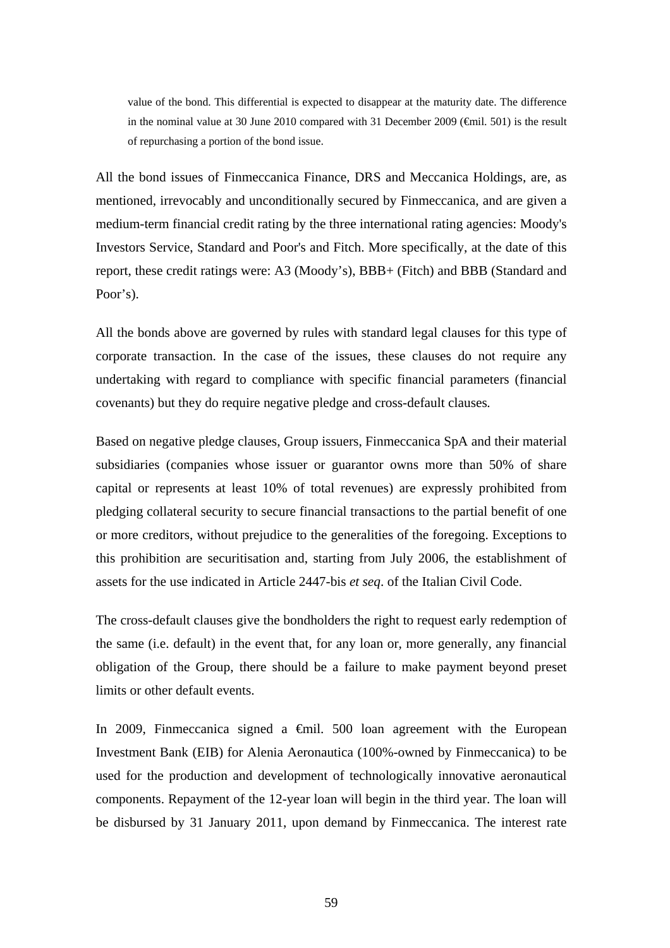value of the bond. This differential is expected to disappear at the maturity date. The difference in the nominal value at 30 June 2010 compared with 31 December 2009 ( $\bigoplus$ il. 501) is the result of repurchasing a portion of the bond issue.

All the bond issues of Finmeccanica Finance, DRS and Meccanica Holdings, are, as mentioned, irrevocably and unconditionally secured by Finmeccanica, and are given a medium-term financial credit rating by the three international rating agencies: Moody's Investors Service, Standard and Poor's and Fitch. More specifically, at the date of this report, these credit ratings were: A3 (Moody's), BBB+ (Fitch) and BBB (Standard and Poor's).

All the bonds above are governed by rules with standard legal clauses for this type of corporate transaction. In the case of the issues, these clauses do not require any undertaking with regard to compliance with specific financial parameters (financial covenants) but they do require negative pledge and cross-default clauses*.*

Based on negative pledge clauses, Group issuers, Finmeccanica SpA and their material subsidiaries (companies whose issuer or guarantor owns more than 50% of share capital or represents at least 10% of total revenues) are expressly prohibited from pledging collateral security to secure financial transactions to the partial benefit of one or more creditors, without prejudice to the generalities of the foregoing. Exceptions to this prohibition are securitisation and, starting from July 2006, the establishment of assets for the use indicated in Article 2447-bis *et seq*. of the Italian Civil Code.

The cross-default clauses give the bondholders the right to request early redemption of the same (i.e. default) in the event that, for any loan or, more generally, any financial obligation of the Group, there should be a failure to make payment beyond preset limits or other default events.

In 2009, Finmeccanica signed a  $\epsilon$ mil. 500 loan agreement with the European Investment Bank (EIB) for Alenia Aeronautica (100%-owned by Finmeccanica) to be used for the production and development of technologically innovative aeronautical components. Repayment of the 12-year loan will begin in the third year. The loan will be disbursed by 31 January 2011, upon demand by Finmeccanica. The interest rate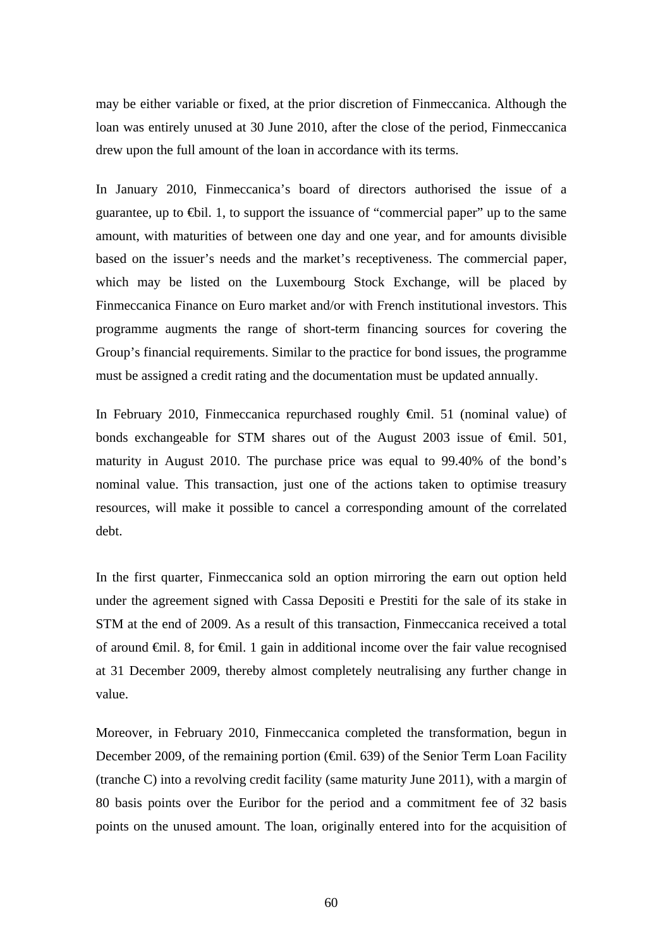may be either variable or fixed, at the prior discretion of Finmeccanica. Although the loan was entirely unused at 30 June 2010, after the close of the period, Finmeccanica drew upon the full amount of the loan in accordance with its terms.

In January 2010, Finmeccanica's board of directors authorised the issue of a guarantee, up to  $\bigoplus$ il. 1, to support the issuance of "commercial paper" up to the same amount, with maturities of between one day and one year, and for amounts divisible based on the issuer's needs and the market's receptiveness. The commercial paper, which may be listed on the Luxembourg Stock Exchange, will be placed by Finmeccanica Finance on Euro market and/or with French institutional investors. This programme augments the range of short-term financing sources for covering the Group's financial requirements. Similar to the practice for bond issues, the programme must be assigned a credit rating and the documentation must be updated annually.

In February 2010, Finmeccanica repurchased roughly €mil. 51 (nominal value) of bonds exchangeable for STM shares out of the August 2003 issue of  $\epsilon$ mil. 501, maturity in August 2010. The purchase price was equal to 99.40% of the bond's nominal value. This transaction, just one of the actions taken to optimise treasury resources, will make it possible to cancel a corresponding amount of the correlated debt.

In the first quarter, Finmeccanica sold an option mirroring the earn out option held under the agreement signed with Cassa Depositi e Prestiti for the sale of its stake in STM at the end of 2009. As a result of this transaction, Finmeccanica received a total of around  $\oplus$ mil. 8, for  $\oplus$ mil. 1 gain in additional income over the fair value recognised at 31 December 2009, thereby almost completely neutralising any further change in value.

Moreover, in February 2010, Finmeccanica completed the transformation, begun in December 2009, of the remaining portion (€mil. 639) of the Senior Term Loan Facility (tranche C) into a revolving credit facility (same maturity June 2011), with a margin of 80 basis points over the Euribor for the period and a commitment fee of 32 basis points on the unused amount. The loan, originally entered into for the acquisition of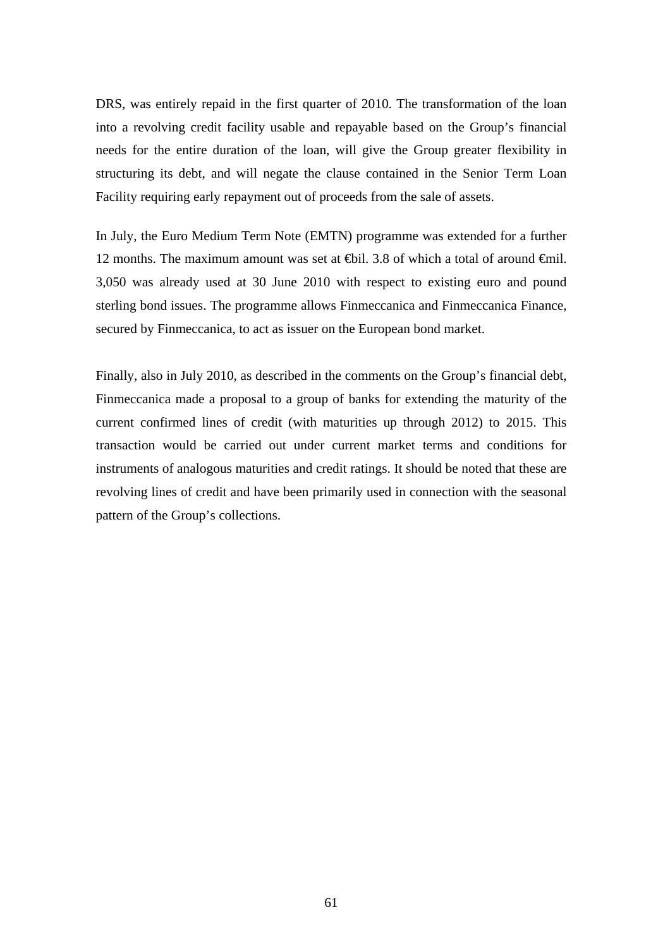DRS, was entirely repaid in the first quarter of 2010. The transformation of the loan into a revolving credit facility usable and repayable based on the Group's financial needs for the entire duration of the loan, will give the Group greater flexibility in structuring its debt, and will negate the clause contained in the Senior Term Loan Facility requiring early repayment out of proceeds from the sale of assets.

In July, the Euro Medium Term Note (EMTN) programme was extended for a further 12 months. The maximum amount was set at  $\bigoplus$  il. 3.8 of which a total of around  $\bigoplus$  il. 3,050 was already used at 30 June 2010 with respect to existing euro and pound sterling bond issues. The programme allows Finmeccanica and Finmeccanica Finance, secured by Finmeccanica, to act as issuer on the European bond market.

Finally, also in July 2010, as described in the comments on the Group's financial debt, Finmeccanica made a proposal to a group of banks for extending the maturity of the current confirmed lines of credit (with maturities up through 2012) to 2015. This transaction would be carried out under current market terms and conditions for instruments of analogous maturities and credit ratings. It should be noted that these are revolving lines of credit and have been primarily used in connection with the seasonal pattern of the Group's collections.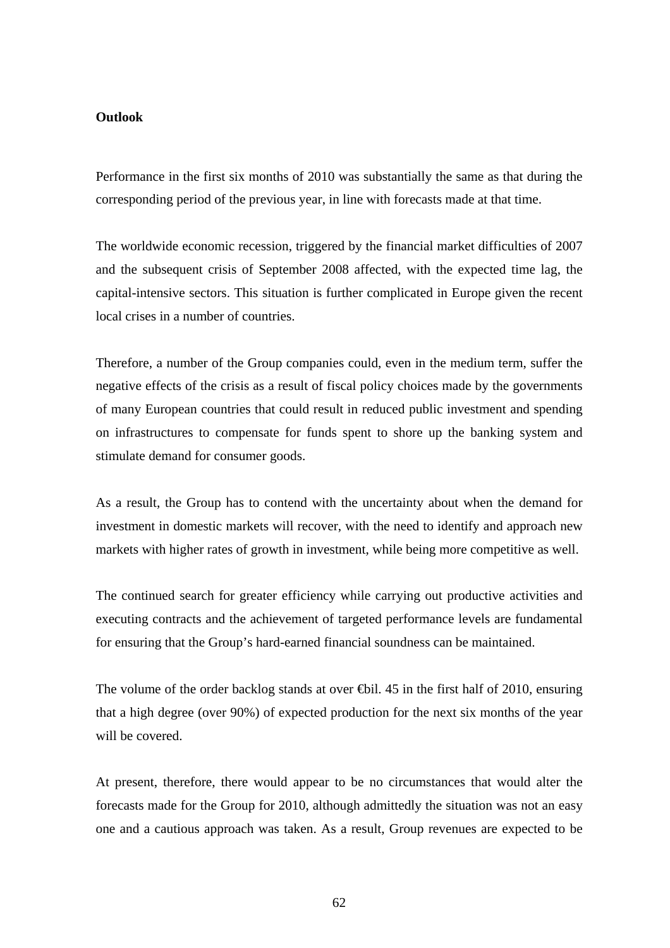#### **Outlook**

Performance in the first six months of 2010 was substantially the same as that during the corresponding period of the previous year, in line with forecasts made at that time.

The worldwide economic recession, triggered by the financial market difficulties of 2007 and the subsequent crisis of September 2008 affected, with the expected time lag, the capital-intensive sectors. This situation is further complicated in Europe given the recent local crises in a number of countries.

Therefore, a number of the Group companies could, even in the medium term, suffer the negative effects of the crisis as a result of fiscal policy choices made by the governments of many European countries that could result in reduced public investment and spending on infrastructures to compensate for funds spent to shore up the banking system and stimulate demand for consumer goods.

As a result, the Group has to contend with the uncertainty about when the demand for investment in domestic markets will recover, with the need to identify and approach new markets with higher rates of growth in investment, while being more competitive as well.

The continued search for greater efficiency while carrying out productive activities and executing contracts and the achievement of targeted performance levels are fundamental for ensuring that the Group's hard-earned financial soundness can be maintained.

The volume of the order backlog stands at over  $\Theta$ il. 45 in the first half of 2010, ensuring that a high degree (over 90%) of expected production for the next six months of the year will be covered.

At present, therefore, there would appear to be no circumstances that would alter the forecasts made for the Group for 2010, although admittedly the situation was not an easy one and a cautious approach was taken. As a result, Group revenues are expected to be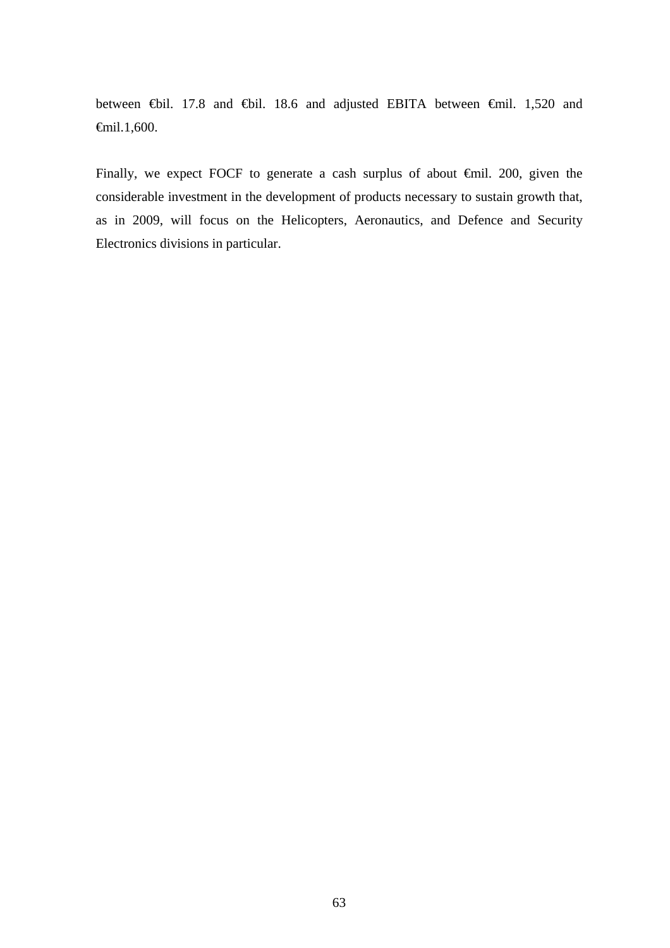between €bil. 17.8 and €bil. 18.6 and adjusted EBITA between €mil. 1,520 and €mil.1,600.

Finally, we expect FOCF to generate a cash surplus of about €mil. 200, given the considerable investment in the development of products necessary to sustain growth that, as in 2009, will focus on the Helicopters, Aeronautics, and Defence and Security Electronics divisions in particular.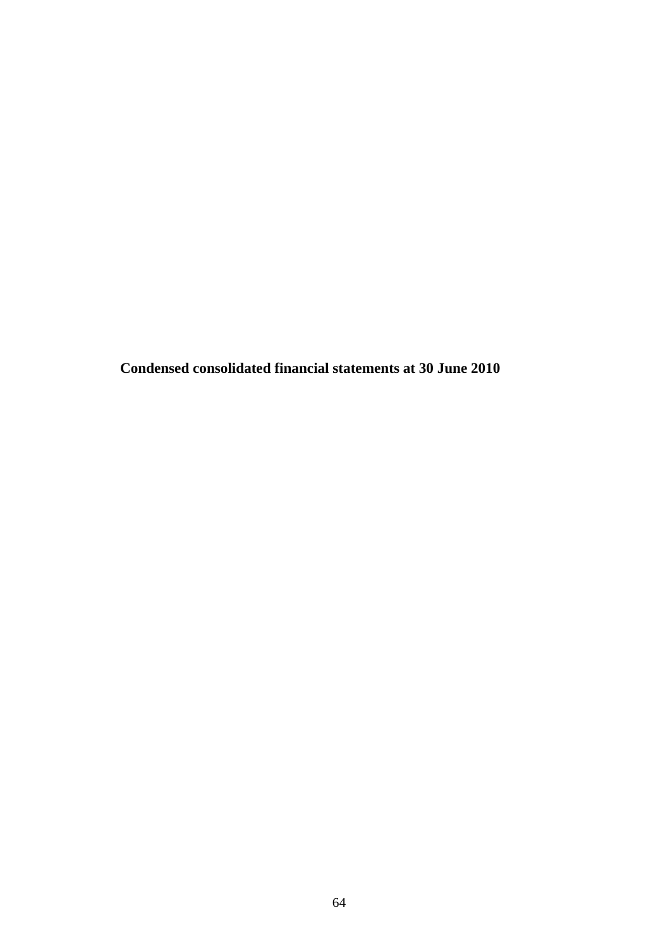**Condensed consolidated financial statements at 30 June 2010**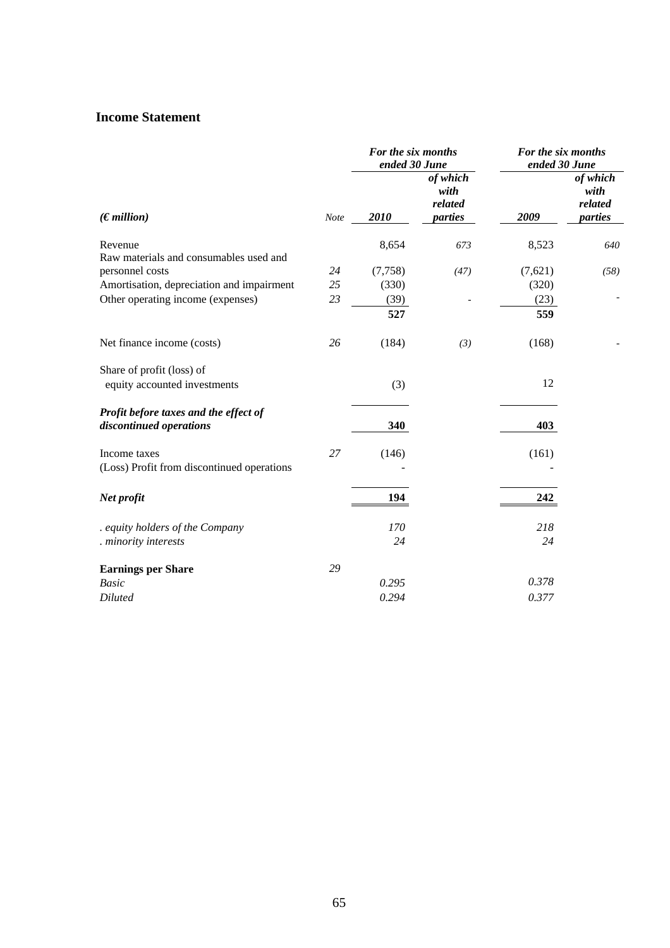## **Income Statement**

|                                                                  |      | For the six months<br>ended 30 June |                                        | For the six months<br>ended 30 June |                                        |  |
|------------------------------------------------------------------|------|-------------------------------------|----------------------------------------|-------------------------------------|----------------------------------------|--|
| (Emillion)                                                       | Note | 2010                                | of which<br>with<br>related<br>parties | 2009                                | of which<br>with<br>related<br>parties |  |
| Revenue                                                          |      | 8,654                               | 673                                    | 8,523                               | 640                                    |  |
| Raw materials and consumables used and                           |      |                                     |                                        |                                     |                                        |  |
| personnel costs                                                  | 24   | (7,758)                             | (47)                                   | (7,621)                             | (58)                                   |  |
| Amortisation, depreciation and impairment                        | 25   | (330)                               |                                        | (320)                               |                                        |  |
| Other operating income (expenses)                                | 23   | (39)                                |                                        | (23)                                |                                        |  |
|                                                                  |      | 527                                 |                                        | 559                                 |                                        |  |
| Net finance income (costs)                                       | 26   | (184)                               | (3)                                    | (168)                               |                                        |  |
| Share of profit (loss) of                                        |      |                                     |                                        |                                     |                                        |  |
| equity accounted investments                                     |      | (3)                                 |                                        | 12                                  |                                        |  |
| Profit before taxes and the effect of<br>discontinued operations |      | 340                                 |                                        | 403                                 |                                        |  |
|                                                                  |      |                                     |                                        |                                     |                                        |  |
| Income taxes                                                     | 27   | (146)                               |                                        | (161)                               |                                        |  |
| (Loss) Profit from discontinued operations                       |      |                                     |                                        |                                     |                                        |  |
| Net profit                                                       |      | 194                                 |                                        | 242                                 |                                        |  |
| . equity holders of the Company                                  |      | 170                                 |                                        | 218                                 |                                        |  |
| . minority interests                                             |      | 24                                  |                                        | 24                                  |                                        |  |
| <b>Earnings per Share</b>                                        | 29   |                                     |                                        |                                     |                                        |  |
| <b>Basic</b>                                                     |      | 0.295                               |                                        | 0.378                               |                                        |  |
| <b>Diluted</b>                                                   |      | 0.294                               |                                        | 0.377                               |                                        |  |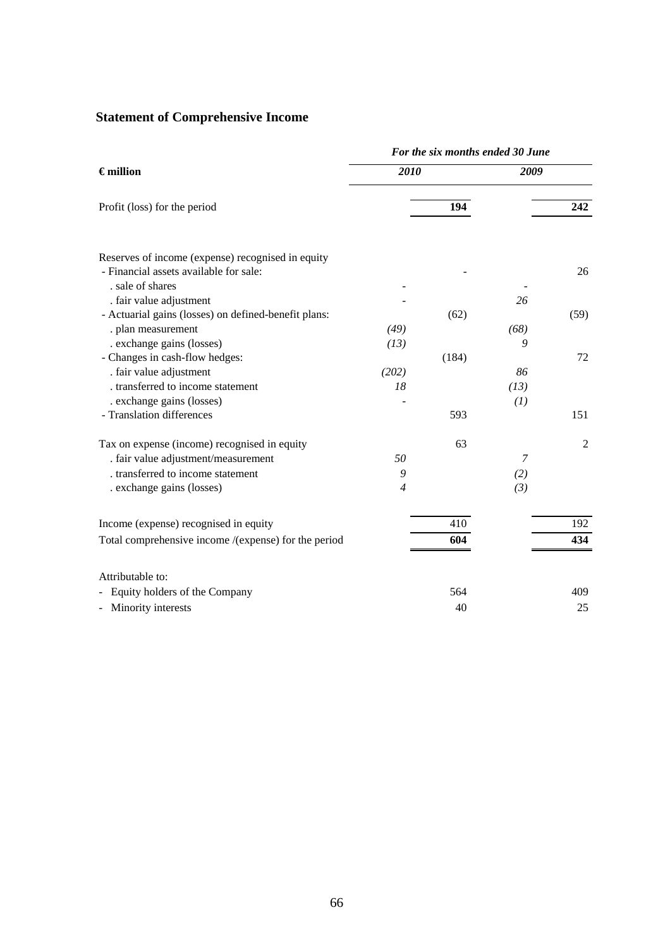# **Statement of Comprehensive Income**

|                                                              | For the six months ended 30 June |       |                |                |  |  |  |
|--------------------------------------------------------------|----------------------------------|-------|----------------|----------------|--|--|--|
| $\epsilon$ million                                           | 2010                             |       | 2009           |                |  |  |  |
| Profit (loss) for the period                                 |                                  | 194   |                | 242            |  |  |  |
| Reserves of income (expense) recognised in equity            |                                  |       |                |                |  |  |  |
| - Financial assets available for sale:                       |                                  |       |                | 26             |  |  |  |
| . sale of shares                                             |                                  |       |                |                |  |  |  |
| . fair value adjustment                                      |                                  |       | 26             |                |  |  |  |
| - Actuarial gains (losses) on defined-benefit plans:         |                                  | (62)  |                | (59)           |  |  |  |
| . plan measurement                                           | (49)                             |       | (68)           |                |  |  |  |
| . exchange gains (losses)                                    | (13)                             |       | 9              | 72             |  |  |  |
| - Changes in cash-flow hedges:                               |                                  | (184) | 86             |                |  |  |  |
| . fair value adjustment<br>. transferred to income statement | (202)<br>18                      |       | (13)           |                |  |  |  |
| . exchange gains (losses)                                    |                                  |       | (1)            |                |  |  |  |
| - Translation differences                                    |                                  | 593   |                | 151            |  |  |  |
| Tax on expense (income) recognised in equity                 |                                  | 63    |                | $\overline{2}$ |  |  |  |
| . fair value adjustment/measurement                          | 50                               |       | $\overline{7}$ |                |  |  |  |
| . transferred to income statement                            | 9                                |       | (2)            |                |  |  |  |
| . exchange gains (losses)                                    | $\overline{4}$                   |       | (3)            |                |  |  |  |
| Income (expense) recognised in equity                        |                                  | 410   |                | 192            |  |  |  |
| Total comprehensive income /(expense) for the period         |                                  | 604   |                | 434            |  |  |  |
| Attributable to:                                             |                                  |       |                |                |  |  |  |
| Equity holders of the Company                                |                                  | 564   |                | 409            |  |  |  |
| Minority interests                                           |                                  | 40    |                | 25             |  |  |  |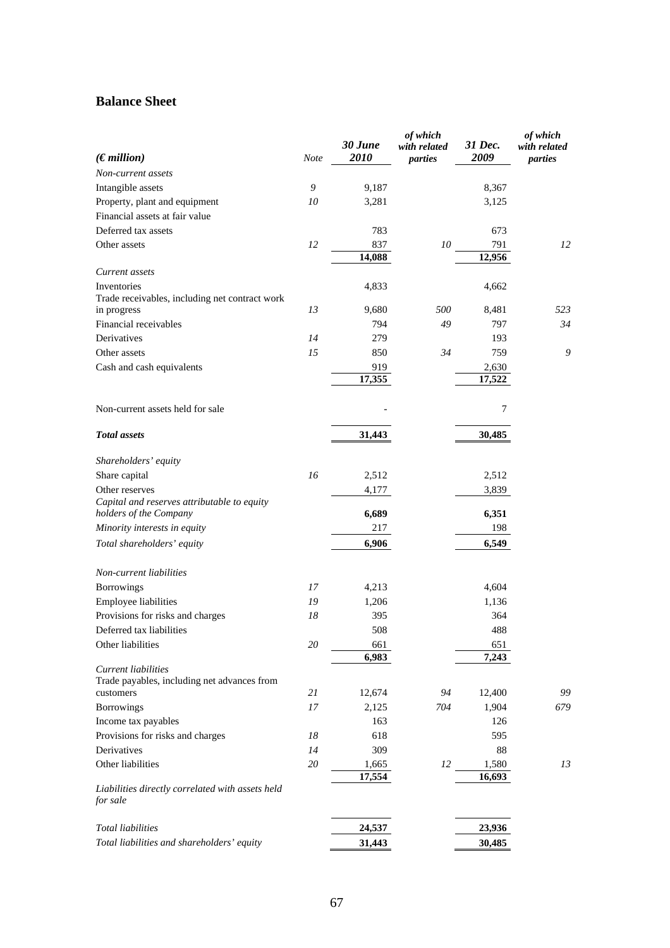## **Balance Sheet**

| (Emillion)<br>2009<br>2010<br>Note<br>parties<br>parties<br>Non-current assets<br>Intangible assets<br>9<br>9,187<br>8,367<br>Property, plant and equipment<br>10<br>3,281<br>3,125<br>Financial assets at fair value<br>Deferred tax assets<br>783<br>673<br>10<br>12<br>837<br>791<br>12<br>Other assets<br>14,088<br>12,956<br>Current assets<br>Inventories<br>4,833<br>4,662<br>Trade receivables, including net contract work<br>13<br>500<br>in progress<br>9,680<br>8,481<br>523<br>Financial receivables<br>794<br>49<br>34<br>797<br>14<br>Derivatives<br>279<br>193<br>9<br>15<br>850<br>34<br>759<br>Other assets<br>Cash and cash equivalents<br>919<br>2,630<br>17,355<br>17,522<br>Non-current assets held for sale<br>7<br><b>Total</b> assets<br>31,443<br>30,485<br>Shareholders' equity<br>Share capital<br>16<br>2,512<br>2,512<br>Other reserves<br>4,177<br>3,839<br>Capital and reserves attributable to equity<br>6,689<br>6,351<br>holders of the Company<br>Minority interests in equity<br>217<br>198<br>6,906<br>6,549<br>Total shareholders' equity<br>Non-current liabilities<br>Borrowings<br>4,213<br>4,604<br>17<br>Employee liabilities<br>19<br>1,206<br>1,136<br>Provisions for risks and charges<br>18<br>395<br>364<br>Deferred tax liabilities<br>508<br>488<br>Other liabilities<br>20<br>661<br>651<br>6,983<br>7,243<br>Current liabilities<br>Trade payables, including net advances from<br>21<br>12,674<br>94<br>12,400<br>99<br>customers<br>Borrowings<br>17<br>2,125<br>704<br>1,904<br>679<br>Income tax payables<br>163<br>126<br>Provisions for risks and charges<br>618<br>595<br>18<br>Derivatives<br>14<br>309<br>88<br>Other liabilities<br>20<br>12<br>13<br>1,665<br>1,580<br>17,554<br>16,693<br>Liabilities directly correlated with assets held<br>for sale<br><b>Total liabilities</b><br>24,537<br>23,936<br>Total liabilities and shareholders' equity<br>31,443<br>30,485 |  | 30 June | of which<br>with related | 31 Dec. | of which<br>with related |
|-------------------------------------------------------------------------------------------------------------------------------------------------------------------------------------------------------------------------------------------------------------------------------------------------------------------------------------------------------------------------------------------------------------------------------------------------------------------------------------------------------------------------------------------------------------------------------------------------------------------------------------------------------------------------------------------------------------------------------------------------------------------------------------------------------------------------------------------------------------------------------------------------------------------------------------------------------------------------------------------------------------------------------------------------------------------------------------------------------------------------------------------------------------------------------------------------------------------------------------------------------------------------------------------------------------------------------------------------------------------------------------------------------------------------------------------------------------------------------------------------------------------------------------------------------------------------------------------------------------------------------------------------------------------------------------------------------------------------------------------------------------------------------------------------------------------------------------------------------------------------------------------------------------------------------------------|--|---------|--------------------------|---------|--------------------------|
|                                                                                                                                                                                                                                                                                                                                                                                                                                                                                                                                                                                                                                                                                                                                                                                                                                                                                                                                                                                                                                                                                                                                                                                                                                                                                                                                                                                                                                                                                                                                                                                                                                                                                                                                                                                                                                                                                                                                           |  |         |                          |         |                          |
|                                                                                                                                                                                                                                                                                                                                                                                                                                                                                                                                                                                                                                                                                                                                                                                                                                                                                                                                                                                                                                                                                                                                                                                                                                                                                                                                                                                                                                                                                                                                                                                                                                                                                                                                                                                                                                                                                                                                           |  |         |                          |         |                          |
|                                                                                                                                                                                                                                                                                                                                                                                                                                                                                                                                                                                                                                                                                                                                                                                                                                                                                                                                                                                                                                                                                                                                                                                                                                                                                                                                                                                                                                                                                                                                                                                                                                                                                                                                                                                                                                                                                                                                           |  |         |                          |         |                          |
|                                                                                                                                                                                                                                                                                                                                                                                                                                                                                                                                                                                                                                                                                                                                                                                                                                                                                                                                                                                                                                                                                                                                                                                                                                                                                                                                                                                                                                                                                                                                                                                                                                                                                                                                                                                                                                                                                                                                           |  |         |                          |         |                          |
|                                                                                                                                                                                                                                                                                                                                                                                                                                                                                                                                                                                                                                                                                                                                                                                                                                                                                                                                                                                                                                                                                                                                                                                                                                                                                                                                                                                                                                                                                                                                                                                                                                                                                                                                                                                                                                                                                                                                           |  |         |                          |         |                          |
|                                                                                                                                                                                                                                                                                                                                                                                                                                                                                                                                                                                                                                                                                                                                                                                                                                                                                                                                                                                                                                                                                                                                                                                                                                                                                                                                                                                                                                                                                                                                                                                                                                                                                                                                                                                                                                                                                                                                           |  |         |                          |         |                          |
|                                                                                                                                                                                                                                                                                                                                                                                                                                                                                                                                                                                                                                                                                                                                                                                                                                                                                                                                                                                                                                                                                                                                                                                                                                                                                                                                                                                                                                                                                                                                                                                                                                                                                                                                                                                                                                                                                                                                           |  |         |                          |         |                          |
|                                                                                                                                                                                                                                                                                                                                                                                                                                                                                                                                                                                                                                                                                                                                                                                                                                                                                                                                                                                                                                                                                                                                                                                                                                                                                                                                                                                                                                                                                                                                                                                                                                                                                                                                                                                                                                                                                                                                           |  |         |                          |         |                          |
|                                                                                                                                                                                                                                                                                                                                                                                                                                                                                                                                                                                                                                                                                                                                                                                                                                                                                                                                                                                                                                                                                                                                                                                                                                                                                                                                                                                                                                                                                                                                                                                                                                                                                                                                                                                                                                                                                                                                           |  |         |                          |         |                          |
|                                                                                                                                                                                                                                                                                                                                                                                                                                                                                                                                                                                                                                                                                                                                                                                                                                                                                                                                                                                                                                                                                                                                                                                                                                                                                                                                                                                                                                                                                                                                                                                                                                                                                                                                                                                                                                                                                                                                           |  |         |                          |         |                          |
|                                                                                                                                                                                                                                                                                                                                                                                                                                                                                                                                                                                                                                                                                                                                                                                                                                                                                                                                                                                                                                                                                                                                                                                                                                                                                                                                                                                                                                                                                                                                                                                                                                                                                                                                                                                                                                                                                                                                           |  |         |                          |         |                          |
|                                                                                                                                                                                                                                                                                                                                                                                                                                                                                                                                                                                                                                                                                                                                                                                                                                                                                                                                                                                                                                                                                                                                                                                                                                                                                                                                                                                                                                                                                                                                                                                                                                                                                                                                                                                                                                                                                                                                           |  |         |                          |         |                          |
|                                                                                                                                                                                                                                                                                                                                                                                                                                                                                                                                                                                                                                                                                                                                                                                                                                                                                                                                                                                                                                                                                                                                                                                                                                                                                                                                                                                                                                                                                                                                                                                                                                                                                                                                                                                                                                                                                                                                           |  |         |                          |         |                          |
|                                                                                                                                                                                                                                                                                                                                                                                                                                                                                                                                                                                                                                                                                                                                                                                                                                                                                                                                                                                                                                                                                                                                                                                                                                                                                                                                                                                                                                                                                                                                                                                                                                                                                                                                                                                                                                                                                                                                           |  |         |                          |         |                          |
|                                                                                                                                                                                                                                                                                                                                                                                                                                                                                                                                                                                                                                                                                                                                                                                                                                                                                                                                                                                                                                                                                                                                                                                                                                                                                                                                                                                                                                                                                                                                                                                                                                                                                                                                                                                                                                                                                                                                           |  |         |                          |         |                          |
|                                                                                                                                                                                                                                                                                                                                                                                                                                                                                                                                                                                                                                                                                                                                                                                                                                                                                                                                                                                                                                                                                                                                                                                                                                                                                                                                                                                                                                                                                                                                                                                                                                                                                                                                                                                                                                                                                                                                           |  |         |                          |         |                          |
|                                                                                                                                                                                                                                                                                                                                                                                                                                                                                                                                                                                                                                                                                                                                                                                                                                                                                                                                                                                                                                                                                                                                                                                                                                                                                                                                                                                                                                                                                                                                                                                                                                                                                                                                                                                                                                                                                                                                           |  |         |                          |         |                          |
|                                                                                                                                                                                                                                                                                                                                                                                                                                                                                                                                                                                                                                                                                                                                                                                                                                                                                                                                                                                                                                                                                                                                                                                                                                                                                                                                                                                                                                                                                                                                                                                                                                                                                                                                                                                                                                                                                                                                           |  |         |                          |         |                          |
|                                                                                                                                                                                                                                                                                                                                                                                                                                                                                                                                                                                                                                                                                                                                                                                                                                                                                                                                                                                                                                                                                                                                                                                                                                                                                                                                                                                                                                                                                                                                                                                                                                                                                                                                                                                                                                                                                                                                           |  |         |                          |         |                          |
|                                                                                                                                                                                                                                                                                                                                                                                                                                                                                                                                                                                                                                                                                                                                                                                                                                                                                                                                                                                                                                                                                                                                                                                                                                                                                                                                                                                                                                                                                                                                                                                                                                                                                                                                                                                                                                                                                                                                           |  |         |                          |         |                          |
|                                                                                                                                                                                                                                                                                                                                                                                                                                                                                                                                                                                                                                                                                                                                                                                                                                                                                                                                                                                                                                                                                                                                                                                                                                                                                                                                                                                                                                                                                                                                                                                                                                                                                                                                                                                                                                                                                                                                           |  |         |                          |         |                          |
|                                                                                                                                                                                                                                                                                                                                                                                                                                                                                                                                                                                                                                                                                                                                                                                                                                                                                                                                                                                                                                                                                                                                                                                                                                                                                                                                                                                                                                                                                                                                                                                                                                                                                                                                                                                                                                                                                                                                           |  |         |                          |         |                          |
|                                                                                                                                                                                                                                                                                                                                                                                                                                                                                                                                                                                                                                                                                                                                                                                                                                                                                                                                                                                                                                                                                                                                                                                                                                                                                                                                                                                                                                                                                                                                                                                                                                                                                                                                                                                                                                                                                                                                           |  |         |                          |         |                          |
|                                                                                                                                                                                                                                                                                                                                                                                                                                                                                                                                                                                                                                                                                                                                                                                                                                                                                                                                                                                                                                                                                                                                                                                                                                                                                                                                                                                                                                                                                                                                                                                                                                                                                                                                                                                                                                                                                                                                           |  |         |                          |         |                          |
|                                                                                                                                                                                                                                                                                                                                                                                                                                                                                                                                                                                                                                                                                                                                                                                                                                                                                                                                                                                                                                                                                                                                                                                                                                                                                                                                                                                                                                                                                                                                                                                                                                                                                                                                                                                                                                                                                                                                           |  |         |                          |         |                          |
|                                                                                                                                                                                                                                                                                                                                                                                                                                                                                                                                                                                                                                                                                                                                                                                                                                                                                                                                                                                                                                                                                                                                                                                                                                                                                                                                                                                                                                                                                                                                                                                                                                                                                                                                                                                                                                                                                                                                           |  |         |                          |         |                          |
|                                                                                                                                                                                                                                                                                                                                                                                                                                                                                                                                                                                                                                                                                                                                                                                                                                                                                                                                                                                                                                                                                                                                                                                                                                                                                                                                                                                                                                                                                                                                                                                                                                                                                                                                                                                                                                                                                                                                           |  |         |                          |         |                          |
|                                                                                                                                                                                                                                                                                                                                                                                                                                                                                                                                                                                                                                                                                                                                                                                                                                                                                                                                                                                                                                                                                                                                                                                                                                                                                                                                                                                                                                                                                                                                                                                                                                                                                                                                                                                                                                                                                                                                           |  |         |                          |         |                          |
|                                                                                                                                                                                                                                                                                                                                                                                                                                                                                                                                                                                                                                                                                                                                                                                                                                                                                                                                                                                                                                                                                                                                                                                                                                                                                                                                                                                                                                                                                                                                                                                                                                                                                                                                                                                                                                                                                                                                           |  |         |                          |         |                          |
|                                                                                                                                                                                                                                                                                                                                                                                                                                                                                                                                                                                                                                                                                                                                                                                                                                                                                                                                                                                                                                                                                                                                                                                                                                                                                                                                                                                                                                                                                                                                                                                                                                                                                                                                                                                                                                                                                                                                           |  |         |                          |         |                          |
|                                                                                                                                                                                                                                                                                                                                                                                                                                                                                                                                                                                                                                                                                                                                                                                                                                                                                                                                                                                                                                                                                                                                                                                                                                                                                                                                                                                                                                                                                                                                                                                                                                                                                                                                                                                                                                                                                                                                           |  |         |                          |         |                          |
|                                                                                                                                                                                                                                                                                                                                                                                                                                                                                                                                                                                                                                                                                                                                                                                                                                                                                                                                                                                                                                                                                                                                                                                                                                                                                                                                                                                                                                                                                                                                                                                                                                                                                                                                                                                                                                                                                                                                           |  |         |                          |         |                          |
|                                                                                                                                                                                                                                                                                                                                                                                                                                                                                                                                                                                                                                                                                                                                                                                                                                                                                                                                                                                                                                                                                                                                                                                                                                                                                                                                                                                                                                                                                                                                                                                                                                                                                                                                                                                                                                                                                                                                           |  |         |                          |         |                          |
|                                                                                                                                                                                                                                                                                                                                                                                                                                                                                                                                                                                                                                                                                                                                                                                                                                                                                                                                                                                                                                                                                                                                                                                                                                                                                                                                                                                                                                                                                                                                                                                                                                                                                                                                                                                                                                                                                                                                           |  |         |                          |         |                          |
|                                                                                                                                                                                                                                                                                                                                                                                                                                                                                                                                                                                                                                                                                                                                                                                                                                                                                                                                                                                                                                                                                                                                                                                                                                                                                                                                                                                                                                                                                                                                                                                                                                                                                                                                                                                                                                                                                                                                           |  |         |                          |         |                          |
|                                                                                                                                                                                                                                                                                                                                                                                                                                                                                                                                                                                                                                                                                                                                                                                                                                                                                                                                                                                                                                                                                                                                                                                                                                                                                                                                                                                                                                                                                                                                                                                                                                                                                                                                                                                                                                                                                                                                           |  |         |                          |         |                          |
|                                                                                                                                                                                                                                                                                                                                                                                                                                                                                                                                                                                                                                                                                                                                                                                                                                                                                                                                                                                                                                                                                                                                                                                                                                                                                                                                                                                                                                                                                                                                                                                                                                                                                                                                                                                                                                                                                                                                           |  |         |                          |         |                          |
|                                                                                                                                                                                                                                                                                                                                                                                                                                                                                                                                                                                                                                                                                                                                                                                                                                                                                                                                                                                                                                                                                                                                                                                                                                                                                                                                                                                                                                                                                                                                                                                                                                                                                                                                                                                                                                                                                                                                           |  |         |                          |         |                          |
|                                                                                                                                                                                                                                                                                                                                                                                                                                                                                                                                                                                                                                                                                                                                                                                                                                                                                                                                                                                                                                                                                                                                                                                                                                                                                                                                                                                                                                                                                                                                                                                                                                                                                                                                                                                                                                                                                                                                           |  |         |                          |         |                          |
|                                                                                                                                                                                                                                                                                                                                                                                                                                                                                                                                                                                                                                                                                                                                                                                                                                                                                                                                                                                                                                                                                                                                                                                                                                                                                                                                                                                                                                                                                                                                                                                                                                                                                                                                                                                                                                                                                                                                           |  |         |                          |         |                          |
|                                                                                                                                                                                                                                                                                                                                                                                                                                                                                                                                                                                                                                                                                                                                                                                                                                                                                                                                                                                                                                                                                                                                                                                                                                                                                                                                                                                                                                                                                                                                                                                                                                                                                                                                                                                                                                                                                                                                           |  |         |                          |         |                          |
|                                                                                                                                                                                                                                                                                                                                                                                                                                                                                                                                                                                                                                                                                                                                                                                                                                                                                                                                                                                                                                                                                                                                                                                                                                                                                                                                                                                                                                                                                                                                                                                                                                                                                                                                                                                                                                                                                                                                           |  |         |                          |         |                          |
|                                                                                                                                                                                                                                                                                                                                                                                                                                                                                                                                                                                                                                                                                                                                                                                                                                                                                                                                                                                                                                                                                                                                                                                                                                                                                                                                                                                                                                                                                                                                                                                                                                                                                                                                                                                                                                                                                                                                           |  |         |                          |         |                          |
|                                                                                                                                                                                                                                                                                                                                                                                                                                                                                                                                                                                                                                                                                                                                                                                                                                                                                                                                                                                                                                                                                                                                                                                                                                                                                                                                                                                                                                                                                                                                                                                                                                                                                                                                                                                                                                                                                                                                           |  |         |                          |         |                          |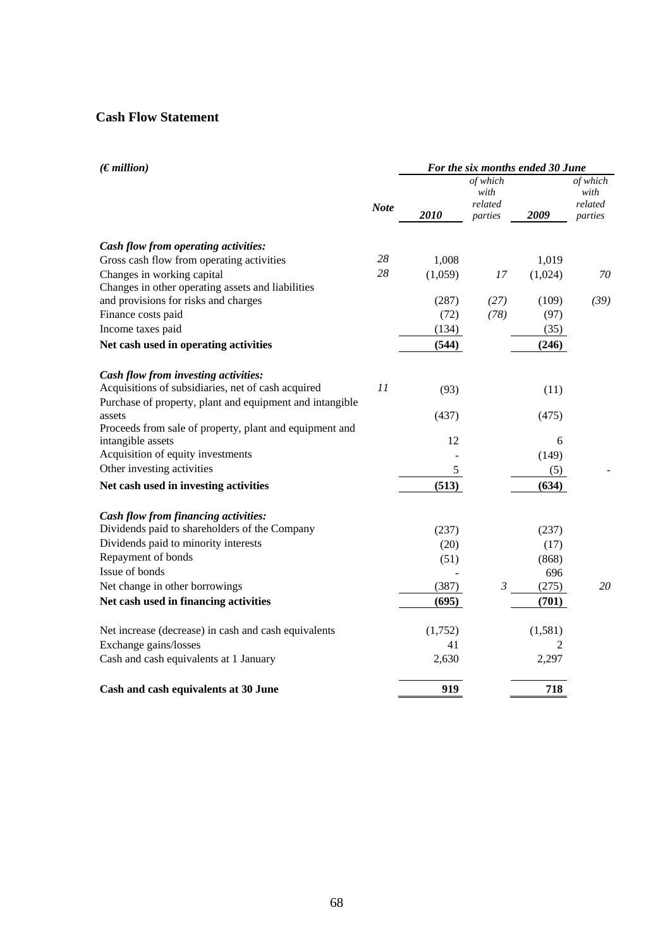## **Cash Flow Statement**

| (Emillion)                                               |             |                             |                |         | For the six months ended 30 June |  |  |  |  |
|----------------------------------------------------------|-------------|-----------------------------|----------------|---------|----------------------------------|--|--|--|--|
|                                                          | <b>Note</b> | of which<br>with<br>related |                |         | of which<br>with<br>related      |  |  |  |  |
|                                                          |             | 2010                        | parties        | 2009    | parties                          |  |  |  |  |
| Cash flow from operating activities:                     |             |                             |                |         |                                  |  |  |  |  |
| Gross cash flow from operating activities                | 28          | 1,008                       |                | 1,019   |                                  |  |  |  |  |
| Changes in working capital                               | 28          | (1,059)                     | 17             | (1,024) | 70                               |  |  |  |  |
| Changes in other operating assets and liabilities        |             |                             |                |         |                                  |  |  |  |  |
| and provisions for risks and charges                     |             | (287)                       | (27)           | (109)   | (39)                             |  |  |  |  |
| Finance costs paid                                       |             | (72)                        | (78)           | (97)    |                                  |  |  |  |  |
| Income taxes paid                                        |             | (134)                       |                | (35)    |                                  |  |  |  |  |
| Net cash used in operating activities                    |             | (544)                       |                | (246)   |                                  |  |  |  |  |
|                                                          |             |                             |                |         |                                  |  |  |  |  |
| Cash flow from investing activities:                     |             |                             |                |         |                                  |  |  |  |  |
| Acquisitions of subsidiaries, net of cash acquired       | 11          | (93)                        |                | (11)    |                                  |  |  |  |  |
| Purchase of property, plant and equipment and intangible |             |                             |                |         |                                  |  |  |  |  |
| assets                                                   |             | (437)                       |                | (475)   |                                  |  |  |  |  |
| Proceeds from sale of property, plant and equipment and  |             |                             |                |         |                                  |  |  |  |  |
| intangible assets                                        |             | 12                          |                | 6       |                                  |  |  |  |  |
| Acquisition of equity investments                        |             |                             |                | (149)   |                                  |  |  |  |  |
| Other investing activities                               |             | 5                           |                | (5)     |                                  |  |  |  |  |
| Net cash used in investing activities                    |             | (513)                       |                | (634)   |                                  |  |  |  |  |
| Cash flow from financing activities:                     |             |                             |                |         |                                  |  |  |  |  |
| Dividends paid to shareholders of the Company            |             | (237)                       |                | (237)   |                                  |  |  |  |  |
| Dividends paid to minority interests                     |             | (20)                        |                | (17)    |                                  |  |  |  |  |
| Repayment of bonds                                       |             | (51)                        |                | (868)   |                                  |  |  |  |  |
| Issue of bonds                                           |             |                             |                | 696     |                                  |  |  |  |  |
| Net change in other borrowings                           |             | (387)                       | $\mathfrak{Z}$ | (275)   | 20                               |  |  |  |  |
| Net cash used in financing activities                    |             | (695)                       |                | (701)   |                                  |  |  |  |  |
|                                                          |             |                             |                |         |                                  |  |  |  |  |
| Net increase (decrease) in cash and cash equivalents     |             | (1,752)                     |                | (1,581) |                                  |  |  |  |  |
| Exchange gains/losses                                    |             | 41                          |                | 2       |                                  |  |  |  |  |
| Cash and cash equivalents at 1 January                   |             | 2,630                       |                | 2,297   |                                  |  |  |  |  |
| Cash and cash equivalents at 30 June                     |             | 919                         |                | 718     |                                  |  |  |  |  |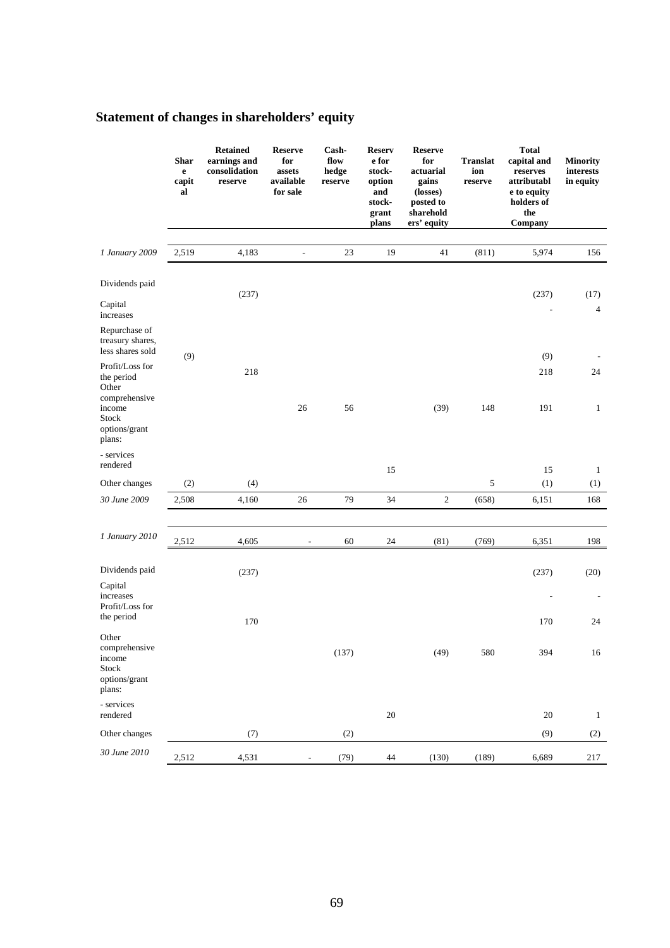# **Statement of changes in shareholders' equity**

|                                                                      | <b>Shar</b><br>$\mathbf e$<br>capit<br>al | <b>Retained</b><br>earnings and<br>consolidation<br>reserve | <b>Reserve</b><br>for<br>assets<br>available<br>for sale | Cash-<br>flow<br>hedge<br>reserve | <b>Reserv</b><br>e for<br>stock-<br>option<br>and<br>stock-<br>grant<br>plans | Reserve<br>for<br>actuarial<br>gains<br>(losses)<br>posted to<br>sharehold<br>ers' equity | <b>Translat</b><br>ion<br>reserve | <b>Total</b><br>capital and<br>reserves<br>attributabl<br>e to equity<br>holders of<br>the<br>Company | <b>Minority</b><br>interests<br>in equity |
|----------------------------------------------------------------------|-------------------------------------------|-------------------------------------------------------------|----------------------------------------------------------|-----------------------------------|-------------------------------------------------------------------------------|-------------------------------------------------------------------------------------------|-----------------------------------|-------------------------------------------------------------------------------------------------------|-------------------------------------------|
|                                                                      |                                           | 4,183                                                       |                                                          | 23                                | 19                                                                            | 41                                                                                        |                                   | 5,974                                                                                                 | 156                                       |
| 1 January 2009                                                       | 2,519                                     |                                                             | $\overline{\phantom{a}}$                                 |                                   |                                                                               |                                                                                           | (811)                             |                                                                                                       |                                           |
| Dividends paid                                                       |                                           | (237)                                                       |                                                          |                                   |                                                                               |                                                                                           |                                   | (237)                                                                                                 | (17)                                      |
| Capital<br>increases                                                 |                                           |                                                             |                                                          |                                   |                                                                               |                                                                                           |                                   |                                                                                                       | $\overline{4}$                            |
| Repurchase of<br>treasury shares,<br>less shares sold                | (9)                                       |                                                             |                                                          |                                   |                                                                               |                                                                                           |                                   | (9)                                                                                                   |                                           |
| Profit/Loss for<br>the period<br>Other<br>comprehensive              |                                           | 218                                                         |                                                          |                                   |                                                                               |                                                                                           |                                   | 218                                                                                                   | 24                                        |
| income<br>Stock<br>options/grant<br>plans:                           |                                           |                                                             | 26                                                       | 56                                |                                                                               | (39)                                                                                      | 148                               | 191                                                                                                   | $\mathbf{1}$                              |
| - services<br>rendered                                               |                                           |                                                             |                                                          |                                   | 15                                                                            |                                                                                           |                                   | 15                                                                                                    | $\mathbf{1}$                              |
| Other changes                                                        | (2)                                       | (4)                                                         |                                                          |                                   |                                                                               |                                                                                           | 5                                 | (1)                                                                                                   | (1)                                       |
| 30 June 2009                                                         | 2,508                                     | 4,160                                                       | 26                                                       | 79                                | 34                                                                            | $\sqrt{2}$                                                                                | (658)                             | 6,151                                                                                                 | 168                                       |
|                                                                      |                                           |                                                             |                                                          |                                   |                                                                               |                                                                                           |                                   |                                                                                                       |                                           |
| 1 January 2010                                                       | 2,512                                     | 4,605                                                       |                                                          | 60                                | 24                                                                            | (81)                                                                                      | (769)                             | 6,351                                                                                                 | 198                                       |
| Dividends paid                                                       |                                           | (237)                                                       |                                                          |                                   |                                                                               |                                                                                           |                                   | (237)                                                                                                 | (20)                                      |
| Capital<br>increases<br>Profit/Loss for                              |                                           |                                                             |                                                          |                                   |                                                                               |                                                                                           |                                   |                                                                                                       |                                           |
| the period                                                           |                                           | 170                                                         |                                                          |                                   |                                                                               |                                                                                           |                                   | 170                                                                                                   | 24                                        |
| Other<br>comprehensive<br>income<br>Stock<br>options/grant<br>plans: |                                           |                                                             |                                                          | (137)                             |                                                                               | (49)                                                                                      | 580                               | 394                                                                                                   | $16\,$                                    |
| - services<br>rendered                                               |                                           |                                                             |                                                          |                                   | $20\,$                                                                        |                                                                                           |                                   | 20                                                                                                    | $\mathbf{1}$                              |
| Other changes                                                        |                                           | (7)                                                         |                                                          | (2)                               |                                                                               |                                                                                           |                                   | (9)                                                                                                   | (2)                                       |
| 30 June 2010                                                         | 2,512                                     | 4,531                                                       |                                                          | (79)                              | 44                                                                            | (130)                                                                                     | (189)                             | 6,689                                                                                                 | 217                                       |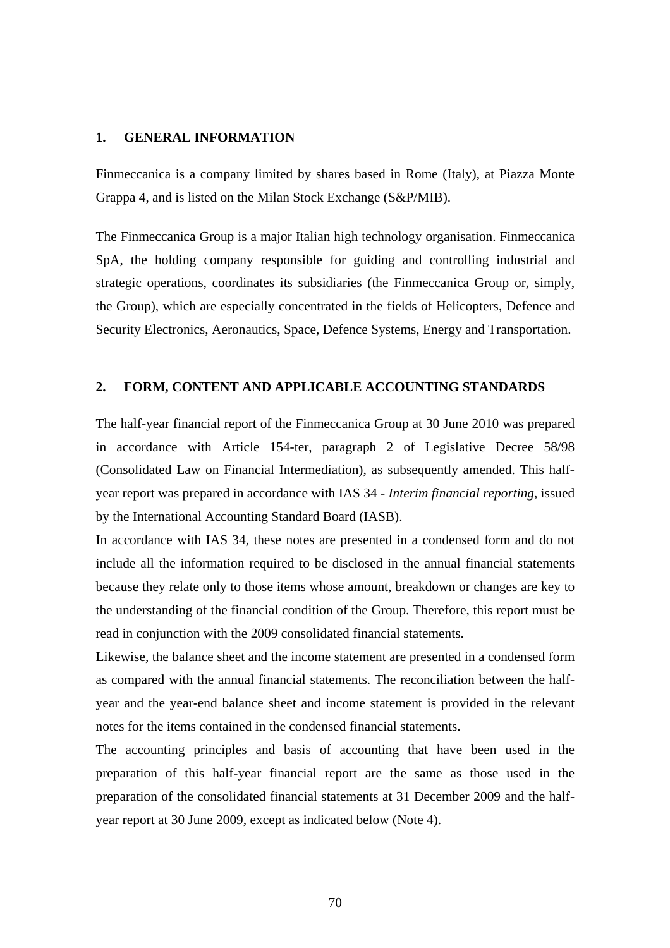#### **1. GENERAL INFORMATION**

Finmeccanica is a company limited by shares based in Rome (Italy), at Piazza Monte Grappa 4, and is listed on the Milan Stock Exchange (S&P/MIB).

The Finmeccanica Group is a major Italian high technology organisation. Finmeccanica SpA, the holding company responsible for guiding and controlling industrial and strategic operations, coordinates its subsidiaries (the Finmeccanica Group or, simply, the Group), which are especially concentrated in the fields of Helicopters, Defence and Security Electronics, Aeronautics, Space, Defence Systems, Energy and Transportation.

#### **2. FORM, CONTENT AND APPLICABLE ACCOUNTING STANDARDS**

The half-year financial report of the Finmeccanica Group at 30 June 2010 was prepared in accordance with Article 154-ter, paragraph 2 of Legislative Decree 58/98 (Consolidated Law on Financial Intermediation), as subsequently amended. This halfyear report was prepared in accordance with IAS 34 - *Interim financial reporting*, issued by the International Accounting Standard Board (IASB).

In accordance with IAS 34, these notes are presented in a condensed form and do not include all the information required to be disclosed in the annual financial statements because they relate only to those items whose amount, breakdown or changes are key to the understanding of the financial condition of the Group. Therefore, this report must be read in conjunction with the 2009 consolidated financial statements.

Likewise, the balance sheet and the income statement are presented in a condensed form as compared with the annual financial statements. The reconciliation between the halfyear and the year-end balance sheet and income statement is provided in the relevant notes for the items contained in the condensed financial statements.

The accounting principles and basis of accounting that have been used in the preparation of this half-year financial report are the same as those used in the preparation of the consolidated financial statements at 31 December 2009 and the halfyear report at 30 June 2009, except as indicated below (Note 4).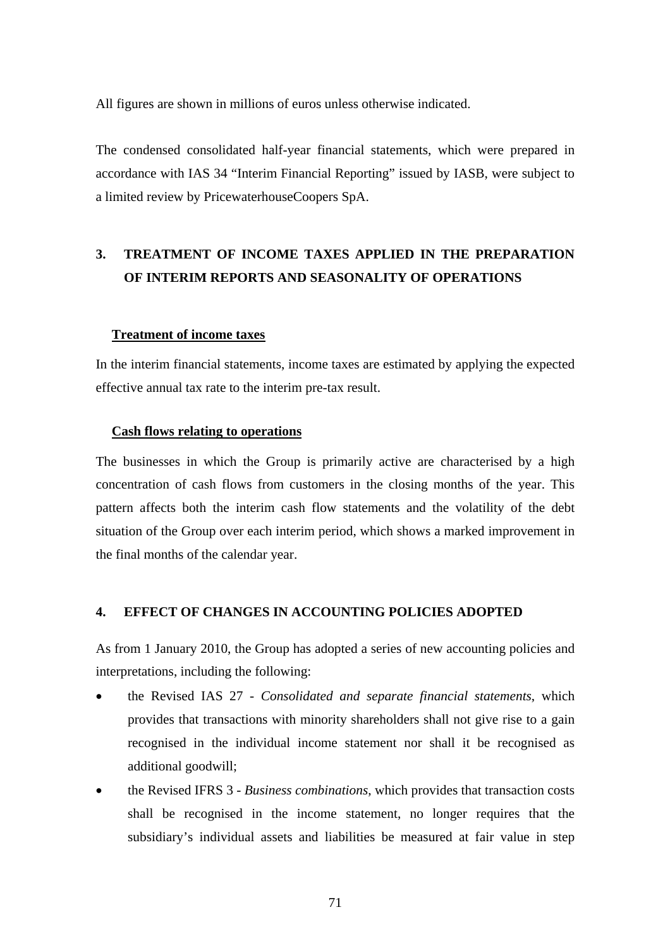All figures are shown in millions of euros unless otherwise indicated.

The condensed consolidated half-year financial statements, which were prepared in accordance with IAS 34 "Interim Financial Reporting" issued by IASB, were subject to a limited review by PricewaterhouseCoopers SpA.

# **3. TREATMENT OF INCOME TAXES APPLIED IN THE PREPARATION OF INTERIM REPORTS AND SEASONALITY OF OPERATIONS**

#### **Treatment of income taxes**

In the interim financial statements, income taxes are estimated by applying the expected effective annual tax rate to the interim pre-tax result.

#### **Cash flows relating to operations**

The businesses in which the Group is primarily active are characterised by a high concentration of cash flows from customers in the closing months of the year. This pattern affects both the interim cash flow statements and the volatility of the debt situation of the Group over each interim period, which shows a marked improvement in the final months of the calendar year.

## **4. EFFECT OF CHANGES IN ACCOUNTING POLICIES ADOPTED**

As from 1 January 2010, the Group has adopted a series of new accounting policies and interpretations, including the following:

- the Revised IAS 27 *Consolidated and separate financial statements*, which provides that transactions with minority shareholders shall not give rise to a gain recognised in the individual income statement nor shall it be recognised as additional goodwill;
- the Revised IFRS 3 *Business combinations*, which provides that transaction costs shall be recognised in the income statement, no longer requires that the subsidiary's individual assets and liabilities be measured at fair value in step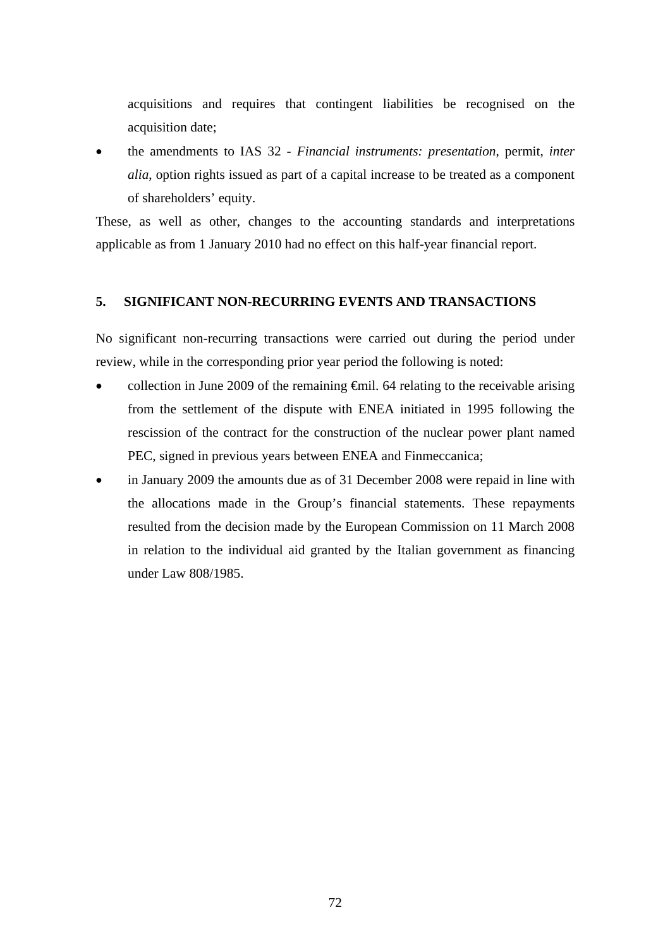acquisitions and requires that contingent liabilities be recognised on the acquisition date;

 the amendments to IAS 32 - *Financial instruments: presentation*, permit, *inter alia*, option rights issued as part of a capital increase to be treated as a component of shareholders' equity.

These, as well as other, changes to the accounting standards and interpretations applicable as from 1 January 2010 had no effect on this half-year financial report.

## **5. SIGNIFICANT NON-RECURRING EVENTS AND TRANSACTIONS**

No significant non-recurring transactions were carried out during the period under review, while in the corresponding prior year period the following is noted:

- collection in June 2009 of the remaining €mil. 64 relating to the receivable arising from the settlement of the dispute with ENEA initiated in 1995 following the rescission of the contract for the construction of the nuclear power plant named PEC, signed in previous years between ENEA and Finmeccanica;
- in January 2009 the amounts due as of 31 December 2008 were repaid in line with the allocations made in the Group's financial statements. These repayments resulted from the decision made by the European Commission on 11 March 2008 in relation to the individual aid granted by the Italian government as financing under Law 808/1985.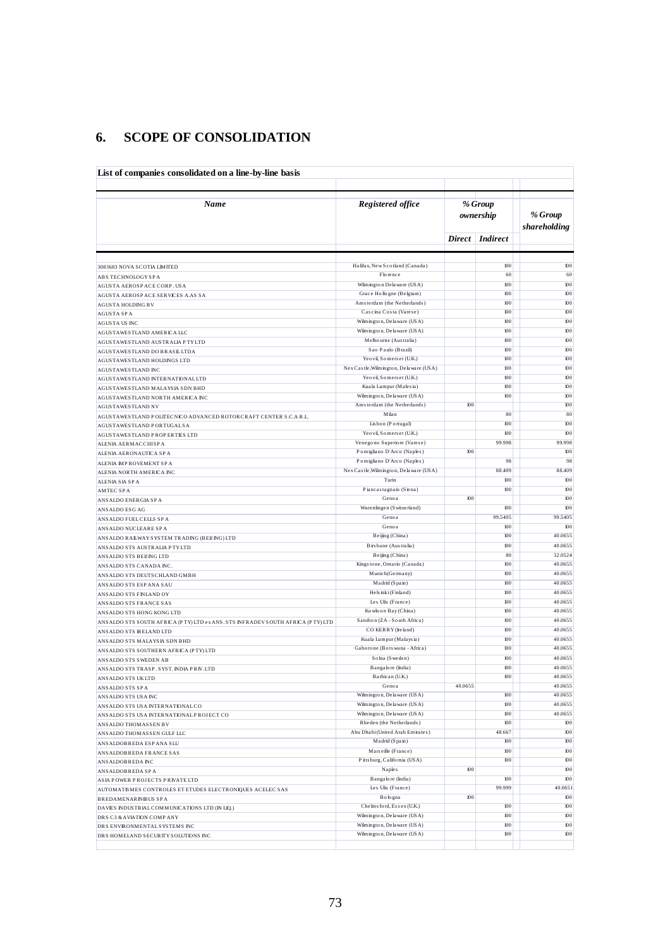## **6. SCOPE OF CONSOLIDATION**

| Name                                                                                         | Registered office                                    |               | % Group         |                         |
|----------------------------------------------------------------------------------------------|------------------------------------------------------|---------------|-----------------|-------------------------|
|                                                                                              |                                                      |               | ownership       | % Group<br>shareholding |
|                                                                                              |                                                      | <b>Direct</b> | <i>Indirect</i> |                         |
| 3083683 NOVA SCOTIA LIMITED                                                                  | Halifax, New Scotland (Canada)                       |               | 100             | 100                     |
| ABS TECHNOLOGYSPA                                                                            | Florence                                             |               | 60              | 60                      |
| AGUSTA AEROSPACE CORP. USA                                                                   | Wilmington Delaware (USA)                            |               | 100             | 100                     |
| AGUSTA AEROSPACE SERVICES A.AS SA                                                            | Grace Hollogne (Belgium)                             |               | 100             | 100                     |
| <b>AGUSTA HOLDING BV</b>                                                                     | Amsterdam (the Netherlands)                          |               | 100             | 100                     |
| <b>AGUSTA SPA</b>                                                                            | Cascina Costa (Varese)<br>Wilmington, Delaware (USA) |               | 100<br>100      | $100\,$<br>100          |
| AGUSTA US INC                                                                                | Wilmington, Delaware (USA)                           |               | 100             | 100                     |
| AGUSTAWESTLAND AMERICA LLC                                                                   | Melbourne (Australia)                                |               | 100             | 100                     |
| AGUSTAWESTLAND AUSTRALIA PTYLTD<br>AGUSTAWESTLAND DO BRASILLTDA                              | Sao Paulo (Brazil)                                   |               | 100             | 100                     |
| AGUSTAWESTLAND HOLDINGS LTD                                                                  | Yeo vil, Somerset (U.K.)                             |               | 100             | 100                     |
| <b>AGUSTAWESTLAND INC</b>                                                                    | Nex Castle, Wilmington, Delaware (USA)               |               | 100             | 100                     |
| AGUSTAWESTLAND INTERNATIONAL LTD                                                             | Yeo vil, Somers et (U.K.)                            |               | 100             | 100                     |
| AGUSTAWESTLAND MALAYSIA SDN BHD                                                              | Kuala Lumpur (Malesia)                               |               | 100             | 100                     |
| AGUSTAWESTLAND NORTH AMERICA INC                                                             | Wilmington, Delaware (USA)                           |               | 100             | 100                     |
| AGUSTAWESTLAND NV                                                                            | Amsterdam (the Netherlands)                          | 100           |                 | 100                     |
| AGUSTAWESTLAND POLITECNICO ADVANCED ROTORCRAFT CENTER S.C.A R.L.                             | Milan                                                |               | 80              | 80                      |
| AGUSTAWESTLAND PORTUGAL SA                                                                   | Lisbon (Portugal)                                    |               | 100             | 100                     |
| AGUSTAWESTLAND PROPERTIES LTD                                                                | Yeo vil, Somerset (U.K.)                             |               | 100             | 100                     |
| ALENIA AERMACCHISPA                                                                          | Venegono Superiore (Varese)                          |               | 99.998          | 99.998                  |
| ALENIA AERONAUTICA SPA                                                                       | Pomigliano D'Arco (Naples)                           | 100           |                 | 100                     |
| ALENIA IMPROVEMENT SPA                                                                       | Pomigliano D'Arco (Naples)                           |               | 98<br>88.409    | 98                      |
| ALENIA NORTH AMERICA INC                                                                     | Nex Castle, Wilmington, Delaware (USA)<br>Turin      |               | 100             | 88.409<br>$100\,$       |
| ALENIA SIA SPA                                                                               | Piancastagnaio (Siena)                               |               | 100             | 100                     |
| <b>AMTEC SPA</b><br>ANSALDO ENERGIA SP A                                                     | Genoa                                                | 100           |                 | 100                     |
| ANSALDO ESG AG                                                                               | Wurenlingen (Switzerland)                            |               | 100             | 100                     |
| ANSALDO FUEL CELLS SPA                                                                       | Genoa                                                |               | 99.5405         | 99.5405                 |
| ANSALDO NUCLEARE SP A                                                                        | Genoa                                                |               | 100             | 100                     |
| ANSALDO RAILWAY SYSTEM TRADING (BEIJING) LTD                                                 | Beijing (China)                                      |               | 100             | 40.0655                 |
| ANSALDO STS AUSTRALIA PTYLTD                                                                 | Birs bane (Australia)                                |               | 100             | 40.0655                 |
| ANSALDO STS BEIJ ING LTD                                                                     | Beijing (China)                                      |               | 80              | 32.0524                 |
| ANSALDO STS CANADA INC.                                                                      | Kingstone, Ontario (Canada)                          |               | 100             | 40.0655                 |
| ANSALDO STS DEUTSCHLAND GMBH                                                                 | Munich(Germany)                                      |               | 100             | 40.0655                 |
| ANSALDO STS ESP ANA SAU                                                                      | Madrid (Spain)                                       |               | 100             | 40.0655                 |
| ANSALDO STS FINLAND OY                                                                       | Hels inki (Finland)                                  |               | 100             | 40.0655                 |
| ANSALDO STS FRANCE SAS                                                                       | Les Ulis (France)<br>Kowloon Bay (China)             |               | 100<br>100      | 40.0655<br>40.0655      |
| ANSALDO STS HONG KONG LTD                                                                    | Sandton (ZA - South Africa)                          |               | 100             | 40.0655                 |
| ANSALDO STS SOUTH AFRICA (PTY) LTD ex ANS. STS INFRADEV SOUTH AFRICA (PTY) LTD               | CO KERRY (Ireland)                                   |               | 100             | 40.0655                 |
| ANSALDO STS IRELAND LTD                                                                      | Kuala Lumpur (Malaysia)                              |               | 100             | 40.0655                 |
| ANSALDO STS MALAYSIA SDN BHD<br>ANSALDO STS SOUTHERN AFRICA (PTY) LTD                        | Gaborone (Botswana - Africa)                         |               | 100             | 40.0655                 |
| ANSALDO STS SWEDEN AB                                                                        | Solna (Sweden)                                       |               | 100             | 40.0655                 |
| ANSALDO STS TRASP. SYST. INDIA PRIV. LTD                                                     | Bangalore (India)                                    |               | 100             | 40.0655                 |
| ANSALDO STS UKLTD                                                                            | Barbican (U.K.)                                      |               | 100             | 40.0655                 |
| ANSALDO STS SPA                                                                              | Genoa                                                | 40.0655       |                 | 40.0655                 |
| ANSALDO STS USA INC                                                                          | Wilmington, Delaware (USA)                           |               | 100             | 40.0655                 |
| ANSALDO STS USA INTERNATIONAL CO                                                             | Wilmington, Delaware (USA)                           |               | 100             | 40.0655                 |
| ANSALDO STS USA INTERNATIONAL PROJECT CO                                                     | Wilmington, Delaware (USA)                           |               | 100             | 40.0655                 |
| ANSALDO THOMASSEN BV                                                                         | Rheden (the Netherlands)                             |               | 100             | 100                     |
| ANSALDO THOMASSEN GULF LLC                                                                   | Abu Dhabi (United Arab Emirates)                     |               | 48.667          | $100\,$                 |
| ANSALDOBREDA ESP ANA SLU                                                                     | Madrid (Spain)                                       |               | 100             | $100\,$                 |
| ANSALDOBREDA FRANCE SAS                                                                      | Marseille (France)                                   |               | 100             | $100\,$                 |
| ANSALDOBREDA INC                                                                             | Pitts burg, California (USA)                         | $100$         | 100             | $100\,$<br>$100\,$      |
| ANSALDOBREDA SPA                                                                             | Naples<br>Bangalore (India)                          |               | 100             | 100                     |
| ASIA POWER PROJECTS PRIVATE LTD<br>AUTOMATISMES CONTROLES ET ETUDES ELECTRONIQUES ACELEC SAS | Les Ulis (France)                                    |               | 99.999          | 40.0651                 |
|                                                                                              | Bologna                                              | $100$         |                 | $100\,$                 |
|                                                                                              |                                                      |               |                 |                         |
| <b>BREDAMENARINIBUS SPA</b>                                                                  | Chelms ford, Essex (U.K.)                            |               | 100             | 100                     |
| DAVIES INDUSTRIAL COMMUNICATIONS LTD (IN LIQ.)                                               | Wilmington, Delaware (USA)                           |               | 100             | $100\,$                 |
| DRS C3 & AVIATION COMPANY<br>DRS ENVIRONMENTAL SYSTEMS INC                                   | Wilmington, Delaware (USA)                           |               | 100             | 100                     |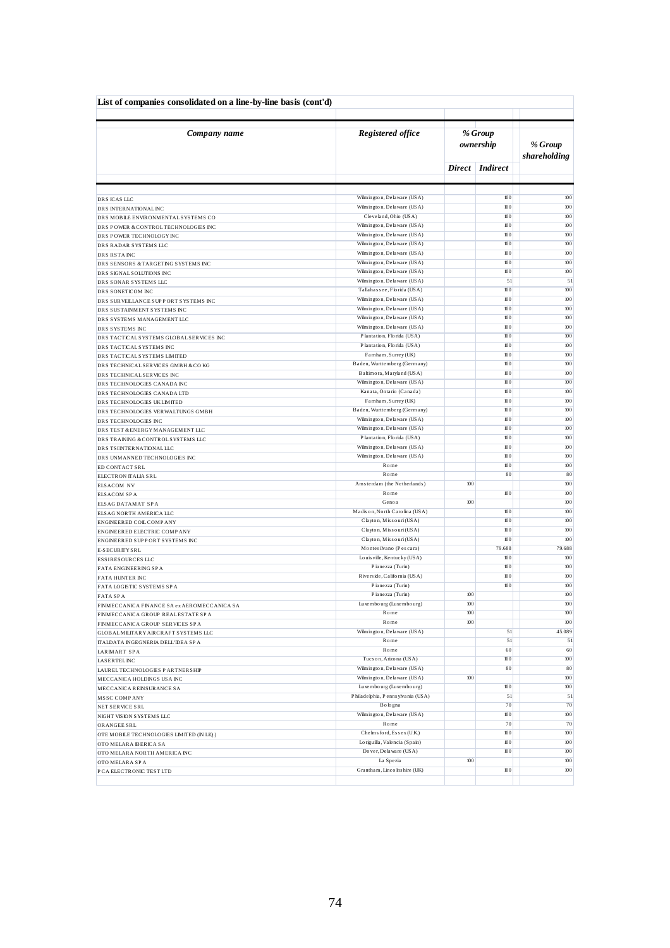| List of companies consolidated on a line-by-line basis (cont'd)         |                                                           |                |                      |                         |
|-------------------------------------------------------------------------|-----------------------------------------------------------|----------------|----------------------|-------------------------|
| Company name                                                            | Registered office                                         |                | % Group<br>ownership | % Group<br>shareholding |
|                                                                         |                                                           | <b>Direct</b>  | <i>Indirect</i>      |                         |
|                                                                         |                                                           |                |                      |                         |
| DRS ICAS LLC                                                            | Wilmington, Delaware (USA)                                |                | 100                  | 100                     |
| DRS INTERNATIONALINC                                                    | Wilmington, Delaware (USA)                                |                | 100                  | 100                     |
| DRS MOBILE ENVIRONMENTAL SYSTEMS CO                                     | Cleveland, Ohio (USA)<br>Wilmington, Delaware (USA)       |                | 100<br>100           | 100<br>100              |
| DRS POWER & CONTROLTECHNOLOGIES INC<br>DRS POWER TECHNOLOGY INC         | Wilmington, Delaware (USA)                                |                | 100                  | 100                     |
| DRS RADAR SYSTEMS LLC                                                   | Wilmington, Delaware (USA)                                |                | 100                  | 100                     |
| DRS RSTA INC                                                            | Wilmington, Delaware (USA)                                |                | 100                  | 100                     |
| DRS SENSORS & TARGETING SYSTEMS INC                                     | Wilmington, Delaware (USA)                                |                | 100                  | 100                     |
| DRS SIGNAL SOLUTIONS INC                                                | Wilmington, Delaware (USA)                                |                | 100                  | 100                     |
| DRS SONAR SYSTEMS LLC                                                   | Wilmington, Delaware (USA)                                |                | 51                   | 51                      |
| DRS SONETICOM INC                                                       | Tallahas see, Florida (USA)<br>Wilmington, Delaware (USA) |                | 100<br>100           | 100<br>100              |
| DRS SURVELLANCE SUPPORT SYSTEMS INC                                     | Wilmington, Delaware (USA)                                |                | 100                  | 100                     |
| DRS SUSTAINMENT SYSTEMS INC<br>DRS SYSTEMS MANAGEMENT LLC               | Wilmington, Delaware (USA)                                |                | 100                  | 100                     |
| DRS SYSTEMS INC                                                         | Wilmington, Delaware (USA)                                |                | 100                  | 100                     |
| DRS TACTICAL SYSTEMS GLOBAL SERVICES INC                                | Plantation, Florida (USA)                                 |                | 100                  | 100                     |
| DRS TACTICAL SYSTEMS INC                                                | Plantation, Florida (USA)                                 |                | 100                  | 100                     |
| DRS TACTICAL SYSTEMS LIMITED                                            | Farnham, Surrey (UK)                                      |                | 100                  | 100                     |
| DRS TECHNICAL SERVICES GMBH & COKG                                      | Baden, Wurttemberg (Germany)                              |                | 100                  | 100                     |
| DRS TECHNICAL SERVICES INC                                              | Baltimora, Maryland (USA)<br>Wilmington, Delaware (USA)   |                | 100<br>100           | 100<br>100              |
| DRS TECHNOLOGIES CANADA INC                                             | Kanata, Ontario (Canada)                                  |                | 100                  | 100                     |
| DRS TECHNOLOGIES CANADA LTD<br>DRS TECHNOLOGIES UKLIMITED               | Farnham, Surrey (UK)                                      |                | 100                  | 100                     |
| DRS TECHNOLOGIES VERWALTUNGS GMBH                                       | Baden, Wurttemberg (Germany)                              |                | 100                  | 100                     |
| DRS TECHNOLOGIES INC                                                    | Wilmington, Delaware (USA)                                |                | 100                  | 100                     |
| DRS TEST & ENERGY MANAGEMENT LLC                                        | Wilmington, Delaware (USA)                                |                | 100                  | 100                     |
| DRS TRAINING & CONTROL SYSTEMS LLC                                      | Plantation, Florida (USA)                                 |                | 100                  | 100                     |
| DRS TSINTERNATIONAL LLC                                                 | Wilmington, Delaware (USA)                                |                | 100                  | 100                     |
| DRS UNMANNED TECHNOLOGIES INC                                           | Wilmington, Delaware (USA)<br>Rome                        |                | 100<br>100           | 100<br>100              |
| ED CONTACT SRL                                                          | Rome                                                      |                | 80                   | 80                      |
| ELECTRON ITALIA SRL<br><b>ELSACOM NV</b>                                | Amsterdam (the Netherlands)                               | 100            |                      | 100                     |
| <b>ELSACOM SPA</b>                                                      | Rome                                                      |                | 100                  | 100                     |
| ELSAG DATAMAT SPA                                                       | Genoa                                                     | 100            |                      | 100                     |
| ELSAG NORTH AMERICA LLC                                                 | Madison, North Carolina (USA)                             |                | 100                  | 100                     |
| ENGINEERED COIL COMPANY                                                 | Clayton, Missouri (USA)                                   |                | 100                  | 100                     |
| ENGINEERED ELECTRIC COMPANY                                             | Clayton, Missouri (USA)                                   |                | 100                  | 100                     |
| ENGINEERED SUPPORT SYSTEMS INC                                          | Clayton, Missouri (USA)<br>Montes ilvano (Pescara)        |                | 100<br>79.688        | 100<br>79.688           |
| E-SECURITY SRL<br><b>ESSIRESOURCES LLC</b>                              | Louis ville, Kentucky (USA)                               |                | 100                  | 100                     |
| FATA ENGINEERING SPA                                                    | Pianezza (Turin)                                          |                | 100                  | 100                     |
| <b>FATA HUNTER INC</b>                                                  | Riverside, California (USA)                               |                | 100                  | 100                     |
| FATA LOGISTIC SYSTEMS SPA                                               | Pianezza (Turin)                                          |                | 100                  | 100                     |
| <b>FATA SPA</b>                                                         | Pianezza (Turin)                                          | 100            |                      | 100                     |
| FINMECCANICA FINANCE SA ex AEROMECCANICA SA                             | Luxembourg (Luxembourg)                                   | 100            |                      | $100\,$                 |
| FINMECCANICA GROUP REALESTATE SPA                                       | Rome<br>Rome                                              | 100<br>$100\,$ |                      | 100<br>$100\,$          |
| FINMECCANICA GROUP SERVICES SPA<br>GLOBAL MILITARY AIRCRAFT SYSTEMS LLC | Wilmington, Delaware (USA)                                |                | 51                   | 45.089                  |
| ITALDATA INGEGNERIA DELL'IDEA SPA                                       | Rome                                                      |                | 51                   | 51                      |
| LARMART SPA                                                             | Rome                                                      |                | 60                   | 60                      |
| <b>LASERTELINC</b>                                                      | Tucs on, Arizona (USA)                                    |                | 100                  | 100                     |
| LAUREL TECHNOLOGIES PARTNERSHIP                                         | Wilmington, Delaware (USA)                                |                | 80                   | 80                      |
| MECCANICA HOLDINGS USA INC                                              | Wilmington, Delaware (USA)                                | 100            |                      | $100\,$                 |
| MECCANICA REINSURANCE SA                                                | Luxembourg (Luxembourg)                                   |                | 100                  | 100                     |
| MSSC COMPANY                                                            | Philadelphia, Penns ylvania (USA)<br>Bologna              |                | 51<br>70             | 51<br>70                |
| NET SERVICE SRL                                                         | Wilmington, Delaware (USA)                                |                | 100                  | 100                     |
| NIGHT VISION SYSTEMS LLC<br>ORANGEE SRL                                 | Rome                                                      |                | 70                   | 70                      |
| OTE MOBILE TECHNOLOGIES LIMITED (IN LIQ.)                               | Chelms ford, Essex (U.K.)                                 |                | 100                  | 100                     |
| OTO MELARA IBERICA SA                                                   | Lo riguilla, Valencia (Spain)                             |                | 100                  | 100                     |
| OTO MELARA NORTH AMERICA INC                                            | Do ver, De la ware (USA)                                  |                | 100                  | 100                     |
| OTO MELARA SPA                                                          | La Spezia                                                 | 100            |                      | 100                     |
| P CA ELECTRONIC TEST LTD                                                | Grantham, Linco lns hire (UK)                             |                | 100                  | 100                     |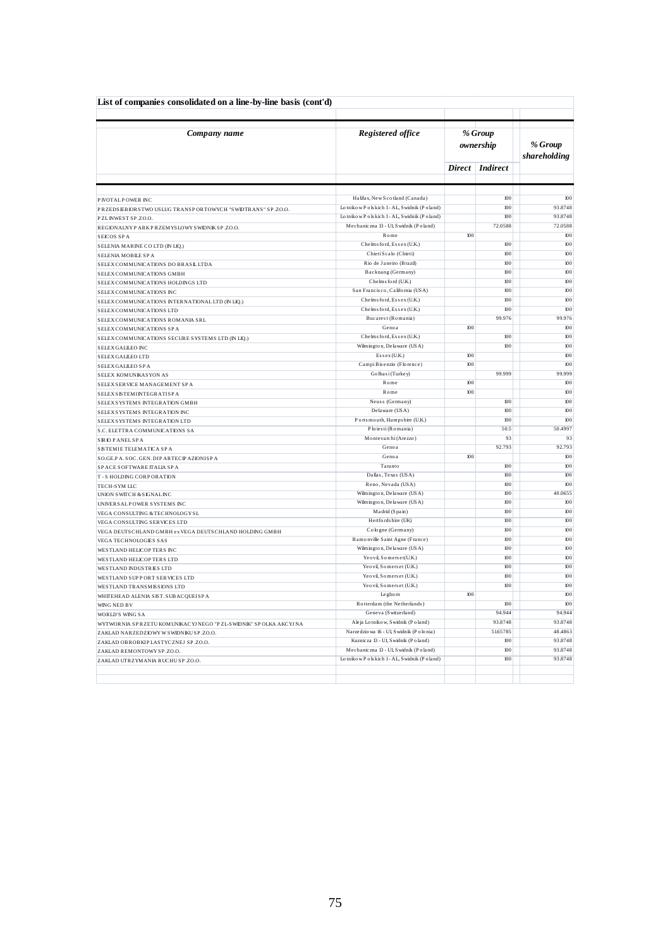| List of companies consolidated on a line-by-line basis (cont'd)    |                                             |               |                      |                           |
|--------------------------------------------------------------------|---------------------------------------------|---------------|----------------------|---------------------------|
| Company name                                                       | <b>Registered office</b>                    |               | % Group<br>ownership | % Group<br>shareholding   |
|                                                                    |                                             | <b>Direct</b> | <b>Indirect</b>      |                           |
|                                                                    |                                             |               |                      |                           |
| P IVOTAL POWER INC.                                                | Halifax, New Scotland (Canada)              |               | 100                  | 100                       |
| PRZEDSEBIORSTWO USLUG TRANSPORTOWYCH "SWIDTRANS" SP.ZO.O.          | Lotnikow Polskich 1-AL, Swidnik (Poland)    |               | 100                  | 93.8748                   |
| PZLINWEST SP.ZO.O.                                                 | Lotnikow Polskich 1-AL, Swidnik (Poland)    |               | 100                  | 93.8748                   |
| REGIONALNY PARK PRZEMYSLOWY SWIDNIK SP.ZO.O.                       | Mechaniczna 13 - Ul, Swidnik (Poland)       |               | 72.0588              | 72.0588                   |
| SEICOS SPA                                                         | Rome                                        | 100           |                      | 100                       |
| SELENIA MARINE CO LTD (IN LIQ.)                                    | Chelms ford, Essex (U.K.)                   |               | 100                  | 100                       |
| SELENIA MOBILE SPA                                                 | Chieti Scalo (Chieti)                       |               | 100                  | 100                       |
| SELEX COMMUNICATIONS DO BRASIL LTDA                                | Rio de Janeiro (Brazil)                     |               | 100                  | 100                       |
| SELEX COMMUNICATIONS GMBH                                          | Backnang (Germany)                          |               | 100                  | 100                       |
| SELEX COMMUNICATIONS HOLDINGS LTD                                  | Chelms ford (U.K.)                          |               | 100                  | 100                       |
| SELEX COMMUNICATIONS INC                                           | San Francisco, California (USA)             |               | 100                  | 100                       |
| SELEX COMMUNICATIONS INTERNATIONAL LTD (IN LIQ.)                   | Chelms ford, Essex (U.K.)                   |               | 100                  | 100                       |
| SELEX COMMUNICATIONS LTD                                           | Chelms ford, Essex (U.K.)                   |               | 100                  | 100                       |
| SELEX COMMUNICATIONS ROMANIA SRL                                   | Bucarest (Romania)                          |               | 99.976               | 99.976                    |
| SELEX COMMUNICATIONS SPA                                           | Genoa                                       | 100           |                      | 100                       |
| SELEX COMMUNICATIONS SECURE SYSTEMS LTD (IN LIQ.)                  | Chelms ford, Essex (U.K.)                   |               | 100                  | 100                       |
| SELEX GALLEO INC                                                   | Wilmington, Delaware (USA)                  |               | 100                  | 100                       |
| SELEX GALLEO LTD                                                   | Essex(U.K.)                                 | 100           |                      | 100                       |
| SELEX GALLEO SPA                                                   | CampiBis enzio (Florence)                   | 100           |                      | 100                       |
| SELEX KOMUNIKASYON AS                                              | Golbasi (Turkey)<br>Rome                    | 100           | 99.999               | 99.999<br>10 <sub>0</sub> |
| SELEX SERVICE MANAGEMENT SP A                                      |                                             |               |                      |                           |
| SELEX SISTEMINTEGRATISP A                                          | Rome                                        | 100           | 100                  | 100                       |
| SELEX SYSTEMS INTEGRATION GMBH                                     | Neuss (Germany)<br>Delaware (USA)           |               | 100                  | 100<br>100                |
| SELEX SYSTEMS INTEGRATION INC                                      | Ports mouth, Hampshire (U.K.)               |               | 100                  | 100                       |
| SELEX SYSTEMS INTEGRATION LTD                                      |                                             |               |                      |                           |
| S.C. ELETTRA COMMUNICATIONS SA                                     | Ploiesti (Romania)<br>Montevarchi (Arezzo)  |               | 50.5<br>93           | 50.4997<br>93             |
| <b>SIRIO PANEL SPA</b>                                             | Genoa                                       |               | 92.793               | 92.793                    |
| SISTEMIE TELEMATICA SPA                                            | Genoa                                       | 100           |                      | 100                       |
| SO.GE.PA. SOC. GEN. DIP ARTEC PAZIONISPA                           | Taranto                                     |               | 100                  | 100                       |
| SPACE SOFTWARE ITALIA SPA                                          | Dallas, Texas (USA)                         |               | 100                  | 100                       |
| T-S HOLDING CORPORATION                                            | Reno, Nevada (USA)                          |               | 100                  | 100                       |
| TECH-SYM LLC                                                       | Wilmington, Delaware (USA)                  |               | 100                  | 40.0655                   |
| UNION SWITCH & SIGNAL INC                                          | Wilmington, Delaware (USA)                  |               | 100                  | 100                       |
| UNIVER SALPOWER SYSTEMS INC                                        | Madrid (Spain)                              |               | 100                  | 100                       |
| VEGA CONSULTING & TECHNOLOGY SL<br>VEGA CONSULTING SERVICES LTD    | Hertfords hire (UK)                         |               | 100                  | 100                       |
| VEGA DEUTSCHLAND GMBH ex VEGA DEUTSCHLAND HOLDING GMBH             | Cologne (Germany)                           |               | 100                  | 100                       |
| VEGA TECHNOLOGIES SAS                                              | Ramonville Saint Agne (France)              |               | 100                  | 100                       |
| WESTLAND HELICOPTERS INC                                           | Wilmington, Delaware (USA)                  |               | 100                  | 100                       |
| WESTLAND HELICOP TERS LTD                                          | Yeo vil, Somers et (U.K.)                   |               | $100\,$              | 100                       |
| WESTLAND INDUSTRIES LTD                                            | Yeo vil, Somerset (U.K.)                    |               | 100                  | 100                       |
| WESTLAND SUPPORT SERVICES LTD                                      | Yeo vil, Somers et (U.K.)                   |               | 100                  | 100                       |
| WESTLAND TRANSMISSIONS LTD                                         | Yeo vil, Somerset (U.K.)                    |               | 100                  | 100                       |
| WHITEHEAD ALENIA SIST. SUBACQUEISPA                                | Leghorn                                     | 100           |                      | 100                       |
| WING NED BV                                                        | Rotterdam (the Netherlands)                 |               | 100                  | 100                       |
| WORLD'S WING SA                                                    | Geneva (Switzerland)                        |               | 94.944               | 94.944                    |
| WYTWORNIA SP RZETU KOMUNIKACYJ NEGO "PZL-SWIDNIK" SP OLKA AKCYJ NA | Aleja Lotnikow, Swidnik (Poland)            |               | 93.8748              | 93.8748                   |
| ZAKLAD NARZEDZIOWY W SWIDNIKU SP.ZO.O.                             | Narzedzio wa 16 - Ul, S widnik (P o lo nia) |               | 51.65785             | 48.4863                   |
| ZAKLAD OBROBKIP LASTYCZNEJ SP ZO.O.                                | Kuznicza 13 - Ul, S widnik (P o land)       |               | 100                  | 93.8748                   |
| ZAKLAD REMONTOWY SP.ZO.O.                                          | Mechaniczna 13 - Ul, Swidnik (Poland)       |               | 100                  | 93.8748                   |
| ZAKLAD UTRZYMANIA RUCHUSP.ZO.O.                                    | Lotnikow Polskich 1- AL, Swidnik (Poland)   |               | 100                  | 93.8748                   |
|                                                                    |                                             |               |                      |                           |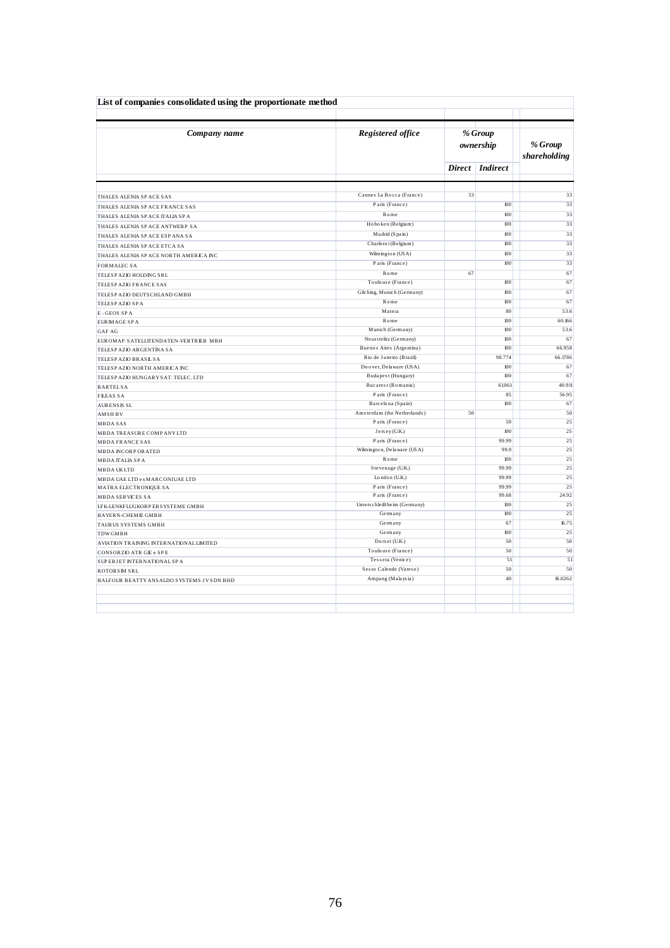| Company name                             | Registered office           | % Group<br>ownership | % Group<br>shareholding |         |
|------------------------------------------|-----------------------------|----------------------|-------------------------|---------|
|                                          |                             |                      | Direct Indirect         |         |
|                                          |                             |                      |                         |         |
| THALES ALENIA SPACE SAS                  | Cannes La Bocca (France)    | 33                   |                         |         |
| THALES ALENIA SPACE FRANCE SAS           | Paris (France)              |                      | 100                     |         |
| THALES ALENIA SPACE ITALIA SPA           | Rome                        |                      | 100                     |         |
| THALES ALENIA SPACE ANTWERP SA           | Hoboken (Belgium)           |                      | 100                     |         |
| THALES ALENIA SPACE ESPANA SA            | Madrid (Spain)              |                      | 100                     |         |
| THALES ALENIA SPACE ETCA SA              | Charleroi (Belgium)         |                      | 100                     |         |
| THALES ALENIA SPACE NORTH AMERICA INC    | Wilmington (USA)            |                      | 100                     |         |
| <b>FORMALEC SA</b>                       | Paris (France)              |                      | 100                     |         |
| TELESP AZIO HOLDING SRL                  | Rome                        | 67                   |                         |         |
| TELESP AZIO FRANCE SAS                   | Toulouse (France)           |                      | 100                     |         |
| TELESP AZIO DEUTS CHLAND GMBH            | Gilching, Munich (Germany)  |                      | $100\,$                 |         |
| TELESP AZIO SP A                         | Rome                        |                      | 100                     |         |
| E-GEOS SPA                               | Matera                      |                      | 80                      |         |
| EUR MAGE SPA                             | Rome                        |                      | 100                     | 60.166  |
| <b>GAF AG</b>                            | Munich (Germany)            |                      | 100                     |         |
| EUROMAP SATELLITENDATEN-VERTRIEB MBH     | Neus tre litz (Germany)     |                      | 100                     |         |
| TELESP AZIO ARGENTINA SA                 | Buenos Aires (Argentina)    |                      | 100                     | 66.958  |
| TELESP AZIO BRASIL SA                    | Rio de Janeiro (Brazil)     |                      | 98.774                  | 66.1786 |
| TELESP AZIO NORTH AMERICA INC            | Doover, Delaware (USA)      |                      | 100                     |         |
| TELESP AZIO HUNGARY SAT. TELEC. LTD      | Budapest (Hungary)          |                      | 100                     |         |
| <b>RARTELSA</b>                          | Bucarest (Romania)          |                      | 61.061                  | 40.911  |
| <b>FILEAS SA</b>                         | Paris (France)              |                      | 85                      |         |
| <b>AURENSIS SL</b>                       | Barcelona (Spain)           |                      | 100                     |         |
| <b>AMSHBV</b>                            | Amsterdam (the Netherlands) | 50                   |                         |         |
| <b>MBDASAS</b>                           | Paris (France)              |                      | 50                      |         |
| MBDA TREASURE COMP ANY LTD               | Jersey (U.K.)               |                      | 100                     |         |
| <b>MBDA FRANCE SAS</b>                   | Paris (France)              |                      | 99.99                   |         |
| <b>MBDA INCORPORATED</b>                 | Wilmington, Delaware (USA)  |                      | 99.9                    |         |
| <b>MBDA ITALIA SPA</b>                   | Rome                        |                      | 100                     |         |
| <b>MBDAUKLTD</b>                         | Stevenage (U.K.)            |                      | 99.99                   |         |
| MBDA UAE LTD ex MARCONIUAE LTD           | London $(U.K.)$             |                      | 99.99                   |         |
| MATRA ELECTRONIQUE SA                    | Paris (France)              |                      | 99.99                   |         |
| <b>MBDA SERVICES SA</b>                  | Paris (France)              |                      | 99.68                   |         |
| LFK-LENKFLUGKORP ERSYSTEME GMBH          | Unterschleißheim (Germany)  |                      | 100                     |         |
| <b>BAYERN-CHEMIE GMBH</b>                | Germany                     |                      | 100                     |         |
| TAURUS SYSTEMS GMBH                      | Germany                     |                      | 67                      |         |
| <b>TDWGMBH</b>                           | Germany                     |                      | 100                     |         |
| AVIATION TRAINING INTERNATIONAL LIMITED  | Dors et (U.K.)              |                      | 50                      |         |
| <b>CONSORZIO ATR GIE e SPE</b>           | Toulouse (France)           |                      | 50                      |         |
| SUP ERJET INTERNATIONALSPA               | Tessera (Venice)            |                      | 51                      |         |
| <b>ROTORSM SRL</b>                       | Sesto Calende (Varese)      |                      | 50                      |         |
| BALFOUR BEATTY ANSALDO SYSTEMS JVSDN BHD | Ampang (Malaysia)           |                      | 40                      | 16.0262 |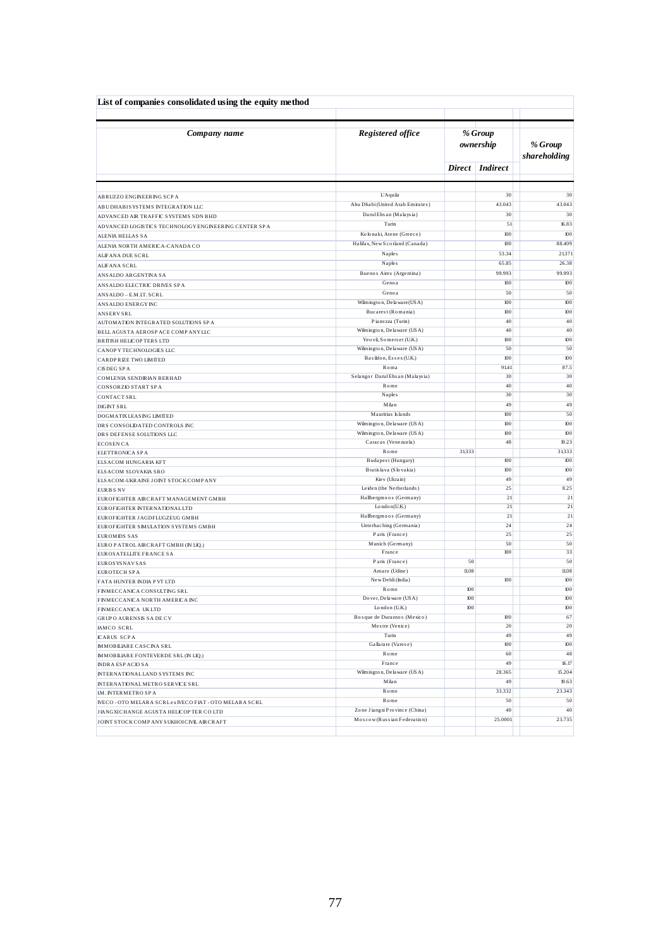| List of companies consolidated using the equity method               |                                                             |       |                      |                         |
|----------------------------------------------------------------------|-------------------------------------------------------------|-------|----------------------|-------------------------|
| Company name                                                         | Registered office                                           |       | % Group<br>ownership | % Group<br>shareholding |
|                                                                      |                                                             |       | Direct   Indirect    |                         |
|                                                                      |                                                             |       |                      |                         |
| ABRUZZO ENGINEERING SCP A                                            | L'Aquila                                                    |       | 30                   | 30                      |
| ABUDHABISYSTEMS INTEGRATION LLC                                      | Abu Dhabi (United Arab Emirates)<br>Darul Ehs an (Malaysia) |       | 43.043               | 43.043                  |
| ADVANCED AIR TRAFFIC SYSTEMS SDN BHD                                 | Turin                                                       |       | 30<br>51             | 30<br>16.83             |
| ADVANCED LOGISTICS TECHNOLOGY ENGINEERING CENTER SPA                 | Kolonaki, Atene (Greece)                                    |       | 100                  | 100                     |
| <b>ALENIA HELLAS SA</b>                                              | Halifax, New Scotland (Canada)                              |       | 100                  | 88.409                  |
| ALENIA NORTH AMERICA-CANADA CO                                       | Naples                                                      |       | 53.34                | 21371                   |
| ALIFANA DUE SCRL                                                     | Naples                                                      |       | 65.85                | 26.38                   |
| <b>ALIFANA SCRL</b><br>ANSALDO ARGENTINA SA                          | Buenos Aires (Argentina)                                    |       | 99.993               | 99.993                  |
|                                                                      | Genoa                                                       |       | 100                  | 100                     |
| ANSALDO ELECTRIC DRIVES SPA<br>ANSALDO - E.M.IT. SCRL                | Genoa                                                       |       | 50                   | 50                      |
| ANSALDO ENERGY INC                                                   | Wilmington, Delaware (USA)                                  |       | 100                  | 100                     |
| <b>ANSERVSRL</b>                                                     | Bucarest (Romania)                                          |       | 100                  | 100                     |
| AUTOMATION INTEGRATED SOLUTIONS SPA                                  | Pianezza (Turin)                                            |       | 40                   | 40                      |
| BELL AGUSTA AEROSP ACE COMP ANY LLC                                  | Wilmington, Delaware (USA)                                  |       | 40                   | 40                      |
| <b>BRITISH HELICOP TERS LTD</b>                                      | Yeo vil, Somerset (U.K.)                                    |       | 100                  | 100                     |
| CANOP Y TECHNOLOGIES LLC                                             | Wilmington, Delaware (USA)                                  |       | 50                   | 50                      |
| CARDPRIZE TWO LIMITED                                                | Basildon, Essex (U.K.)                                      |       | 100                  | 100                     |
| <b>CISDEGSPA</b>                                                     | $R0$ ma                                                     |       | 91.41                | 87.5                    |
| COMLENIA SENDIRIAN BERHAD                                            | Selangor Darul Ehsan (Malaysia)<br>Rome                     |       | 30<br>40             | 30<br>40                |
| CONSORZIO START SPA                                                  | Naples                                                      |       | 30                   | 30                      |
| <b>CONTACT SRL</b>                                                   | Milan                                                       |       | 49                   | 49                      |
| <b>DIGINT SRL</b><br>DOGMATIX LEASING LIMITED                        | Mauritius Islands                                           |       | 100                  | 50                      |
| DRS CONSOLIDATED CONTROLS INC                                        | Wilmington, Delaware (USA)                                  |       | 100                  | 100                     |
| DRS DEFENSE SOLUTIONS LLC                                            | Wilmington, Delaware (USA)                                  |       | 100                  | 100                     |
| <b>ECOSEN CA</b>                                                     | Caracas (Venezuela)                                         |       | 48                   | 19.23                   |
| ELETTRONICA SPA                                                      | Rome                                                        | 31333 |                      | 31333                   |
| ELSACOM HUNGARIA KFT                                                 | Budapest (Hungary)                                          |       | 100                  | 100                     |
| ELSACOM SLOVAKIA SRO                                                 | Bratislava (Slovakia)                                       |       | 100                  | 100                     |
| ELSACOM-UKRAINE JOINT STOCK COMPANY                                  | Kiev (Ukrain)                                               |       | 49                   | 49                      |
| <b>EURISS NV</b>                                                     | Leiden (the Netherlands)                                    |       | 25                   | 8.25                    |
| EUROFIGHTER AIRCRAFT MANAGEMENT GMBH                                 | Hallbergmoos (Germany)<br>$L$ ondon(U.K.)                   |       | 21<br>21             | 21<br>21                |
| EUROFIGHTER INTERNATIONAL LTD                                        | Hallbergmoos (Germany)                                      |       | 21                   | 21                      |
| EUROFIGHTER JAGDFLUGZEUG GMBH<br>EUROFIGHTER SIMULATION SYSTEMS GMBH | Unterhaching (Germania)                                     |       | 24                   | 24                      |
| <b>EUROMIDS SAS</b>                                                  | Paris (France)                                              |       | 25                   | 25                      |
| EURO PATROLAIRCRAFT GMBH (IN LIQ.)                                   | Munich (Germany)                                            |       | 50                   | 50                      |
| EUROS ATELLITE FRANCE SA                                             | France                                                      |       | 100                  | 33                      |
| EUROS YS NAV SAS                                                     | Paris (France)                                              | 50    |                      | 50                      |
| EUROTECH SPA                                                         | Amaro (Udine)                                               | 11.08 |                      | 11.08                   |
| FATA HUNTER INDIA P VT LTD                                           | New Dehli (India)                                           |       | 100                  | 100                     |
| FINMECCANICA CONSULTING SRL                                          | Rome                                                        | 100   |                      | 100                     |
| FINMECCANICA NORTH AMERICA INC                                       | Do ver, De la ware (USA)                                    | 100   |                      | 100                     |
| FINMECCANICA UKLTD                                                   | London (U.K.)<br>Bosque de Duraznos (Mexico)                | 100   | 100                  | 100<br>67               |
| <b>GRUP O AURENSIS SADE CV</b><br><b>IAMCO SCRL</b>                  | Mestre (Venice)                                             |       | 20                   | $20\,$                  |
| <b>ICARUS SCPA</b>                                                   | Turin                                                       |       | 49                   | 49                      |
| <b>IMMOBILIARE CASCINA SRL</b>                                       | Gallarate (Varese)                                          |       | $100\,$              | 100                     |
| <b>IMMOBILIARE FONTEVERDE SRL (IN LIQ.)</b>                          | Rome                                                        |       | 60                   | 48                      |
| <b>INDRA ESPACIO SA</b>                                              | France                                                      |       | 49                   | 16.17                   |
| INTERNATIONAL LAND SYSTEMS INC                                       | Wilmington, Delaware (USA)                                  |       | 28.365               | 15.204                  |
| INTERNATIONALMETRO SERVICE SRL                                       | Milan                                                       |       | 49                   | 19.63                   |
| IM. INTERMETRO SPA                                                   | Rome                                                        |       | 33.332               | 23.343                  |
| IVECO - OTO MELARA SCRL ex IVECO FIAT - OTO MELARA SCRL              | Rome                                                        |       | 50                   | 50                      |
| JIANGXICHANGE AGUSTA HELICOP TER CO LTD                              | Zone Jiangxi Province (China)                               |       | 40                   | 40                      |
| JOINT STOCK COMP ANY SUKHOICIVIL AIRCRAFT                            | Moscow (Russian Federation)                                 |       | 25.0001              | 23.735                  |
|                                                                      |                                                             |       |                      |                         |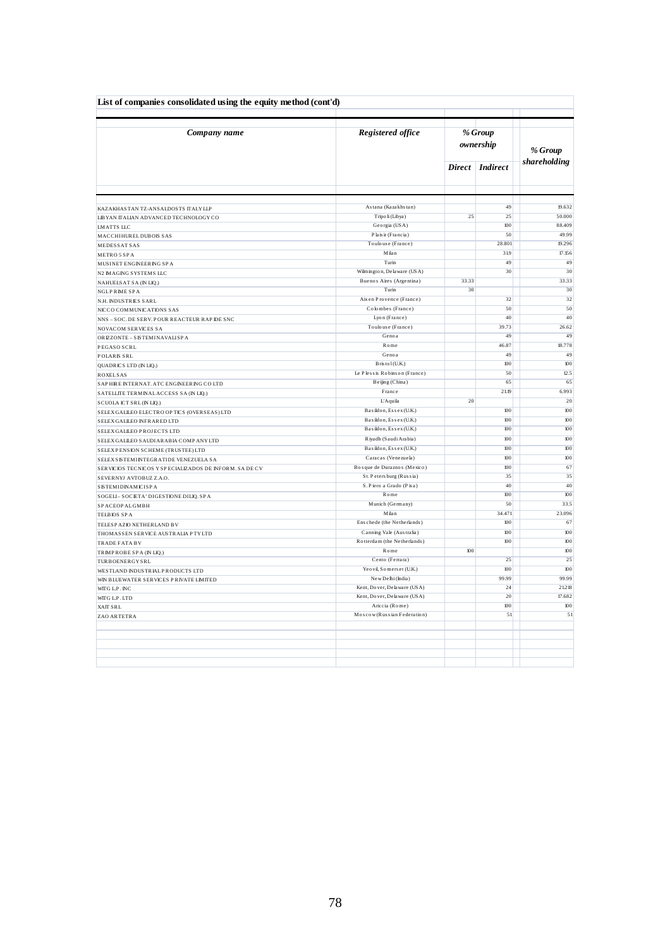| List of companies consolidated using the equity method (cont'd) |                                   |               |                      |              |
|-----------------------------------------------------------------|-----------------------------------|---------------|----------------------|--------------|
| Company name                                                    | <b>Registered office</b>          |               | % Group<br>ownership | % Group      |
|                                                                 |                                   | <b>Direct</b> | <b>Indirect</b>      | shareholding |
|                                                                 |                                   |               |                      |              |
| KAZAKHASTAN TZ-ANSALDOSTS ITALY LLP                             | Astana (Kazakhstan)               |               | 49                   | 19.632       |
| LIBYAN ITALIAN ADVANCED TECHNOLOGY CO                           | Tripo li (Libya)                  | 25            | 25                   | 50.000       |
| LMATTS LLC                                                      | Georgia (USA)                     |               | 100                  | 88.409       |
| MACCHIHURELDUBOIS SAS                                           | Plais ir (Francia)                |               | 50                   | 49.99        |
| MEDESSAT SAS                                                    | Toulouse (France)                 |               | 28.801               | 19.296       |
| METRO 5 SPA                                                     | Milan                             |               | 319                  | 17.156       |
| MUSINET ENGINEERING SPA                                         | Turin                             |               | 49                   | 49           |
| N2 IMAGING SYSTEMS LLC                                          | Wilmington, Delaware (USA)        |               | 30                   | 30           |
| NAHUELSAT SA (IN LIQ.)                                          | Buenos Aires (Argentina)          | 33.33         |                      | 33.33        |
| <b>NGLPRIME SPA</b>                                             | Turin<br>Aix en Provence (France) | 30            | 32                   | 30<br>32     |
| N.H. INDUSTRIES SARL                                            | Colombes (France)                 |               | 50                   | 50           |
| NICCO COMMUNICATIONS SAS                                        | Lyon (France)                     |               | 40                   | 40           |
| NNS - SOC. DE SERV. POUR REACTEUR RAP DE SNC                    | Toulouse (France)                 |               | 39.73                | 26.62        |
| NOVACOM SERVICES SA                                             | Genoa                             |               | 49                   | 49           |
| ORIZZONTE - SISTEMINAVALISPA                                    | Rome                              |               | 46.87                | 18.778       |
| PEGASO SCRL                                                     | Genoa                             |               | 49                   | 49           |
| POLARIS SRL                                                     | B ris to l (U.K.)                 |               | 100                  | 100          |
| QUADRICS LTD (IN LIQ.)<br><b>ROXELSAS</b>                       | Le Plessis Robinson (France)      |               | 50                   | 12.5         |
| SAPHIRE INTERNAT. ATC ENGINEERING COLTD                         | Beijing (China)                   |               | 65                   | 65           |
| SATELLITE TERMINAL ACCESS SA (IN LIQ.)                          | France                            |               | 21.19                | 6.993        |
| SCUOLA ICT SRL (IN LIQ.)                                        | L'Aquila                          | 20            |                      | 20           |
| SELEX GALILEO ELECTRO OP TICS (OVERSEAS) LTD                    | Basildon, Essex (U.K.)            |               | $100\,$              | 100          |
| SELEX GALILEO INFRARED LTD                                      | Basildon, Essex (U.K.)            |               | 100                  | 100          |
| SELEX GALLEO PROJECTS LTD                                       | Basildon, Essex (U.K.)            |               | 100                  | 100          |
| SELEX GALILEO SAUDIARABIA COMPANYLTD                            | Riyadh (Saudi Arabia)             |               | 100                  | 100          |
| SELEX PENSION SCHEME (TRUSTEE) LTD                              | Basildon, Essex (U.K.)            |               | 100                  | 100          |
| SELEX SISTEMINTEGRATIDE VENEZUELA SA                            | Caracas (Venezuela)               |               | 100                  | 100          |
| SERVICIOS TECNICOS Y SPECIALIZADOS DE INFORM. SA DE CV          | Bosque de Duraznos (Mexico)       |               | 100                  | 67           |
| SEVERNYJ AVTOBUZ Z.A.O.                                         | St. Petersburg (Russia)           |               | 35                   | 35           |
| SISTEMIDINAMICISPA                                              | S. Piero a Grado (Pisa)           |               | 40                   | 40           |
| SOGELI-SOCIETA' DIGESTIONE DILIQ. SPA                           | Rome                              |               | 100                  | 100          |
| SP ACEOP ALGMBH                                                 | Munich (Germany)                  |               | 50                   | 33.5         |
| TELBIOS SPA                                                     | Milan                             |               | 34.471               | 23.096       |
| TELESP AZIO NETHERLAND BV                                       | Enschede (the Netherlands)        |               | 100                  | 67           |
| THOMASSEN SERVICE AUSTRALIA PTYLTD                              | Canning Vale (Australia)          |               | 100                  | 100          |
| TRADE FATA BV                                                   | Rotterdam (the Netherlands)       |               | 100                  | 100          |
| TRIMPROBE SPA (IN LIQ.)                                         | Rome                              | 100           |                      | 100          |
| <b>TURBOENERGYSRL</b>                                           | Cento (Ferrara)                   |               | 25                   | 25           |
| WESTLAND INDUSTRIALP RODUCTS LTD                                | Yeo vil, Somers et (U.K.)         |               | 100                  | 100          |
| WIN BLUEWATER SERVICES PRIVATE LIMITED                          | New Delhi (India)                 |               | 99.99                | 99.99        |
| WITG L.P. INC                                                   | Kent, Dover, Delaware (USA)       |               | 24                   | 21218        |
| WITG L.P. LTD                                                   | Kent, Dover, Delaware (USA)       |               | 20                   | 17.682       |
| XAIT SRL                                                        | Ariccia (Rome)                    |               | 100                  | 100          |
| ZAO ARTETRA                                                     | Moscow (Russian Federation)       |               | 51                   | 51           |
|                                                                 |                                   |               |                      |              |
|                                                                 |                                   |               |                      |              |
|                                                                 |                                   |               |                      |              |
|                                                                 |                                   |               |                      |              |
|                                                                 |                                   |               |                      |              |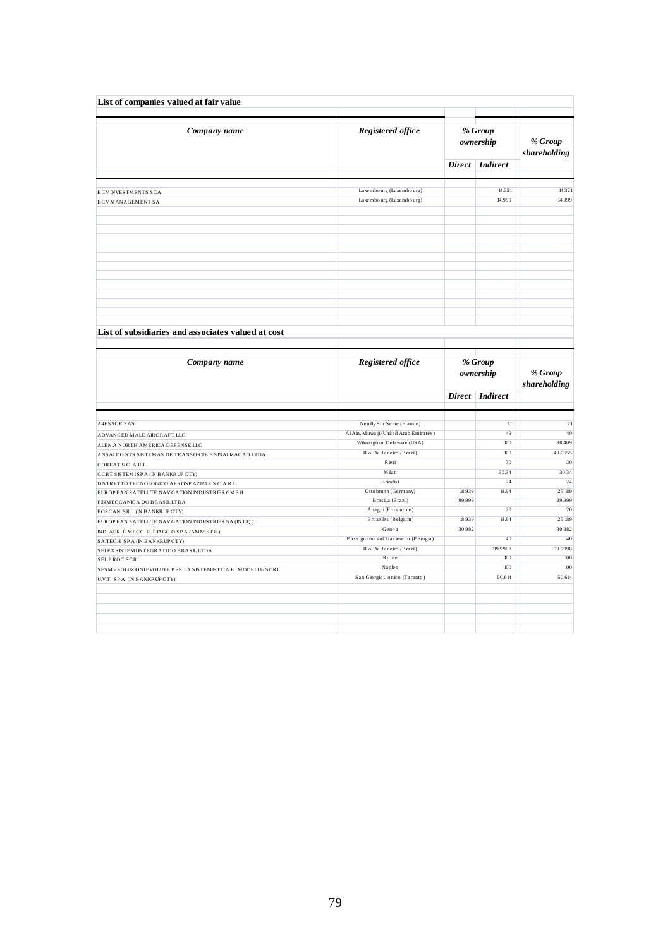| Company name                                                                                 | Registered office                      |         | % Group<br>ownership | % Group<br>shareholding |  |
|----------------------------------------------------------------------------------------------|----------------------------------------|---------|----------------------|-------------------------|--|
|                                                                                              |                                        |         | Direct Indirect      |                         |  |
| <b>BCVINVESTMENTS SCA</b>                                                                    | Luxembourg (Luxembourg)                |         | 14.321               | 14.321                  |  |
| <b>BCVMANAGEMENT SA</b>                                                                      | Luxembourg (Luxembourg)                |         | 14.999               | 14.999                  |  |
|                                                                                              |                                        |         |                      |                         |  |
|                                                                                              |                                        |         |                      |                         |  |
|                                                                                              |                                        |         |                      |                         |  |
|                                                                                              |                                        |         |                      |                         |  |
|                                                                                              |                                        |         |                      |                         |  |
|                                                                                              |                                        |         |                      |                         |  |
|                                                                                              |                                        |         |                      |                         |  |
| List of subsidiaries and associates valued at cost                                           |                                        |         |                      |                         |  |
|                                                                                              |                                        |         |                      |                         |  |
|                                                                                              |                                        | % Group |                      |                         |  |
| Company name                                                                                 | Registered office                      |         |                      |                         |  |
|                                                                                              |                                        |         | ownership            | % Group                 |  |
|                                                                                              |                                        |         | Direct Indirect      | shareholding            |  |
|                                                                                              |                                        |         |                      |                         |  |
| <b>A4ESSOR SAS</b>                                                                           | Neuilly Sur Seine (France)             |         | 21                   | 21                      |  |
| ADVANCED MALE AIRCRAFT LLC                                                                   | Al Ain, Muwaiji (United Arab Emirates) |         | 49                   |                         |  |
| ALENIA NORTH AMERICA DEFENSE LLC                                                             | Wilmington, Delaware (USA)             |         | 100                  | 49<br>88.409            |  |
| ANSALDO STS SISTEMAS DE TRANSORTE E SINALIZACAO LTDA                                         | Rio De Janeiro (Brazil)                |         | 100                  | 40.0655                 |  |
| COREAT S.C. A R.L.                                                                           | Rieti                                  |         | 30                   | 30                      |  |
| CCRT SISTEMISP A (IN BANKRUP CTY)                                                            | Milan                                  |         | 30.34                | 30.34                   |  |
| DISTRETTO TECNOLOGICO AEROSP AZIALE S.C.A R.L.                                               | B rindis i                             |         | 24                   | 24                      |  |
| EUROPEAN SATELLITE NAVIGATION INDUSTRIES GMBH                                                | Ottobrunn (Germany)                    | 18.939  | 18.94                | 25.189                  |  |
| FINMECCANICA DO BRASILLTDA                                                                   | Brasilia (Brazil)                      | 99.999  |                      | 99.999                  |  |
| FOSCAN SRL (IN BANKRUP CTY)                                                                  | Anagni (Frosinone)                     |         | 20                   |                         |  |
| EUROPEAN SATELLITE NAVIGATION INDUSTRIES SA (IN LIQ.)                                        | Bruxelles (Belgium)                    | 18.939  | 18.94                | $20\,$<br>25.189        |  |
| IND. AER. E MECC. R. P IAGGIO SP A (AMM.STR.)                                                | Genoa                                  | 30.982  |                      | 30.982                  |  |
| SAITECH SPA (IN BANKRUP CTY)                                                                 | Passignano sul Trasimeno (Perugia)     |         | 40                   | 40                      |  |
| SELEX SISTEMINTEGRATIDO BRASIL LTDA                                                          | Rio De Janeiro (Brazil)                |         | 99.9998              | 99.9998                 |  |
| <b>SELPROC SCRL</b>                                                                          | Rome                                   |         | $100$                | 100                     |  |
| SESM - SOLUZIONIEVOLUTE PER LA SISTEMISTICA E IMODELLI - SCRL<br>U.V.T. SPA (IN BANKRUP CTY) | Naples<br>San Giorgio Jonico (Taranto) |         | 100<br>50.614        | 100<br>50.614           |  |
|                                                                                              |                                        |         |                      |                         |  |
|                                                                                              |                                        |         |                      |                         |  |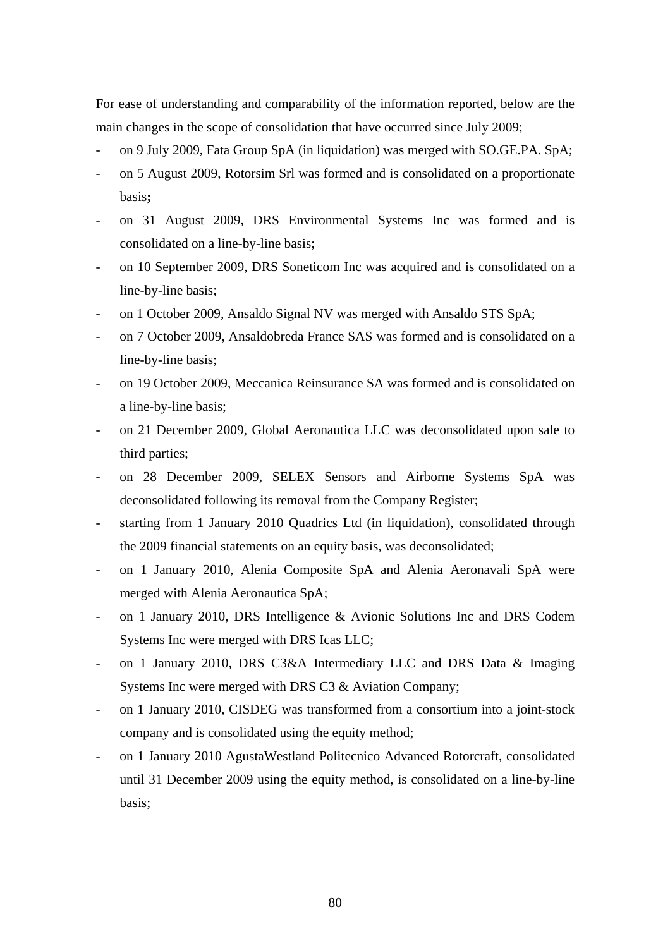For ease of understanding and comparability of the information reported, below are the main changes in the scope of consolidation that have occurred since July 2009;

- on 9 July 2009, Fata Group SpA (in liquidation) was merged with SO.GE.PA. SpA;
- on 5 August 2009, Rotorsim Srl was formed and is consolidated on a proportionate basis**;**
- on 31 August 2009, DRS Environmental Systems Inc was formed and is consolidated on a line-by-line basis;
- on 10 September 2009, DRS Soneticom Inc was acquired and is consolidated on a line-by-line basis;
- on 1 October 2009, Ansaldo Signal NV was merged with Ansaldo STS SpA;
- on 7 October 2009, Ansaldobreda France SAS was formed and is consolidated on a line-by-line basis;
- on 19 October 2009, Meccanica Reinsurance SA was formed and is consolidated on a line-by-line basis;
- on 21 December 2009, Global Aeronautica LLC was deconsolidated upon sale to third parties;
- on 28 December 2009, SELEX Sensors and Airborne Systems SpA was deconsolidated following its removal from the Company Register;
- starting from 1 January 2010 Quadrics Ltd (in liquidation), consolidated through the 2009 financial statements on an equity basis, was deconsolidated;
- on 1 January 2010, Alenia Composite SpA and Alenia Aeronavali SpA were merged with Alenia Aeronautica SpA;
- on 1 January 2010, DRS Intelligence & Avionic Solutions Inc and DRS Codem Systems Inc were merged with DRS Icas LLC;
- on 1 January 2010, DRS C3&A Intermediary LLC and DRS Data & Imaging Systems Inc were merged with DRS C3 & Aviation Company;
- on 1 January 2010, CISDEG was transformed from a consortium into a joint-stock company and is consolidated using the equity method;
- on 1 January 2010 AgustaWestland Politecnico Advanced Rotorcraft, consolidated until 31 December 2009 using the equity method, is consolidated on a line-by-line basis;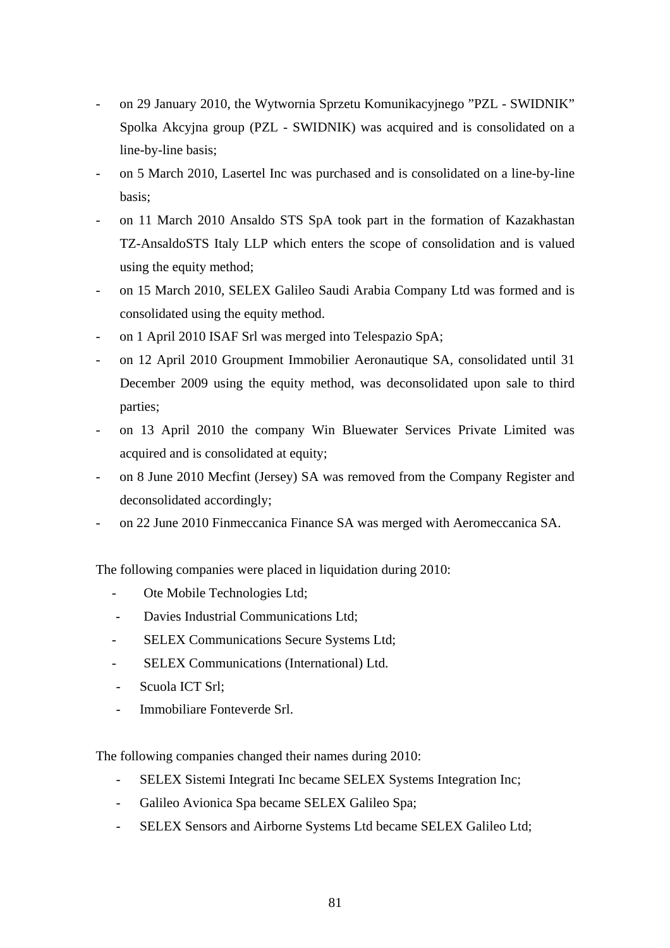- on 29 January 2010, the Wytwornia Sprzetu Komunikacyjnego "PZL SWIDNIK" Spolka Akcyjna group (PZL - SWIDNIK) was acquired and is consolidated on a line-by-line basis;
- on 5 March 2010, Lasertel Inc was purchased and is consolidated on a line-by-line basis;
- on 11 March 2010 Ansaldo STS SpA took part in the formation of Kazakhastan TZ-AnsaldoSTS Italy LLP which enters the scope of consolidation and is valued using the equity method;
- on 15 March 2010, SELEX Galileo Saudi Arabia Company Ltd was formed and is consolidated using the equity method.
- on 1 April 2010 ISAF Srl was merged into Telespazio SpA;
- on 12 April 2010 Groupment Immobilier Aeronautique SA, consolidated until 31 December 2009 using the equity method, was deconsolidated upon sale to third parties;
- on 13 April 2010 the company Win Bluewater Services Private Limited was acquired and is consolidated at equity;
- on 8 June 2010 Mecfint (Jersey) SA was removed from the Company Register and deconsolidated accordingly;
- on 22 June 2010 Finmeccanica Finance SA was merged with Aeromeccanica SA.

The following companies were placed in liquidation during 2010:

- Ote Mobile Technologies Ltd;
- Davies Industrial Communications Ltd;
- SELEX Communications Secure Systems Ltd;
- SELEX Communications (International) Ltd.
- Scuola ICT Srl;
- Immobiliare Fonteverde Srl.

The following companies changed their names during 2010:

- SELEX Sistemi Integrati Inc became SELEX Systems Integration Inc;
- Galileo Avionica Spa became SELEX Galileo Spa;
- SELEX Sensors and Airborne Systems Ltd became SELEX Galileo Ltd;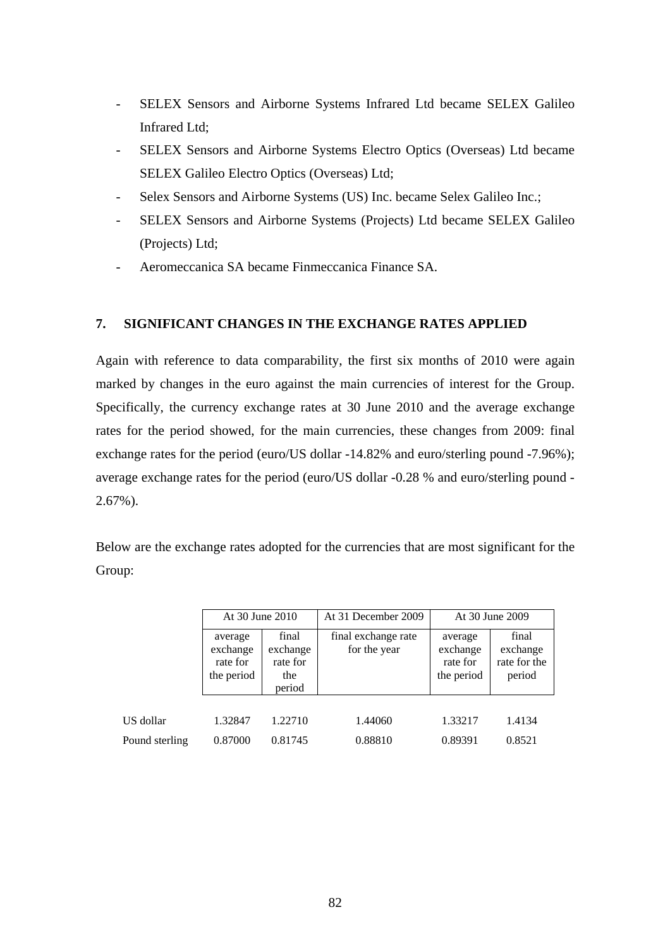- SELEX Sensors and Airborne Systems Infrared Ltd became SELEX Galileo Infrared Ltd;
- SELEX Sensors and Airborne Systems Electro Optics (Overseas) Ltd became SELEX Galileo Electro Optics (Overseas) Ltd;
- Selex Sensors and Airborne Systems (US) Inc. became Selex Galileo Inc.;
- SELEX Sensors and Airborne Systems (Projects) Ltd became SELEX Galileo (Projects) Ltd;
- Aeromeccanica SA became Finmeccanica Finance SA.

## **7. SIGNIFICANT CHANGES IN THE EXCHANGE RATES APPLIED**

Again with reference to data comparability, the first six months of 2010 were again marked by changes in the euro against the main currencies of interest for the Group. Specifically, the currency exchange rates at 30 June 2010 and the average exchange rates for the period showed, for the main currencies, these changes from 2009: final exchange rates for the period (euro/US dollar -14.82% and euro/sterling pound -7.96%); average exchange rates for the period (euro/US dollar -0.28 % and euro/sterling pound - 2.67%).

Below are the exchange rates adopted for the currencies that are most significant for the Group:

|                | At 30 June 2010                               |                                                | At 31 December 2009                 |                                               | At 30 June 2009                             |
|----------------|-----------------------------------------------|------------------------------------------------|-------------------------------------|-----------------------------------------------|---------------------------------------------|
|                | average<br>exchange<br>rate for<br>the period | final<br>exchange<br>rate for<br>the<br>period | final exchange rate<br>for the year | average<br>exchange<br>rate for<br>the period | final<br>exchange<br>rate for the<br>period |
| US dollar      | 1.32847                                       | 1.22710                                        | 1.44060                             | 1.33217                                       | 1.4134                                      |
| Pound sterling | 0.87000                                       | 0.81745                                        | 0.88810                             | 0.89391                                       | 0.8521                                      |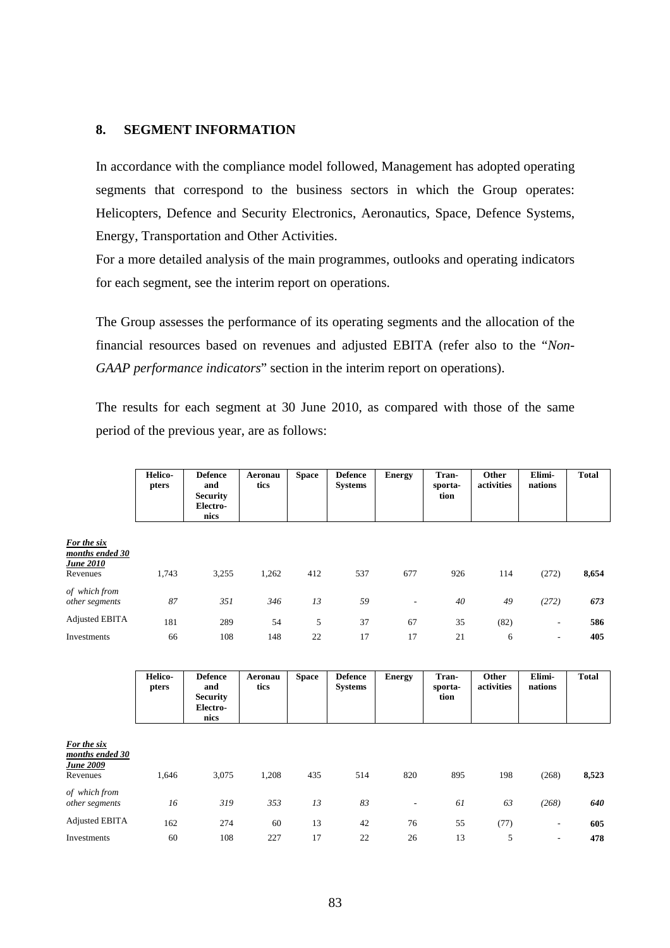#### **8. SEGMENT INFORMATION**

In accordance with the compliance model followed, Management has adopted operating segments that correspond to the business sectors in which the Group operates: Helicopters, Defence and Security Electronics, Aeronautics, Space, Defence Systems, Energy, Transportation and Other Activities.

For a more detailed analysis of the main programmes, outlooks and operating indicators for each segment, see the interim report on operations.

The Group assesses the performance of its operating segments and the allocation of the financial resources based on revenues and adjusted EBITA (refer also to the "*Non-GAAP performance indicators*" section in the interim report on operations).

The results for each segment at 30 June 2010, as compared with those of the same period of the previous year, are as follows:

|                                                         | <b>Helico-</b><br>pters | <b>Defence</b><br>and<br><b>Security</b><br>Electro-<br>nics | Aeronau<br>tics | <b>Space</b> | <b>Defence</b><br><b>Systems</b> | <b>Energy</b>            | Tran-<br>sporta-<br>tion | Other<br>activities | Elimi-<br>nations        | <b>Total</b> |
|---------------------------------------------------------|-------------------------|--------------------------------------------------------------|-----------------|--------------|----------------------------------|--------------------------|--------------------------|---------------------|--------------------------|--------------|
| For the six<br>months ended 30<br>June 2010<br>Revenues | 1,743                   | 3,255                                                        | 1,262           | 412          | 537                              | 677                      | 926                      | 114                 | (272)                    | 8,654        |
| of which from<br>other segments                         | 87                      | 351                                                          | 346             | 13           | 59                               | $\overline{\phantom{a}}$ | 40                       | 49                  | (272)                    | 673          |
| <b>Adjusted EBITA</b>                                   | 181                     | 289                                                          | 54              | 5            | 37                               | 67                       | 35                       | (82)                | ٠                        | 586          |
| Investments                                             | 66                      | 108                                                          | 148             | 22           | 17                               | 17                       | 21                       | 6                   | $\overline{\phantom{a}}$ | 405          |

|                                                                | Helico-<br>pters | <b>Defence</b><br>and<br><b>Security</b><br>Electro-<br>nics | Aeronau<br>tics | <b>Space</b> | <b>Defence</b><br><b>Systems</b> | <b>Energy</b>            | Tran-<br>sporta-<br>tion | Other<br>activities | Elimi-<br>nations        | <b>Total</b> |
|----------------------------------------------------------------|------------------|--------------------------------------------------------------|-----------------|--------------|----------------------------------|--------------------------|--------------------------|---------------------|--------------------------|--------------|
| For the six<br>months ended 30<br><u>June 2009</u><br>Revenues | 1,646            | 3,075                                                        | 1,208           | 435          | 514                              | 820                      | 895                      | 198                 | (268)                    | 8,523        |
| of which from<br>other segments                                | 16               | 319                                                          | 353             | 13           | 83                               | $\overline{\phantom{a}}$ | 61                       | 63                  | (268)                    | 640          |
| <b>Adjusted EBITA</b>                                          | 162              | 274                                                          | 60              | 13           | 42                               | 76                       | 55                       | (77)                | $\overline{\phantom{a}}$ | 605          |
| Investments                                                    | 60               | 108                                                          | 227             | 17           | 22                               | 26                       | 13                       | 5                   | $\overline{\phantom{a}}$ | 478          |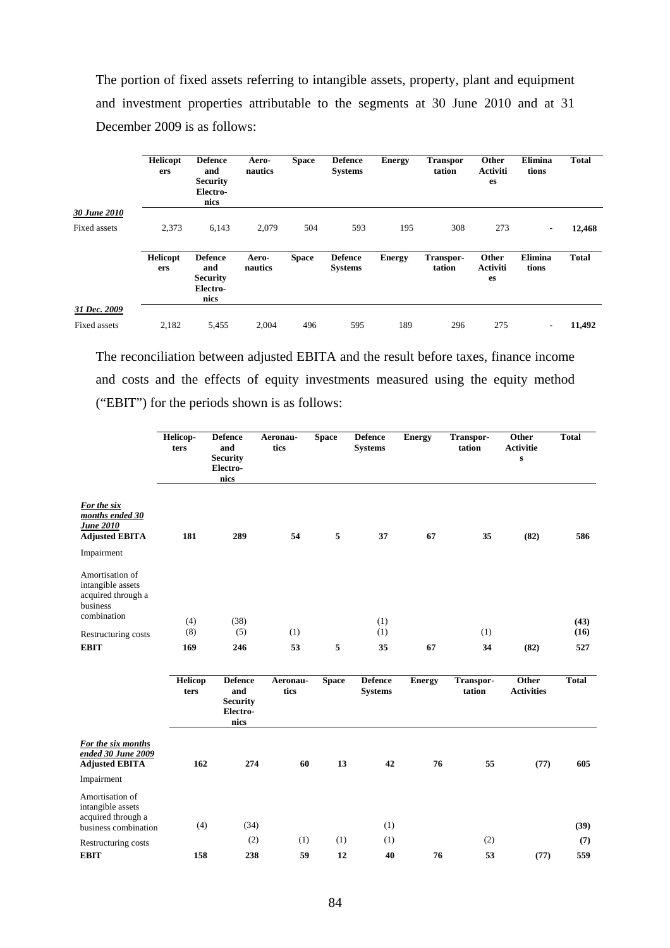The portion of fixed assets referring to intangible assets, property, plant and equipment and investment properties attributable to the segments at 30 June 2010 and at 31 December 2009 is as follows:

|              | <b>Helicopt</b><br>ers | <b>Defence</b><br>and<br><b>Security</b><br>Electro-<br>nics | Aero-<br>nautics | <b>Space</b> | <b>Defence</b><br><b>Systems</b> | <b>Energy</b> | <b>Transpor</b><br>tation | Other<br><b>Activiti</b><br>es | Elimina<br>tions         | <b>Total</b> |
|--------------|------------------------|--------------------------------------------------------------|------------------|--------------|----------------------------------|---------------|---------------------------|--------------------------------|--------------------------|--------------|
| 30 June 2010 |                        |                                                              |                  |              |                                  |               |                           |                                |                          |              |
| Fixed assets | 2,373                  | 6,143                                                        | 2,079            | 504          | 593                              | 195           | 308                       | 273                            | $\overline{\phantom{a}}$ | 12,468       |
|              | <b>Helicopt</b><br>ers | <b>Defence</b><br>and<br><b>Security</b><br>Electro-<br>nics | Aero-<br>nautics | <b>Space</b> | <b>Defence</b><br><b>Systems</b> | <b>Energy</b> | Transpor-<br>tation       | Other<br><b>Activiti</b><br>es | Elimina<br>tions         | <b>Total</b> |
| 31 Dec. 2009 |                        |                                                              |                  |              |                                  |               |                           |                                |                          |              |
| Fixed assets | 2,182                  | 5,455                                                        | 2.004            | 496          | 595                              | 189           | 296                       | 275                            | $\overline{\phantom{0}}$ | 11,492       |

The reconciliation between adjusted EBITA and the result before taxes, finance income and costs and the effects of equity investments measured using the equity method ("EBIT") for the periods shown is as follows:

|                                                                                                     | Helicop-<br>ters | <b>Defence</b><br>and<br><b>Security</b><br>Electro-<br>nics | Aeronau-<br>tics | <b>Space</b> | <b>Defence</b><br><b>Systems</b> | <b>Energy</b> | Transpor-<br>tation | Other<br><b>Activitie</b><br>$\mathbf{s}$ | <b>Total</b> |
|-----------------------------------------------------------------------------------------------------|------------------|--------------------------------------------------------------|------------------|--------------|----------------------------------|---------------|---------------------|-------------------------------------------|--------------|
| For the six<br>months ended 30<br><b>June 2010</b><br><b>Adjusted EBITA</b>                         | 181              | 289                                                          | 54               | 5            | 37                               | 67            | 35                  | (82)                                      | 586          |
| Impairment<br>Amortisation of<br>intangible assets<br>acquired through a<br>business<br>combination |                  |                                                              |                  |              |                                  |               |                     |                                           |              |
| Restructuring costs                                                                                 | (4)<br>(8)       | (38)<br>(5)                                                  | (1)              |              | (1)<br>(1)                       |               | (1)                 |                                           | (43)<br>(16) |
| <b>EBIT</b>                                                                                         | 169              | 246                                                          | 53               | 5            | 35                               | 67            | 34                  | (82)                                      | 527          |
|                                                                                                     | Helicop<br>ters  | <b>Defence</b><br>and<br><b>Security</b><br>Electro-<br>nics | Aeronau-<br>tics | <b>Space</b> | <b>Defence</b><br><b>Systems</b> | <b>Energy</b> | Transpor-<br>tation | Other<br><b>Activities</b>                | <b>Total</b> |
| For the six months<br>ended 30 June 2009<br><b>Adjusted EBITA</b>                                   | 162              | 274                                                          | 60               | 13           | 42                               | 76            | 55                  | (77)                                      | 605          |
| Impairment                                                                                          |                  |                                                              |                  |              |                                  |               |                     |                                           |              |
| Amortisation of<br>intangible assets<br>acquired through a<br>business combination                  | (4)              | (34)                                                         |                  |              | (1)                              |               |                     |                                           | (39)         |
| Restructuring costs                                                                                 |                  | (2)                                                          | (1)              | (1)          | (1)                              |               | (2)                 |                                           | (7)          |
| <b>EBIT</b>                                                                                         | 158              | 238                                                          | 59               | 12           | 40                               | 76            | 53                  | (77)                                      | 559          |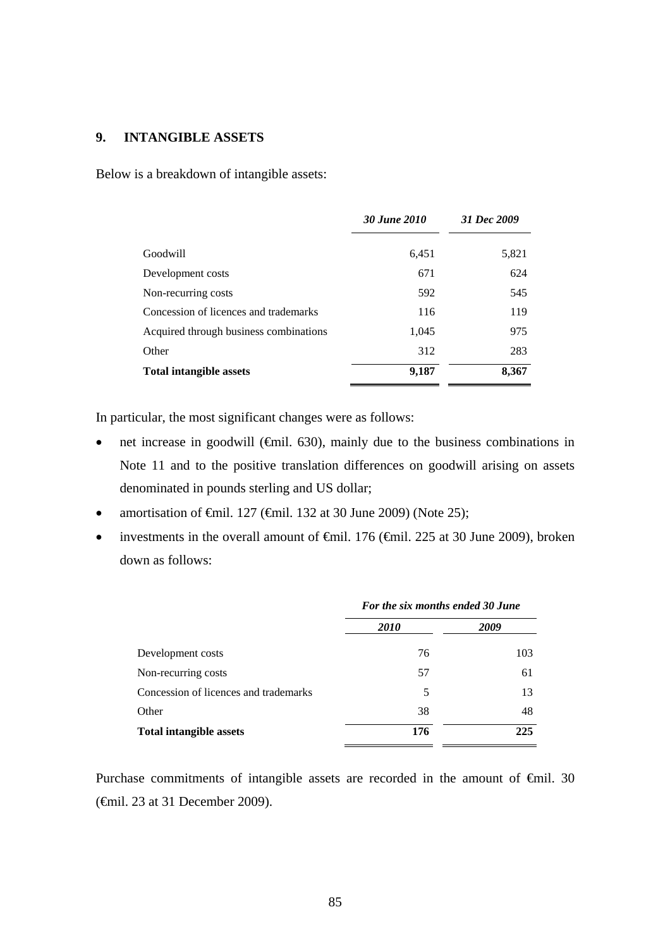### **9. INTANGIBLE ASSETS**

Below is a breakdown of intangible assets:

|                                        | 30 June 2010 | 31 Dec 2009 |
|----------------------------------------|--------------|-------------|
| Goodwill                               | 6,451        | 5,821       |
| Development costs                      | 671          | 624         |
| Non-recurring costs                    | 592          | 545         |
| Concession of licences and trademarks  | 116          | 119         |
| Acquired through business combinations | 1,045        | 975         |
| Other                                  | 312          | 283         |
| <b>Total intangible assets</b>         | 9,187        | 8,367       |

In particular, the most significant changes were as follows:

- net increase in goodwill ( $\bigoplus$ mil. 630), mainly due to the business combinations in Note 11 and to the positive translation differences on goodwill arising on assets denominated in pounds sterling and US dollar;
- amortisation of €mil. 127 (€mil. 132 at 30 June 2009) (Note 25);
- investments in the overall amount of  $\theta$ mil. 176 ( $\theta$ mil. 225 at 30 June 2009), broken down as follows:

|                                       | For the six months ended 30 June |      |  |
|---------------------------------------|----------------------------------|------|--|
|                                       | <i>2010</i>                      | 2009 |  |
| Development costs                     | 76                               | 103  |  |
| Non-recurring costs                   | 57                               | 61   |  |
| Concession of licences and trademarks | 5                                | 13   |  |
| Other                                 | 38                               | 48   |  |
| <b>Total intangible assets</b>        | 176                              | 225  |  |

Purchase commitments of intangible assets are recorded in the amount of €mil. 30 (€mil. 23 at 31 December 2009).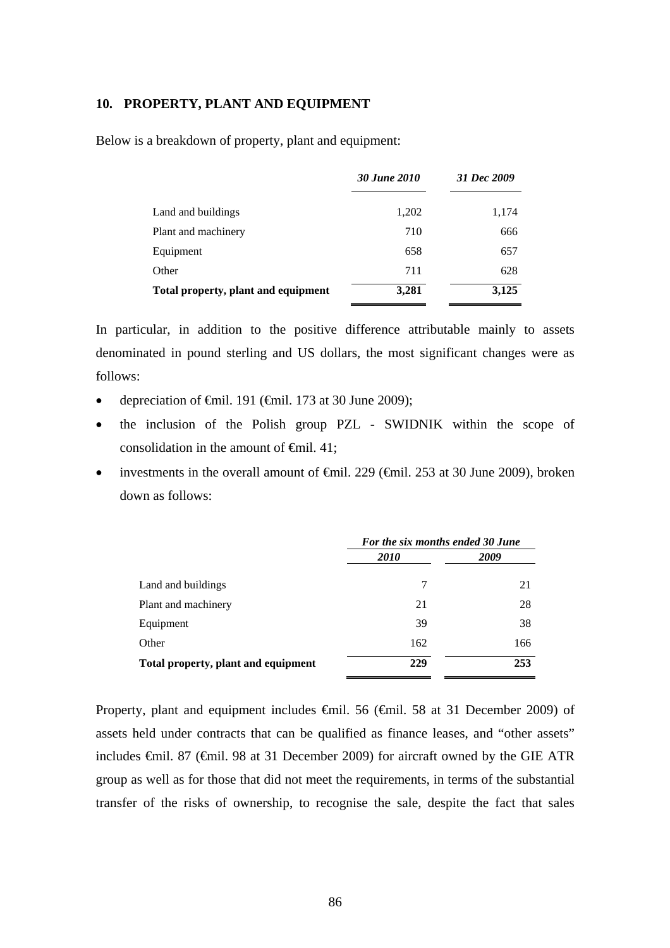#### **10. PROPERTY, PLANT AND EQUIPMENT**

Below is a breakdown of property, plant and equipment:

|                                     | <b>30 June 2010</b> | 31 Dec 2009 |  |
|-------------------------------------|---------------------|-------------|--|
| Land and buildings                  | 1,202               | 1,174       |  |
| Plant and machinery                 | 710                 | 666         |  |
| Equipment                           | 658                 | 657         |  |
| Other                               | 711                 | 628         |  |
| Total property, plant and equipment | 3,281               | 3,125       |  |

In particular, in addition to the positive difference attributable mainly to assets denominated in pound sterling and US dollars, the most significant changes were as follows:

- depreciation of  $\theta$ mil. 191 ( $\theta$ mil. 173 at 30 June 2009);
- the inclusion of the Polish group PZL SWIDNIK within the scope of consolidation in the amount of  $\epsilon$ mil. 41;
- investments in the overall amount of  $\theta$ mil. 229 ( $\theta$ mil. 253 at 30 June 2009), broken down as follows:

|                                     | For the six months ended 30 June |      |  |
|-------------------------------------|----------------------------------|------|--|
|                                     | <i>2010</i>                      | 2009 |  |
| Land and buildings                  | 7                                | 21   |  |
| Plant and machinery                 | 21                               | 28   |  |
| Equipment                           | 39                               | 38   |  |
| Other                               | 162                              | 166  |  |
| Total property, plant and equipment | 229                              | 253  |  |

Property, plant and equipment includes €mil. 56 (€mil. 58 at 31 December 2009) of assets held under contracts that can be qualified as finance leases, and "other assets" includes €mil. 87 (€mil. 98 at 31 December 2009) for aircraft owned by the GIE ATR group as well as for those that did not meet the requirements, in terms of the substantial transfer of the risks of ownership, to recognise the sale, despite the fact that sales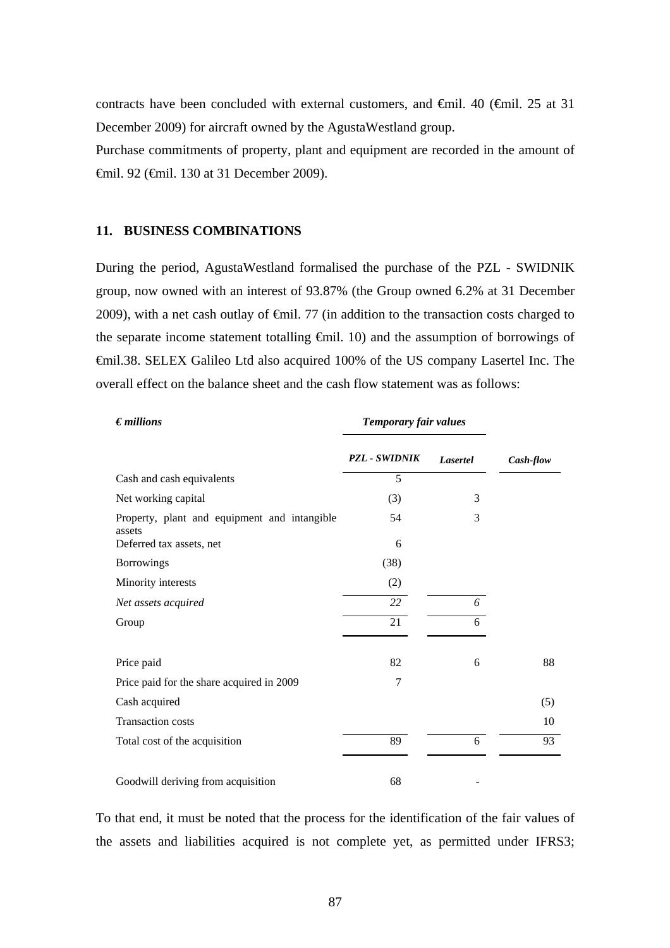contracts have been concluded with external customers, and €mil. 40 (€mil. 25 at 31 December 2009) for aircraft owned by the AgustaWestland group.

Purchase commitments of property, plant and equipment are recorded in the amount of €mil. 92 (€mil. 130 at 31 December 2009).

#### **11. BUSINESS COMBINATIONS**

During the period, AgustaWestland formalised the purchase of the PZL - SWIDNIK group, now owned with an interest of 93.87% (the Group owned 6.2% at 31 December 2009), with a net cash outlay of  $\epsilon$ mil. 77 (in addition to the transaction costs charged to the separate income statement totalling €mil. 10) and the assumption of borrowings of €mil.38. SELEX Galileo Ltd also acquired 100% of the US company Lasertel Inc. The overall effect on the balance sheet and the cash flow statement was as follows:

| $\epsilon$ <i>millions</i>                             | Temporary fair values |          |           |
|--------------------------------------------------------|-----------------------|----------|-----------|
|                                                        | <b>PZL - SWIDNIK</b>  | Lasertel | Cash-flow |
| Cash and cash equivalents                              | 5                     |          |           |
| Net working capital                                    | (3)                   | 3        |           |
| Property, plant and equipment and intangible<br>assets | 54                    | 3        |           |
| Deferred tax assets, net                               | 6                     |          |           |
| <b>Borrowings</b>                                      | (38)                  |          |           |
| Minority interests                                     | (2)                   |          |           |
| Net assets acquired                                    | 22                    | 6        |           |
| Group                                                  | 21                    | 6        |           |
| Price paid                                             | 82                    | 6        | 88        |
| Price paid for the share acquired in 2009              | 7                     |          |           |
| Cash acquired                                          |                       |          | (5)       |
| <b>Transaction costs</b>                               |                       |          | 10        |
| Total cost of the acquisition                          | 89                    | 6        | 93        |
| Goodwill deriving from acquisition                     | 68                    |          |           |

To that end, it must be noted that the process for the identification of the fair values of the assets and liabilities acquired is not complete yet, as permitted under IFRS3;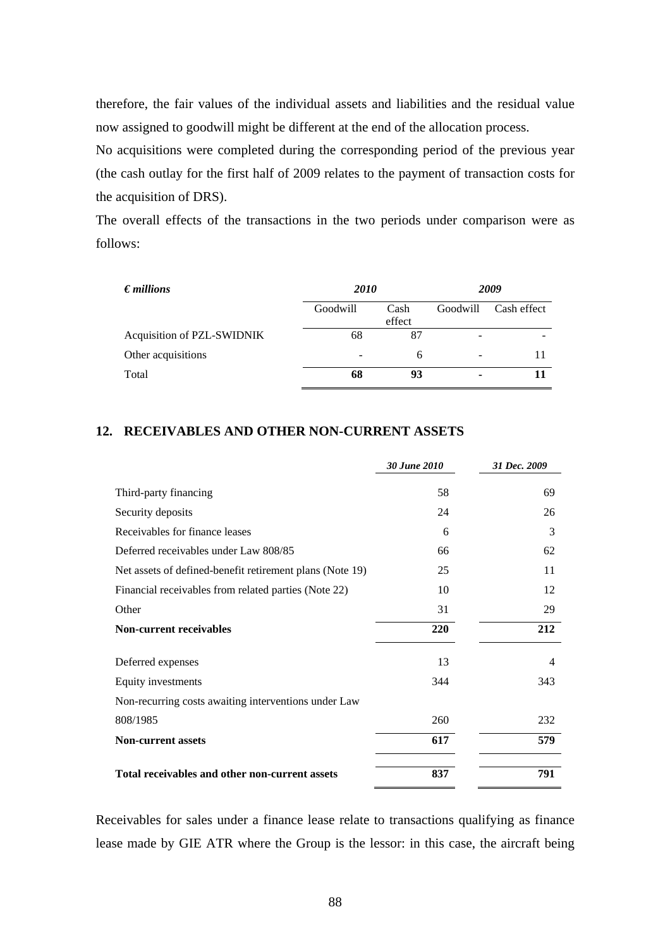therefore, the fair values of the individual assets and liabilities and the residual value now assigned to goodwill might be different at the end of the allocation process.

No acquisitions were completed during the corresponding period of the previous year (the cash outlay for the first half of 2009 relates to the payment of transaction costs for the acquisition of DRS).

The overall effects of the transactions in the two periods under comparison were as follows:

| $\epsilon$ <i>millions</i> | <i>2010</i> |                | 2009                     |             |
|----------------------------|-------------|----------------|--------------------------|-------------|
|                            | Goodwill    | Cash<br>effect | Goodwill                 | Cash effect |
| Acquisition of PZL-SWIDNIK | 68          | 87             | $\overline{\phantom{0}}$ |             |
| Other acquisitions         |             | 6              | $\qquad \qquad$          |             |
| Total                      | 68          | 93             | ٠                        |             |

#### **12. RECEIVABLES AND OTHER NON-CURRENT ASSETS**

|                                                          | 30 June 2010 | 31 Dec. 2009 |
|----------------------------------------------------------|--------------|--------------|
| Third-party financing                                    | 58           | 69           |
| Security deposits                                        | 24           | 26           |
| Receivables for finance leases                           | 6            | 3            |
| Deferred receivables under Law 808/85                    | 66           | 62           |
| Net assets of defined-benefit retirement plans (Note 19) | 25           | 11           |
| Financial receivables from related parties (Note 22)     | 10           | 12           |
| Other                                                    | 31           | 29           |
| <b>Non-current receivables</b>                           | 220          | 212          |
| Deferred expenses                                        | 13           | 4            |
| Equity investments                                       | 344          | 343          |
| Non-recurring costs awaiting interventions under Law     |              |              |
| 808/1985                                                 | 260          | 232          |
| <b>Non-current assets</b>                                | 617          | 579          |
| Total receivables and other non-current assets           | 837          | 791          |

Receivables for sales under a finance lease relate to transactions qualifying as finance lease made by GIE ATR where the Group is the lessor: in this case, the aircraft being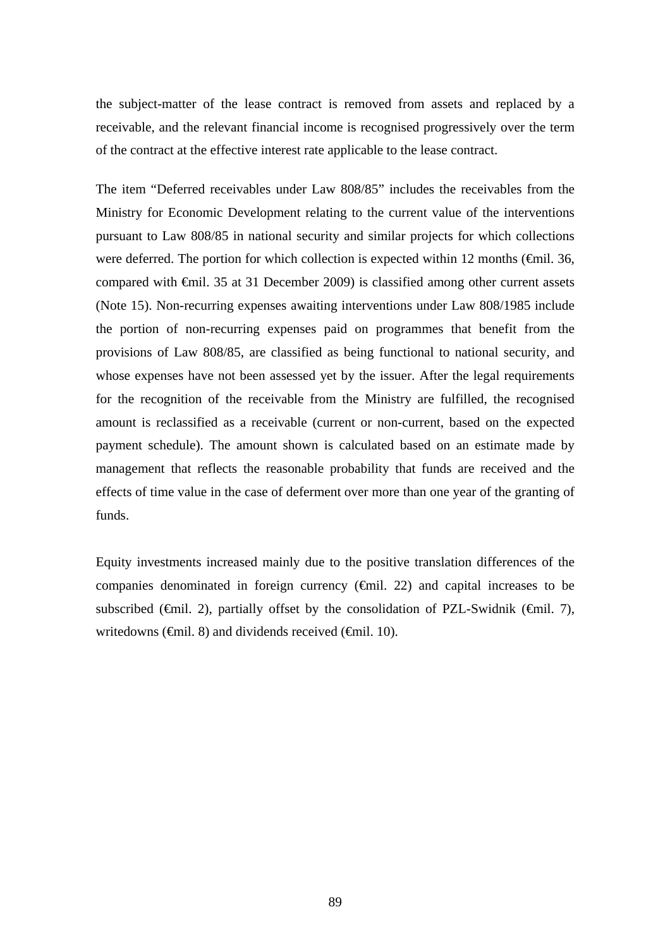the subject-matter of the lease contract is removed from assets and replaced by a receivable, and the relevant financial income is recognised progressively over the term of the contract at the effective interest rate applicable to the lease contract.

The item "Deferred receivables under Law 808/85" includes the receivables from the Ministry for Economic Development relating to the current value of the interventions pursuant to Law 808/85 in national security and similar projects for which collections were deferred. The portion for which collection is expected within 12 months ( $\epsilon$ mil. 36, compared with €mil. 35 at 31 December 2009) is classified among other current assets (Note 15). Non-recurring expenses awaiting interventions under Law 808/1985 include the portion of non-recurring expenses paid on programmes that benefit from the provisions of Law 808/85, are classified as being functional to national security, and whose expenses have not been assessed yet by the issuer. After the legal requirements for the recognition of the receivable from the Ministry are fulfilled, the recognised amount is reclassified as a receivable (current or non-current, based on the expected payment schedule). The amount shown is calculated based on an estimate made by management that reflects the reasonable probability that funds are received and the effects of time value in the case of deferment over more than one year of the granting of funds.

Equity investments increased mainly due to the positive translation differences of the companies denominated in foreign currency (€mil. 22) and capital increases to be subscribed ( $\oplus$ mil. 2), partially offset by the consolidation of PZL-Swidnik ( $\oplus$ mil. 7), writedowns ( $\epsilon$ mil. 8) and dividends received ( $\epsilon$ mil. 10).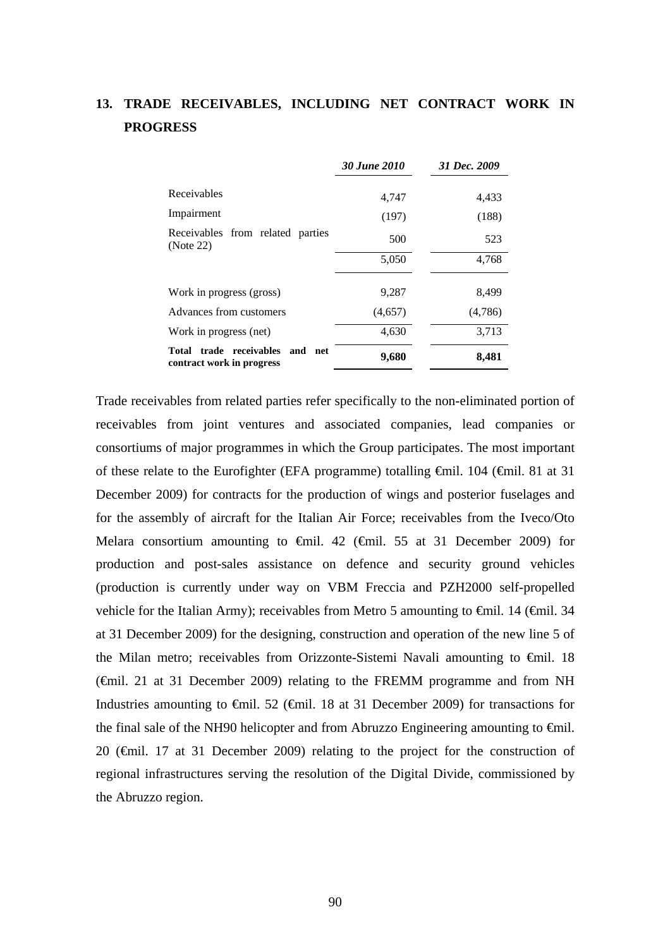# **13. TRADE RECEIVABLES, INCLUDING NET CONTRACT WORK IN PROGRESS**

|                                                              | 30 June 2010 | 31 Dec. 2009 |
|--------------------------------------------------------------|--------------|--------------|
| Receivables                                                  | 4,747        | 4,433        |
| Impairment                                                   | (197)        | (188)        |
| Receivables from related parties<br>(Note 22)                | 500          | 523          |
|                                                              | 5,050        | 4,768        |
| Work in progress (gross)                                     | 9,287        | 8,499        |
| Advances from customers                                      | (4,657)      | (4,786)      |
| Work in progress (net)                                       | 4,630        | 3,713        |
| Total trade receivables and net<br>contract work in progress | 9,680        | 8,481        |

Trade receivables from related parties refer specifically to the non-eliminated portion of receivables from joint ventures and associated companies, lead companies or consortiums of major programmes in which the Group participates. The most important of these relate to the Eurofighter (EFA programme) totalling €mil. 104 (€mil. 81 at 31 December 2009) for contracts for the production of wings and posterior fuselages and for the assembly of aircraft for the Italian Air Force; receivables from the Iveco/Oto Melara consortium amounting to  $\theta$ mil. 42 ( $\theta$ mil. 55 at 31 December 2009) for production and post-sales assistance on defence and security ground vehicles (production is currently under way on VBM Freccia and PZH2000 self-propelled vehicle for the Italian Army); receivables from Metro 5 amounting to  $\epsilon$ mil. 14 ( $\epsilon$ mil. 34 at 31 December 2009) for the designing, construction and operation of the new line 5 of the Milan metro; receivables from Orizzonte-Sistemi Navali amounting to €mil. 18 (€mil. 21 at 31 December 2009) relating to the FREMM programme and from NH Industries amounting to  $\epsilon$ mil. 52 ( $\epsilon$ mil. 18 at 31 December 2009) for transactions for the final sale of the NH90 helicopter and from Abruzzo Engineering amounting to  $\epsilon$ mil. 20 (€mil. 17 at 31 December 2009) relating to the project for the construction of regional infrastructures serving the resolution of the Digital Divide, commissioned by the Abruzzo region.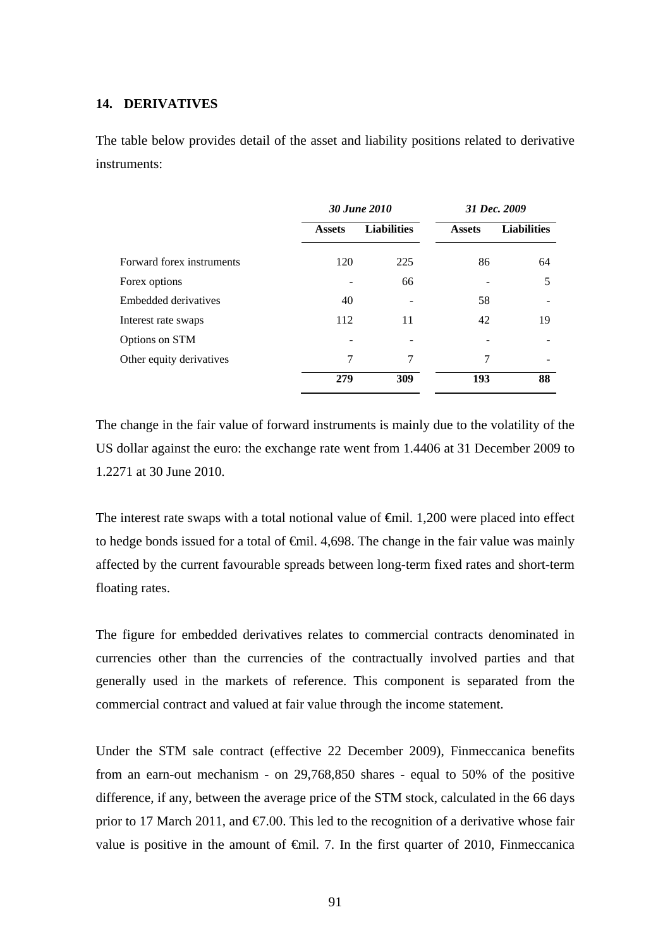## **14. DERIVATIVES**

The table below provides detail of the asset and liability positions related to derivative instruments:

|                           | 30 June 2010  |                    |               | 31 Dec. 2009       |
|---------------------------|---------------|--------------------|---------------|--------------------|
|                           | <b>Assets</b> | <b>Liabilities</b> | <b>Assets</b> | <b>Liabilities</b> |
| Forward forex instruments | 120           | 225                | 86            | 64                 |
| Forex options             |               | 66                 |               | 5                  |
| Embedded derivatives      | 40            |                    | 58            |                    |
| Interest rate swaps       | 112           | 11                 | 42            | 19                 |
| Options on STM            |               |                    |               |                    |
| Other equity derivatives  | 7             | 7                  | 7             |                    |
|                           | 279           | 309                | 193           | 88                 |

The change in the fair value of forward instruments is mainly due to the volatility of the US dollar against the euro: the exchange rate went from 1.4406 at 31 December 2009 to 1.2271 at 30 June 2010.

The interest rate swaps with a total notional value of <del>€</del>mil. 1,200 were placed into effect to hedge bonds issued for a total of  $\epsilon$ mil. 4,698. The change in the fair value was mainly affected by the current favourable spreads between long-term fixed rates and short-term floating rates.

The figure for embedded derivatives relates to commercial contracts denominated in currencies other than the currencies of the contractually involved parties and that generally used in the markets of reference. This component is separated from the commercial contract and valued at fair value through the income statement.

Under the STM sale contract (effective 22 December 2009), Finmeccanica benefits from an earn-out mechanism - on 29,768,850 shares - equal to 50% of the positive difference, if any, between the average price of the STM stock, calculated in the 66 days prior to 17 March 2011, and  $\epsilon$ 7.00. This led to the recognition of a derivative whose fair value is positive in the amount of  $\epsilon$ mil. 7. In the first quarter of 2010, Finmeccanica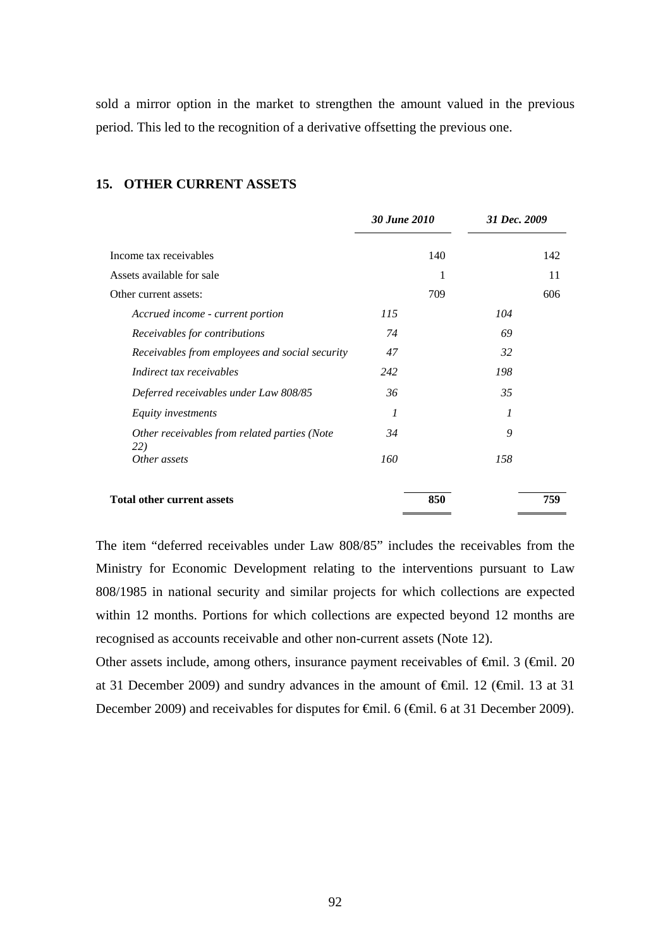sold a mirror option in the market to strengthen the amount valued in the previous period. This led to the recognition of a derivative offsetting the previous one.

|                                                     | 30 June 2010 | 31 Dec. 2009 |     |
|-----------------------------------------------------|--------------|--------------|-----|
| Income tax receivables                              | 140          |              | 142 |
| Assets available for sale                           | 1            |              | 11  |
| Other current assets:                               | 709          |              | 606 |
| Accrued income - current portion                    | 115          | 104          |     |
| Receivables for contributions                       | 74           | 69           |     |
| Receivables from employees and social security      | 47           | 32           |     |
| Indirect tax receivables                            | 242          | 198          |     |
| Deferred receivables under Law 808/85               | 36           | 35           |     |
| Equity investments                                  | 1            | 1            |     |
| Other receivables from related parties (Note<br>22) | 34           | 9            |     |
| Other assets                                        | 160          | 158          |     |
| <b>Total other current assets</b>                   | 850          |              | 759 |

#### **15. OTHER CURRENT ASSETS**

The item "deferred receivables under Law 808/85" includes the receivables from the Ministry for Economic Development relating to the interventions pursuant to Law 808/1985 in national security and similar projects for which collections are expected within 12 months. Portions for which collections are expected beyond 12 months are recognised as accounts receivable and other non-current assets (Note 12).

Other assets include, among others, insurance payment receivables of €mil. 3 (€mil. 20 at 31 December 2009) and sundry advances in the amount of €mil. 12 (€mil. 13 at 31 December 2009) and receivables for disputes for €mil. 6 (€mil. 6 at 31 December 2009).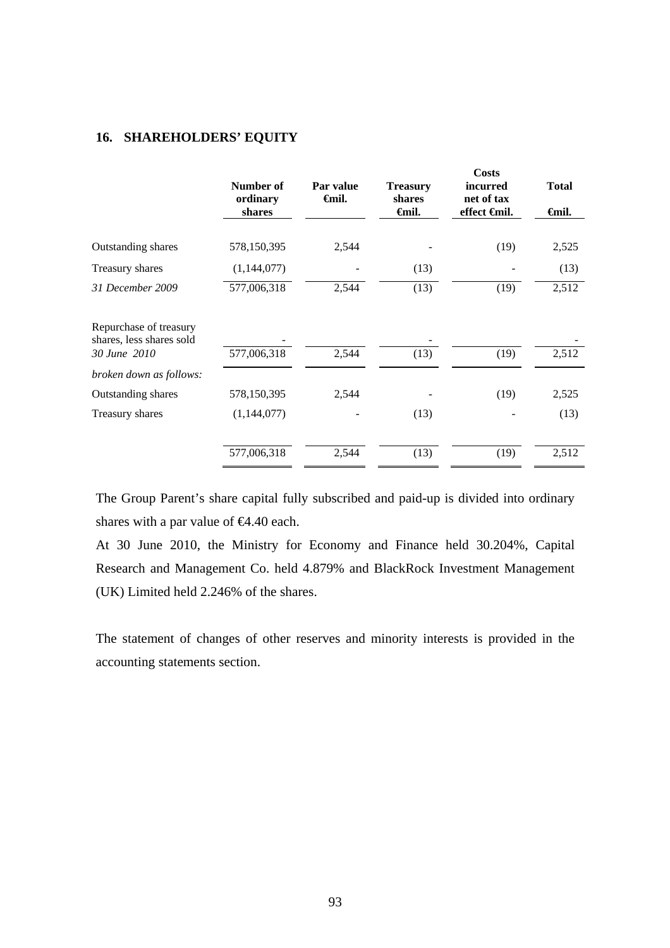## **16. SHAREHOLDERS' EQUITY**

|                                                    | Number of<br>ordinary<br>shares | Par value<br><b>€mil.</b> | <b>Treasury</b><br>shares<br><del>∈</del> mil. | <b>Costs</b><br><i>incurred</i><br>net of tax<br>effect <del>G</del> nil. | <b>Total</b><br><del>∈</del> mil. |
|----------------------------------------------------|---------------------------------|---------------------------|------------------------------------------------|---------------------------------------------------------------------------|-----------------------------------|
|                                                    |                                 |                           |                                                |                                                                           |                                   |
| Outstanding shares                                 | 578,150,395                     | 2,544                     |                                                | (19)                                                                      | 2,525                             |
| Treasury shares                                    | (1,144,077)                     |                           | (13)                                           |                                                                           | (13)                              |
| 31 December 2009                                   | 577,006,318                     | 2,544                     | (13)                                           | (19)                                                                      | 2,512                             |
| Repurchase of treasury<br>shares, less shares sold |                                 |                           |                                                |                                                                           |                                   |
| 30 June 2010                                       | 577,006,318                     | 2,544                     | (13)                                           | (19)                                                                      | 2,512                             |
| broken down as follows:                            |                                 |                           |                                                |                                                                           |                                   |
| Outstanding shares                                 | 578,150,395                     | 2,544                     |                                                | (19)                                                                      | 2,525                             |
| Treasury shares                                    | (1,144,077)                     |                           | (13)                                           |                                                                           | (13)                              |
|                                                    | 577,006,318                     | 2,544                     | (13)                                           | (19)                                                                      | 2,512                             |

The Group Parent's share capital fully subscribed and paid-up is divided into ordinary shares with a par value of €4.40 each.

At 30 June 2010, the Ministry for Economy and Finance held 30.204%, Capital Research and Management Co. held 4.879% and BlackRock Investment Management (UK) Limited held 2.246% of the shares.

The statement of changes of other reserves and minority interests is provided in the accounting statements section.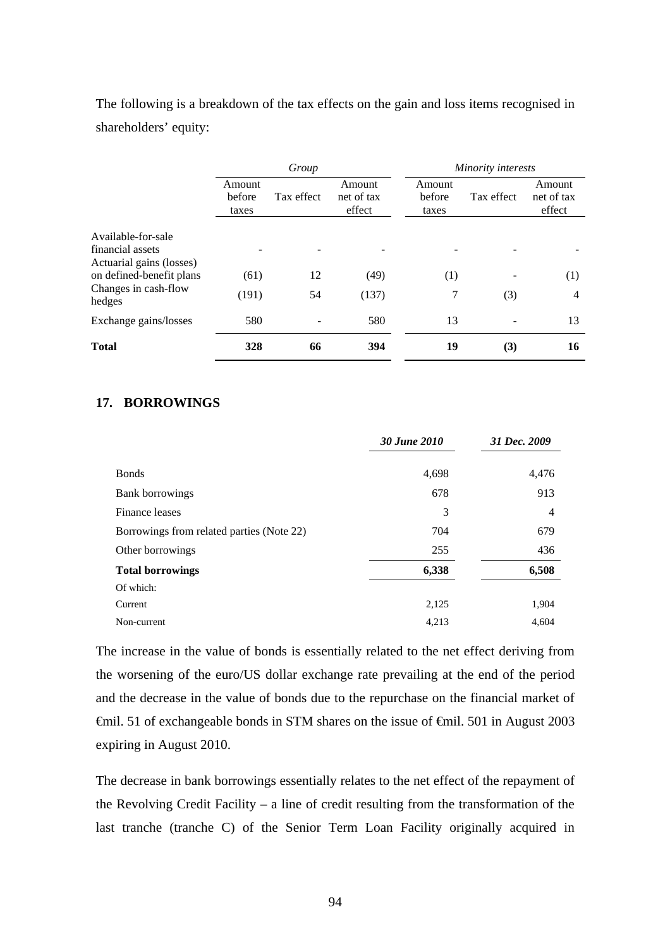The following is a breakdown of the tax effects on the gain and loss items recognised in shareholders' equity:

|                                              | Group                     |            |                                |                           | Minority interests |                                |
|----------------------------------------------|---------------------------|------------|--------------------------------|---------------------------|--------------------|--------------------------------|
|                                              | Amount<br>before<br>taxes | Tax effect | Amount<br>net of tax<br>effect | Amount<br>before<br>taxes | Tax effect         | Amount<br>net of tax<br>effect |
| Available-for-sale                           |                           |            |                                |                           |                    |                                |
| financial assets<br>Actuarial gains (losses) |                           |            |                                |                           |                    |                                |
| on defined-benefit plans                     | (61)                      | 12         | (49)                           | (1)                       |                    | (1)                            |
| Changes in cash-flow<br>hedges               | (191)                     | 54         | (137)                          | 7                         | (3)                | $\overline{4}$                 |
| Exchange gains/losses                        | 580                       |            | 580                            | 13                        |                    | 13                             |
| <b>Total</b>                                 | 328                       | 66         | 394                            | 19                        | (3)                | 16                             |

### **17. BORROWINGS**

|                                           | 30 June 2010 | 31 Dec. 2009 |
|-------------------------------------------|--------------|--------------|
| <b>Bonds</b>                              | 4,698        | 4,476        |
| Bank borrowings                           | 678          | 913          |
| Finance leases                            | 3            | 4            |
| Borrowings from related parties (Note 22) | 704          | 679          |
| Other borrowings                          | 255          | 436          |
| <b>Total borrowings</b>                   | 6,338        | 6,508        |
| Of which:                                 |              |              |
| Current                                   | 2,125        | 1,904        |
| Non-current                               | 4,213        | 4,604        |

The increase in the value of bonds is essentially related to the net effect deriving from the worsening of the euro/US dollar exchange rate prevailing at the end of the period and the decrease in the value of bonds due to the repurchase on the financial market of €mil. 51 of exchangeable bonds in STM shares on the issue of €mil. 501 in August 2003 expiring in August 2010.

The decrease in bank borrowings essentially relates to the net effect of the repayment of the Revolving Credit Facility – a line of credit resulting from the transformation of the last tranche (tranche C) of the Senior Term Loan Facility originally acquired in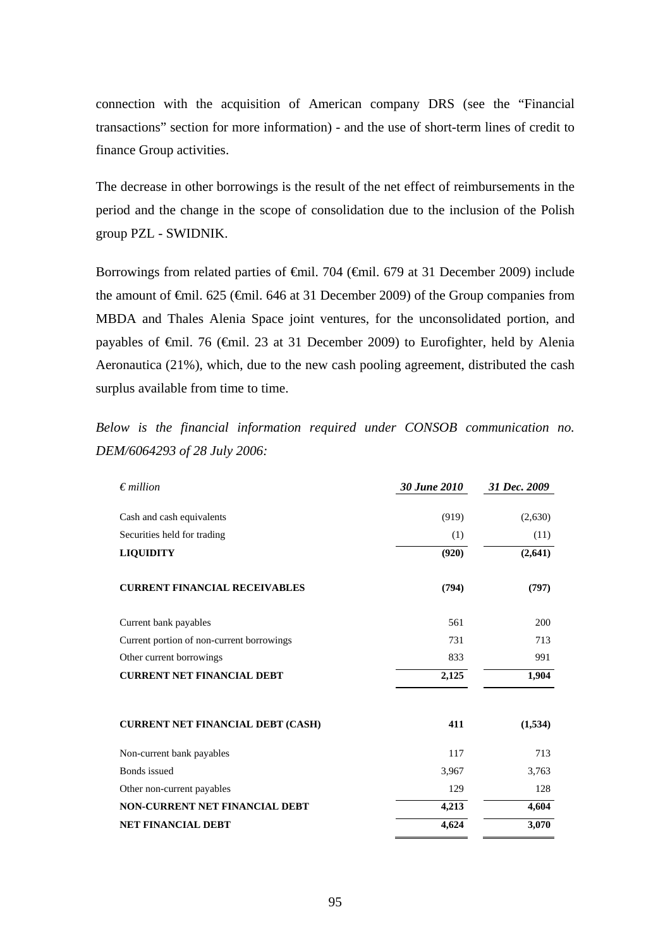connection with the acquisition of American company DRS (see the "Financial transactions" section for more information) - and the use of short-term lines of credit to finance Group activities.

The decrease in other borrowings is the result of the net effect of reimbursements in the period and the change in the scope of consolidation due to the inclusion of the Polish group PZL - SWIDNIK.

Borrowings from related parties of <del>€</del>mil. 704 (€mil. 679 at 31 December 2009) include the amount of €mil. 625 (€mil. 646 at 31 December 2009) of the Group companies from MBDA and Thales Alenia Space joint ventures, for the unconsolidated portion, and payables of €mil. 76 (€mil. 23 at 31 December 2009) to Eurofighter, held by Alenia Aeronautica (21%), which, due to the new cash pooling agreement, distributed the cash surplus available from time to time.

*Below is the financial information required under CONSOB communication no. DEM/6064293 of 28 July 2006:* 

| $\epsilon$ million                        | 30 June 2010 | 31 Dec. 2009 |
|-------------------------------------------|--------------|--------------|
|                                           |              |              |
| Cash and cash equivalents                 | (919)        | (2,630)      |
| Securities held for trading               | (1)          | (11)         |
| <b>LIQUIDITY</b>                          | (920)        | (2,641)      |
| <b>CURRENT FINANCIAL RECEIVABLES</b>      | (794)        | (797)        |
| Current bank payables                     | 561          | 200          |
| Current portion of non-current borrowings | 731          | 713          |
| Other current borrowings                  | 833          | 991          |
| <b>CURRENT NET FINANCIAL DEBT</b>         | 2,125        | 1,904        |
| <b>CURRENT NET FINANCIAL DEBT (CASH)</b>  | 411          | (1,534)      |
| Non-current bank payables                 | 117          | 713          |
| Bonds issued                              | 3,967        | 3,763        |
| Other non-current payables                | 129          | 128          |
| <b>NON-CURRENT NET FINANCIAL DEBT</b>     | 4,213        | 4,604        |
| <b>NET FINANCIAL DEBT</b>                 | 4,624        | 3,070        |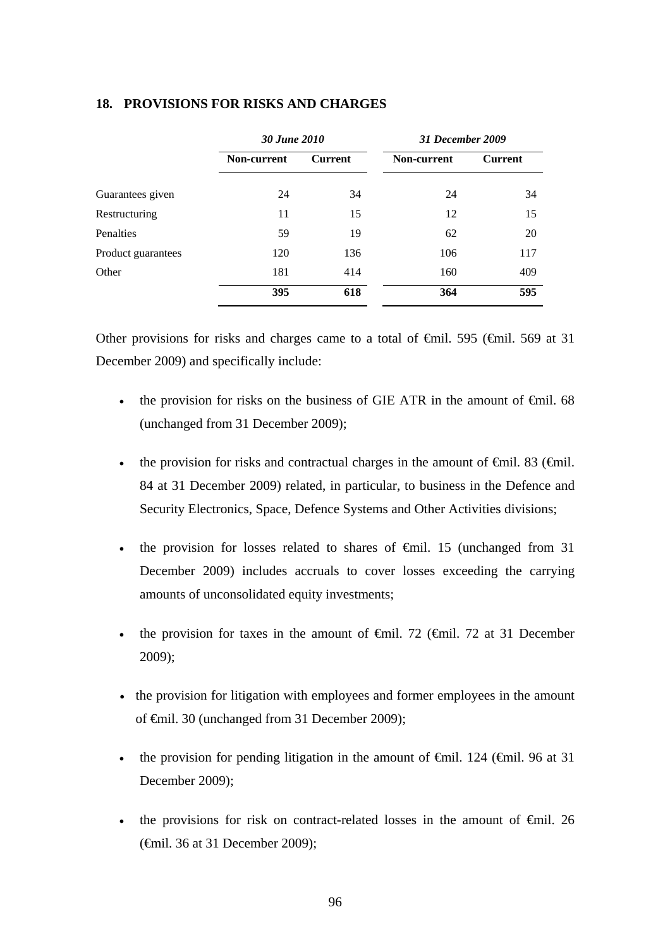|                    | 30 June 2010       |                | <b>31 December 2009</b> |                |
|--------------------|--------------------|----------------|-------------------------|----------------|
|                    | <b>Non-current</b> | <b>Current</b> | <b>Non-current</b>      | <b>Current</b> |
| Guarantees given   | 24                 | 34             | 24                      | 34             |
| Restructuring      | 11                 | 15             | 12                      | 15             |
| Penalties          | 59                 | 19             | 62                      | 20             |
| Product guarantees | 120                | 136            | 106                     | 117            |
| Other              | 181                | 414            | 160                     | 409            |
|                    | 395                | 618            | 364                     | 595            |

### **18. PROVISIONS FOR RISKS AND CHARGES**

Other provisions for risks and charges came to a total of  $\theta$ mil. 595 ( $\theta$ mil. 569 at 31 December 2009) and specifically include:

- the provision for risks on the business of GIE ATR in the amount of  $\epsilon$ mil. 68 (unchanged from 31 December 2009);
- the provision for risks and contractual charges in the amount of  $\epsilon$ mil. 83 ( $\epsilon$ mil. 84 at 31 December 2009) related, in particular, to business in the Defence and Security Electronics, Space, Defence Systems and Other Activities divisions;
- the provision for losses related to shares of  $\epsilon$ mil. 15 (unchanged from 31) December 2009) includes accruals to cover losses exceeding the carrying amounts of unconsolidated equity investments;
- the provision for taxes in the amount of  $\epsilon$ mil. 72 ( $\epsilon$ mil. 72 at 31 December 2009);
- the provision for litigation with employees and former employees in the amount of €mil. 30 (unchanged from 31 December 2009);
- the provision for pending litigation in the amount of  $\widehat{\mathsf{f}}$  and  $\widehat{\mathsf{f}}$  and  $\widehat{\mathsf{f}}$  at 31 December 2009);
- the provisions for risk on contract-related losses in the amount of  $\epsilon$ mil. 26 (€mil. 36 at 31 December 2009);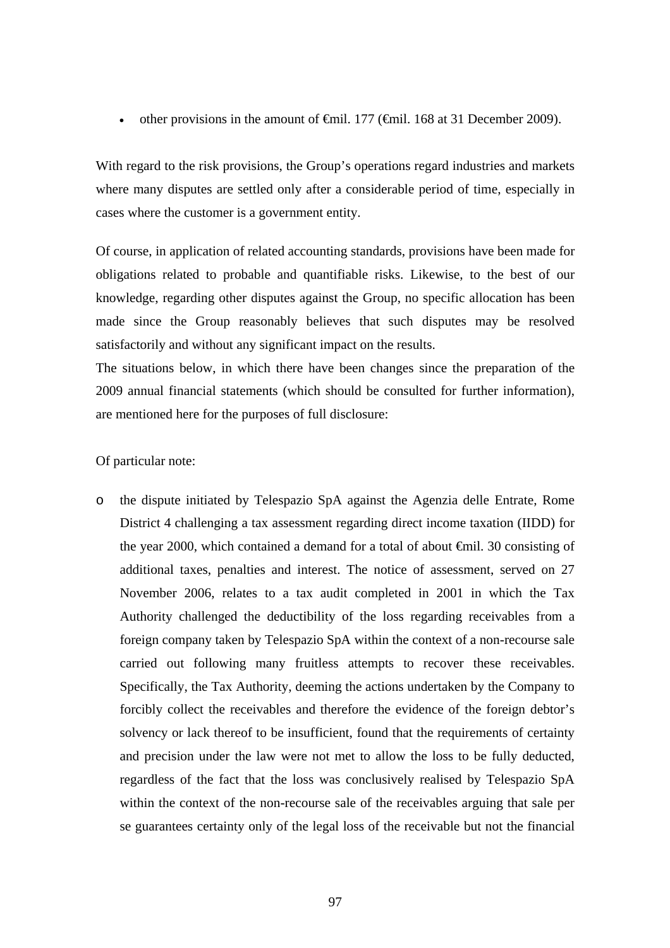• other provisions in the amount of  $\oplus$  finil. 177 ( $\oplus$  finil. 168 at 31 December 2009).

With regard to the risk provisions, the Group's operations regard industries and markets where many disputes are settled only after a considerable period of time, especially in cases where the customer is a government entity.

Of course, in application of related accounting standards, provisions have been made for obligations related to probable and quantifiable risks. Likewise, to the best of our knowledge, regarding other disputes against the Group, no specific allocation has been made since the Group reasonably believes that such disputes may be resolved satisfactorily and without any significant impact on the results.

The situations below, in which there have been changes since the preparation of the 2009 annual financial statements (which should be consulted for further information), are mentioned here for the purposes of full disclosure:

### Of particular note:

o the dispute initiated by Telespazio SpA against the Agenzia delle Entrate, Rome District 4 challenging a tax assessment regarding direct income taxation (IIDD) for the year 2000, which contained a demand for a total of about €mil. 30 consisting of additional taxes, penalties and interest. The notice of assessment, served on 27 November 2006, relates to a tax audit completed in 2001 in which the Tax Authority challenged the deductibility of the loss regarding receivables from a foreign company taken by Telespazio SpA within the context of a non-recourse sale carried out following many fruitless attempts to recover these receivables. Specifically, the Tax Authority, deeming the actions undertaken by the Company to forcibly collect the receivables and therefore the evidence of the foreign debtor's solvency or lack thereof to be insufficient, found that the requirements of certainty and precision under the law were not met to allow the loss to be fully deducted, regardless of the fact that the loss was conclusively realised by Telespazio SpA within the context of the non-recourse sale of the receivables arguing that sale per se guarantees certainty only of the legal loss of the receivable but not the financial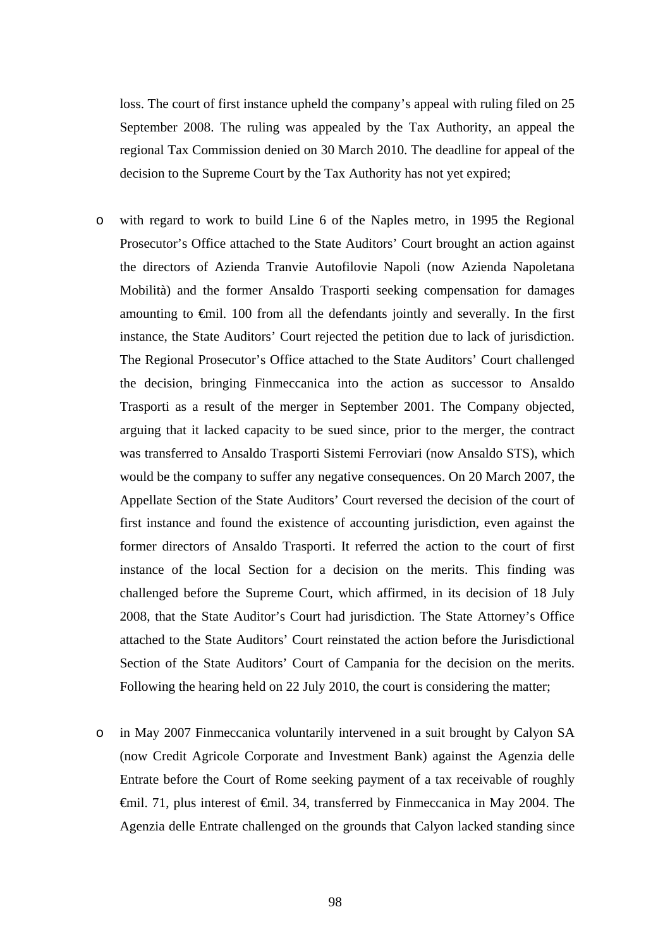loss. The court of first instance upheld the company's appeal with ruling filed on 25 September 2008. The ruling was appealed by the Tax Authority, an appeal the regional Tax Commission denied on 30 March 2010. The deadline for appeal of the decision to the Supreme Court by the Tax Authority has not yet expired;

- o with regard to work to build Line 6 of the Naples metro, in 1995 the Regional Prosecutor's Office attached to the State Auditors' Court brought an action against the directors of Azienda Tranvie Autofilovie Napoli (now Azienda Napoletana Mobilità) and the former Ansaldo Trasporti seeking compensation for damages amounting to €mil. 100 from all the defendants jointly and severally. In the first instance, the State Auditors' Court rejected the petition due to lack of jurisdiction. The Regional Prosecutor's Office attached to the State Auditors' Court challenged the decision, bringing Finmeccanica into the action as successor to Ansaldo Trasporti as a result of the merger in September 2001. The Company objected, arguing that it lacked capacity to be sued since, prior to the merger, the contract was transferred to Ansaldo Trasporti Sistemi Ferroviari (now Ansaldo STS), which would be the company to suffer any negative consequences. On 20 March 2007, the Appellate Section of the State Auditors' Court reversed the decision of the court of first instance and found the existence of accounting jurisdiction, even against the former directors of Ansaldo Trasporti. It referred the action to the court of first instance of the local Section for a decision on the merits. This finding was challenged before the Supreme Court, which affirmed, in its decision of 18 July 2008, that the State Auditor's Court had jurisdiction. The State Attorney's Office attached to the State Auditors' Court reinstated the action before the Jurisdictional Section of the State Auditors' Court of Campania for the decision on the merits. Following the hearing held on 22 July 2010, the court is considering the matter;
- o in May 2007 Finmeccanica voluntarily intervened in a suit brought by Calyon SA (now Credit Agricole Corporate and Investment Bank) against the Agenzia delle Entrate before the Court of Rome seeking payment of a tax receivable of roughly €mil. 71, plus interest of €mil. 34, transferred by Finmeccanica in May 2004. The Agenzia delle Entrate challenged on the grounds that Calyon lacked standing since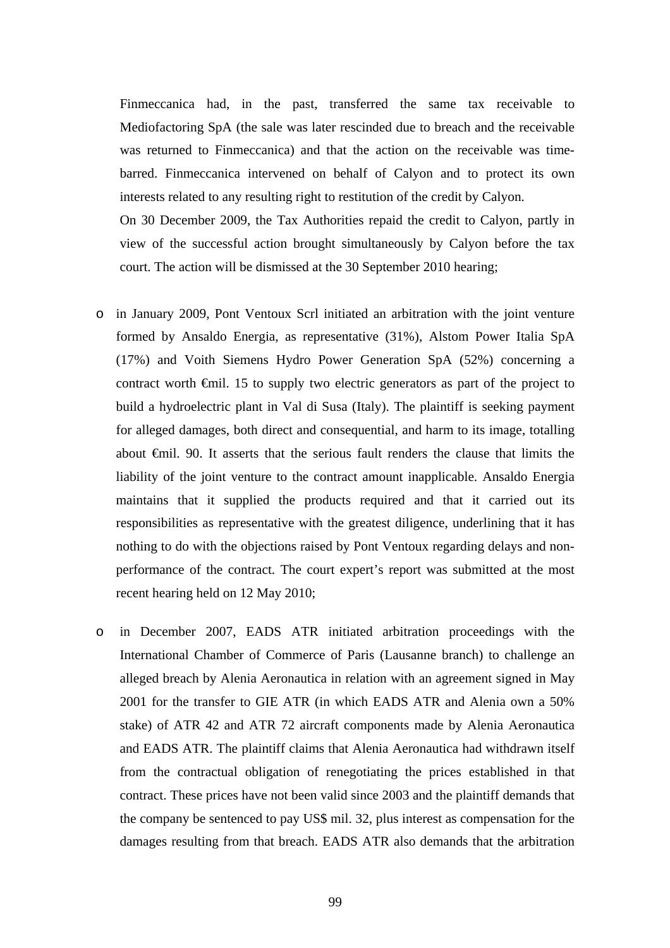Finmeccanica had, in the past, transferred the same tax receivable to Mediofactoring SpA (the sale was later rescinded due to breach and the receivable was returned to Finmeccanica) and that the action on the receivable was timebarred. Finmeccanica intervened on behalf of Calyon and to protect its own interests related to any resulting right to restitution of the credit by Calyon.

On 30 December 2009, the Tax Authorities repaid the credit to Calyon, partly in view of the successful action brought simultaneously by Calyon before the tax court. The action will be dismissed at the 30 September 2010 hearing;

- o in January 2009, Pont Ventoux Scrl initiated an arbitration with the joint venture formed by Ansaldo Energia, as representative (31%), Alstom Power Italia SpA (17%) and Voith Siemens Hydro Power Generation SpA (52%) concerning a contract worth €mil. 15 to supply two electric generators as part of the project to build a hydroelectric plant in Val di Susa (Italy). The plaintiff is seeking payment for alleged damages, both direct and consequential, and harm to its image, totalling about €mil. 90. It asserts that the serious fault renders the clause that limits the liability of the joint venture to the contract amount inapplicable. Ansaldo Energia maintains that it supplied the products required and that it carried out its responsibilities as representative with the greatest diligence, underlining that it has nothing to do with the objections raised by Pont Ventoux regarding delays and nonperformance of the contract. The court expert's report was submitted at the most recent hearing held on 12 May 2010;
- o in December 2007, EADS ATR initiated arbitration proceedings with the International Chamber of Commerce of Paris (Lausanne branch) to challenge an alleged breach by Alenia Aeronautica in relation with an agreement signed in May 2001 for the transfer to GIE ATR (in which EADS ATR and Alenia own a 50% stake) of ATR 42 and ATR 72 aircraft components made by Alenia Aeronautica and EADS ATR. The plaintiff claims that Alenia Aeronautica had withdrawn itself from the contractual obligation of renegotiating the prices established in that contract. These prices have not been valid since 2003 and the plaintiff demands that the company be sentenced to pay US\$ mil. 32, plus interest as compensation for the damages resulting from that breach. EADS ATR also demands that the arbitration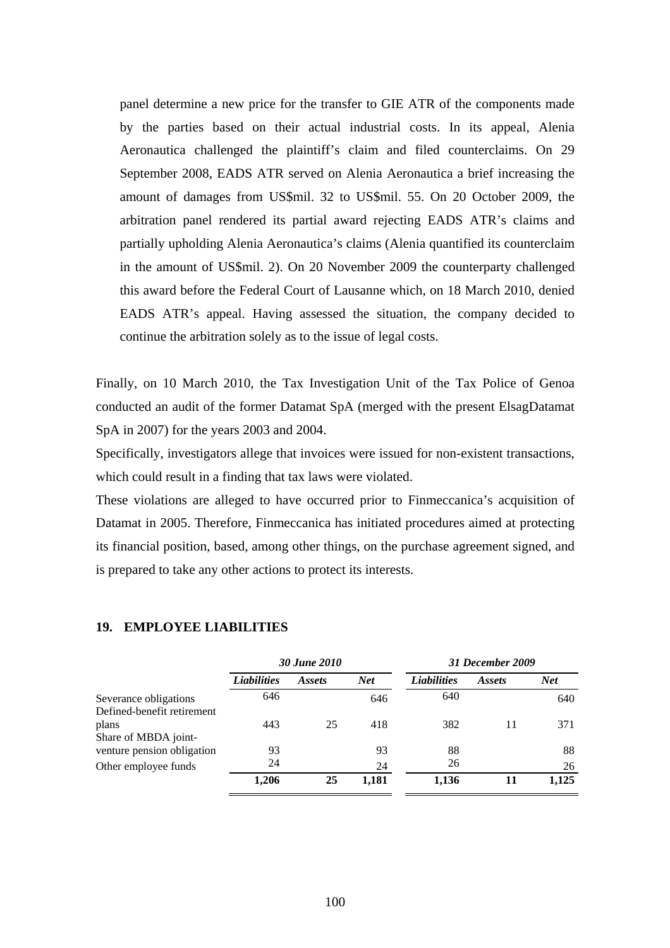panel determine a new price for the transfer to GIE ATR of the components made by the parties based on their actual industrial costs. In its appeal, Alenia Aeronautica challenged the plaintiff's claim and filed counterclaims. On 29 September 2008, EADS ATR served on Alenia Aeronautica a brief increasing the amount of damages from US\$mil. 32 to US\$mil. 55. On 20 October 2009, the arbitration panel rendered its partial award rejecting EADS ATR's claims and partially upholding Alenia Aeronautica's claims (Alenia quantified its counterclaim in the amount of US\$mil. 2). On 20 November 2009 the counterparty challenged this award before the Federal Court of Lausanne which, on 18 March 2010, denied EADS ATR's appeal. Having assessed the situation, the company decided to continue the arbitration solely as to the issue of legal costs.

Finally, on 10 March 2010, the Tax Investigation Unit of the Tax Police of Genoa conducted an audit of the former Datamat SpA (merged with the present ElsagDatamat SpA in 2007) for the years 2003 and 2004.

Specifically, investigators allege that invoices were issued for non-existent transactions, which could result in a finding that tax laws were violated.

These violations are alleged to have occurred prior to Finmeccanica's acquisition of Datamat in 2005. Therefore, Finmeccanica has initiated procedures aimed at protecting its financial position, based, among other things, on the purchase agreement signed, and is prepared to take any other actions to protect its interests.

|                            |                    | 30 June 2010  |            |                    | 31 December 2009 |            |  |  |
|----------------------------|--------------------|---------------|------------|--------------------|------------------|------------|--|--|
|                            | <b>Liabilities</b> | <i>Assets</i> | <b>Net</b> | <b>Liabilities</b> | Assets           | <b>Net</b> |  |  |
| Severance obligations      | 646                |               | 646        | 640                |                  | 640        |  |  |
| Defined-benefit retirement |                    |               |            |                    |                  |            |  |  |
| plans                      | 443                | 25            | 418        | 382                | 11               | 371        |  |  |
| Share of MBDA joint-       |                    |               |            |                    |                  |            |  |  |
| venture pension obligation | 93                 |               | 93         | 88                 |                  | 88         |  |  |
| Other employee funds       | 24                 |               | 24         | 26                 |                  | 26         |  |  |
|                            | 1,206              | 25            | 1,181      | 1,136              | 11               | 1,125      |  |  |

#### **19. EMPLOYEE LIABILITIES**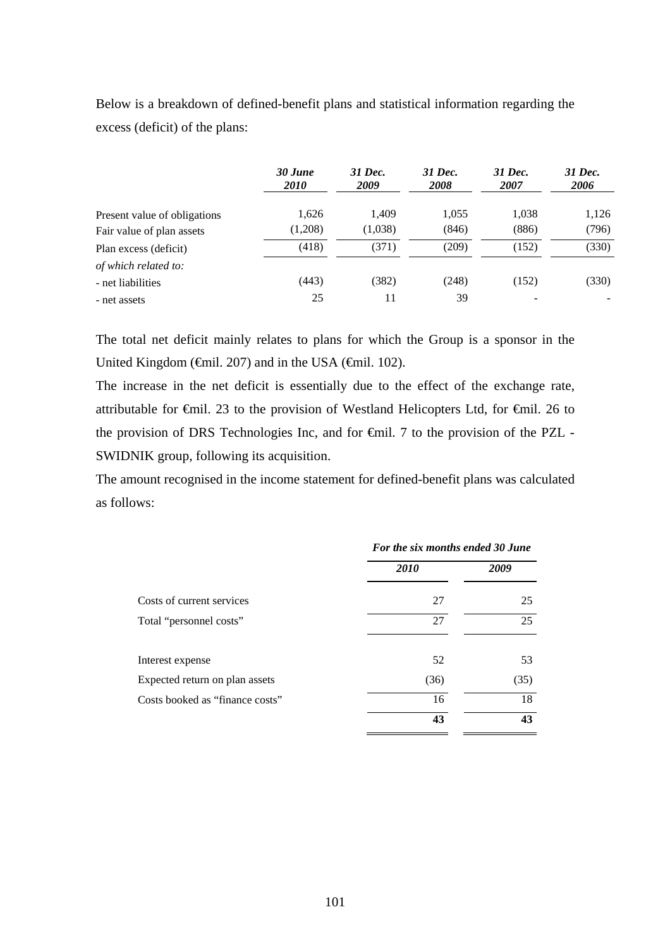Below is a breakdown of defined-benefit plans and statistical information regarding the excess (deficit) of the plans:

|                              | 30 June<br><i>2010</i> | 31 Dec.<br>2009 | 31 Dec.<br><b>2008</b> | 31 Dec.<br>2007 | 31 Dec.<br>2006 |
|------------------------------|------------------------|-----------------|------------------------|-----------------|-----------------|
| Present value of obligations | 1,626                  | 1.409           | 1,055                  | 1,038           | 1,126           |
| Fair value of plan assets    | (1,208)                | (1,038)         | (846)                  | (886)           | (796)           |
| Plan excess (deficit)        | (418)                  | (371)           | (209)                  | (152)           | (330)           |
| of which related to:         |                        |                 |                        |                 |                 |
| - net liabilities            | (443)                  | (382)           | (248)                  | (152)           | (330)           |
| - net assets                 | 25                     | 11              | 39                     |                 |                 |

The total net deficit mainly relates to plans for which the Group is a sponsor in the United Kingdom ( $\epsilon$ mil. 207) and in the USA ( $\epsilon$ mil. 102).

The increase in the net deficit is essentially due to the effect of the exchange rate, attributable for €mil. 23 to the provision of Westland Helicopters Ltd, for €mil. 26 to the provision of DRS Technologies Inc, and for €mil. 7 to the provision of the PZL - SWIDNIK group, following its acquisition.

The amount recognised in the income statement for defined-benefit plans was calculated as follows:

|                                 | For the six months ended 30 June |      |
|---------------------------------|----------------------------------|------|
|                                 | <b>2010</b>                      | 2009 |
| Costs of current services       | 27                               | 25   |
| Total "personnel costs"         | 27                               | 25   |
| Interest expense                | 52                               | 53   |
| Expected return on plan assets  | (36)                             | (35) |
| Costs booked as "finance costs" | 16                               | 18   |
|                                 | 43                               | 43   |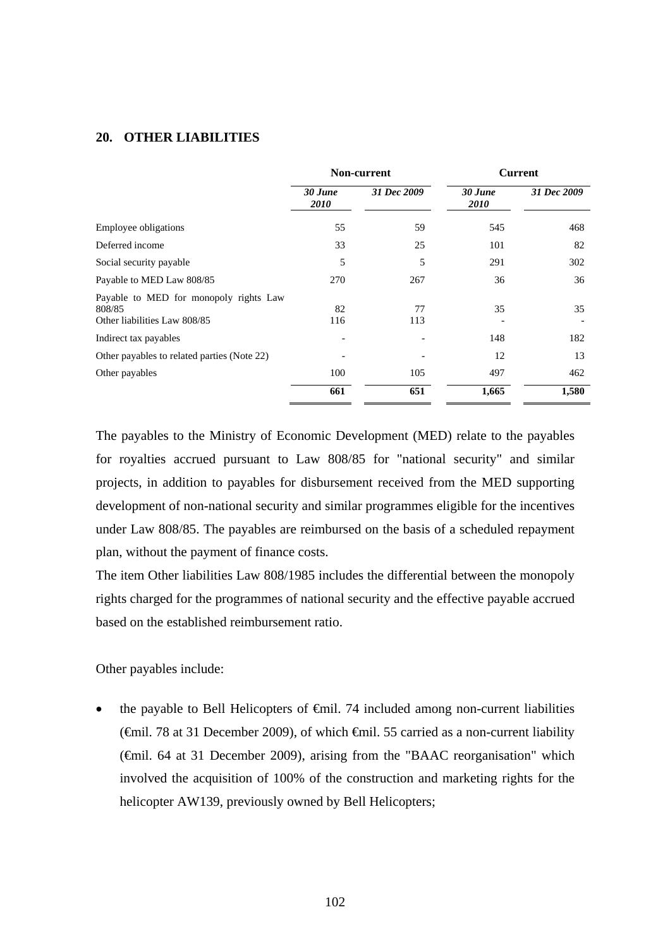#### **20. OTHER LIABILITIES**

|                                                                                  | Non-current            |             | <b>Current</b>         |             |  |
|----------------------------------------------------------------------------------|------------------------|-------------|------------------------|-------------|--|
|                                                                                  | 30 June<br><i>2010</i> | 31 Dec 2009 | 30 June<br><i>2010</i> | 31 Dec 2009 |  |
| Employee obligations                                                             | 55                     | 59          | 545                    | 468         |  |
| Deferred income                                                                  | 33                     | 25          | 101                    | 82          |  |
| Social security payable                                                          | 5                      | 5           | 291                    | 302         |  |
| Payable to MED Law 808/85                                                        | 270                    | 267         | 36                     | 36          |  |
| Payable to MED for monopoly rights Law<br>808/85<br>Other liabilities Law 808/85 | 82<br>116              | 77<br>113   | 35                     | 35          |  |
| Indirect tax payables                                                            |                        |             | 148                    | 182         |  |
| Other payables to related parties (Note 22)                                      |                        |             | 12                     | 13          |  |
| Other payables                                                                   | 100                    | 105         | 497                    | 462         |  |
|                                                                                  | 661                    | 651         | 1,665                  | 1,580       |  |

The payables to the Ministry of Economic Development (MED) relate to the payables for royalties accrued pursuant to Law 808/85 for "national security" and similar projects, in addition to payables for disbursement received from the MED supporting development of non-national security and similar programmes eligible for the incentives under Law 808/85. The payables are reimbursed on the basis of a scheduled repayment plan, without the payment of finance costs.

The item Other liabilities Law 808/1985 includes the differential between the monopoly rights charged for the programmes of national security and the effective payable accrued based on the established reimbursement ratio.

Other payables include:

 the payable to Bell Helicopters of €mil. 74 included among non-current liabilities (€mil. 78 at 31 December 2009), of which €mil. 55 carried as a non-current liability (€mil. 64 at 31 December 2009), arising from the "BAAC reorganisation" which involved the acquisition of 100% of the construction and marketing rights for the helicopter AW139, previously owned by Bell Helicopters;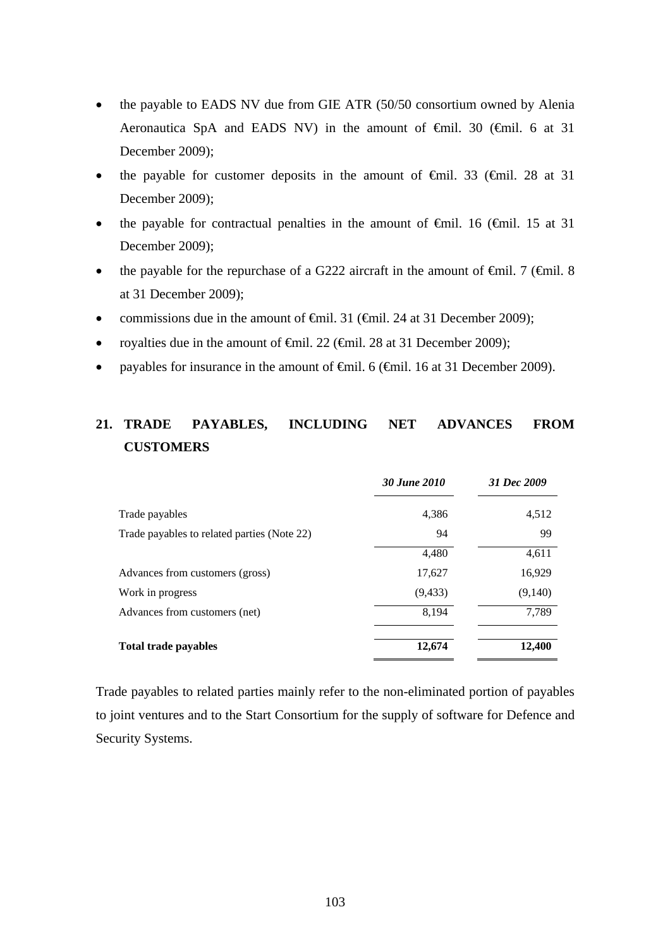- the payable to EADS NV due from GIE ATR (50/50 consortium owned by Alenia Aeronautica SpA and EADS NV) in the amount of €mil. 30 (€mil. 6 at 31 December 2009);
- the payable for customer deposits in the amount of  $\theta$ mil. 33 ( $\theta$ mil. 28 at 31 December 2009);
- the payable for contractual penalties in the amount of  $\theta$ mil. 16 ( $\theta$ mil. 15 at 31 December 2009);
- the payable for the repurchase of a G222 aircraft in the amount of  $\epsilon$ mil. 7 ( $\epsilon$ mil. 8 at 31 December 2009);
- commissions due in the amount of  $\oplus$ mil. 31 ( $\oplus$ mil. 24 at 31 December 2009);
- royalties due in the amount of €mil. 22 (€mil. 28 at 31 December 2009);
- payables for insurance in the amount of <del>C</del>mil. 6 (<del>C</del>mil. 16 at 31 December 2009).

# **21. TRADE PAYABLES, INCLUDING NET ADVANCES FROM CUSTOMERS**

|                                             | 30 June 2010 | 31 Dec 2009 |
|---------------------------------------------|--------------|-------------|
| Trade payables                              | 4,386        | 4,512       |
| Trade payables to related parties (Note 22) | 94           | 99          |
|                                             | 4,480        | 4,611       |
| Advances from customers (gross)             | 17,627       | 16,929      |
| Work in progress                            | (9, 433)     | (9,140)     |
| Advances from customers (net)               | 8,194        | 7,789       |
| <b>Total trade payables</b>                 | 12,674       | 12,400      |

Trade payables to related parties mainly refer to the non-eliminated portion of payables to joint ventures and to the Start Consortium for the supply of software for Defence and Security Systems.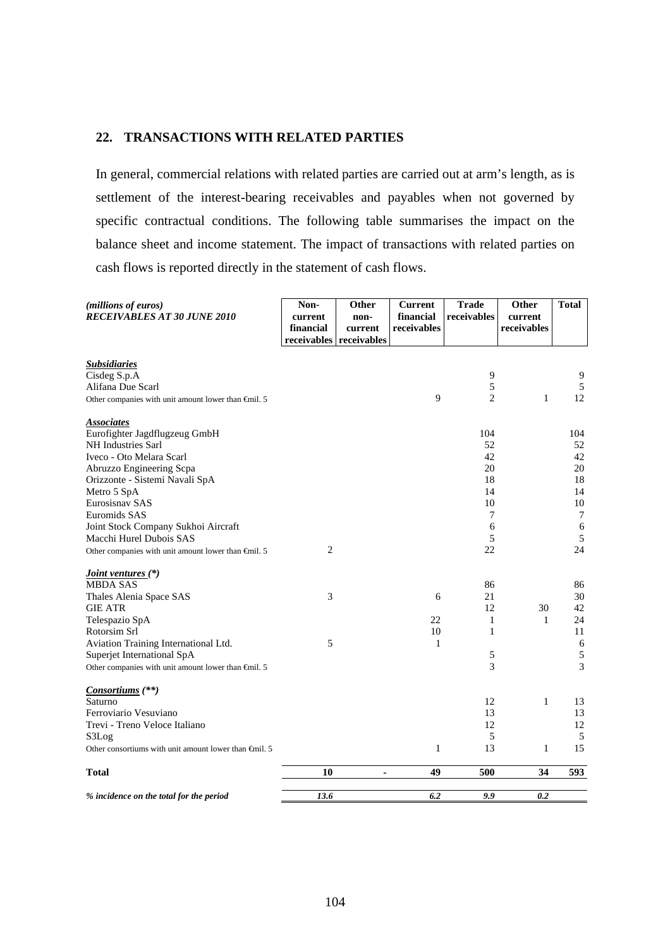#### **22. TRANSACTIONS WITH RELATED PARTIES**

In general, commercial relations with related parties are carried out at arm's length, as is settlement of the interest-bearing receivables and payables when not governed by specific contractual conditions. The following table summarises the impact on the balance sheet and income statement. The impact of transactions with related parties on cash flows is reported directly in the statement of cash flows.

| (millions of euros)<br><b>RECEIVABLES AT 30 JUNE 2010</b>       | Non-<br>current<br>financial | Other<br>non-<br>current<br>receivables receivables | <b>Current</b><br>financial<br>receivables | <b>Trade</b><br>receivables | Other<br>current<br>receivables | <b>Total</b> |
|-----------------------------------------------------------------|------------------------------|-----------------------------------------------------|--------------------------------------------|-----------------------------|---------------------------------|--------------|
| <b>Subsidiaries</b>                                             |                              |                                                     |                                            |                             |                                 |              |
| Cisdeg S.p.A                                                    |                              |                                                     |                                            | 9                           |                                 | 9            |
| Alifana Due Scarl                                               |                              |                                                     |                                            | 5                           |                                 | 5            |
| Other companies with unit amount lower than $\epsilon$ mil. 5   |                              |                                                     | 9                                          | $\overline{2}$              | 1                               | 12           |
| <b>Associates</b>                                               |                              |                                                     |                                            |                             |                                 |              |
| Eurofighter Jagdflugzeug GmbH                                   |                              |                                                     |                                            | 104                         |                                 | 104          |
| <b>NH</b> Industries Sarl                                       |                              |                                                     |                                            | 52                          |                                 | 52           |
| Iveco - Oto Melara Scarl                                        |                              |                                                     |                                            | 42                          |                                 | 42           |
| Abruzzo Engineering Scpa                                        |                              |                                                     |                                            | 20                          |                                 | 20           |
| Orizzonte - Sistemi Navali SpA                                  |                              |                                                     |                                            | 18                          |                                 | 18           |
| Metro 5 SpA                                                     |                              |                                                     |                                            | 14                          |                                 | 14           |
| Eurosisnav SAS                                                  |                              |                                                     |                                            | 10                          |                                 | 10           |
| Euromids SAS                                                    |                              |                                                     |                                            | 7                           |                                 | $\tau$       |
| Joint Stock Company Sukhoi Aircraft                             |                              |                                                     |                                            | 6                           |                                 | 6            |
| Macchi Hurel Dubois SAS                                         |                              |                                                     |                                            | 5                           |                                 | 5            |
| Other companies with unit amount lower than $\epsilon$ mil. 5   | $\overline{2}$               |                                                     |                                            | 22                          |                                 | 24           |
| <i><u><b>Joint ventures</b></u></i> (*)                         |                              |                                                     |                                            |                             |                                 |              |
| <b>MBDA SAS</b>                                                 |                              |                                                     |                                            | 86                          |                                 | 86           |
| Thales Alenia Space SAS                                         | 3                            |                                                     | 6                                          | 21                          |                                 | 30           |
| <b>GIE ATR</b>                                                  |                              |                                                     |                                            | 12                          | 30                              | 42           |
| Telespazio SpA                                                  |                              |                                                     | 22                                         | 1                           | 1                               | 24           |
| Rotorsim Srl                                                    |                              |                                                     | 10                                         | $\mathbf{1}$                |                                 | 11           |
| Aviation Training International Ltd.                            | 5                            |                                                     | $\mathbf{1}$                               |                             |                                 | $\sqrt{6}$   |
| Superjet International SpA                                      |                              |                                                     |                                            | 5                           |                                 | 5            |
| Other companies with unit amount lower than $\epsilon$ mil. 5   |                              |                                                     |                                            | 3                           |                                 | 3            |
| <i>Consortiums</i> (**)                                         |                              |                                                     |                                            |                             |                                 |              |
| Saturno                                                         |                              |                                                     |                                            | 12                          | 1                               | 13           |
| Ferroviario Vesuviano                                           |                              |                                                     |                                            | 13                          |                                 | 13           |
| Trevi - Treno Veloce Italiano                                   |                              |                                                     |                                            | 12                          |                                 | 12           |
| S3Log                                                           |                              |                                                     |                                            | 5                           |                                 | 5            |
| Other consortiums with unit amount lower than $\epsilon$ mil. 5 |                              |                                                     | $\mathbf{1}$                               | 13                          | 1                               | 15           |
| <b>Total</b>                                                    | 10                           | $\blacksquare$                                      | 49                                         | 500                         | 34                              | 593          |
| % incidence on the total for the period                         | 13.6                         |                                                     | 6.2                                        | 9.9                         | 0.2                             |              |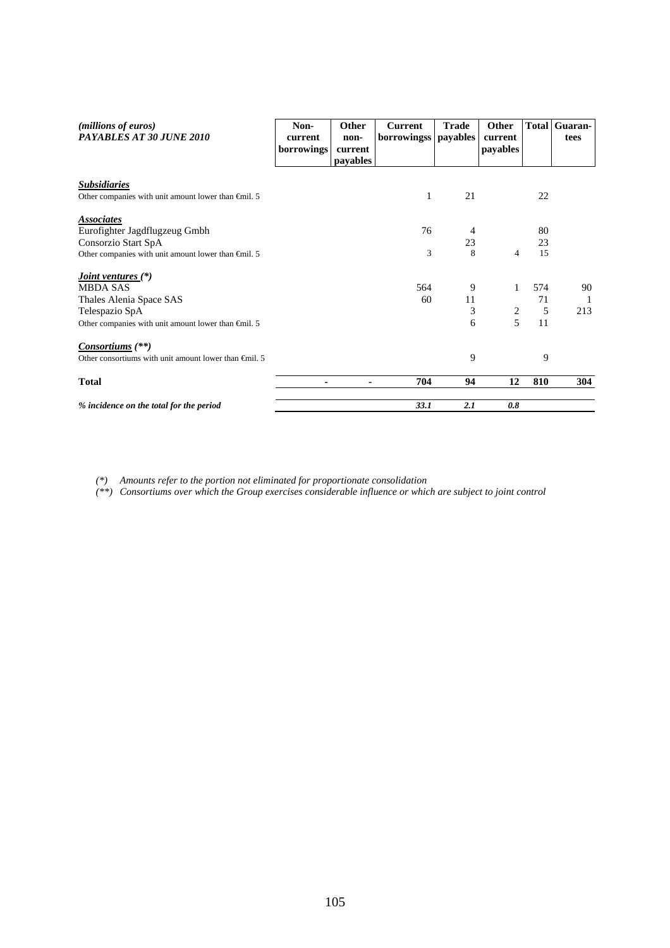| ( <i>millions of euros</i> )<br>PAYABLES AT 30 JUNE 2010        | Non-<br>current<br>borrowings | Other<br>non-<br>current<br><i>payables</i> | <b>Current</b><br>borrowingss payables | <b>Trade</b> | Other<br>current<br>payables | <b>Total</b> | Guaran-<br>tees |
|-----------------------------------------------------------------|-------------------------------|---------------------------------------------|----------------------------------------|--------------|------------------------------|--------------|-----------------|
| <b>Subsidiaries</b>                                             |                               |                                             |                                        |              |                              |              |                 |
| Other companies with unit amount lower than $\epsilon$ mil. 5   |                               |                                             | 1                                      | 21           |                              | 22           |                 |
| <b>Associates</b>                                               |                               |                                             |                                        |              |                              |              |                 |
| Eurofighter Jagdflugzeug Gmbh                                   |                               |                                             | 76                                     | 4            |                              | 80           |                 |
| Consorzio Start SpA                                             |                               |                                             |                                        | 23           |                              | 23           |                 |
| Other companies with unit amount lower than $\epsilon$ mil. 5   |                               |                                             | 3                                      | 8            | 4                            | 15           |                 |
| <i>Joint ventures</i> $(*)$                                     |                               |                                             |                                        |              |                              |              |                 |
| <b>MBDA SAS</b>                                                 |                               |                                             | 564                                    | 9            | 1                            | 574          | 90              |
| Thales Alenia Space SAS                                         |                               |                                             | 60                                     | 11           |                              | 71           | $\overline{1}$  |
| Telespazio SpA                                                  |                               |                                             |                                        | 3            | $\sqrt{2}$                   | 5            | 213             |
| Other companies with unit amount lower than $\epsilon$ mil. 5   |                               |                                             |                                        | 6            | 5                            | 11           |                 |
| <i>Consortiums</i> (**)                                         |                               |                                             |                                        |              |                              |              |                 |
| Other consortiums with unit amount lower than $\epsilon$ mil. 5 |                               |                                             |                                        | 9            |                              | 9            |                 |
| <b>Total</b>                                                    |                               |                                             | 704                                    | 94           | 12                           | 810          | 304             |
| % incidence on the total for the period                         |                               |                                             | 33.1                                   | 2.1          | 0.8                          |              |                 |

*(\*) Amounts refer to the portion not eliminated for proportionate consolidation* 

*(\*\*) Consortiums over which the Group exercises considerable influence or which are subject to joint control*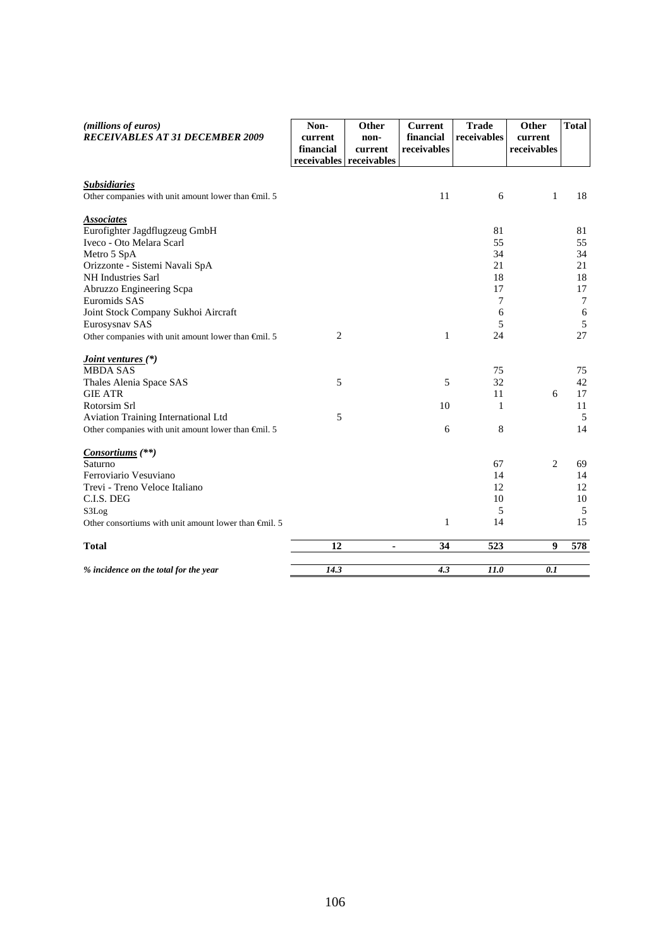| (millions of euros)<br><b>RECEIVABLES AT 31 DECEMBER 2009</b>                                                                                                                                                                                                     | Non-<br>current<br>financial<br>receivables | Other<br>non-<br>current<br>receivables | <b>Current</b><br>financial<br>receivables | <b>Trade</b><br>receivables                     | Other<br>current<br>receivables | <b>Total</b>                                         |
|-------------------------------------------------------------------------------------------------------------------------------------------------------------------------------------------------------------------------------------------------------------------|---------------------------------------------|-----------------------------------------|--------------------------------------------|-------------------------------------------------|---------------------------------|------------------------------------------------------|
| <b>Subsidiaries</b><br>Other companies with unit amount lower than $\bigoplus$ nil. 5                                                                                                                                                                             |                                             |                                         | 11                                         | 6                                               | $\mathbf{1}$                    | 18                                                   |
| <b>Associates</b><br>Eurofighter Jagdflugzeug GmbH<br>Iveco - Oto Melara Scarl<br>Metro 5 SpA<br>Orizzonte - Sistemi Navali SpA<br><b>NH</b> Industries Sarl<br>Abruzzo Engineering Scpa<br>Euromids SAS<br>Joint Stock Company Sukhoi Aircraft<br>Eurosysnav SAS |                                             |                                         |                                            | 81<br>55<br>34<br>21<br>18<br>17<br>7<br>6<br>5 |                                 | 81<br>55<br>34<br>21<br>18<br>17<br>$\tau$<br>6<br>5 |
| Other companies with unit amount lower than $\epsilon$ mil. 5                                                                                                                                                                                                     | $\mathbf{2}$                                |                                         | $\mathbf{1}$                               | 24                                              |                                 | 27                                                   |
| <i><u><b>Joint ventures (*)</b></u></i><br><b>MBDA SAS</b><br>Thales Alenia Space SAS<br><b>GIE ATR</b>                                                                                                                                                           | 5                                           |                                         | 5                                          | 75<br>32<br>11                                  | 6                               | 75<br>42<br>17                                       |
| Rotorsim Srl<br>Aviation Training International Ltd<br>Other companies with unit amount lower than $\oplus$ nil. 5                                                                                                                                                | 5                                           |                                         | 10<br>6                                    | 1<br>8                                          |                                 | 11<br>5<br>14                                        |
| <i>Consortiums</i> (**)<br>Saturno<br>Ferroviario Vesuviano<br>Trevi - Treno Veloce Italiano<br>C.I.S. DEG<br>S3Log<br>Other consortiums with unit amount lower than $\epsilon$ mil. 5                                                                            |                                             |                                         | $\mathbf{1}$                               | 67<br>14<br>12<br>10<br>5<br>14                 | 2                               | 69<br>14<br>12<br>10<br>5<br>15                      |
| <b>Total</b>                                                                                                                                                                                                                                                      | 12                                          | ۰                                       | 34                                         | 523                                             | 9                               | 578                                                  |
| % incidence on the total for the year                                                                                                                                                                                                                             | 14.3                                        |                                         | 4.3                                        | 11.0                                            | 0.1                             |                                                      |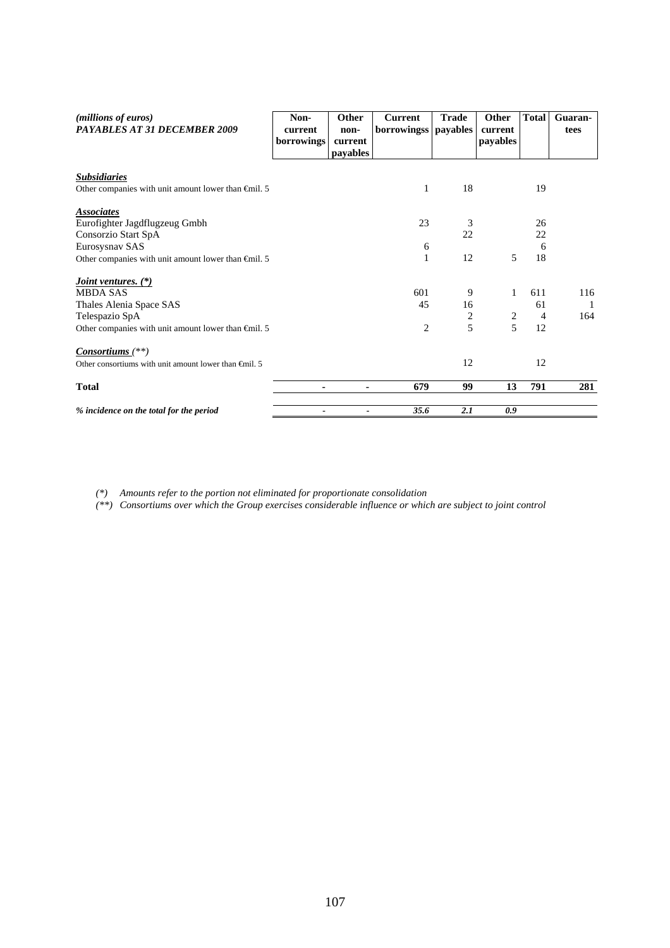| (millions of euros)                                             | Non-                  | Other           | <b>Current</b> | <b>Trade</b>            | Other      | <b>Total</b>   | Guaran- |
|-----------------------------------------------------------------|-----------------------|-----------------|----------------|-------------------------|------------|----------------|---------|
| PAYABLES AT 31 DECEMBER 2009                                    | current<br>borrowings | non-<br>current | borrowingss    | payables                | current    |                | tees    |
|                                                                 |                       | payables        |                |                         | payables   |                |         |
|                                                                 |                       |                 |                |                         |            |                |         |
| <b>Subsidiaries</b>                                             |                       |                 |                |                         |            |                |         |
| Other companies with unit amount lower than $\epsilon$ mil. 5   |                       |                 | 1              | 18                      |            | 19             |         |
| <b>Associates</b>                                               |                       |                 |                |                         |            |                |         |
| Eurofighter Jagdflugzeug Gmbh                                   |                       |                 | 23             | 3                       |            | 26             |         |
| Consorzio Start SpA                                             |                       |                 |                | 22                      |            | 22             |         |
| Eurosysnav SAS                                                  |                       |                 | 6              |                         |            | 6              |         |
| Other companies with unit amount lower than $\epsilon$ mil. 5   |                       |                 | $\mathbf{1}$   | 12                      | 5          | 18             |         |
| <i>Joint ventures.</i> (*)                                      |                       |                 |                |                         |            |                |         |
| <b>MBDA SAS</b>                                                 |                       |                 | 601            | 9                       | 1          | 611            | 116     |
| Thales Alenia Space SAS                                         |                       |                 | 45             | 16                      |            | 61             |         |
| Telespazio SpA                                                  |                       |                 |                | $\overline{\mathbf{c}}$ | $\sqrt{2}$ | $\overline{4}$ | 164     |
| Other companies with unit amount lower than $\epsilon$ mil. 5   |                       |                 | $\overline{c}$ | 5                       | 5          | 12             |         |
| Consortiums $(**)$                                              |                       |                 |                |                         |            |                |         |
| Other consortiums with unit amount lower than $\epsilon$ mil. 5 |                       |                 |                | 12                      |            | 12             |         |
| <b>Total</b>                                                    |                       | ۰               | 679            | 99                      | 13         | 791            | 281     |
| % incidence on the total for the period                         |                       |                 | 35.6           | 2.1                     | 0.9        |                |         |

*(\*) Amounts refer to the portion not eliminated for proportionate consolidation* 

*(\*\*) Consortiums over which the Group exercises considerable influence or which are subject to joint control*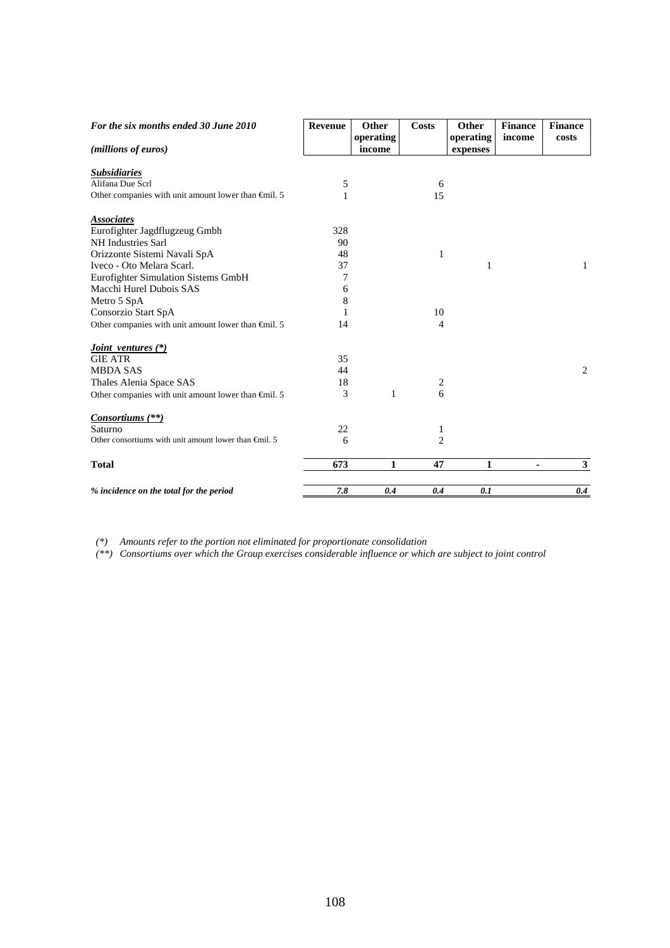| For the six months ended 30 June 2010                           | Revenue | <b>Other</b>        | Costs                   | Other                 | <b>Finance</b> | <b>Finance</b> |
|-----------------------------------------------------------------|---------|---------------------|-------------------------|-----------------------|----------------|----------------|
| (millions of euros)                                             |         | operating<br>income |                         | operating<br>expenses | income         | costs          |
| <b>Subsidiaries</b>                                             |         |                     |                         |                       |                |                |
| Alifana Due Scrl                                                | 5       |                     | 6                       |                       |                |                |
| Other companies with unit amount lower than $\oplus$ nil. 5     | 1       |                     | 15                      |                       |                |                |
| <b>Associates</b>                                               |         |                     |                         |                       |                |                |
| Eurofighter Jagdflugzeug Gmbh                                   | 328     |                     |                         |                       |                |                |
| NH Industries Sarl                                              | 90      |                     |                         |                       |                |                |
| Orizzonte Sistemi Navali SpA                                    | 48      |                     | 1                       |                       |                |                |
| Iveco - Oto Melara Scarl.                                       | 37      |                     |                         | 1                     |                | 1              |
| Eurofighter Simulation Sistems GmbH                             | 7       |                     |                         |                       |                |                |
| Macchi Hurel Dubois SAS                                         | 6       |                     |                         |                       |                |                |
| Metro 5 SpA                                                     | 8       |                     |                         |                       |                |                |
| Consorzio Start SpA                                             | 1       |                     | 10                      |                       |                |                |
| Other companies with unit amount lower than $\epsilon$ mil. 5   | 14      |                     | $\overline{4}$          |                       |                |                |
| <i>Joint ventures</i> (*)                                       |         |                     |                         |                       |                |                |
| <b>GIE ATR</b>                                                  | 35      |                     |                         |                       |                |                |
| <b>MBDA SAS</b>                                                 | 44      |                     |                         |                       |                | 2              |
| Thales Alenia Space SAS                                         | 18      |                     | $\overline{\mathbf{c}}$ |                       |                |                |
| Other companies with unit amount lower than $\epsilon$ mil. 5   | 3       | 1                   | 6                       |                       |                |                |
| Consortiums $(**)$                                              |         |                     |                         |                       |                |                |
| Saturno                                                         | 22      |                     | 1                       |                       |                |                |
| Other consortiums with unit amount lower than $\epsilon$ mil. 5 | 6       |                     | $\overline{2}$          |                       |                |                |
| <b>Total</b>                                                    | 673     | 1                   | 47                      | 1                     | $\blacksquare$ | 3              |
| % incidence on the total for the period                         | 7.8     | 0.4                 | 0.4                     | 0.1                   |                | 0.4            |

*(\*) Amounts refer to the portion not eliminated for proportionate consolidation* 

*(\*\*) Consortiums over which the Group exercises considerable influence or which are subject to joint control*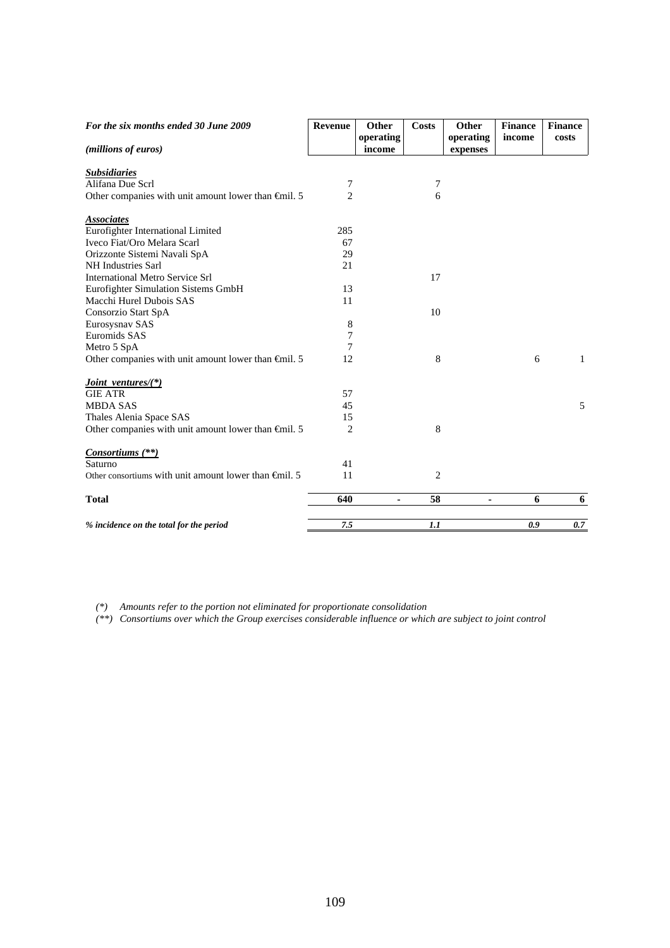| income<br>costs<br>(millions of euros)<br>income<br>expenses<br><b>Subsidiaries</b><br>Alifana Due Scrl<br>7<br>7<br>$\overline{2}$<br>Other companies with unit amount lower than $\epsilon$ mil. 5<br>6<br><b>Associates</b><br>Eurofighter International Limited<br>285<br>Iveco Fiat/Oro Melara Scarl<br>67<br>29<br>Orizzonte Sistemi Navali SpA<br>NH Industries Sarl<br>21<br><b>International Metro Service Srl</b><br>17<br>13<br>Eurofighter Simulation Sistems GmbH<br>Macchi Hurel Dubois SAS<br>11<br>10<br>Consorzio Start SpA<br>Eurosysnav SAS<br>8<br>Euromids SAS<br>7<br>7<br>Metro 5 SpA<br>8<br>Other companies with unit amount lower than $\epsilon$ mil. 5<br>12<br>6<br><i>Joint ventures</i> /(*)<br><b>GIE ATR</b><br>57<br><b>MBDA SAS</b><br>45<br>Thales Alenia Space SAS<br>15<br>8<br>2<br>Other companies with unit amount lower than $\epsilon$ mil. 5<br><i>Consortiums</i> (**)<br>Saturno<br>41<br>$\overline{2}$<br>Other consortiums with unit amount lower than $\oplus$ mil. 5<br>11 | For the six months ended 30 June 2009 | Revenue | Other     | <b>Costs</b> | Other     | <b>Finance</b> | <b>Finance</b> |
|-------------------------------------------------------------------------------------------------------------------------------------------------------------------------------------------------------------------------------------------------------------------------------------------------------------------------------------------------------------------------------------------------------------------------------------------------------------------------------------------------------------------------------------------------------------------------------------------------------------------------------------------------------------------------------------------------------------------------------------------------------------------------------------------------------------------------------------------------------------------------------------------------------------------------------------------------------------------------------------------------------------------------------|---------------------------------------|---------|-----------|--------------|-----------|----------------|----------------|
|                                                                                                                                                                                                                                                                                                                                                                                                                                                                                                                                                                                                                                                                                                                                                                                                                                                                                                                                                                                                                               |                                       |         | operating |              | operating |                |                |
|                                                                                                                                                                                                                                                                                                                                                                                                                                                                                                                                                                                                                                                                                                                                                                                                                                                                                                                                                                                                                               |                                       |         |           |              |           |                |                |
|                                                                                                                                                                                                                                                                                                                                                                                                                                                                                                                                                                                                                                                                                                                                                                                                                                                                                                                                                                                                                               |                                       |         |           |              |           |                |                |
|                                                                                                                                                                                                                                                                                                                                                                                                                                                                                                                                                                                                                                                                                                                                                                                                                                                                                                                                                                                                                               |                                       |         |           |              |           |                |                |
|                                                                                                                                                                                                                                                                                                                                                                                                                                                                                                                                                                                                                                                                                                                                                                                                                                                                                                                                                                                                                               |                                       |         |           |              |           |                |                |
|                                                                                                                                                                                                                                                                                                                                                                                                                                                                                                                                                                                                                                                                                                                                                                                                                                                                                                                                                                                                                               |                                       |         |           |              |           |                |                |
|                                                                                                                                                                                                                                                                                                                                                                                                                                                                                                                                                                                                                                                                                                                                                                                                                                                                                                                                                                                                                               |                                       |         |           |              |           |                |                |
|                                                                                                                                                                                                                                                                                                                                                                                                                                                                                                                                                                                                                                                                                                                                                                                                                                                                                                                                                                                                                               |                                       |         |           |              |           |                |                |
|                                                                                                                                                                                                                                                                                                                                                                                                                                                                                                                                                                                                                                                                                                                                                                                                                                                                                                                                                                                                                               |                                       |         |           |              |           |                |                |
|                                                                                                                                                                                                                                                                                                                                                                                                                                                                                                                                                                                                                                                                                                                                                                                                                                                                                                                                                                                                                               |                                       |         |           |              |           |                |                |
|                                                                                                                                                                                                                                                                                                                                                                                                                                                                                                                                                                                                                                                                                                                                                                                                                                                                                                                                                                                                                               |                                       |         |           |              |           |                |                |
|                                                                                                                                                                                                                                                                                                                                                                                                                                                                                                                                                                                                                                                                                                                                                                                                                                                                                                                                                                                                                               |                                       |         |           |              |           |                |                |
|                                                                                                                                                                                                                                                                                                                                                                                                                                                                                                                                                                                                                                                                                                                                                                                                                                                                                                                                                                                                                               |                                       |         |           |              |           |                |                |
|                                                                                                                                                                                                                                                                                                                                                                                                                                                                                                                                                                                                                                                                                                                                                                                                                                                                                                                                                                                                                               |                                       |         |           |              |           |                |                |
|                                                                                                                                                                                                                                                                                                                                                                                                                                                                                                                                                                                                                                                                                                                                                                                                                                                                                                                                                                                                                               |                                       |         |           |              |           |                |                |
|                                                                                                                                                                                                                                                                                                                                                                                                                                                                                                                                                                                                                                                                                                                                                                                                                                                                                                                                                                                                                               |                                       |         |           |              |           |                |                |
|                                                                                                                                                                                                                                                                                                                                                                                                                                                                                                                                                                                                                                                                                                                                                                                                                                                                                                                                                                                                                               |                                       |         |           |              |           |                |                |
|                                                                                                                                                                                                                                                                                                                                                                                                                                                                                                                                                                                                                                                                                                                                                                                                                                                                                                                                                                                                                               |                                       |         |           |              |           |                |                |
|                                                                                                                                                                                                                                                                                                                                                                                                                                                                                                                                                                                                                                                                                                                                                                                                                                                                                                                                                                                                                               |                                       |         |           |              |           |                | $\mathbf{1}$   |
|                                                                                                                                                                                                                                                                                                                                                                                                                                                                                                                                                                                                                                                                                                                                                                                                                                                                                                                                                                                                                               |                                       |         |           |              |           |                |                |
|                                                                                                                                                                                                                                                                                                                                                                                                                                                                                                                                                                                                                                                                                                                                                                                                                                                                                                                                                                                                                               |                                       |         |           |              |           |                |                |
|                                                                                                                                                                                                                                                                                                                                                                                                                                                                                                                                                                                                                                                                                                                                                                                                                                                                                                                                                                                                                               |                                       |         |           |              |           |                | 5              |
|                                                                                                                                                                                                                                                                                                                                                                                                                                                                                                                                                                                                                                                                                                                                                                                                                                                                                                                                                                                                                               |                                       |         |           |              |           |                |                |
|                                                                                                                                                                                                                                                                                                                                                                                                                                                                                                                                                                                                                                                                                                                                                                                                                                                                                                                                                                                                                               |                                       |         |           |              |           |                |                |
|                                                                                                                                                                                                                                                                                                                                                                                                                                                                                                                                                                                                                                                                                                                                                                                                                                                                                                                                                                                                                               |                                       |         |           |              |           |                |                |
|                                                                                                                                                                                                                                                                                                                                                                                                                                                                                                                                                                                                                                                                                                                                                                                                                                                                                                                                                                                                                               |                                       |         |           |              |           |                |                |
|                                                                                                                                                                                                                                                                                                                                                                                                                                                                                                                                                                                                                                                                                                                                                                                                                                                                                                                                                                                                                               |                                       |         |           |              |           |                |                |
|                                                                                                                                                                                                                                                                                                                                                                                                                                                                                                                                                                                                                                                                                                                                                                                                                                                                                                                                                                                                                               |                                       |         |           |              |           |                |                |
| 58<br>6<br><b>Total</b><br>640<br>ä,<br>٠                                                                                                                                                                                                                                                                                                                                                                                                                                                                                                                                                                                                                                                                                                                                                                                                                                                                                                                                                                                     |                                       |         |           |              |           |                | 6              |
| 7.5<br>1.1<br>0.9<br>% incidence on the total for the period                                                                                                                                                                                                                                                                                                                                                                                                                                                                                                                                                                                                                                                                                                                                                                                                                                                                                                                                                                  |                                       |         |           |              |           |                | 0.7            |

*(\*) Amounts refer to the portion not eliminated for proportionate consolidation* 

*(\*\*) Consortiums over which the Group exercises considerable influence or which are subject to joint control*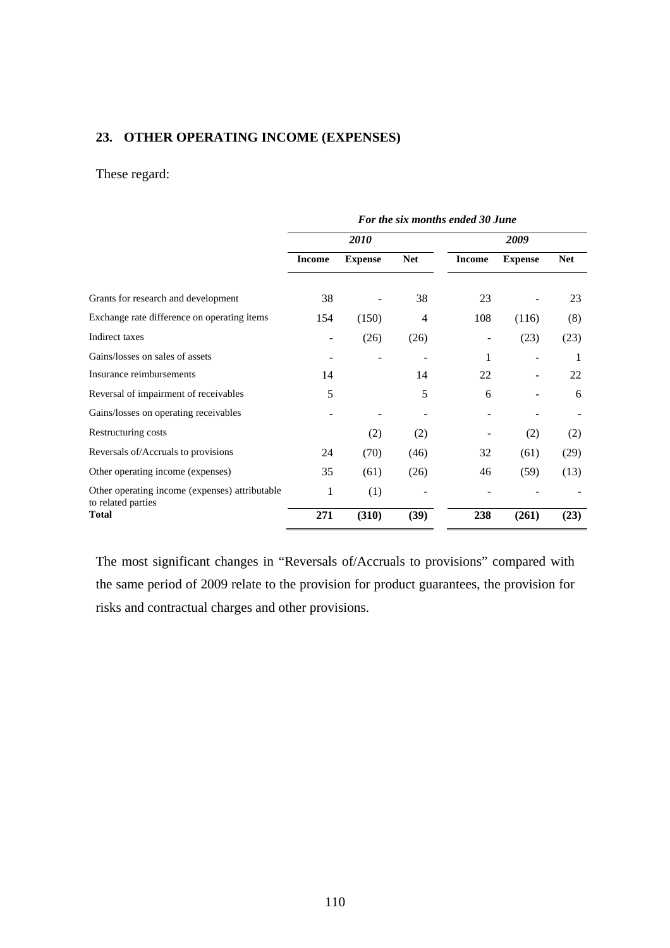### **23. OTHER OPERATING INCOME (EXPENSES)**

# These regard:

|                                                                      | For the six months ended 30 June |                |            |               |                |            |
|----------------------------------------------------------------------|----------------------------------|----------------|------------|---------------|----------------|------------|
|                                                                      | 2010                             |                |            | 2009          |                |            |
|                                                                      | <b>Income</b>                    | <b>Expense</b> | <b>Net</b> | <b>Income</b> | <b>Expense</b> | <b>Net</b> |
| Grants for research and development                                  | 38                               |                | 38         | 23            |                | 23         |
| Exchange rate difference on operating items                          | 154                              | (150)          | 4          | 108           | (116)          | (8)        |
| Indirect taxes                                                       |                                  | (26)           | (26)       |               | (23)           | (23)       |
| Gains/losses on sales of assets                                      |                                  |                |            | 1             |                | 1          |
| Insurance reimbursements                                             | 14                               |                | 14         | 22            |                | 22         |
| Reversal of impairment of receivables                                | 5                                |                | 5          | 6             |                | 6          |
| Gains/losses on operating receivables                                |                                  |                |            |               |                |            |
| Restructuring costs                                                  |                                  | (2)            | (2)        |               | (2)            | (2)        |
| Reversals of/Accruals to provisions                                  | 24                               | (70)           | (46)       | 32            | (61)           | (29)       |
| Other operating income (expenses)                                    | 35                               | (61)           | (26)       | 46            | (59)           | (13)       |
| Other operating income (expenses) attributable<br>to related parties | 1                                | (1)            |            |               |                |            |
| <b>Total</b>                                                         | 271                              | (310)          | (39)       | 238           | (261)          | (23)       |

The most significant changes in "Reversals of/Accruals to provisions" compared with the same period of 2009 relate to the provision for product guarantees, the provision for risks and contractual charges and other provisions.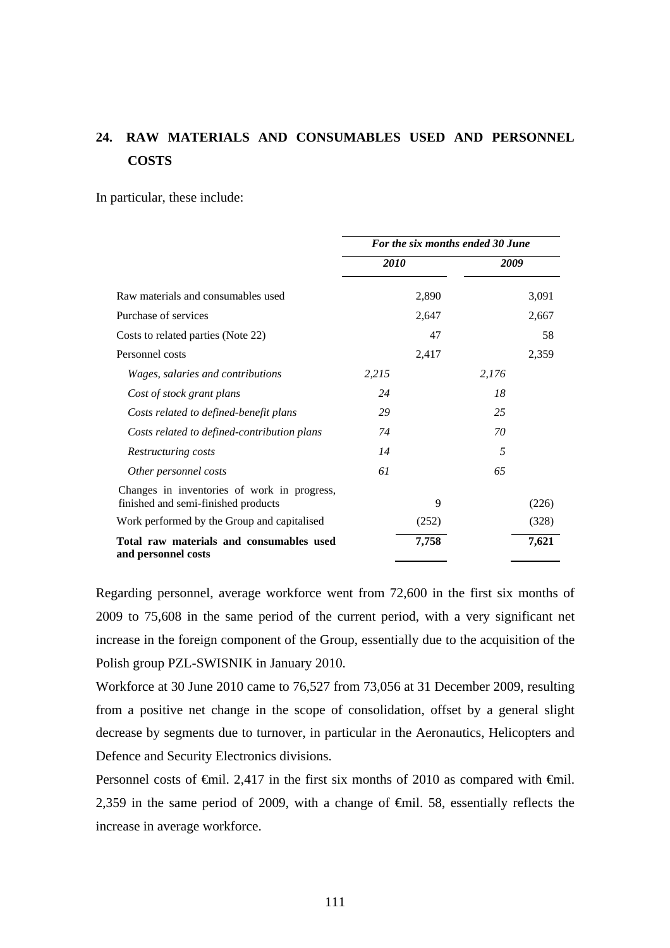# **24. RAW MATERIALS AND CONSUMABLES USED AND PERSONNEL COSTS**

In particular, these include:

|                                                                                    | For the six months ended 30 June |       |       |       |
|------------------------------------------------------------------------------------|----------------------------------|-------|-------|-------|
|                                                                                    | <i>2010</i>                      |       | 2009  |       |
| Raw materials and consumables used                                                 |                                  | 2,890 |       | 3,091 |
| Purchase of services                                                               |                                  | 2,647 |       | 2,667 |
| Costs to related parties (Note 22)                                                 |                                  | 47    |       | 58    |
| Personnel costs                                                                    |                                  | 2,417 |       | 2,359 |
| Wages, salaries and contributions                                                  | 2,215                            |       | 2,176 |       |
| Cost of stock grant plans                                                          | 24                               |       | 18    |       |
| Costs related to defined-benefit plans                                             | 29                               |       | 25    |       |
| Costs related to defined-contribution plans                                        | 74                               |       | 70    |       |
| Restructuring costs                                                                | 14                               |       | 5     |       |
| Other personnel costs                                                              | 61                               |       | 65    |       |
| Changes in inventories of work in progress,<br>finished and semi-finished products |                                  | 9     |       | (226) |
| Work performed by the Group and capitalised                                        |                                  | (252) |       | (328) |
| Total raw materials and consumables used<br>and personnel costs                    |                                  | 7,758 |       | 7,621 |

Regarding personnel, average workforce went from 72,600 in the first six months of 2009 to 75,608 in the same period of the current period, with a very significant net increase in the foreign component of the Group, essentially due to the acquisition of the Polish group PZL-SWISNIK in January 2010.

Workforce at 30 June 2010 came to 76,527 from 73,056 at 31 December 2009, resulting from a positive net change in the scope of consolidation, offset by a general slight decrease by segments due to turnover, in particular in the Aeronautics, Helicopters and Defence and Security Electronics divisions.

Personnel costs of  $\epsilon$ mil. 2,417 in the first six months of 2010 as compared with  $\epsilon$ mil. 2,359 in the same period of 2009, with a change of €mil. 58, essentially reflects the increase in average workforce.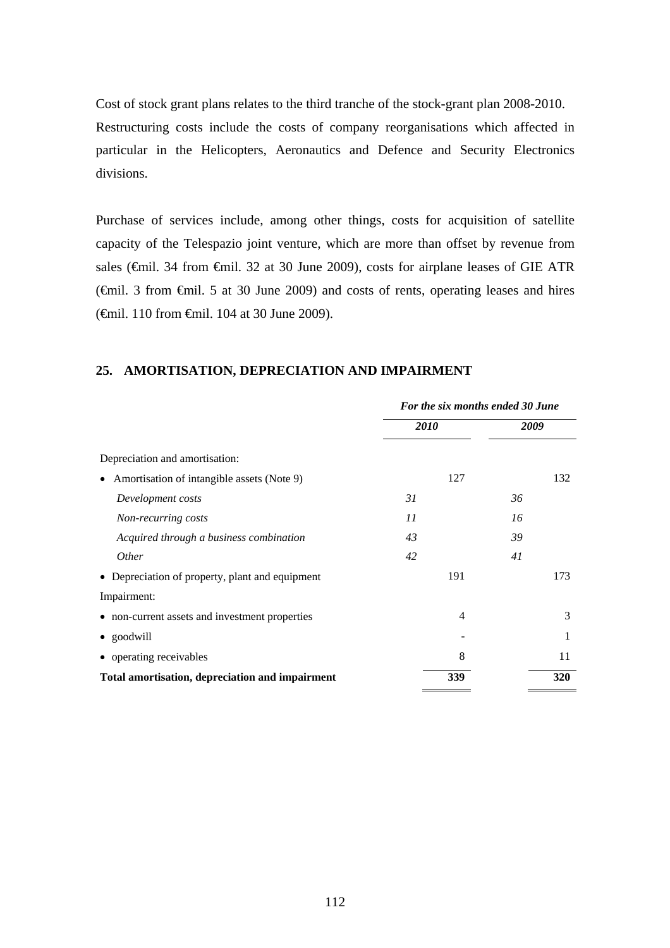Cost of stock grant plans relates to the third tranche of the stock-grant plan 2008-2010. Restructuring costs include the costs of company reorganisations which affected in particular in the Helicopters, Aeronautics and Defence and Security Electronics divisions.

Purchase of services include, among other things, costs for acquisition of satellite capacity of the Telespazio joint venture, which are more than offset by revenue from sales (€mil. 34 from €mil. 32 at 30 June 2009), costs for airplane leases of GIE ATR (€mil. 3 from €mil. 5 at 30 June 2009) and costs of rents, operating leases and hires (€mil. 110 from €mil. 104 at 30 June 2009).

### **25. AMORTISATION, DEPRECIATION AND IMPAIRMENT**

|                                                         | For the six months ended 30 June |         |  |  |
|---------------------------------------------------------|----------------------------------|---------|--|--|
|                                                         | 2010                             | 2009    |  |  |
| Depreciation and amortisation:                          |                                  |         |  |  |
| Amortisation of intangible assets (Note 9)<br>$\bullet$ | 127                              | 132     |  |  |
| Development costs                                       | 31                               | 36      |  |  |
| Non-recurring costs                                     | 11                               | 16      |  |  |
| Acquired through a business combination                 | 43                               | 39      |  |  |
| <i>Other</i>                                            | 42                               | 41      |  |  |
| • Depreciation of property, plant and equipment         | 191                              | 173     |  |  |
| Impairment:                                             |                                  |         |  |  |
| • non-current assets and investment properties          | $\overline{4}$                   | 3       |  |  |
| • goodwill                                              |                                  | 1       |  |  |
| • operating receivables                                 |                                  | 8<br>11 |  |  |
| Total amortisation, depreciation and impairment         | 339                              | 320     |  |  |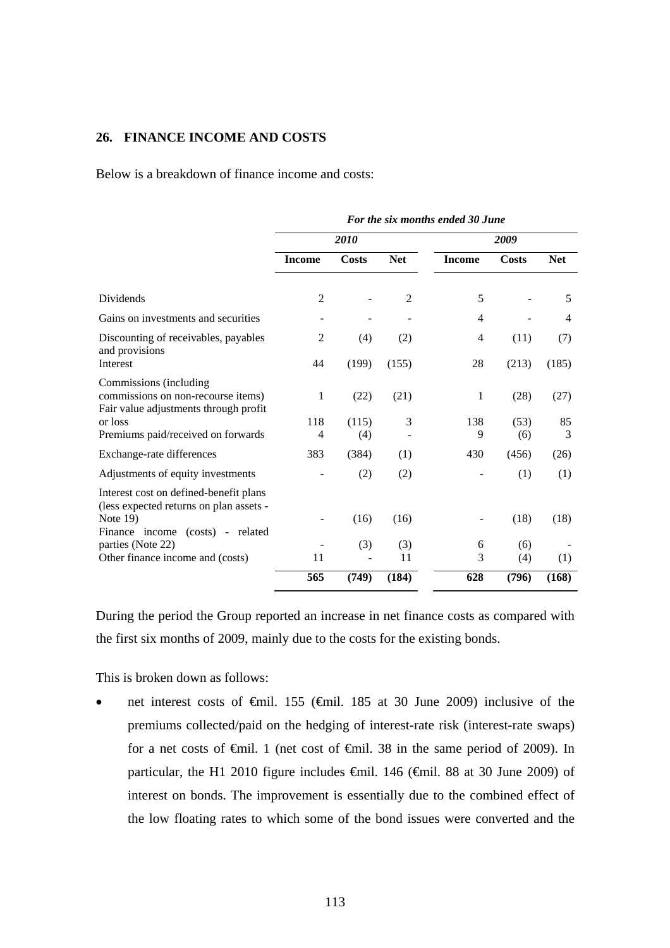### **26. FINANCE INCOME AND COSTS**

Below is a breakdown of finance income and costs:

|                                                                                                       | For the six months ended 30 June |       |                |               |       |            |
|-------------------------------------------------------------------------------------------------------|----------------------------------|-------|----------------|---------------|-------|------------|
|                                                                                                       |                                  | 2010  |                | 2009          |       |            |
|                                                                                                       | <b>Income</b>                    | Costs | <b>Net</b>     | <b>Income</b> | Costs | <b>Net</b> |
| Dividends                                                                                             | $\overline{2}$                   |       | $\overline{2}$ | 5             |       | 5          |
| Gains on investments and securities                                                                   |                                  |       |                | 4             |       | 4          |
| Discounting of receivables, payables<br>and provisions                                                | $\overline{2}$                   | (4)   | (2)            | 4             | (11)  | (7)        |
| Interest                                                                                              | 44                               | (199) | (155)          | 28            | (213) | (185)      |
| Commissions (including<br>commissions on non-recourse items)<br>Fair value adjustments through profit | 1                                | (22)  | (21)           | 1             | (28)  | (27)       |
| or loss                                                                                               | 118                              | (115) | 3              | 138           | (53)  | 85         |
| Premiums paid/received on forwards                                                                    | 4                                | (4)   |                | 9             | (6)   | 3          |
| Exchange-rate differences                                                                             | 383                              | (384) | (1)            | 430           | (456) | (26)       |
| Adjustments of equity investments                                                                     |                                  | (2)   | (2)            |               | (1)   | (1)        |
| Interest cost on defined-benefit plans<br>(less expected returns on plan assets -                     |                                  |       |                |               |       |            |
| Note 19)                                                                                              |                                  | (16)  | (16)           |               | (18)  | (18)       |
| Finance income (costs) - related<br>parties (Note 22)                                                 |                                  | (3)   | (3)            | 6             | (6)   |            |
| Other finance income and (costs)                                                                      | 11                               |       | 11             | 3             | (4)   | (1)        |
|                                                                                                       | 565                              | (749) | (184)          | 628           | (796) | (168)      |

During the period the Group reported an increase in net finance costs as compared with the first six months of 2009, mainly due to the costs for the existing bonds.

This is broken down as follows:

 net interest costs of €mil. 155 (€mil. 185 at 30 June 2009) inclusive of the premiums collected/paid on the hedging of interest-rate risk (interest-rate swaps) for a net costs of  $\theta$ mil. 1 (net cost of  $\theta$ mil. 38 in the same period of 2009). In particular, the H1 2010 figure includes €mil. 146 (€mil. 88 at 30 June 2009) of interest on bonds. The improvement is essentially due to the combined effect of the low floating rates to which some of the bond issues were converted and the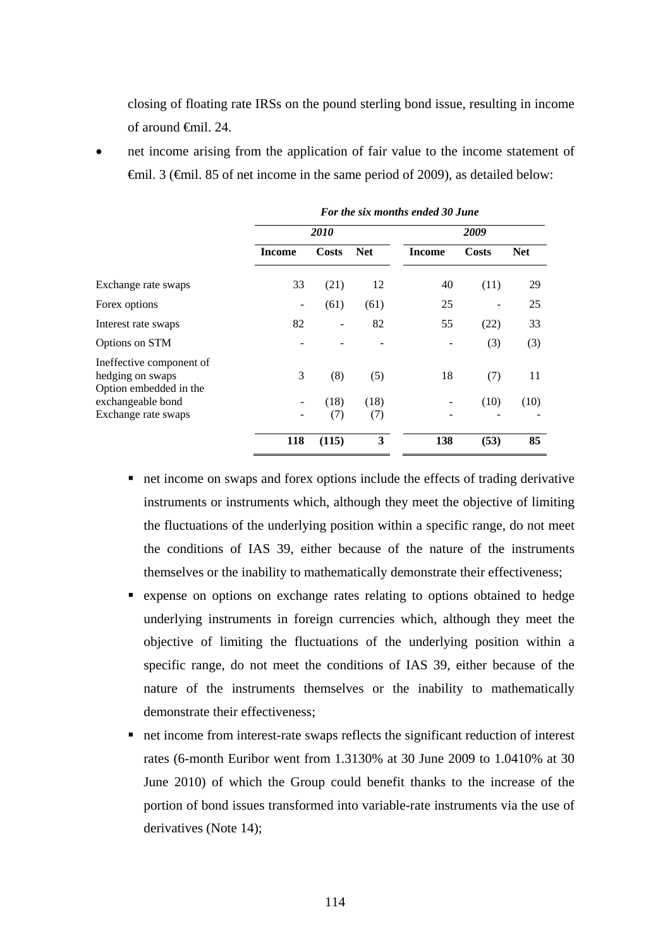closing of floating rate IRSs on the pound sterling bond issue, resulting in income of around €mil. 24.

 net income arising from the application of fair value to the income statement of €mil. 3 (€mil. 85 of net income in the same period of 2009), as detailed below:

|                                                                        | For the six months ended 30 June |              |            |               |              |            |  |
|------------------------------------------------------------------------|----------------------------------|--------------|------------|---------------|--------------|------------|--|
|                                                                        |                                  | <i>2010</i>  |            |               | 2009         |            |  |
|                                                                        | <b>Income</b>                    | <b>Costs</b> | <b>Net</b> | <b>Income</b> | <b>Costs</b> | <b>Net</b> |  |
| Exchange rate swaps                                                    | 33                               | (21)         | 12         | 40            | (11)         | 29         |  |
| Forex options                                                          | -                                | (61)         | (61)       | 25            |              | 25         |  |
| Interest rate swaps                                                    | 82                               |              | 82         | 55            | (22)         | 33         |  |
| Options on STM                                                         |                                  |              |            |               | (3)          | (3)        |  |
| Ineffective component of<br>hedging on swaps<br>Option embedded in the | 3                                | (8)          | (5)        | 18            | (7)          | 11         |  |
| exchangeable bond                                                      |                                  | (18)         | (18)       |               | (10)         | (10)       |  |
| Exchange rate swaps                                                    |                                  | (7)          | (7)        | -             |              |            |  |
|                                                                        | 118                              | (115)        | 3          | 138           | (53)         | 85         |  |

- net income on swaps and forex options include the effects of trading derivative instruments or instruments which, although they meet the objective of limiting the fluctuations of the underlying position within a specific range, do not meet the conditions of IAS 39, either because of the nature of the instruments themselves or the inability to mathematically demonstrate their effectiveness;
- expense on options on exchange rates relating to options obtained to hedge underlying instruments in foreign currencies which, although they meet the objective of limiting the fluctuations of the underlying position within a specific range, do not meet the conditions of IAS 39, either because of the nature of the instruments themselves or the inability to mathematically demonstrate their effectiveness;
- net income from interest-rate swaps reflects the significant reduction of interest rates (6-month Euribor went from 1.3130% at 30 June 2009 to 1.0410% at 30 June 2010) of which the Group could benefit thanks to the increase of the portion of bond issues transformed into variable-rate instruments via the use of derivatives (Note 14);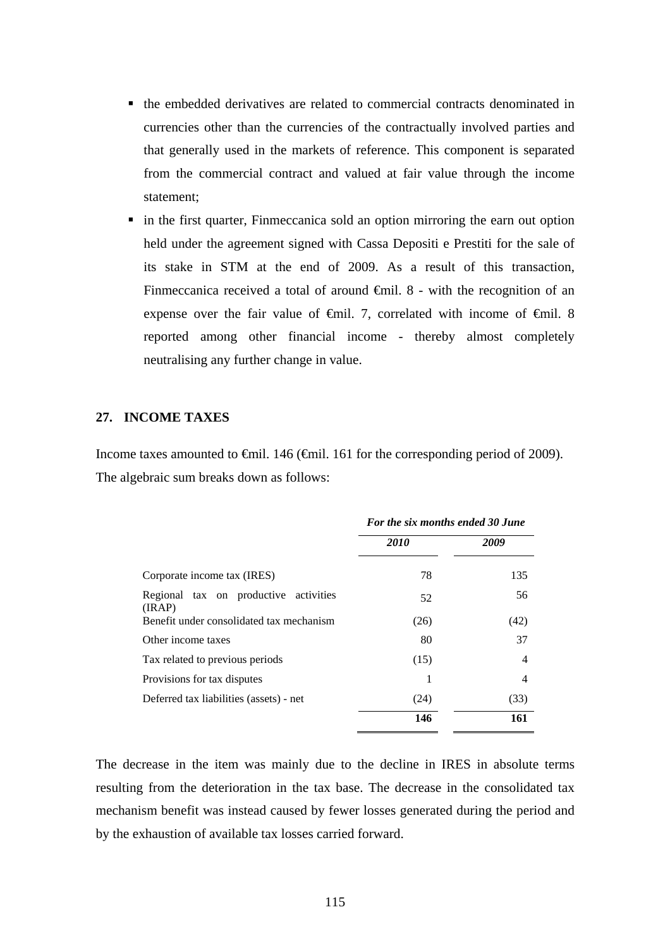- the embedded derivatives are related to commercial contracts denominated in currencies other than the currencies of the contractually involved parties and that generally used in the markets of reference. This component is separated from the commercial contract and valued at fair value through the income statement;
- in the first quarter, Finmeccanica sold an option mirroring the earn out option held under the agreement signed with Cassa Depositi e Prestiti for the sale of its stake in STM at the end of 2009. As a result of this transaction, Finmeccanica received a total of around  $\oplus$  finil. 8 - with the recognition of an expense over the fair value of  $\theta$ mil. 7, correlated with income of  $\theta$ mil. 8 reported among other financial income - thereby almost completely neutralising any further change in value.

#### **27. INCOME TAXES**

Income taxes amounted to €mil. 146 (€mil. 161 for the corresponding period of 2009). The algebraic sum breaks down as follows:

|                                                 | For the six months ended 30 June |      |  |  |
|-------------------------------------------------|----------------------------------|------|--|--|
|                                                 | 2010                             | 2009 |  |  |
| Corporate income tax (IRES)                     | 78                               | 135  |  |  |
| Regional tax on productive activities<br>(IRAP) | 52                               | 56   |  |  |
| Benefit under consolidated tax mechanism        | (26)                             | (42) |  |  |
| Other income taxes                              | 80                               | 37   |  |  |
| Tax related to previous periods                 | (15)                             | 4    |  |  |
| Provisions for tax disputes                     |                                  | 4    |  |  |
| Deferred tax liabilities (assets) - net         | (24)                             | (33) |  |  |
|                                                 | 146                              | 161  |  |  |

The decrease in the item was mainly due to the decline in IRES in absolute terms resulting from the deterioration in the tax base. The decrease in the consolidated tax mechanism benefit was instead caused by fewer losses generated during the period and by the exhaustion of available tax losses carried forward.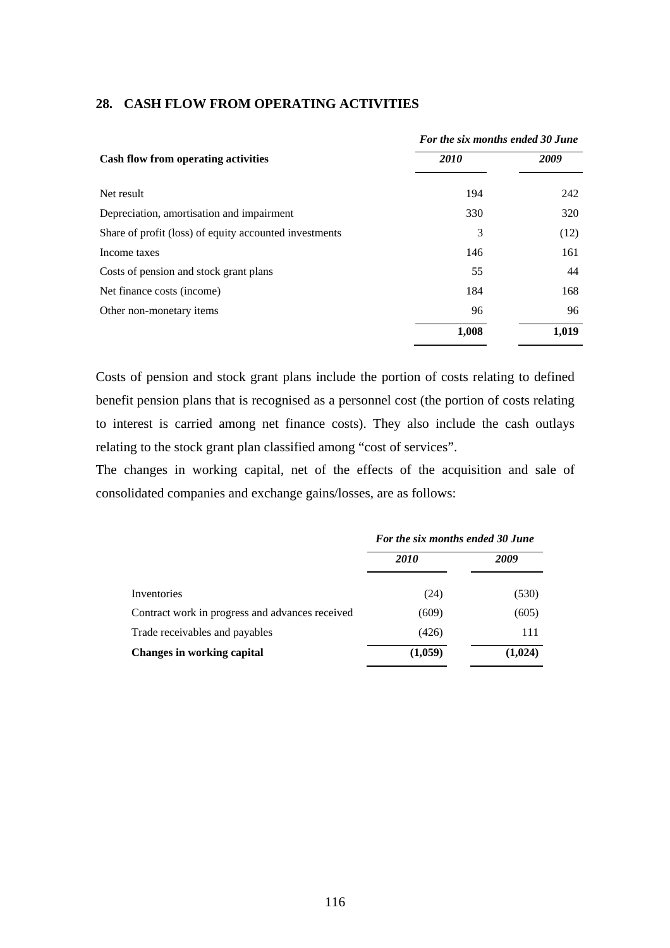|                                                        | For the six months ended 30 June |       |  |
|--------------------------------------------------------|----------------------------------|-------|--|
| Cash flow from operating activities                    | 2010                             | 2009  |  |
| Net result                                             | 194                              | 242   |  |
| Depreciation, amortisation and impairment              | 330                              | 320   |  |
| Share of profit (loss) of equity accounted investments | 3                                | (12)  |  |
| Income taxes                                           | 146                              | 161   |  |
| Costs of pension and stock grant plans                 | 55                               | 44    |  |
| Net finance costs (income)                             | 184                              | 168   |  |
| Other non-monetary items                               | 96                               | 96    |  |
|                                                        | 1,008                            | 1,019 |  |

#### **28. CASH FLOW FROM OPERATING ACTIVITIES**

Costs of pension and stock grant plans include the portion of costs relating to defined benefit pension plans that is recognised as a personnel cost (the portion of costs relating to interest is carried among net finance costs). They also include the cash outlays relating to the stock grant plan classified among "cost of services".

The changes in working capital, net of the effects of the acquisition and sale of consolidated companies and exchange gains/losses, are as follows:

|                                                 | For the six months ended 30 June |         |  |  |
|-------------------------------------------------|----------------------------------|---------|--|--|
|                                                 | <i>2010</i>                      | 2009    |  |  |
| Inventories                                     | (24)                             | (530)   |  |  |
| Contract work in progress and advances received | (609)                            | (605)   |  |  |
| Trade receivables and payables                  | (426)                            | 111     |  |  |
| <b>Changes in working capital</b>               | (1,059)                          | (1,024) |  |  |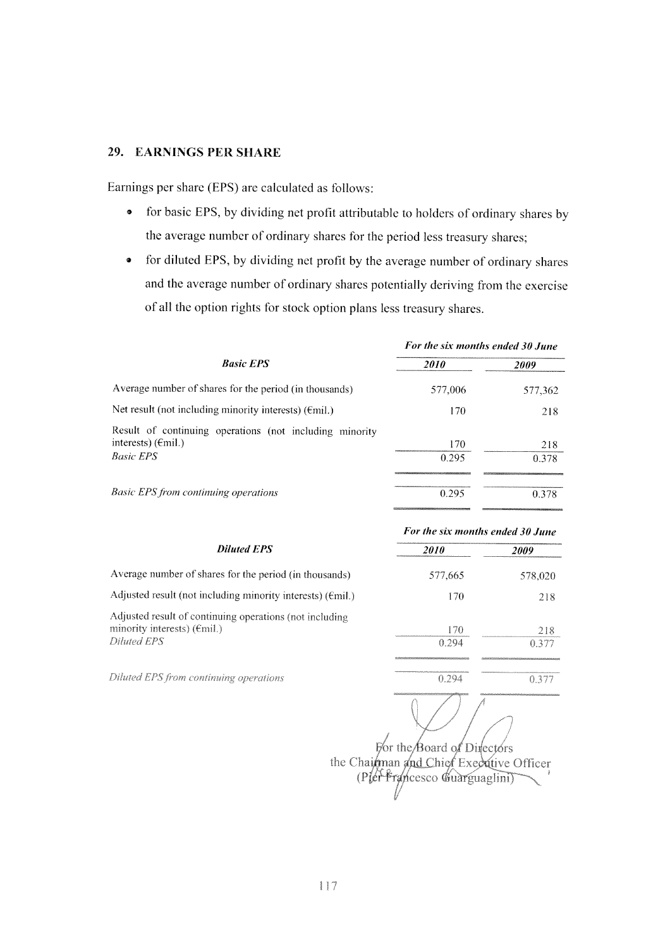#### 29. EARNINGS PER SHARE

Earnings per share (EPS) are calculated as follows:

- $\bullet$ for basic EPS, by dividing net profit attributable to holders of ordinary shares by the average number of ordinary shares for the period less treasury shares;
- for diluted EPS, by dividing net profit by the average number of ordinary shares  $\bullet$ and the average number of ordinary shares potentially deriving from the exercise of all the option rights for stock option plans less treasury shares.

|                                                                                                             | For the six months ended 30 June |              |  |  |
|-------------------------------------------------------------------------------------------------------------|----------------------------------|--------------|--|--|
| <b>Basic EPS</b>                                                                                            | <i>2010</i>                      | 2009         |  |  |
| Average number of shares for the period (in thousands)                                                      | 577,006                          | 577,362      |  |  |
| Net result (not including minority interests) $(Fmi)$ .)                                                    | 170                              | 218          |  |  |
| Result of continuing operations (not including minority<br>interests) $(\epsilon$ mil.)<br><b>Basic EPS</b> | 170<br>0.295                     | 218<br>0.378 |  |  |
| <b>Basic EPS from continuing operations</b>                                                                 | 0.295                            | 0.378        |  |  |

|                                                                                                                 |              | For the six months ended 30 June |  |  |  |
|-----------------------------------------------------------------------------------------------------------------|--------------|----------------------------------|--|--|--|
| <b>Diluted EPS</b>                                                                                              | <i>2010</i>  | 2009                             |  |  |  |
| Average number of shares for the period (in thousands)                                                          | 577.665      | 578,020                          |  |  |  |
| Adjusted result (not including minority interests) ( $\epsilon$ mil.)                                           | 170          | 218                              |  |  |  |
| Adjusted result of continuing operations (not including<br>minority interests) $(\epsilon$ mil.)<br>Diluted EPS | 170<br>0.294 | 218<br>0.377                     |  |  |  |
| Diluted EPS from continuing operations                                                                          | 0.294        | 0.377                            |  |  |  |

For the Board of Directors the Chairman and Chief Executive Officer (Pler Francesco Guarguaglini)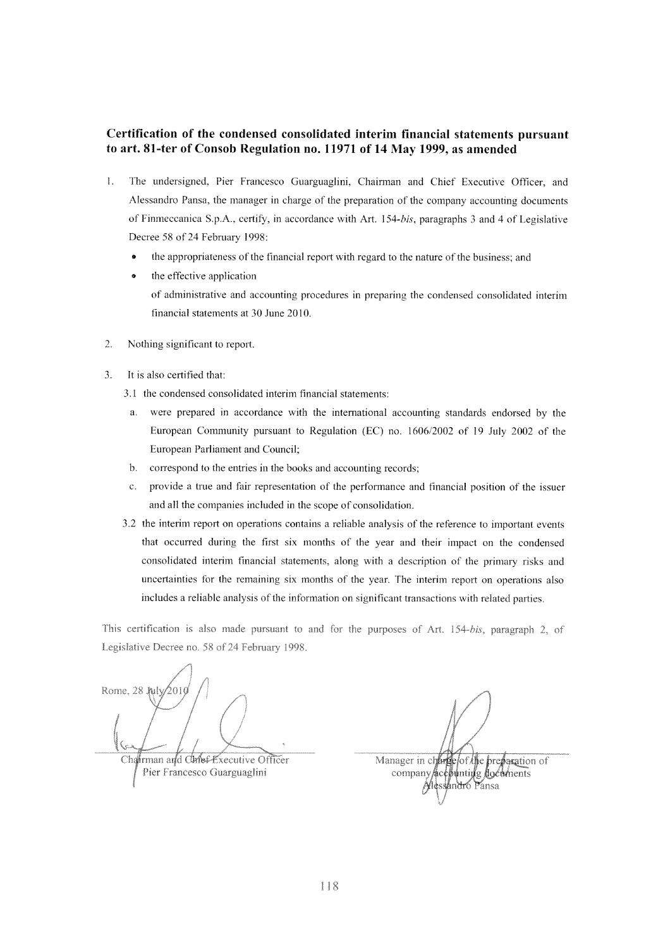#### Certification of the condensed consolidated interim financial statements pursuant to art. 81-ter of Consob Regulation no. 11971 of 14 May 1999, as amended

- $\mathbf{1}$ . The undersigned, Pier Francesco Guarguaglini, Chairman and Chief Executive Officer, and Alessandro Pansa, the manager in charge of the preparation of the company accounting documents of Finmeccanica S.p.A., certify, in accordance with Art. 154-bis, paragraphs 3 and 4 of Legislative Decree 58 of 24 February 1998:
	- the appropriateness of the financial report with regard to the nature of the business; and
	- the effective application  $\bullet$ of administrative and accounting procedures in preparing the condensed consolidated interim financial statements at 30 June 2010.
- $\overline{2}$ . Nothing significant to report.
- $3.$ It is also certified that:
	- 3.1 the condensed consolidated interim financial statements:
		- were prepared in accordance with the international accounting standards endorsed by the  $\mathbf{a}$ . European Community pursuant to Regulation (EC) no. 1606/2002 of 19 July 2002 of the European Parliament and Council;
	- $h$ correspond to the entries in the books and accounting records;
	- provide a true and fair representation of the performance and financial position of the issuer  $\mathbf{c}$ . and all the companies included in the scope of consolidation.
	- 3.2 the interim report on operations contains a reliable analysis of the reference to important events that occurred during the first six months of the year and their impact on the condensed consolidated interim financial statements, along with a description of the primary risks and uncertainties for the remaining six months of the year. The interim report on operations also includes a reliable analysis of the information on significant transactions with related parties.

This certification is also made pursuant to and for the purposes of Art. 154-bis, paragraph 2, of Legislative Decree no. 58 of 24 February 1998.

Rome, 28 Jul ÓΩI Chahrman and Chnef Executive Officer

Pier Francesco Guarguaglini

Manager in charge of the breastation of company/acebunting documents hndró Pansa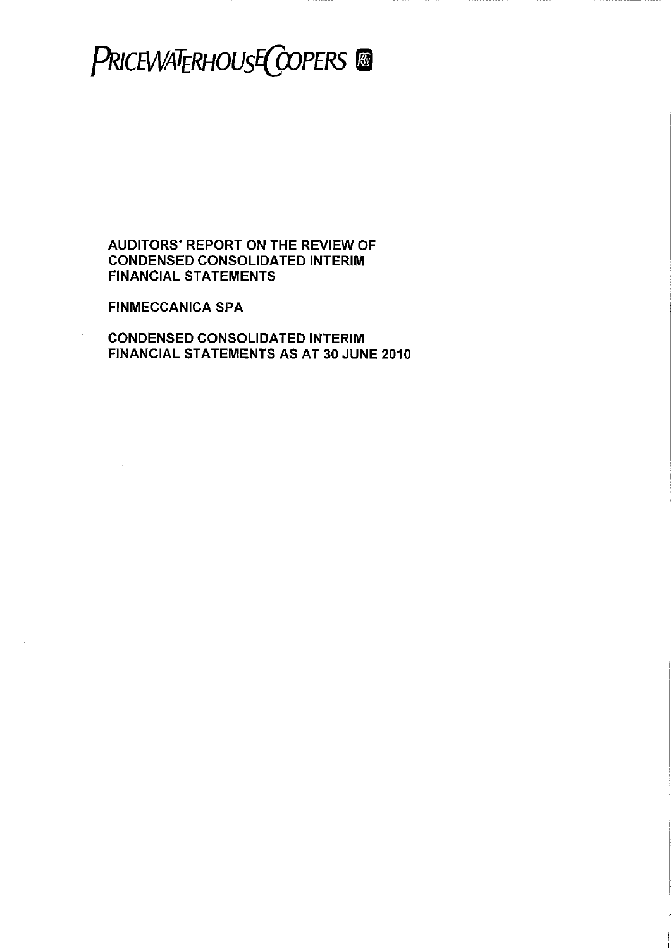# PRICEWATERHOUSE COPERS @

**AUDITORS' REPORT ON THE REVIEW OF CONDENSED CONSOLIDATED INTERIM FINANCIAL STATEMENTS** 

**FINMECCANICA SPA** 

**CONDENSED CONSOLIDATED INTERIM** FINANCIAL STATEMENTS AS AT 30 JUNE 2010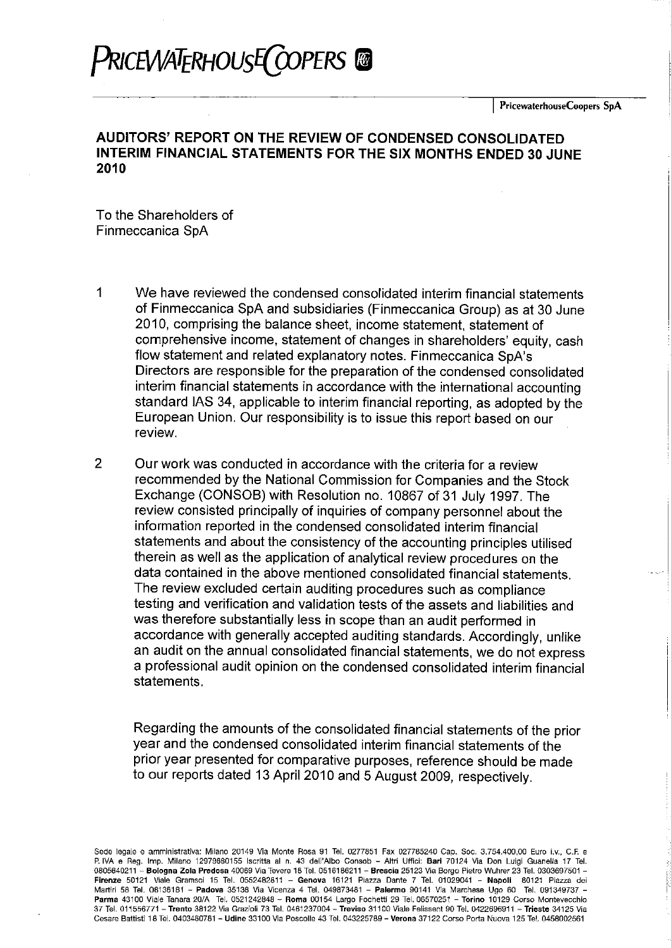# PRICEWATERHOUSE COPERS @

## AUDITORS' REPORT ON THE REVIEW OF CONDENSED CONSOLIDATED INTERIM FINANCIAL STATEMENTS FOR THE SIX MONTHS ENDED 30 JUNE 2010

To the Shareholders of Finmeccanica SpA

- $\mathbf 1$ We have reviewed the condensed consolidated interim financial statements of Finmeccanica SpA and subsidiaries (Finmeccanica Group) as at 30 June 2010, comprising the balance sheet, income statement, statement of comprehensive income, statement of changes in shareholders' equity, cash flow statement and related explanatory notes. Finmeccanica SpA's Directors are responsible for the preparation of the condensed consolidated interim financial statements in accordance with the international accounting standard IAS 34, applicable to interim financial reporting, as adopted by the European Union. Our responsibility is to issue this report based on our review.
- $\overline{2}$ Our work was conducted in accordance with the criteria for a review recommended by the National Commission for Companies and the Stock Exchange (CONSOB) with Resolution no. 10867 of 31 July 1997. The review consisted principally of inquiries of company personnel about the information reported in the condensed consolidated interim financial statements and about the consistency of the accounting principles utilised therein as well as the application of analytical review procedures on the data contained in the above mentioned consolidated financial statements. The review excluded certain auditing procedures such as compliance testing and verification and validation tests of the assets and liabilities and was therefore substantially less in scope than an audit performed in accordance with generally accepted auditing standards. Accordingly, unlike an audit on the annual consolidated financial statements, we do not express a professional audit opinion on the condensed consolidated interim financial statements.

Regarding the amounts of the consolidated financial statements of the prior year and the condensed consolidated interim financial statements of the prior year presented for comparative purposes, reference should be made to our reports dated 13 April 2010 and 5 August 2009, respectively.

Sede legale e amministrativa: Milano 20149 Via Monte Rosa 91 Tel. 0277851 Fax 027785240 Cap. Soc. 3.754.400,00 Euro i.v., C.F. e P. IVA e Reg. Imp. Milano 12979880155 Iscritta al n. 43 dell'Albo Consob - Altri Uffici: Bari 70124 Via Don Luigi Guanella 17 Tel. 0805640211 - Bologna Zola Predosa 40069 Via Tevere 18 Tel. 0516186211 - Brescia 25123 Via Borgo Pietro Wuhrer 23 Tel. 0303697501 -Firenze 50121 Viale Gramsci 15 Tel. 0552482811 - Genova 16121 Piazza Dante 7 Tel. 01029041 - Napoli 80121 Piazza dei Martiri 58 Tel. 08136181 - Padova 35138 Via Vicenza 4 Tel. 049873481 - Palermo 90141 Via Marchese Ugo 60 Tel. 091349737 -Parma 43100 Viale Tanara 20/A Tel. 0521242848 - Roma 00154 Largo Fochetti 29 Tel. 06570251 - Torino 10129 Corso Montevecchio 37 Tel. 011556771 - Trento 38122 Via Grazioli 73 Tel. 0461237004 - Treviso 31100 Viale Felissent 90 Tel. 0422696911 - Trieste 34125 Via Cesare Battisti 18 Tel. 0403480781 - Udine 33100 Via Poscolle 43 Tel. 043225789 - Verona 37122 Corso Porta Nuova 125 Tel. 0458002561